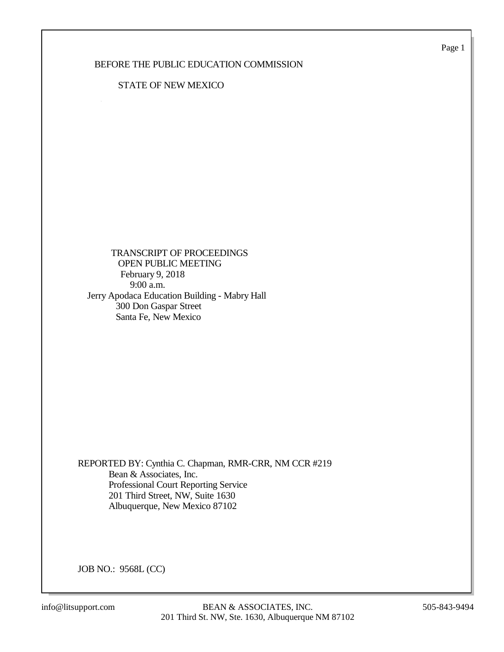Page 1

## BEFORE THE PUBLIC EDUCATION COMMISSION

### STATE OF NEW MEXICO

 TRANSCRIPT OF PROCEEDINGS OPEN PUBLIC MEETING February 9, 2018 9:00 a.m. Jerry Apodaca Education Building - Mabry Hall 300 Don Gaspar Street Santa Fe, New Mexico

REPORTED BY: Cynthia C. Chapman, RMR-CRR, NM CCR #219 Bean & Associates, Inc. Professional Court Reporting Service 201 Third Street, NW, Suite 1630 Albuquerque, New Mexico 87102

JOB NO.: 9568L (CC)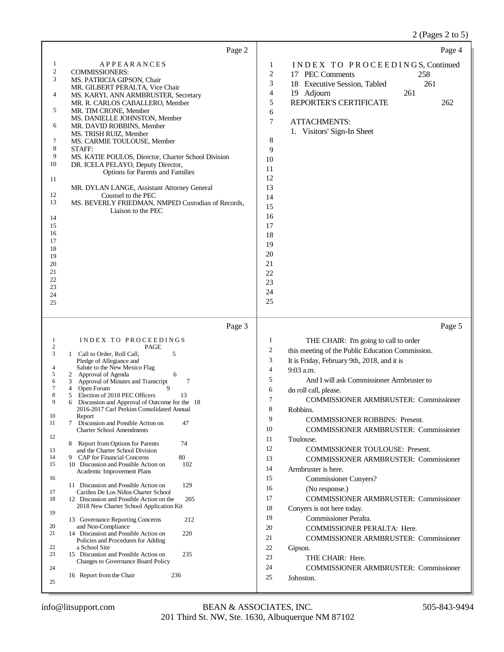## 2 (Pages 2 to 5)

|                                                                                                                                                        | Page 2                                                                                                                                                                                                                                                                                                                                                                                                                                                                                                                                                                                                                                   |                                                                                                                                                                       | Page 4                                                                                                                                                                                                      |
|--------------------------------------------------------------------------------------------------------------------------------------------------------|------------------------------------------------------------------------------------------------------------------------------------------------------------------------------------------------------------------------------------------------------------------------------------------------------------------------------------------------------------------------------------------------------------------------------------------------------------------------------------------------------------------------------------------------------------------------------------------------------------------------------------------|-----------------------------------------------------------------------------------------------------------------------------------------------------------------------|-------------------------------------------------------------------------------------------------------------------------------------------------------------------------------------------------------------|
| 1<br>$\overline{c}$<br>3<br>4<br>5<br>6<br>7<br>8<br>9<br>10<br>11<br>12<br>13<br>14<br>15<br>16<br>17<br>18<br>19<br>20<br>21<br>22<br>23<br>24<br>25 | <b>APPEARANCES</b><br><b>COMMISSIONERS:</b><br>MS. PATRICIA GIPSON, Chair<br>MR. GILBERT PERALTA, Vice Chair<br>MS. KARYL ANN ARMBRUSTER, Secretary<br>MR. R. CARLOS CABALLERO, Member<br>MR. TIM CRONE, Member<br>MS. DANIELLE JOHNSTON, Member<br>MR. DAVID ROBBINS, Member<br>MS. TRISH RUIZ, Member<br>MS. CARMIE TOULOUSE, Member<br>STAFF:<br>MS. KATIE POULOS, Director, Charter School Division<br>DR. ICELA PELAYO, Deputy Director,<br><b>Options for Parents and Families</b><br>MR. DYLAN LANGE, Assistant Attorney General<br>Counsel to the PEC<br>MS. BEVERLY FRIEDMAN, NMPED Custodian of Records,<br>Liaison to the PEC | 1<br>$\boldsymbol{2}$<br>3<br>4<br>5<br>6<br>$\overline{7}$<br>8<br>9<br>10<br>11<br>12<br>13<br>14<br>15<br>16<br>17<br>18<br>19<br>20<br>21<br>22<br>23<br>24<br>25 | INDEX TO PROCEEDINGS, Continued<br>17 PEC Comments<br>258<br>261<br>18 Executive Session, Tabled<br>19 Adjourn<br>261<br>REPORTER'S CERTIFICATE<br>262<br><b>ATTACHMENTS:</b><br>1. Visitors' Sign-In Sheet |
|                                                                                                                                                        | Page 3                                                                                                                                                                                                                                                                                                                                                                                                                                                                                                                                                                                                                                   |                                                                                                                                                                       | Page 5                                                                                                                                                                                                      |
| 1<br>$\overline{c}$                                                                                                                                    | INDEX TO PROCEEDINGS<br>PAGE                                                                                                                                                                                                                                                                                                                                                                                                                                                                                                                                                                                                             | 1                                                                                                                                                                     | THE CHAIR: I'm going to call to order                                                                                                                                                                       |
| 3                                                                                                                                                      | 1 Call to Order, Roll Call,<br>5<br>Pledge of Allegiance and                                                                                                                                                                                                                                                                                                                                                                                                                                                                                                                                                                             | $\overline{c}$<br>3                                                                                                                                                   | this meeting of the Public Education Commission.<br>It is Friday, February 9th, 2018, and it is                                                                                                             |
| 4<br>5                                                                                                                                                 | Salute to the New Mexico Flag<br>2 Approval of Agenda<br>6                                                                                                                                                                                                                                                                                                                                                                                                                                                                                                                                                                               | $\overline{4}$                                                                                                                                                        | 9:03 a.m.                                                                                                                                                                                                   |
| 6                                                                                                                                                      | $\overline{7}$<br>Approval of Minutes and Transcript<br>3                                                                                                                                                                                                                                                                                                                                                                                                                                                                                                                                                                                | 5                                                                                                                                                                     | And I will ask Commissioner Armbruster to                                                                                                                                                                   |
| 7<br>8                                                                                                                                                 | $\mathbf Q$<br>Open Forum<br>4<br>Election of 2018 PEC Officers<br>5<br>13                                                                                                                                                                                                                                                                                                                                                                                                                                                                                                                                                               | 6                                                                                                                                                                     |                                                                                                                                                                                                             |
| 9                                                                                                                                                      |                                                                                                                                                                                                                                                                                                                                                                                                                                                                                                                                                                                                                                          |                                                                                                                                                                       | do roll call, please.                                                                                                                                                                                       |
|                                                                                                                                                        | Discussion and Approval of Outcome for the 18<br>6<br>2016-2017 Carl Perkins Consolidated Annual                                                                                                                                                                                                                                                                                                                                                                                                                                                                                                                                         | $\tau$<br>8                                                                                                                                                           | <b>COMMISSIONER ARMBRUSTER: Commissioner</b><br>Robbins.                                                                                                                                                    |
| 10                                                                                                                                                     | Report                                                                                                                                                                                                                                                                                                                                                                                                                                                                                                                                                                                                                                   | 9                                                                                                                                                                     | <b>COMMISSIONER ROBBINS: Present.</b>                                                                                                                                                                       |
| 11<br>12                                                                                                                                               | 7 Discussion and Possible Action on<br>47<br><b>Charter School Amendments</b>                                                                                                                                                                                                                                                                                                                                                                                                                                                                                                                                                            | 10                                                                                                                                                                    | <b>COMMISSIONER ARMBRUSTER: Commissioner</b>                                                                                                                                                                |
|                                                                                                                                                        | 74<br>Report from Options for Parents<br>8                                                                                                                                                                                                                                                                                                                                                                                                                                                                                                                                                                                               | 11                                                                                                                                                                    | Toulouse.                                                                                                                                                                                                   |
| 13                                                                                                                                                     | and the Charter School Division                                                                                                                                                                                                                                                                                                                                                                                                                                                                                                                                                                                                          | 12                                                                                                                                                                    | <b>COMMISSIONER TOULOUSE: Present.</b>                                                                                                                                                                      |
| 14<br>15                                                                                                                                               | 80<br>9 CAP for Financial Concerns<br>102<br>10 Discussion and Possible Action on                                                                                                                                                                                                                                                                                                                                                                                                                                                                                                                                                        | 13<br>14                                                                                                                                                              | <b>COMMISSIONER ARMBRUSTER: Commissioner</b>                                                                                                                                                                |
| 16                                                                                                                                                     | Academic Improvement Plans                                                                                                                                                                                                                                                                                                                                                                                                                                                                                                                                                                                                               | 15                                                                                                                                                                    | Armbruster is here.                                                                                                                                                                                         |
|                                                                                                                                                        | 11 Discussion and Possible Action on<br>129                                                                                                                                                                                                                                                                                                                                                                                                                                                                                                                                                                                              | 16                                                                                                                                                                    | <b>Commissioner Conyers?</b><br>(No response.)                                                                                                                                                              |
| 17<br>18                                                                                                                                               | Cariños De Los Niños Charter School<br>12 Discussion and Possible Action on the<br>205                                                                                                                                                                                                                                                                                                                                                                                                                                                                                                                                                   | 17                                                                                                                                                                    | COMMISSIONER ARMBRUSTER: Commissioner                                                                                                                                                                       |
|                                                                                                                                                        | 2018 New Charter School Application Kit                                                                                                                                                                                                                                                                                                                                                                                                                                                                                                                                                                                                  | 18                                                                                                                                                                    | Conyers is not here today.                                                                                                                                                                                  |
| 19                                                                                                                                                     | 13 Governance Reporting Concerns<br>212                                                                                                                                                                                                                                                                                                                                                                                                                                                                                                                                                                                                  | 19                                                                                                                                                                    | Commissioner Peralta.                                                                                                                                                                                       |
| 20                                                                                                                                                     | and Non-Compliance                                                                                                                                                                                                                                                                                                                                                                                                                                                                                                                                                                                                                       | 20                                                                                                                                                                    | COMMISSIONER PERALTA: Here.                                                                                                                                                                                 |
| 21                                                                                                                                                     | 14 Discussion and Possible Action on<br>220<br>Policies and Procedures for Adding                                                                                                                                                                                                                                                                                                                                                                                                                                                                                                                                                        | 21                                                                                                                                                                    | <b>COMMISSIONER ARMBRUSTER: Commissioner</b>                                                                                                                                                                |
| 22                                                                                                                                                     | a School Site                                                                                                                                                                                                                                                                                                                                                                                                                                                                                                                                                                                                                            | 22                                                                                                                                                                    | Gipson.                                                                                                                                                                                                     |
| 23                                                                                                                                                     | 15 Discussion and Possible Action on<br>235<br>Changes to Governance Board Policy                                                                                                                                                                                                                                                                                                                                                                                                                                                                                                                                                        | 23                                                                                                                                                                    | THE CHAIR: Here.                                                                                                                                                                                            |
| 24                                                                                                                                                     | 236<br>16 Report from the Chair                                                                                                                                                                                                                                                                                                                                                                                                                                                                                                                                                                                                          | 24<br>25                                                                                                                                                              | <b>COMMISSIONER ARMBRUSTER: Commissioner</b><br>Johnston.                                                                                                                                                   |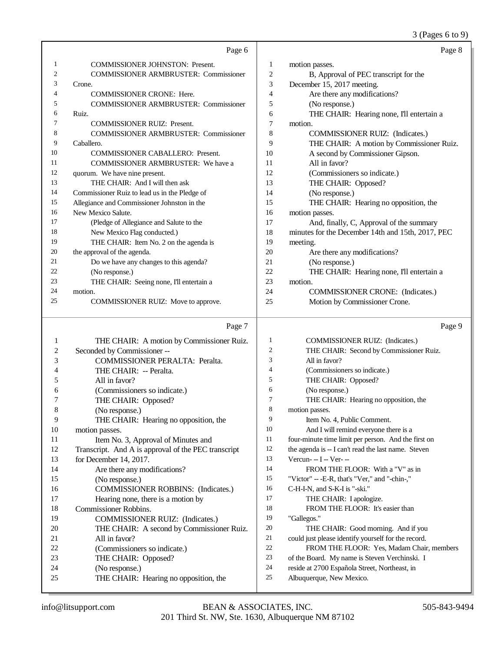3 (Pages 6 to 9)

|    | Page 6                                        |    | Page 8                                            |
|----|-----------------------------------------------|----|---------------------------------------------------|
| 1  | <b>COMMISSIONER JOHNSTON: Present.</b>        | 1  | motion passes.                                    |
| 2  | <b>COMMISSIONER ARMBRUSTER: Commissioner</b>  | 2  | B, Approval of PEC transcript for the             |
| 3  | Crone.                                        | 3  | December 15, 2017 meeting.                        |
| 4  | <b>COMMISSIONER CRONE: Here.</b>              | 4  | Are there any modifications?                      |
| 5  | <b>COMMISSIONER ARMBRUSTER: Commissioner</b>  | 5  | (No response.)                                    |
| 6  | Ruiz.                                         | 6  | THE CHAIR: Hearing none, I'll entertain a         |
| 7  | <b>COMMISSIONER RUIZ: Present.</b>            | 7  | motion.                                           |
| 8  | <b>COMMISSIONER ARMBRUSTER: Commissioner</b>  | 8  | COMMISSIONER RUIZ: (Indicates.)                   |
| 9  | Caballero.                                    | 9  | THE CHAIR: A motion by Commissioner Ruiz.         |
| 10 | <b>COMMISSIONER CABALLERO: Present.</b>       | 10 | A second by Commissioner Gipson.                  |
| 11 | <b>COMMISSIONER ARMBRUSTER:</b> We have a     | 11 | All in favor?                                     |
| 12 | quorum. We have nine present.                 | 12 | (Commissioners so indicate.)                      |
| 13 | THE CHAIR: And I will then ask                | 13 | THE CHAIR: Opposed?                               |
| 14 | Commissioner Ruiz to lead us in the Pledge of | 14 | (No response.)                                    |
| 15 | Allegiance and Commissioner Johnston in the   | 15 | THE CHAIR: Hearing no opposition, the             |
| 16 | New Mexico Salute.                            | 16 | motion passes.                                    |
| 17 | (Pledge of Allegiance and Salute to the       | 17 | And, finally, C, Approval of the summary          |
| 18 | New Mexico Flag conducted.)                   | 18 | minutes for the December 14th and 15th, 2017, PEC |
| 19 | THE CHAIR: Item No. 2 on the agenda is        | 19 | meeting.                                          |
| 20 | the approval of the agenda.                   | 20 | Are there any modifications?                      |
| 21 | Do we have any changes to this agenda?        | 21 | (No response.)                                    |
| 22 | (No response.)                                | 22 | THE CHAIR: Hearing none, I'll entertain a         |
| 23 | THE CHAIR: Seeing none, I'll entertain a      | 23 | motion.                                           |
| 24 | motion.                                       | 24 | <b>COMMISSIONER CRONE:</b> (Indicates.)           |
| 25 | COMMISSIONER RUIZ: Move to approve.           | 25 | Motion by Commissioner Crone.                     |

#### Page 7

 THE CHAIR: A motion by Commissioner Ruiz. Seconded by Commissioner -- COMMISSIONER PERALTA: Peralta. THE CHAIR: -- Peralta. All in favor? (Commissioners so indicate.) THE CHAIR: Opposed? (No response.) THE CHAIR: Hearing no opposition, the motion passes. 11 Item No. 3, Approval of Minutes and Transcript. And A is approval of the PEC transcript for December 14, 2017. Are there any modifications? (No response.) COMMISSIONER ROBBINS: (Indicates.) Hearing none, there is a motion by Commissioner Robbins. COMMISSIONER RUIZ: (Indicates.) THE CHAIR: A second by Commissioner Ruiz. All in favor? (Commissioners so indicate.) THE CHAIR: Opposed? (No response.) THE CHAIR: Hearing no opposition, the COMMISSIONER RUIZ: (Indicates.) THE CHAIR: Second by Commissioner Ruiz. All in favor? (Commissioners so indicate.) THE CHAIR: Opposed? (No response.) THE CHAIR: Hearing no opposition, the motion passes. Item No. 4, Public Comment. 10 And I will remind everyone there is a four-minute time limit per person. And the first on the agenda is -- I can't read the last name. Steven Vercun-  $-I - Ver$ -14 FROM THE FLOOR: With a "V" as in "Victor" -- -E-R, that's "Ver," and "-chin-," C-H-I-N, and S-K-I is "-ski." 17 THE CHAIR: I apologize. 18 FROM THE FLOOR: It's easier than "Gallegos." THE CHAIR: Good morning. And if you could just please identify yourself for the record. FROM THE FLOOR: Yes, Madam Chair, members of the Board. My name is Steven Verchinski. I reside at 2700 Española Street, Northeast, in Albuquerque, New Mexico.

Page 9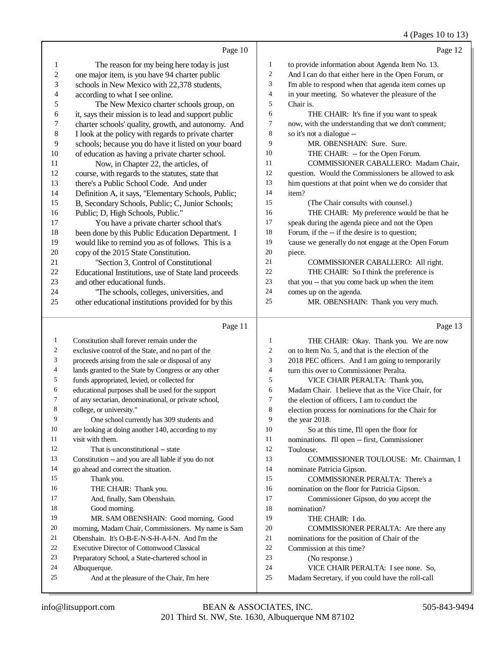### 4 (Pages 10 to 13)

|              | Page 10                                                                                            |                | Page 12                                                                                     |
|--------------|----------------------------------------------------------------------------------------------------|----------------|---------------------------------------------------------------------------------------------|
| 1            | The reason for my being here today is just                                                         | $\mathbf{1}$   | to provide information about Agenda Item No. 13.                                            |
| 2            | one major item, is you have 94 charter public                                                      | $\overline{2}$ | And I can do that either here in the Open Forum, or                                         |
| 3            | schools in New Mexico with 22,378 students,                                                        | 3              | I'm able to respond when that agenda item comes up                                          |
| 4            | according to what I see online.                                                                    | $\overline{4}$ | in your meeting. So whatever the pleasure of the                                            |
| 5            | The New Mexico charter schools group, on                                                           | 5              | Chair is.                                                                                   |
| 6            | it, says their mission is to lead and support public                                               | 6              | THE CHAIR: It's fine if you want to speak                                                   |
| 7            | charter schools' quality, growth, and autonomy. And                                                | 7              | now, with the understanding that we don't comment;                                          |
| 8            | I look at the policy with regards to private charter                                               | 8              | so it's not a dialogue --                                                                   |
| 9            | schools; because you do have it listed on your board                                               | 9              | MR. OBENSHAIN: Sure. Sure.                                                                  |
| 10           | of education as having a private charter school.                                                   | 10             | THE CHAIR: -- for the Open Forum.                                                           |
| 11           | Now, in Chapter 22, the articles, of                                                               | 11             | COMMISSIONER CABALLERO: Madam Chair,                                                        |
| 12           | course, with regards to the statutes, state that                                                   | 12             | question. Would the Commissioners be allowed to ask                                         |
| 13           | there's a Public School Code. And under                                                            | 13             | him questions at that point when we do consider that                                        |
| 14           | Definition A, it says, "Elementary Schools, Public;                                                | 14             | item?                                                                                       |
| 15           | B, Secondary Schools, Public; C, Junior Schools;                                                   | 15             | (The Chair consults with counsel.)                                                          |
| 16           | Public; D, High Schools, Public."                                                                  | 16             | THE CHAIR: My preference would be that he                                                   |
| 17           | You have a private charter school that's                                                           | 17             | speak during the agenda piece and not the Open                                              |
| 18           | been done by this Public Education Department. I                                                   | 18             | Forum, if the -- if the desire is to question;                                              |
| 19           | would like to remind you as of follows. This is a                                                  | 19             | 'cause we generally do not engage at the Open Forum                                         |
| 20           | copy of the 2015 State Constitution.                                                               | $20\,$         | piece.                                                                                      |
| 21           | "Section 3, Control of Constitutional                                                              | 21             | COMMISSIONER CABALLERO: All right.                                                          |
| 22           | Educational Institutions, use of State land proceeds                                               | 22             | THE CHAIR: So I think the preference is                                                     |
| 23           | and other educational funds.                                                                       | 23             | that you -- that you come back up when the item                                             |
| 24           | "The schools, colleges, universities, and                                                          | 24             | comes up on the agenda.                                                                     |
| 25           | other educational institutions provided for by this                                                | 25             | MR. OBENSHAIN: Thank you very much.                                                         |
|              |                                                                                                    |                |                                                                                             |
|              | Page 11                                                                                            |                | Page 13                                                                                     |
| $\mathbf{1}$ |                                                                                                    | 1              |                                                                                             |
| 2            | Constitution shall forever remain under the                                                        | $\overline{2}$ | THE CHAIR: Okay. Thank you. We are now                                                      |
| 3            | exclusive control of the State, and no part of the                                                 | 3              | on to Item No. 5, and that is the election of the                                           |
| 4            | proceeds arising from the sale or disposal of any                                                  | $\overline{4}$ | 2018 PEC officers. And I am going to temporarily<br>turn this over to Commissioner Peralta. |
| 5            | lands granted to the State by Congress or any other                                                | 5              | VICE CHAIR PERALTA: Thank you,                                                              |
| 6            | funds appropriated, levied, or collected for<br>educational purposes shall be used for the support | 6              | Madam Chair. I believe that as the Vice Chair, for                                          |
| 7            | of any sectarian, denominational, or private school,                                               | $\overline{7}$ | the election of officers, I am to conduct the                                               |
| 8            | college, or university."                                                                           | 8              | election process for nominations for the Chair for                                          |
| 9            | One school currently has 309 students and                                                          | 9              | the year 2018.                                                                              |
| 10           | are looking at doing another 140, according to my                                                  | 10             | So at this time, I'll open the floor for                                                    |
| 11           | visit with them.                                                                                   | 11             | nominations. I'll open -- first, Commissioner                                               |
| 12           | That is unconstitutional -- state                                                                  | 12             | Toulouse.                                                                                   |
| 13           | Constitution -- and you are all liable if you do not                                               | 13             | COMMISSIONER TOULOUSE: Mr. Chairman, I                                                      |
| 14           | go ahead and correct the situation.                                                                | 14             | nominate Patricia Gipson.                                                                   |
| 15           | Thank you.                                                                                         | 15             | <b>COMMISSIONER PERALTA: There's a</b>                                                      |
| 16           | THE CHAIR: Thank you.                                                                              | 16             | nomination on the floor for Patricia Gipson.                                                |
| 17           | And, finally, Sam Obenshain.                                                                       | 17             | Commissioner Gipson, do you accept the                                                      |
| 18           | Good morning.                                                                                      | 18             | nomination?                                                                                 |
| 19           | MR. SAM OBENSHAIN: Good morning. Good                                                              | 19             | THE CHAIR: I do.                                                                            |
| 20           | morning, Madam Chair, Commissioners. My name is Sam                                                | 20             | COMMISSIONER PERALTA: Are there any                                                         |
| 21           | Obenshain. It's O-B-E-N-S-H-A-I-N. And I'm the                                                     | 21             | nominations for the position of Chair of the                                                |
| 22           | Executive Director of Cottonwood Classical                                                         | 22             | Commission at this time?                                                                    |
| 23           | Preparatory School, a State-chartered school in                                                    | 23             | (No response.)                                                                              |
| 24<br>25     | Albuquerque.<br>And at the pleasure of the Chair, I'm here                                         | 24<br>$25\,$   | VICE CHAIR PERALTA: I see none. So,<br>Madam Secretary, if you could have the roll-call     |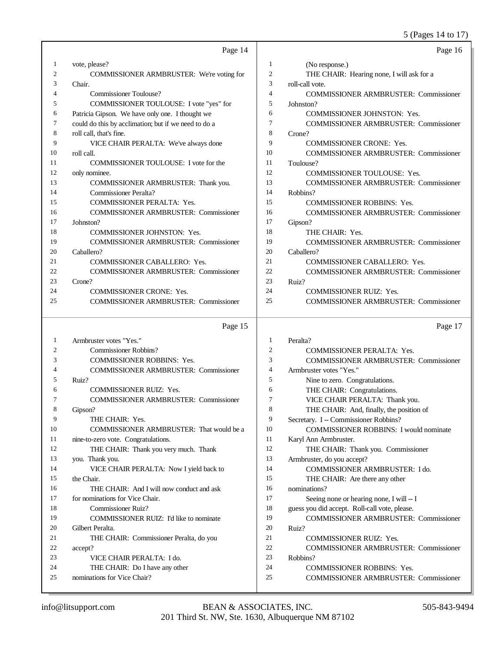### 5 (Pages 14 to 17)

|    |                                                      |                | 5 (Pages 14 to 17                             |
|----|------------------------------------------------------|----------------|-----------------------------------------------|
|    | Page 14                                              |                | Page 16                                       |
| 1  | vote, please?                                        | $\mathbf{1}$   | (No response.)                                |
| 2  | COMMISSIONER ARMBRUSTER: We're voting for            | 2              | THE CHAIR: Hearing none, I will ask for a     |
| 3  | Chair.                                               | 3              | roll-call vote.                               |
| 4  | Commissioner Toulouse?                               | $\overline{4}$ | <b>COMMISSIONER ARMBRUSTER: Commissioner</b>  |
| 5  | COMMISSIONER TOULOUSE: I vote "yes" for              | 5              | Johnston?                                     |
| 6  | Patricia Gipson. We have only one. I thought we      | 6              | <b>COMMISSIONER JOHNSTON: Yes.</b>            |
| 7  | could do this by acclimation; but if we need to do a | 7              | <b>COMMISSIONER ARMBRUSTER: Commissioner</b>  |
| 8  | roll call, that's fine.                              | 8              | Crone?                                        |
| 9  | VICE CHAIR PERALTA: We've always done                | 9              | COMMISSIONER CRONE: Yes.                      |
| 10 | roll call.                                           | 10             | <b>COMMISSIONER ARMBRUSTER: Commissioner</b>  |
| 11 | COMMISSIONER TOULOUSE: I vote for the                | 11             | Toulouse?                                     |
| 12 | only nominee.                                        | 12             | COMMISSIONER TOULOUSE: Yes.                   |
| 13 | COMMISSIONER ARMBRUSTER: Thank you.                  | 13             | <b>COMMISSIONER ARMBRUSTER: Commissioner</b>  |
| 14 | Commissioner Peralta?                                | 14             | Robbins?                                      |
| 15 | <b>COMMISSIONER PERALTA: Yes.</b>                    | 15             | <b>COMMISSIONER ROBBINS: Yes.</b>             |
| 16 | <b>COMMISSIONER ARMBRUSTER: Commissioner</b>         | 16             | <b>COMMISSIONER ARMBRUSTER: Commissioner</b>  |
| 17 | Johnston?                                            | 17             | Gipson?                                       |
| 18 | COMMISSIONER JOHNSTON: Yes.                          | 18             | THE CHAIR: Yes.                               |
| 19 | <b>COMMISSIONER ARMBRUSTER: Commissioner</b>         | 19             | <b>COMMISSIONER ARMBRUSTER: Commissioner</b>  |
| 20 | Caballero?                                           | 20             | Caballero?                                    |
| 21 | COMMISSIONER CABALLERO: Yes.                         | 21             | <b>COMMISSIONER CABALLERO: Yes.</b>           |
| 22 | <b>COMMISSIONER ARMBRUSTER: Commissioner</b>         | 22             | <b>COMMISSIONER ARMBRUSTER: Commissioner</b>  |
| 23 | Crone?                                               | 23             | Ruiz?                                         |
| 24 | <b>COMMISSIONER CRONE: Yes.</b>                      | 24             | COMMISSIONER RUIZ: Yes.                       |
| 25 | <b>COMMISSIONER ARMBRUSTER: Commissioner</b>         | 25             | <b>COMMISSIONER ARMBRUSTER: Commissioner</b>  |
|    | Page 15                                              |                | Page 17                                       |
| 1  | Armbruster votes "Yes."                              | 1              | Peralta?                                      |
| 2  | Commissioner Robbins?                                | $\mathfrak{2}$ | <b>COMMISSIONER PERALTA: Yes.</b>             |
| 3  | <b>COMMISSIONER ROBBINS: Yes.</b>                    | 3              | <b>COMMISSIONER ARMBRUSTER: Commissioner</b>  |
| 4  | <b>COMMISSIONER ARMBRUSTER: Commissioner</b>         | 4              | Armbruster votes "Yes."                       |
| 5  | Ruiz?                                                | 5              | Nine to zero. Congratulations.                |
| 6  | <b>COMMISSIONER RUIZ: Yes.</b>                       | 6              | THE CHAIR: Congratulations.                   |
| 7  | <b>COMMISSIONER ARMBRUSTER: Commissioner</b>         | $\tau$         | VICE CHAIR PERALTA: Thank you.                |
| 8  | Gipson?                                              | 8              | THE CHAIR: And, finally, the position of      |
| 9  | THE CHAIR: Yes.                                      | 9              | Secretary. I -- Commissioner Robbins?         |
| 10 | COMMISSIONER ARMBRUSTER: That would be a             | 10             | <b>COMMISSIONER ROBBINS: I would nominate</b> |
| 11 | nine-to-zero vote. Congratulations.                  | 11             | Karyl Ann Armbruster.                         |
| 12 | THE CHAIR: Thank you very much. Thank                | 12             | THE CHAIR: Thank you. Commissioner            |
| 13 | you. Thank you.                                      | 13             | Armbruster, do you accept?                    |
| 14 | VICE CHAIR PERALTA: Now I yield back to              | 14             | COMMISSIONER ARMBRUSTER: I do.                |
| 15 | the Chair.                                           | 15             | THE CHAIR: Are there any other                |
| 16 | THE CHAIR: And I will now conduct and ask            | 16             | nominations?                                  |
| 17 | for nominations for Vice Chair.                      | 17             | Seeing none or hearing none, I will -- I      |
| 18 | <b>Commissioner Ruiz?</b>                            | 18             | guess you did accept. Roll-call vote, please. |
| 19 | COMMISSIONER RUIZ: I'd like to nominate              | 19             | <b>COMMISSIONER ARMBRUSTER: Commissioner</b>  |
| 20 | Gilbert Peralta.                                     | 20             | Ruiz?                                         |
| 21 | THE CHAIR: Commissioner Peralta, do you              | 21             | <b>COMMISSIONER RUIZ: Yes.</b>                |
| 22 | accept?                                              | $22\,$         | <b>COMMISSIONER ARMBRUSTER: Commissioner</b>  |
| 23 | VICE CHAIR PERALTA: I do.                            | 23             | Robbins?                                      |

- Robbins?
- COMMISSIONER ROBBINS: Yes.
- COMMISSIONER ARMBRUSTER: Commissioner

THE CHAIR: Do I have any other

nominations for Vice Chair?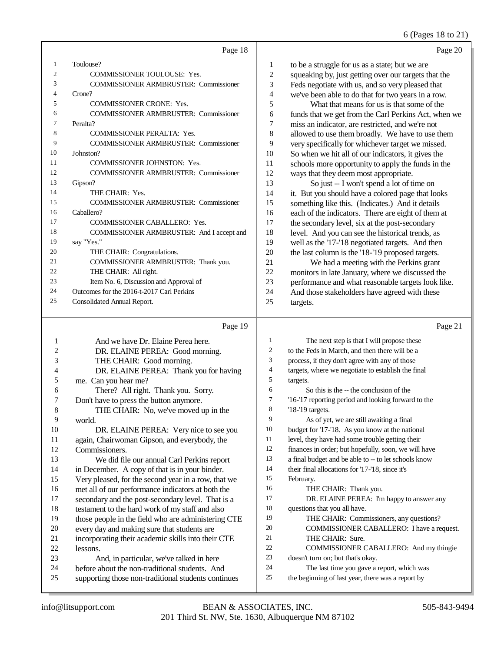# 6 (Pages 18 to 21)

|                | Page 18                                      |                | Page 20                                              |
|----------------|----------------------------------------------|----------------|------------------------------------------------------|
| 1              | Toulouse?                                    | 1              | to be a struggle for us as a state; but we are       |
| $\overline{c}$ | COMMISSIONER TOULOUSE: Yes.                  | $\overline{2}$ | squeaking by, just getting over our targets that the |
| 3              | <b>COMMISSIONER ARMBRUSTER: Commissioner</b> | 3              | Feds negotiate with us, and so very pleased that     |
| 4              | Crone?                                       | 4              | we've been able to do that for two years in a row.   |
| 5              | <b>COMMISSIONER CRONE: Yes.</b>              | 5              | What that means for us is that some of the           |
| 6              | <b>COMMISSIONER ARMBRUSTER: Commissioner</b> | 6              | funds that we get from the Carl Perkins Act, when we |
| 7              | Peralta?                                     | 7              | miss an indicator, are restricted, and we're not     |
| 8              | <b>COMMISSIONER PERALTA: Yes.</b>            | 8              | allowed to use them broadly. We have to use them     |
| 9              | <b>COMMISSIONER ARMBRUSTER: Commissioner</b> | 9              | very specifically for whichever target we missed.    |
| 10             | Johnston?                                    | 10             | So when we hit all of our indicators, it gives the   |
| 11             | <b>COMMISSIONER JOHNSTON: Yes.</b>           | 11             | schools more opportunity to apply the funds in the   |
| 12             | <b>COMMISSIONER ARMBRUSTER: Commissioner</b> | 12             | ways that they deem most appropriate.                |
| 13             | Gipson?                                      | 13             | So just -- I won't spend a lot of time on            |
| 14             | THE CHAIR: Yes.                              | 14             | it. But you should have a colored page that looks    |
| 15             | <b>COMMISSIONER ARMBRUSTER: Commissioner</b> | 15             | something like this. (Indicates.) And it details     |
| 16             | Caballero?                                   | 16             | each of the indicators. There are eight of them at   |
| 17             | <b>COMMISSIONER CABALLERO: Yes.</b>          | 17             | the secondary level, six at the post-secondary       |
| 18             | COMMISSIONER ARMBRUSTER: And I accept and    | 18             | level. And you can see the historical trends, as     |
| 19             | say "Yes."                                   | 19             | well as the '17-'18 negotiated targets. And then     |
| 20             | THE CHAIR: Congratulations.                  | 20             | the last column is the '18-'19 proposed targets.     |
| 21             | COMMISSIONER ARMBRUSTER: Thank you.          | 21             | We had a meeting with the Perkins grant              |
| 22             | THE CHAIR: All right.                        | 22             | monitors in late January, where we discussed the     |
| 23             | Item No. 6, Discussion and Approval of       | 23             | performance and what reasonable targets look like.   |
| 24             | Outcomes for the 2016-t-2017 Carl Perkins    | 24             | And those stakeholders have agreed with these        |
| 25             | Consolidated Annual Report.                  | 25             | targets.                                             |
|                | Page 19                                      |                | Page 21                                              |

| 1  | And we have Dr. Elaine Perea here.                  | 1  | The next step is that I will propose these           |
|----|-----------------------------------------------------|----|------------------------------------------------------|
| 2  | DR. ELAINE PEREA: Good morning.                     | 2  | to the Feds in March, and then there will be a       |
| 3  | THE CHAIR: Good morning.                            | 3  | process, if they don't agree with any of those       |
| 4  | DR. ELAINE PEREA: Thank you for having              | 4  | targets, where we negotiate to establish the final   |
| 5  | me. Can you hear me?                                | 5  | targets.                                             |
| 6  | There? All right. Thank you. Sorry.                 | 6  | So this is the -- the conclusion of the              |
| 7  | Don't have to press the button anymore.             | 7  | '16-'17 reporting period and looking forward to the  |
| 8  | THE CHAIR: No, we've moved up in the                | 8  | '18-'19 targets.                                     |
| 9  | world.                                              | 9  | As of yet, we are still awaiting a final             |
| 10 | DR. ELAINE PEREA: Very nice to see you              | 10 | budget for '17-'18. As you know at the national      |
| 11 | again, Chairwoman Gipson, and everybody, the        | 11 | level, they have had some trouble getting their      |
| 12 | Commissioners.                                      | 12 | finances in order; but hopefully, soon, we will have |
| 13 | We did file our annual Carl Perkins report          | 13 | a final budget and be able to -- to let schools know |
| 14 | in December. A copy of that is in your binder.      | 14 | their final allocations for '17-'18, since it's      |
| 15 | Very pleased, for the second year in a row, that we | 15 | February.                                            |
| 16 | met all of our performance indicators at both the   | 16 | THE CHAIR: Thank you.                                |
| 17 | secondary and the post-secondary level. That is a   | 17 | DR. ELAINE PEREA: I'm happy to answer any            |
| 18 | testament to the hard work of my staff and also     | 18 | questions that you all have.                         |
| 19 | those people in the field who are administering CTE | 19 | THE CHAIR: Commissioners, any questions?             |
| 20 | every day and making sure that students are         | 20 | COMMISSIONER CABALLERO: I have a request.            |
| 21 | incorporating their academic skills into their CTE  | 21 | THE CHAIR: Sure.                                     |
| 22 | lessons.                                            | 22 | COMMISSIONER CABALLERO: And my thingie               |
| 23 | And, in particular, we've talked in here            | 23 | doesn't turn on; but that's okay.                    |
| 24 | before about the non-traditional students. And      | 24 | The last time you gave a report, which was           |
| 25 | supporting those non-traditional students continues | 25 | the beginning of last year, there was a report by    |
|    |                                                     |    |                                                      |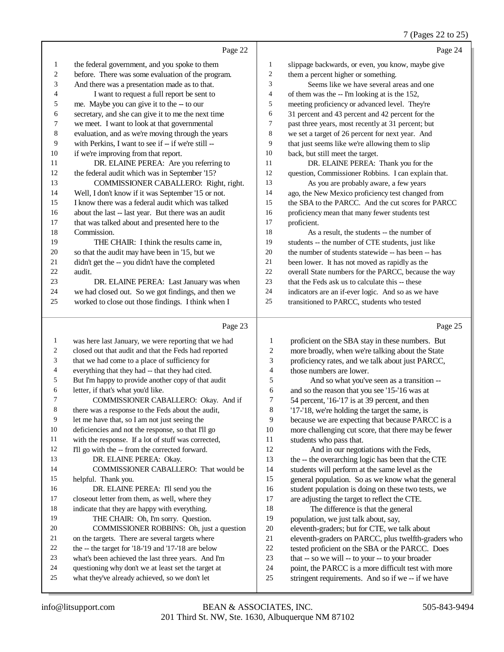|                          |                                                      |                          | $\frac{1}{2}$ (Pages 22 to 25                        |
|--------------------------|------------------------------------------------------|--------------------------|------------------------------------------------------|
|                          | Page 22                                              |                          | Page 24                                              |
| $\mathbf{1}$             | the federal government, and you spoke to them        | $\mathbf{1}$             | slippage backwards, or even, you know, maybe give    |
| $\overline{c}$           | before. There was some evaluation of the program.    | $\overline{c}$           | them a percent higher or something.                  |
| 3                        | And there was a presentation made as to that.        | 3                        | Seems like we have several areas and one             |
| $\overline{4}$           | I want to request a full report be sent to           | $\overline{\mathcal{L}}$ | of them was the -- I'm looking at is the 152,        |
| 5                        | me. Maybe you can give it to the -- to our           | 5                        | meeting proficiency or advanced level. They're       |
| 6                        | secretary, and she can give it to me the next time   | 6                        | 31 percent and 43 percent and 42 percent for the     |
| 7                        | we meet. I want to look at that governmental         | 7                        | past three years, most recently at 31 percent; but   |
| $\,$ 8 $\,$              | evaluation, and as we're moving through the years    | $\,8$                    | we set a target of 26 percent for next year. And     |
| 9                        | with Perkins, I want to see if -- if we're still --  | 9                        | that just seems like we're allowing them to slip     |
| 10                       | if we're improving from that report.                 | 10                       | back, but still meet the target.                     |
| 11                       | DR. ELAINE PEREA: Are you referring to               | 11                       | DR. ELAINE PEREA: Thank you for the                  |
| 12                       | the federal audit which was in September '15?        | 12                       | question, Commissioner Robbins. I can explain that.  |
| 13                       | COMMISSIONER CABALLERO: Right, right.                | 13                       | As you are probably aware, a few years               |
| 14                       | Well, I don't know if it was September '15 or not.   | 14                       | ago, the New Mexico proficiency test changed from    |
| 15                       | I know there was a federal audit which was talked    | 15                       | the SBA to the PARCC. And the cut scores for PARCC   |
| 16                       | about the last -- last year. But there was an audit  | 16                       | proficiency mean that many fewer students test       |
| 17                       | that was talked about and presented here to the      | 17                       | proficient.                                          |
| 18                       | Commission.                                          | 18                       | As a result, the students -- the number of           |
| 19                       | THE CHAIR: I think the results came in,              | 19                       | students -- the number of CTE students, just like    |
| 20                       | so that the audit may have been in '15, but we       | 20                       | the number of students statewide -- has been -- has  |
| 21                       | didn't get the -- you didn't have the completed      | 21                       | been lower. It has not moved as rapidly as the       |
| 22                       | audit.                                               | $22\,$                   | overall State numbers for the PARCC, because the way |
| 23                       | DR. ELAINE PEREA: Last January was when              | 23                       | that the Feds ask us to calculate this -- these      |
| 24                       | we had closed out. So we got findings, and then we   | 24                       | indicators are an if-ever logic. And so as we have   |
| 25                       | worked to close out those findings. I think when I   | 25                       | transitioned to PARCC, students who tested           |
|                          |                                                      |                          |                                                      |
|                          | Page 23                                              |                          | Page 25                                              |
| 1                        | was here last January, we were reporting that we had | $\mathbf{1}$             | proficient on the SBA stay in these numbers. But     |
| $\sqrt{2}$               | closed out that audit and that the Feds had reported | $\overline{c}$           | more broadly, when we're talking about the State     |
| 3                        | that we had come to a place of sufficiency for       | 3                        | proficiency rates, and we talk about just PARCC,     |
| $\overline{\mathcal{L}}$ | everything that they had -- that they had cited.     | 4                        | those numbers are lower.                             |
| 5                        | But I'm happy to provide another copy of that audit  | 5                        | And so what you've seen as a transition --           |
| 6                        | letter, if that's what you'd like.                   | $\epsilon$               | and so the reason that you see '15-'16 was at        |
| 7                        | COMMISSIONER CABALLERO: Okay. And if                 | 7                        | 54 percent, '16-'17 is at 39 percent, and then       |
| 8                        | there was a response to the Feds about the audit,    | 8                        | '17-'18, we're holding the target the same, is       |
| 9                        | let me have that, so I am not just seeing the        | 9                        | because we are expecting that because PARCC is a     |
| 10                       | deficiencies and not the response, so that I'll go   | 10                       | more challenging cut score, that there may be fewer  |
| 11                       | with the response. If a lot of stuff was corrected,  | 11                       | students who pass that.                              |
|                          |                                                      |                          |                                                      |

 I'll go with the -- from the corrected forward. 13 DR. ELAINE PEREA: Okay. COMMISSIONER CABALLERO: That would be helpful. Thank you. 16 DR. ELAINE PEREA: I'll send you the closeout letter from them, as well, where they 18 indicate that they are happy with everything.<br>19 THE CHAIR: Oh. I'm sorry. Question THE CHAIR: Oh, I'm sorry. Question. COMMISSIONER ROBBINS: Oh, just a question 21 on the targets. There are several targets where<br>
22 the -- the target for '18-'19 and '17-'18 are below 22 the -- the target for '18-'19 and '17-'18 are below<br>23 what's been achieved the last three years. And I what's been achieved the last three years. And I'm 24 questioning why don't we at least set the target at<br>25 what they've already achieved so we don't let what they've already achieved, so we don't let

 And in our negotiations with the Feds, the -- the overarching logic has been that the CTE students will perform at the same level as the general population. So as we know what the general student population is doing on these two tests, we are adjusting the target to reflect the CTE.

 The difference is that the general population, we just talk about, say, eleventh-graders; but for CTE, we talk about eleventh-graders on PARCC, plus twelfth-graders who tested proficient on the SBA or the PARCC. Does that -- so we will -- to your -- to your broader point, the PARCC is a more difficult test with more stringent requirements. And so if we -- if we have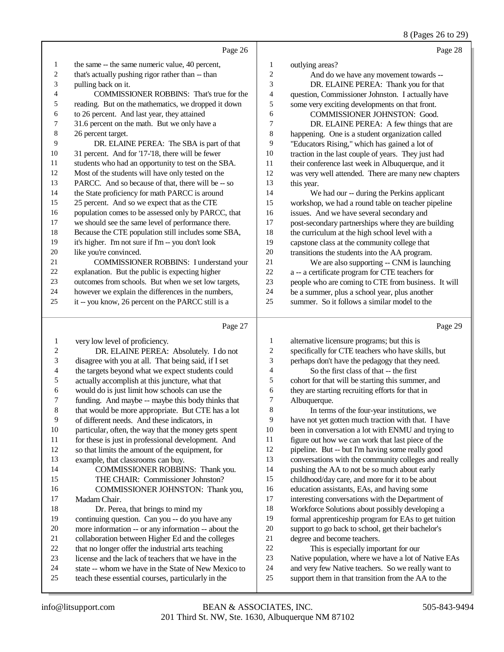8 (Pages 26 to 29)

|                                |                                                                                                             |                          | 8 (Pages 26 to 29)                                                                                         |
|--------------------------------|-------------------------------------------------------------------------------------------------------------|--------------------------|------------------------------------------------------------------------------------------------------------|
|                                | Page 26                                                                                                     |                          | Page 28                                                                                                    |
| $\mathbf{1}$                   | the same -- the same numeric value, 40 percent,                                                             | 1                        | outlying areas?                                                                                            |
| $\sqrt{2}$                     | that's actually pushing rigor rather than -- than                                                           | $\overline{c}$           | And do we have any movement towards --                                                                     |
| 3                              | pulling back on it.                                                                                         | 3                        | DR. ELAINE PEREA: Thank you for that                                                                       |
| 4                              | COMMISSIONER ROBBINS: That's true for the                                                                   | 4                        | question, Commissioner Johnston. I actually have                                                           |
| 5                              | reading. But on the mathematics, we dropped it down                                                         | 5                        | some very exciting developments on that front.                                                             |
| 6                              | to 26 percent. And last year, they attained                                                                 | 6                        | COMMISSIONER JOHNSTON: Good.                                                                               |
| 7                              | 31.6 percent on the math. But we only have a                                                                | 7                        | DR. ELAINE PEREA: A few things that are                                                                    |
| $\,8\,$                        | 26 percent target.                                                                                          | $\,$ 8 $\,$              | happening. One is a student organization called                                                            |
| 9                              | DR. ELAINE PEREA: The SBA is part of that                                                                   | 9                        | "Educators Rising," which has gained a lot of                                                              |
| 10                             | 31 percent. And for '17-'18, there will be fewer                                                            | 10                       | traction in the last couple of years. They just had                                                        |
| 11                             | students who had an opportunity to test on the SBA.                                                         | 11                       | their conference last week in Albuquerque, and it                                                          |
| 12                             | Most of the students will have only tested on the                                                           | 12                       | was very well attended. There are many new chapters                                                        |
| 13                             | PARCC. And so because of that, there will be -- so                                                          | 13                       | this year.                                                                                                 |
| 14                             | the State proficiency for math PARCC is around                                                              | 14                       | We had our -- during the Perkins applicant                                                                 |
| 15                             | 25 percent. And so we expect that as the CTE                                                                | 15                       | workshop, we had a round table on teacher pipeline                                                         |
| 16                             | population comes to be assessed only by PARCC, that                                                         | 16                       | issues. And we have several secondary and                                                                  |
| 17                             | we should see the same level of performance there.                                                          | 17                       | post-secondary partnerships where they are building                                                        |
| $18\,$                         | Because the CTE population still includes some SBA,                                                         | 18                       | the curriculum at the high school level with a                                                             |
| 19                             | it's higher. I'm not sure if I'm -- you don't look                                                          | 19                       | capstone class at the community college that                                                               |
| $20\,$                         | like you're convinced.                                                                                      | 20                       | transitions the students into the AA program.                                                              |
| $21\,$                         | <b>COMMISSIONER ROBBINS: I understand your</b>                                                              | 21                       | We are also supporting -- CNM is launching                                                                 |
| $22\,$<br>23                   | explanation. But the public is expecting higher                                                             | $22\,$<br>23             | a -- a certificate program for CTE teachers for                                                            |
| 24                             | outcomes from schools. But when we set low targets,<br>however we explain the differences in the numbers,   | 24                       | people who are coming to CTE from business. It will<br>be a summer, plus a school year, plus another       |
| 25                             | it -- you know, 26 percent on the PARCC still is a                                                          | 25                       | summer. So it follows a similar model to the                                                               |
|                                |                                                                                                             |                          |                                                                                                            |
|                                |                                                                                                             |                          |                                                                                                            |
|                                | Page 27                                                                                                     |                          | Page 29                                                                                                    |
|                                |                                                                                                             | 1                        |                                                                                                            |
| $\mathbf{1}$<br>$\overline{c}$ | very low level of proficiency.                                                                              | $\sqrt{2}$               | alternative licensure programs; but this is                                                                |
| 3                              | DR. ELAINE PEREA: Absolutely. I do not<br>disagree with you at all. That being said, if I set               | 3                        | specifically for CTE teachers who have skills, but<br>perhaps don't have the pedagogy that they need.      |
| 4                              | the targets beyond what we expect students could                                                            | $\overline{\mathcal{L}}$ | So the first class of that -- the first                                                                    |
| 5                              | actually accomplish at this juncture, what that                                                             | 5                        | cohort for that will be starting this summer, and                                                          |
| 6                              | would do is just limit how schools can use the                                                              | 6                        | they are starting recruiting efforts for that in                                                           |
| 7                              | funding. And maybe -- maybe this body thinks that                                                           | $\overline{7}$           | Albuquerque.                                                                                               |
| 8                              | that would be more appropriate. But CTE has a lot                                                           | 8                        | In terms of the four-year institutions, we                                                                 |
| 9                              | of different needs. And these indicators, in                                                                | 9                        | have not yet gotten much traction with that. I have                                                        |
| 10                             | particular, often, the way that the money gets spent                                                        | 10                       | been in conversation a lot with ENMU and trying to                                                         |
| 11                             | for these is just in professional development. And                                                          | 11                       | figure out how we can work that last piece of the                                                          |
| 12                             | so that limits the amount of the equipment, for                                                             | 12                       | pipeline. But -- but I'm having some really good                                                           |
| 13                             | example, that classrooms can buy.                                                                           | 13                       | conversations with the community colleges and really                                                       |
| 14                             | COMMISSIONER ROBBINS: Thank you.                                                                            | 14                       | pushing the AA to not be so much about early                                                               |
| 15                             | THE CHAIR: Commissioner Johnston?                                                                           | 15                       | childhood/day care, and more for it to be about                                                            |
| 16                             | COMMISSIONER JOHNSTON: Thank you,                                                                           | 16                       | education assistants, EAs, and having some                                                                 |
| 17                             | Madam Chair.                                                                                                | 17                       | interesting conversations with the Department of                                                           |
| 18                             | Dr. Perea, that brings to mind my                                                                           | 18                       | Workforce Solutions about possibly developing a                                                            |
| 19                             | continuing question. Can you -- do you have any                                                             | 19                       | formal apprenticeship program for EAs to get tuition                                                       |
| 20                             | more information -- or any information -- about the                                                         | $20\,$                   | support to go back to school, get their bachelor's                                                         |
| 21                             | collaboration between Higher Ed and the colleges                                                            | 21                       | degree and become teachers.                                                                                |
| $22\,$<br>23                   | that no longer offer the industrial arts teaching                                                           | $22\,$                   | This is especially important for our                                                                       |
| 24                             | license and the lack of teachers that we have in the<br>state -- whom we have in the State of New Mexico to | 23<br>24                 | Native population, where we have a lot of Native EAs<br>and very few Native teachers. So we really want to |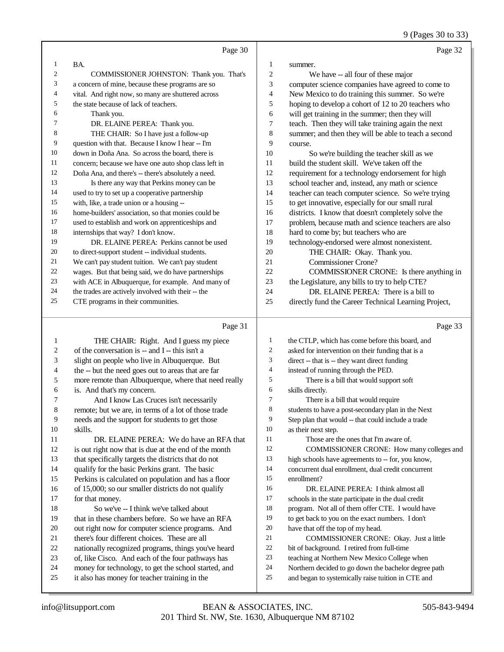9 (Pages 30 to 33)

|                | Page 30                                              |                | Page 32                                              |
|----------------|------------------------------------------------------|----------------|------------------------------------------------------|
| 1              | BA.                                                  | 1              | summer.                                              |
| $\overline{2}$ | COMMISSIONER JOHNSTON: Thank you. That's             | $\overline{c}$ | We have -- all four of these major                   |
| 3              | a concern of mine, because these programs are so     | 3              | computer science companies have agreed to come to    |
| 4              | vital. And right now, so many are shuttered across   | 4              | New Mexico to do training this summer. So we're      |
| 5              | the state because of lack of teachers.               | 5              | hoping to develop a cohort of 12 to 20 teachers who  |
| 6              | Thank you.                                           | 6              | will get training in the summer; then they will      |
| 7              | DR. ELAINE PEREA: Thank you.                         | 7              | teach. Then they will take training again the next   |
| 8              | THE CHAIR: So I have just a follow-up                | 8              | summer; and then they will be able to teach a second |
| 9              | question with that. Because I know I hear -- I'm     | 9              | course.                                              |
| 10             | down in Doña Ana. So across the board, there is      | 10             | So we're building the teacher skill as we            |
| 11             | concern; because we have one auto shop class left in | 11             | build the student skill. We've taken off the         |
| 12             | Doña Ana, and there's -- there's absolutely a need.  | 12             | requirement for a technology endorsement for high    |
| 13             | Is there any way that Perkins money can be           | 13             | school teacher and, instead, any math or science     |
| 14             | used to try to set up a cooperative partnership      | 14             | teacher can teach computer science. So we're trying  |
| 15             | with, like, a trade union or a housing --            | 15             | to get innovative, especially for our small rural    |
| 16             | home-builders' association, so that monies could be  | 16             | districts. I know that doesn't completely solve the  |
| 17             | used to establish and work on apprenticeships and    | 17             | problem, because math and science teachers are also  |
| 18             | internships that way? I don't know.                  | 18             | hard to come by; but teachers who are                |
| 19             | DR. ELAINE PEREA: Perkins cannot be used             | 19             | technology-endorsed were almost nonexistent.         |
| 20             | to direct-support student -- individual students.    | 20             | THE CHAIR: Okay. Thank you.                          |
| 21             | We can't pay student tuition. We can't pay student   | 21             | <b>Commissioner Crone?</b>                           |
| 22             | wages. But that being said, we do have partnerships  | 22             | COMMISSIONER CRONE: Is there anything in             |
| 23             | with ACE in Albuquerque, for example. And many of    | 23             | the Legislature, any bills to try to help CTE?       |
| 24             | the trades are actively involved with their -- the   | 24             | DR. ELAINE PEREA: There is a bill to                 |
| 25             | CTE programs in their communities.                   | 25             | directly fund the Career Technical Learning Project, |
|                | Page 31                                              |                | Page 33                                              |
| 1              | THE CHAIR: Right. And I guess my piece               | 1              | the CTLP, which has come before this board, and      |
| $\overline{2}$ | of the conversation is -- and I -- this isn't a      | 2              | asked for intervention on their funding that is a    |
|                |                                                      |                |                                                      |

| 2              | of the conversation is $-$ and $1-$ this isn't a     | $\overline{2}$ | asked for intervention on their funding that is a    |
|----------------|------------------------------------------------------|----------------|------------------------------------------------------|
| 3              | slight on people who live in Albuquerque. But        | 3              | direct -- that is -- they want direct funding        |
| $\overline{4}$ | the -- but the need goes out to areas that are far   | 4              | instead of running through the PED.                  |
| 5              | more remote than Albuquerque, where that need really | 5              | There is a bill that would support soft              |
| 6              | is. And that's my concern.                           | 6              | skills directly.                                     |
| 7              | And I know Las Cruces isn't necessarily              | 7              | There is a bill that would require                   |
| 8              | remote; but we are, in terms of a lot of those trade | 8              | students to have a post-secondary plan in the Next   |
| 9              | needs and the support for students to get those      | 9              | Step plan that would -- that could include a trade   |
| 10             | skills.                                              | 10             | as their next step.                                  |
| 11             | DR. ELAINE PEREA: We do have an RFA that             | 11             | Those are the ones that I'm aware of.                |
| 12             | is out right now that is due at the end of the month | 12             | COMMISSIONER CRONE: How many colleges and            |
| 13             | that specifically targets the districts that do not  | 13             | high schools have agreements to -- for, you know,    |
| 14             | qualify for the basic Perkins grant. The basic       | 14             | concurrent dual enrollment, dual credit concurrent   |
| 15             | Perkins is calculated on population and has a floor  | 15             | enrollment?                                          |
| 16             | of 15,000; so our smaller districts do not qualify   | 16             | DR. ELAINE PEREA: I think almost all                 |
| 17             | for that money.                                      | 17             | schools in the state participate in the dual credit  |
| 18             | So we've -- I think we've talked about               | 18             | program. Not all of them offer CTE. I would have     |
| 19             | that in these chambers before. So we have an RFA     | 19             | to get back to you on the exact numbers. I don't     |
| 20             | out right now for computer science programs. And     | 20             | have that off the top of my head.                    |
| 21             | there's four different choices. These are all        | 21             | COMMISSIONER CRONE: Okay. Just a little              |
| 22             | nationally recognized programs, things you've heard  | 22             | bit of background. I retired from full-time          |
| 23             | of, like Cisco. And each of the four pathways has    | 23             | teaching at Northern New Mexico College when         |
| 24             | money for technology, to get the school started, and | 24             | Northern decided to go down the bachelor degree path |
| 25             | it also has money for teacher training in the        | 25             | and began to systemically raise tuition in CTE and   |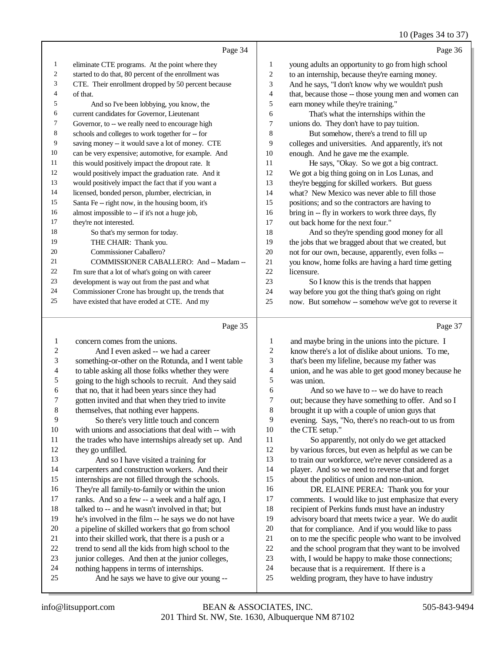# 10 (Pages 34 to 37)

|    | Page 34                                              |    | Page 36                                              |
|----|------------------------------------------------------|----|------------------------------------------------------|
| 1  | eliminate CTE programs. At the point where they      | 1  | young adults an opportunity to go from high school   |
| 2  | started to do that, 80 percent of the enrollment was | 2  | to an internship, because they're earning money.     |
| 3  | CTE. Their enrollment dropped by 50 percent because  | 3  | And he says, "I don't know why we wouldn't push      |
| 4  | of that.                                             | 4  | that, because those -- those young men and women can |
| 5  | And so I've been lobbying, you know, the             | 5  | earn money while they're training."                  |
| 6  | current candidates for Governor, Lieutenant          | 6  | That's what the internships within the               |
| 7  | Governor, to -- we really need to encourage high     | 7  | unions do. They don't have to pay tuition.           |
| 8  | schools and colleges to work together for -- for     | 8  | But somehow, there's a trend to fill up              |
| 9  | saving money -- it would save a lot of money. CTE    | 9  | colleges and universities. And apparently, it's not  |
| 10 | can be very expensive; automotive, for example. And  | 10 | enough. And he gave me the example.                  |
| 11 | this would positively impact the dropout rate. It    | 11 | He says, "Okay. So we got a big contract.            |
| 12 | would positively impact the graduation rate. And it  | 12 | We got a big thing going on in Los Lunas, and        |
| 13 | would positively impact the fact that if you want a  | 13 | they're begging for skilled workers. But guess       |
| 14 | licensed, bonded person, plumber, electrician, in    | 14 | what? New Mexico was never able to fill those        |
| 15 | Santa Fe -- right now, in the housing boom, it's     | 15 | positions; and so the contractors are having to      |
| 16 | almost impossible to -- if it's not a huge job,      | 16 | bring in -- fly in workers to work three days, fly   |
| 17 | they're not interested.                              | 17 | out back home for the next four."                    |
| 18 | So that's my sermon for today.                       | 18 | And so they're spending good money for all           |
| 19 | THE CHAIR: Thank you.                                | 19 | the jobs that we bragged about that we created, but  |
| 20 | Commissioner Caballero?                              | 20 | not for our own, because, apparently, even folks --  |
| 21 | COMMISSIONER CABALLERO: And -- Madam --              | 21 | you know, home folks are having a hard time getting  |
| 22 | I'm sure that a lot of what's going on with career   | 22 | licensure.                                           |
| 23 | development is way out from the past and what        | 23 | So I know this is the trends that happen             |
| 24 | Commissioner Crone has brought up, the trends that   | 24 | way before you got the thing that's going on right   |
| 25 | have existed that have eroded at CTE. And my         | 25 | now. But somehow -- somehow we've got to reverse it  |

## Page 35

|                | Page 35                                             |    | Page 37                                              |
|----------------|-----------------------------------------------------|----|------------------------------------------------------|
| 1              | concern comes from the unions.                      | 1  | and maybe bring in the unions into the picture. I    |
| $\overline{2}$ | And I even asked -- we had a career                 | 2  | know there's a lot of dislike about unions. To me,   |
| 3              | something-or-other on the Rotunda, and I went table | 3  | that's been my lifeline, because my father was       |
| 4              | to table asking all those folks whether they were   | 4  | union, and he was able to get good money because he  |
| 5              | going to the high schools to recruit. And they said | 5  | was union.                                           |
| 6              | that no, that it had been years since they had      | 6  | And so we have to -- we do have to reach             |
| 7              | gotten invited and that when they tried to invite   | 7  | out; because they have something to offer. And so I  |
| 8              | themselves, that nothing ever happens.              | 8  | brought it up with a couple of union guys that       |
| 9              | So there's very little touch and concern            | 9  | evening. Says, "No, there's no reach-out to us from  |
| 10             | with unions and associations that deal with -- with | 10 | the CTE setup."                                      |
| 11             | the trades who have internships already set up. And | 11 | So apparently, not only do we get attacked           |
| 12             | they go unfilled.                                   | 12 | by various forces, but even as helpful as we can be  |
| 13             | And so I have visited a training for                | 13 | to train our workforce, we're never considered as a  |
| 14             | carpenters and construction workers. And their      | 14 | player. And so we need to reverse that and forget    |
| 15             | internships are not filled through the schools.     | 15 | about the politics of union and non-union.           |
| 16             | They're all family-to-family or within the union    | 16 | DR. ELAINE PEREA: Thank you for your                 |
| 17             | ranks. And so a few -- a week and a half ago, I     | 17 | comments. I would like to just emphasize that every  |
| 18             | talked to -- and he wasn't involved in that; but    | 18 | recipient of Perkins funds must have an industry     |
| 19             | he's involved in the film -- he says we do not have | 19 | advisory board that meets twice a year. We do audit  |
| 20             | a pipeline of skilled workers that go from school   | 20 | that for compliance. And if you would like to pass   |
| 21             | into their skilled work, that there is a push or a  | 21 | on to me the specific people who want to be involved |
| 22             | trend to send all the kids from high school to the  | 22 | and the school program that they want to be involved |
| 23             | junior colleges. And then at the junior colleges,   | 23 | with, I would be happy to make those connections;    |
| 24             | nothing happens in terms of internships.            | 24 | because that is a requirement. If there is a         |
| 25             | And he says we have to give our young --            | 25 | welding program, they have to have industry          |
|                |                                                     |    |                                                      |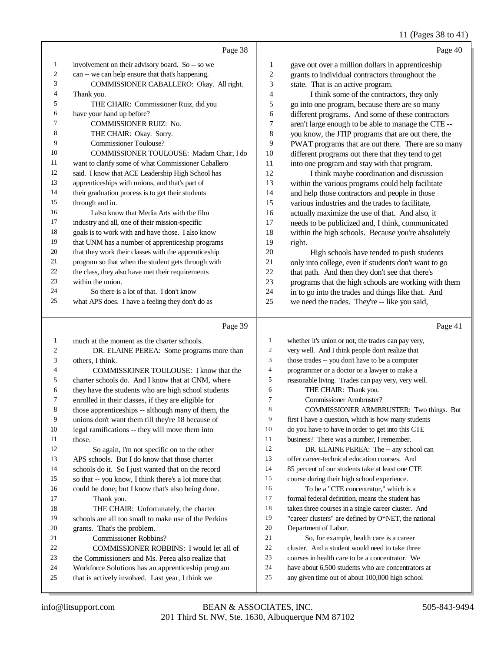11 (Pages 38 to 41)

|    |                                                      |              | $\cdots$                                             |
|----|------------------------------------------------------|--------------|------------------------------------------------------|
|    | Page 38                                              |              | Page 40                                              |
| 1  | involvement on their advisory board. So -- so we     | $\mathbf{1}$ | gave out over a million dollars in apprenticeship    |
| 2  | can -- we can help ensure that that's happening.     | 2            | grants to individual contractors throughout the      |
| 3  | COMMISSIONER CABALLERO: Okay. All right.             | 3            | state. That is an active program.                    |
| 4  | Thank you.                                           | 4            | I think some of the contractors, they only           |
| 5  | THE CHAIR: Commissioner Ruiz, did you                | 5            | go into one program, because there are so many       |
| 6  | have your hand up before?                            | 6            | different programs. And some of these contractors    |
| 7  | <b>COMMISSIONER RUIZ: No.</b>                        | 7            | aren't large enough to be able to manage the CTE --  |
| 8  | THE CHAIR: Okay. Sorry.                              | 8            | you know, the JTIP programs that are out there, the  |
| 9  | <b>Commissioner Toulouse?</b>                        | 9            | PWAT programs that are out there. There are so many  |
| 10 | COMMISSIONER TOULOUSE: Madam Chair, I do             | 10           | different programs out there that they tend to get   |
| 11 | want to clarify some of what Commissioner Caballero  | 11           | into one program and stay with that program.         |
| 12 | said. I know that ACE Leadership High School has     | 12           | I think maybe coordination and discussion            |
| 13 | apprenticeships with unions, and that's part of      | 13           | within the various programs could help facilitate    |
| 14 | their graduation process is to get their students    | 14           | and help those contractors and people in those       |
| 15 | through and in.                                      | 15           | various industries and the trades to facilitate,     |
| 16 | I also know that Media Arts with the film            | 16           | actually maximize the use of that. And also, it      |
| 17 | industry and all, one of their mission-specific      | 17           | needs to be publicized and, I think, communicated    |
| 18 | goals is to work with and have those. I also know    | 18           | within the high schools. Because you're absolutely   |
| 19 | that UNM has a number of apprenticeship programs     | 19           | right.                                               |
| 20 | that they work their classes with the apprenticeship | 20           | High schools have tended to push students            |
| 21 | program so that when the student gets through with   | 21           | only into college, even if students don't want to go |
| 22 | the class, they also have met their requirements     | 22           | that path. And then they don't see that there's      |
| 23 | within the union.                                    | 23           | programs that the high schools are working with them |
| 24 | So there is a lot of that. I don't know              | 24           | in to go into the trades and things like that. And   |
| 25 | what APS does. I have a feeling they don't do as     | 25           | we need the trades. They're -- like you said,        |
|    | Page 39                                              |              | Page 41                                              |

# Page 39  $\vert$

| 1  | much at the moment as the charter schools.           | 1  | whether it's union or not, the trades can pay very,  |
|----|------------------------------------------------------|----|------------------------------------------------------|
| 2  | DR. ELAINE PEREA: Some programs more than            | 2  | very well. And I think people don't realize that     |
| 3  | others, I think.                                     | 3  | those trades -- you don't have to be a computer      |
| 4  | <b>COMMISSIONER TOULOUSE:</b> I know that the        | 4  | programmer or a doctor or a lawyer to make a         |
| 5  | charter schools do. And I know that at CNM, where    | 5  | reasonable living. Trades can pay very, very well.   |
| 6  | they have the students who are high school students  | 6  | THE CHAIR: Thank you.                                |
| 7  | enrolled in their classes, if they are eligible for  | 7  | Commissioner Armbruster?                             |
| 8  | those apprenticeships -- although many of them, the  | 8  | COMMISSIONER ARMBRUSTER: Two things. But             |
| 9  | unions don't want them till they're 18 because of    | 9  | first I have a question, which is how many students  |
| 10 | legal ramifications -- they will move them into      | 10 | do you have to have in order to get into this CTE    |
| 11 | those.                                               | 11 | business? There was a number, I remember.            |
| 12 | So again, I'm not specific on to the other           | 12 | DR. ELAINE PEREA: The -- any school can              |
| 13 | APS schools. But I do know that those charter        | 13 | offer career-technical education courses. And        |
| 14 | schools do it. So I just wanted that on the record   | 14 | 85 percent of our students take at least one CTE     |
| 15 | so that -- you know, I think there's a lot more that | 15 | course during their high school experience.          |
| 16 | could be done; but I know that's also being done.    | 16 | To be a "CTE concentrator," which is a               |
| 17 | Thank you.                                           | 17 | formal federal definition, means the student has     |
| 18 | THE CHAIR: Unfortunately, the charter                | 18 | taken three courses in a single career cluster. And  |
| 19 | schools are all too small to make use of the Perkins | 19 | "career clusters" are defined by O*NET, the national |
| 20 | grants. That's the problem.                          | 20 | Department of Labor.                                 |
| 21 | Commissioner Robbins?                                | 21 | So, for example, health care is a career             |
| 22 | <b>COMMISSIONER ROBBINS:</b> I would let all of      | 22 | cluster. And a student would need to take three      |
| 23 | the Commissioners and Ms. Perea also realize that    | 23 | courses in health care to be a concentrator. We      |
| 24 | Workforce Solutions has an apprenticeship program    | 24 | have about 6,500 students who are concentrators at   |
| 25 | that is actively involved. Last year, I think we     | 25 | any given time out of about 100,000 high school      |
|    |                                                      |    |                                                      |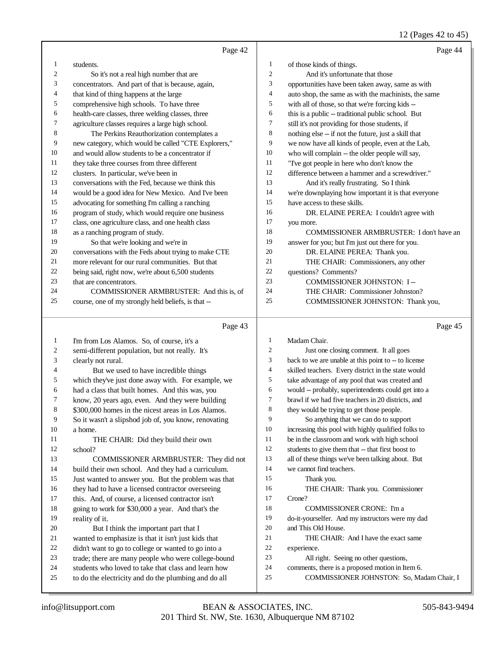#### 12 (Pages 42 to 45)

|    | Page 42                                              |                | Page 44                                              |
|----|------------------------------------------------------|----------------|------------------------------------------------------|
| 1  | students.                                            | $\mathbf{1}$   | of those kinds of things.                            |
| 2  | So it's not a real high number that are              | 2              | And it's unfortunate that those                      |
| 3  | concentrators. And part of that is because, again,   | 3              | opportunities have been taken away, same as with     |
| 4  | that kind of thing happens at the large              | 4              | auto shop, the same as with the machinists, the same |
| 5  | comprehensive high schools. To have three            | 5              | with all of those, so that we're forcing kids --     |
| 6  | health-care classes, three welding classes, three    | 6              | this is a public -- traditional public school. But   |
| 7  | agriculture classes requires a large high school.    | 7              | still it's not providing for those students, if      |
| 8  | The Perkins Reauthorization contemplates a           | 8              | nothing else -- if not the future, just a skill that |
| 9  | new category, which would be called "CTE Explorers," | 9              | we now have all kinds of people, even at the Lab,    |
| 10 | and would allow students to be a concentrator if     | 10             | who will complain -- the older people will say,      |
| 11 | they take three courses from three different         | 11             | "I've got people in here who don't know the          |
| 12 | clusters. In particular, we've been in               | 12             | difference between a hammer and a screwdriver."      |
| 13 | conversations with the Fed, because we think this    | 13             | And it's really frustrating. So I think              |
| 14 | would be a good idea for New Mexico. And I've been   | 14             | we're downplaying how important it is that everyone  |
| 15 | advocating for something I'm calling a ranching      | 15             | have access to these skills.                         |
| 16 | program of study, which would require one business   | 16             | DR. ELAINE PEREA: I couldn't agree with              |
| 17 | class, one agriculture class, and one health class   | 17             | you more.                                            |
| 18 | as a ranching program of study.                      | 18             | COMMISSIONER ARMBRUSTER: I don't have an             |
| 19 | So that we're looking and we're in                   | 19             | answer for you; but I'm just out there for you.      |
| 20 | conversations with the Feds about trying to make CTE | 20             | DR. ELAINE PEREA: Thank you.                         |
| 21 | more relevant for our rural communities. But that    | 21             | THE CHAIR: Commissioners, any other                  |
| 22 | being said, right now, we're about 6,500 students    | 22             | questions? Comments?                                 |
| 23 | that are concentrators.                              | 23             | COMMISSIONER JOHNSTON: I --                          |
| 24 | COMMISSIONER ARMBRUSTER: And this is, of             | 24             | THE CHAIR: Commissioner Johnston?                    |
| 25 | course, one of my strongly held beliefs, is that --  | 25             | COMMISSIONER JOHNSTON: Thank you,                    |
|    | Page 43                                              |                | Page 45                                              |
| 1  | I'm from Los Alamos. So, of course, it's a           | $\mathbf{1}$   | Madam Chair.                                         |
| 2  | semi-different population, but not really. It's      | $\overline{c}$ | Just one closing comment. It all goes                |
| 3  | clearly not rural.                                   | 3              | back to we are unable at this point to -- to license |
| 4  | But we used to have incredible things                | $\overline{4}$ | skilled teachers. Every district in the state would  |
| 5  | which they've just done away with. For example, we   | 5              | take advantage of any pool that was created and      |
| 6  | had a class that built homes. And this was, you      | 6              | would -- probably, superintendents could get into a  |
| 7  | know, 20 years ago, even. And they were building     | $\tau$         | brawl if we had five teachers in 20 districts, and   |
| 8  | \$300,000 homes in the nicest areas in Los Alamos.   | 8              | they would be trying to get those people.            |
| 9  | So it wasn't a slipshod job of, you know, renovating | 9              | So anything that we can do to support                |
| 10 | a home.                                              | 10             | increasing this pool with highly qualified folks to  |
| 11 | THE CHAIR: Did they build their own                  | 11             | be in the classroom and work with high school        |
| 12 | school?                                              | 12             | students to give them that -- that first boost to    |
| 13 | COMMISSIONER ARMBRUSTER: They did not                | 13             | all of these things we've been talking about. But    |
| 14 | build their own school. And they had a curriculum.   | 14             | we cannot find teachers.                             |
| 15 | Just wanted to answer you. But the problem was that  | 15             | Thank you.                                           |
| 16 | they had to have a licensed contractor overseeing    | 16             | THE CHAIR: Thank you. Commissioner                   |
| 17 | this. And, of course, a licensed contractor isn't    | 17             | Crone?                                               |
| 18 | going to work for \$30,000 a year. And that's the    | 18             | <b>COMMISSIONER CRONE:</b> I'm a                     |
| 19 | reality of it.                                       | 19             | do-it-yourselfer. And my instructors were my dad     |

- 20 But I think the important part that I
- 
- 21 wanted to emphasize is that it isn't just kids that<br>22 didn't want to go to college or wanted to go into a 22 didn't want to go to college or wanted to go into a<br>23 trade; there are many people who were college-bo
- trade; there are many people who were college-bound
- 24 students who loved to take that class and learn how<br>25 to do the electricity and do the plumbing and do all
- to do the electricity and do the plumbing and do all
- do-it-yourselfer. And my instructors were my dad
- and This Old House.
- 21 THE CHAIR: And I have the exact same
- experience.
- All right. Seeing no other questions,
- comments, there is a proposed motion in Item 6.
- COMMISSIONER JOHNSTON: So, Madam Chair, I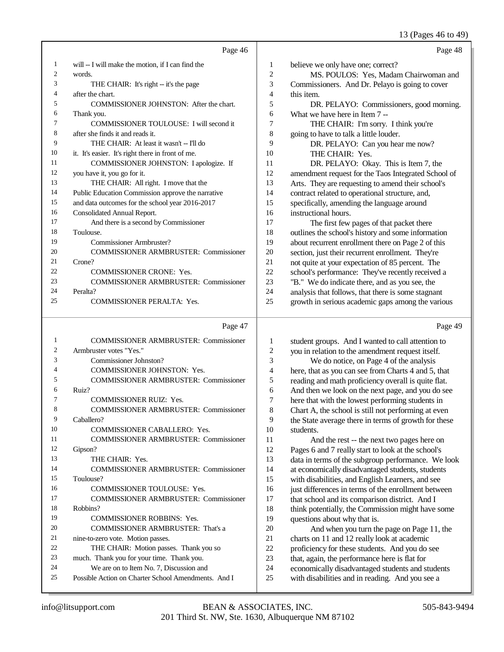13 (Pages 46 to 49)

|    | Page 46                                           |                | Page 48                                             |
|----|---------------------------------------------------|----------------|-----------------------------------------------------|
| 1  | will -- I will make the motion, if I can find the | 1              | believe we only have one; correct?                  |
| 2  | words.                                            | $\overline{c}$ | MS. POULOS: Yes, Madam Chairwoman and               |
| 3  | THE CHAIR: It's right -- it's the page            | 3              | Commissioners. And Dr. Pelayo is going to cover     |
| 4  | after the chart.                                  | 4              | this item.                                          |
| 5  | COMMISSIONER JOHNSTON: After the chart.           | 5              | DR. PELAYO: Commissioners, good morning.            |
| 6  | Thank you.                                        | 6              | What we have here in Item 7 --                      |
| 7  | COMMISSIONER TOULOUSE: I will second it           | 7              | THE CHAIR: I'm sorry. I think you're                |
| 8  | after she finds it and reads it.                  | 8              | going to have to talk a little louder.              |
| 9  | THE CHAIR: At least it wasn't -- I'll do          | 9              | DR. PELAYO: Can you hear me now?                    |
| 10 | it. It's easier. It's right there in front of me. | 10             | THE CHAIR: Yes.                                     |
| 11 | COMMISSIONER JOHNSTON: I apologize. If            | 11             | DR. PELAYO: Okay. This is Item 7, the               |
| 12 | you have it, you go for it.                       | 12             | amendment request for the Taos Integrated School of |
| 13 | THE CHAIR: All right. I move that the             | 13             | Arts. They are requesting to amend their school's   |
| 14 | Public Education Commission approve the narrative | 14             | contract related to operational structure, and,     |
| 15 | and data outcomes for the school year 2016-2017   | 15             | specifically, amending the language around          |
| 16 | Consolidated Annual Report.                       | 16             | instructional hours.                                |
| 17 | And there is a second by Commissioner             | 17             | The first few pages of that packet there            |
| 18 | Toulouse.                                         | 18             | outlines the school's history and some information  |
| 19 | Commissioner Armbruster?                          | 19             | about recurrent enrollment there on Page 2 of this  |
| 20 | <b>COMMISSIONER ARMBRUSTER: Commissioner</b>      | 20             | section, just their recurrent enrollment. They're   |
| 21 | Crone?                                            | 21             | not quite at your expectation of 85 percent. The    |
| 22 | <b>COMMISSIONER CRONE: Yes.</b>                   | 22             | school's performance: They've recently received a   |
| 23 | <b>COMMISSIONER ARMBRUSTER: Commissioner</b>      | 23             | "B." We do indicate there, and as you see, the      |
| 24 | Peralta?                                          | 24             | analysis that follows, that there is some stagnant  |
| 25 | <b>COMMISSIONER PERALTA: Yes.</b>                 | 25             | growth in serious academic gaps among the various   |
|    |                                                   |                |                                                     |

#### Page 47

| 1              | <b>COMMISSIONER ARMBRUSTER: Commissioner</b>        |
|----------------|-----------------------------------------------------|
| $\overline{c}$ | Armbruster votes "Yes."                             |
| 3              | Commissioner Johnston?                              |
| 4              | <b>COMMISSIONER JOHNSTON: Yes.</b>                  |
| 5              | <b>COMMISSIONER ARMBRUSTER: Commissioner</b>        |
| 6              | Ruiz?                                               |
| 7              | <b>COMMISSIONER RUIZ: Yes.</b>                      |
| 8              | <b>COMMISSIONER ARMBRUSTER: Commissioner</b>        |
| 9              | Caballero?                                          |
| 10             | <b>COMMISSIONER CABALLERO: Yes.</b>                 |
| 11             | <b>COMMISSIONER ARMBRUSTER: Commissioner</b>        |
| 12             | Gipson?                                             |
| 13             | THE CHAIR: Yes.                                     |
| 14             | <b>COMMISSIONER ARMBRUSTER: Commissioner</b>        |
| 15             | Toulouse?                                           |
| 16             | <b>COMMISSIONER TOULOUSE: Yes.</b>                  |
| 17             | <b>COMMISSIONER ARMBRUSTER: Commissioner</b>        |
| 18             | Robbins?                                            |
| 19             | <b>COMMISSIONER ROBBINS: Yes.</b>                   |
| 20             | COMMISSIONER ARMBRUSTER: That's a                   |
| 21             | nine-to-zero vote. Motion passes.                   |
| 22             | THE CHAIR: Motion passes. Thank you so              |
| 23             | much. Thank you for your time. Thank you.           |
| 24             | We are on to Item No. 7, Discussion and             |
| 25             | Possible Action on Charter School Amendments. And I |
|                |                                                     |

1 student groups. And I wanted to call attention to<br>2 vou in relation to the amendment request itself. 2 you in relation to the amendment request itself.<br>3 We do notice, on Page 4 of the analysis 3 We do notice, on Page 4 of the analysis<br>4 here, that as you can see from Charts 4 and 5. 4 here, that as you can see from Charts 4 and 5, that<br>5 reading and math proficiency overall is quite flat. 5 reading and math proficiency overall is quite flat.<br>6 And then we look on the next page, and you do se 6 And then we look on the next page, and you do see<br>
7 here that with the lowest performing students in 7 here that with the lowest performing students in<br>8 Chart A, the school is still not performing at even Chart A, the school is still not performing at even 9 the State average there in terms of growth for these students. 10 students.<br>11 An 11 And the rest -- the next two pages here on<br>12 Pages 6 and 7 really start to look at the school's 12 Pages 6 and 7 really start to look at the school's<br>13 data in terms of the subgroup performance. We data in terms of the subgroup performance. We look at economically disadvantaged students, students with disabilities, and English Learners, and see 16 just differences in terms of the enrollment between<br>17 that school and its comparison district. And I 17 that school and its comparison district. And I<br>18 think potentially, the Commission might have 18 think potentially, the Commission might have some 19 oursel in the solution of the solution of the 19 questions about why that is. 20 And when you turn the page on Page 11, the<br>21 charts on 11 and 12 really look at academic 21 charts on 11 and 12 really look at academic<br>22 proficiency for these students. And you do s 22 proficiency for these students. And you do see<br>23 that, again, the performance here is flat for 23 that, again, the performance here is flat for<br>24 economically disadvantaged students and s 24 economically disadvantaged students and students<br>25 with disabilities and in reading. And you see a

Page 49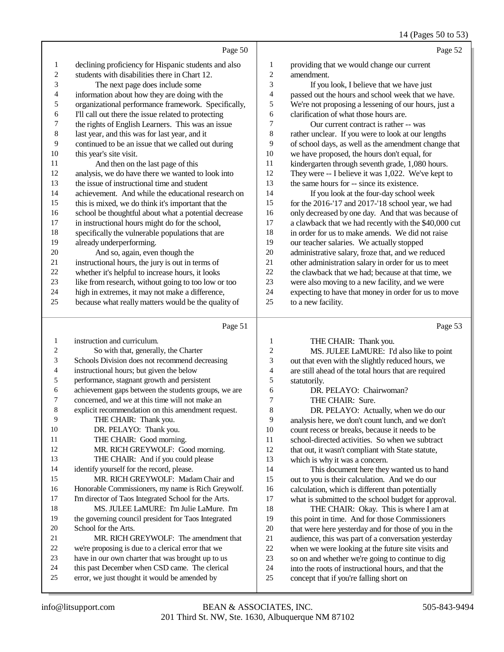|                |                                                      |                | $1 + \frac{1}{2}$ agus 50 to 55                       |
|----------------|------------------------------------------------------|----------------|-------------------------------------------------------|
|                | Page 50                                              |                | Page 52                                               |
| 1              | declining proficiency for Hispanic students and also | 1              | providing that we would change our current            |
| $\mathfrak{2}$ | students with disabilities there in Chart 12.        | $\mathfrak{2}$ | amendment.                                            |
| 3              | The next page does include some                      | 3              | If you look, I believe that we have just              |
| 4              | information about how they are doing with the        | 4              | passed out the hours and school week that we have.    |
| 5              | organizational performance framework. Specifically,  | 5              | We're not proposing a lessening of our hours, just a  |
| 6              | I'll call out there the issue related to protecting  | 6              | clarification of what those hours are.                |
| 7              | the rights of English Learners. This was an issue    | 7              | Our current contract is rather -- was                 |
| 8              | last year, and this was for last year, and it        | 8              | rather unclear. If you were to look at our lengths    |
| 9              | continued to be an issue that we called out during   | 9              | of school days, as well as the amendment change that  |
| 10             | this year's site visit.                              | 10             | we have proposed, the hours don't equal, for          |
| 11             | And then on the last page of this                    | 11             | kindergarten through seventh grade, 1,080 hours.      |
| 12             | analysis, we do have there we wanted to look into    | 12             | They were -- I believe it was 1,022. We've kept to    |
| 13             | the issue of instructional time and student          | 13             | the same hours for -- since its existence.            |
| 14             | achievement. And while the educational research on   | 14             | If you look at the four-day school week               |
| 15             | this is mixed, we do think it's important that the   | 15             | for the 2016-'17 and 2017-'18 school year, we had     |
| 16             | school be thoughtful about what a potential decrease | 16             | only decreased by one day. And that was because of    |
| 17             | in instructional hours might do for the school,      | 17             | a clawback that we had recently with the \$40,000 cut |
| 18             | specifically the vulnerable populations that are     | 18             | in order for us to make amends. We did not raise      |
| 19             | already underperforming.                             | 19             | our teacher salaries. We actually stopped             |
| 20             | And so, again, even though the                       | 20             | administrative salary, froze that, and we reduced     |
| 21             | instructional hours, the jury is out in terms of     | 21             | other administration salary in order for us to meet   |
| 22             | whether it's helpful to increase hours, it looks     | 22             | the clawback that we had; because at that time, we    |
| 23             | like from research, without going to too low or too  | 23             | were also moving to a new facility, and we were       |
| 24             | high in extremes, it may not make a difference,      | 24             | expecting to have that money in order for us to move  |
| 25             | because what really matters would be the quality of  | 25             | to a new facility.                                    |
|                | Page 51                                              |                | Page 53                                               |

#### Page 51

 instruction and curriculum. So with that, generally, the Charter Schools Division does not recommend decreasing instructional hours; but given the below performance, stagnant growth and persistent achievement gaps between the students groups, we are concerned, and we at this time will not make an explicit recommendation on this amendment request. THE CHAIR: Thank you. 10 DR. PELAYO: Thank you. 11 THE CHAIR: Good morning. 12 MR. RICH GREYWOLF: Good morning. 13 THE CHAIR: And if you could please identify yourself for the record, please. MR. RICH GREYWOLF: Madam Chair and Honorable Commissioners, my name is Rich Greywolf. 17 I'm director of Taos Integrated School for the Arts. MS. JULEE LaMURE: I'm Julie LaMure. I'm the governing council president for Taos Integrated School for the Arts. MR. RICH GREYWOLF: The amendment that we're proposing is due to a clerical error that we have in our own charter that was brought up to us this past December when CSD came. The clerical error, we just thought it would be amended by THE CHAIR: Thank you. 2 MS. JULEE LaMURE: I'd also like to point<br>3 out that even with the slightly reduced hours, we out that even with the slightly reduced hours, we are still ahead of the total hours that are required 5 statutorily.<br>6 DR. 6 DR. PELAYO: Chairwoman?<br>7 THE CHAIR: Sure. 7 THE CHAIR: Sure.<br>8 DR PELAYO: Acti DR. PELAYO: Actually, when we do our analysis here, we don't count lunch, and we don't 10 count recess or breaks, because it needs to be<br>11 school-directed activities. So when we subtra school-directed activities. So when we subtract 12 that out, it wasn't compliant with State statute, which is why it was a concern. This document here they wanted us to hand out to you is their calculation. And we do our 16 calculation, which is different than potentially<br>17 what is submitted to the school budget for app what is submitted to the school budget for approval. 18 THE CHAIR: Okay. This is where I am at<br>19 this point in time. And for those Commissioners this point in time. And for those Commissioners 20 that were here yesterday and for those of you in the audience, this was part of a conversation vesterday 21 audience, this was part of a conversation yesterday<br>22 when we were looking at the future site visits and 22 when we were looking at the future site visits and<br>23 so on and whether we're going to continue to dig so on and whether we're going to continue to dig into the roots of instructional hours, and that the concept that if you're falling short on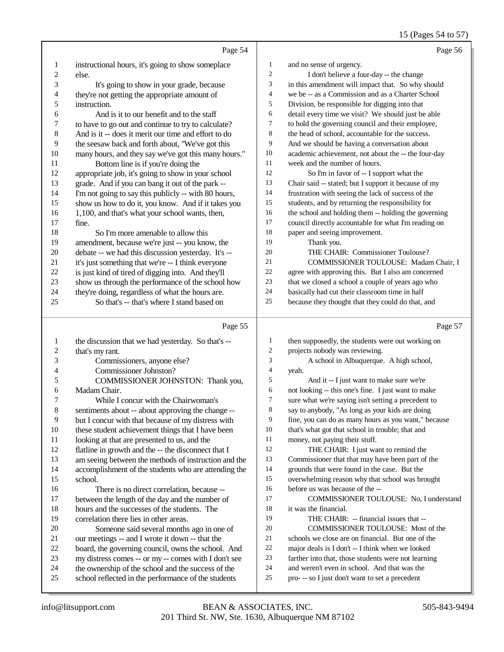# 15 (Pages 54 to 57)

|                         | Page 54                                                                                                   |              | Page 56                                                                                             |
|-------------------------|-----------------------------------------------------------------------------------------------------------|--------------|-----------------------------------------------------------------------------------------------------|
| $\mathbf{1}$            | instructional hours, it's going to show someplace                                                         | $\mathbf{1}$ | and no sense of urgency.                                                                            |
| $\overline{\mathbf{c}}$ | else.                                                                                                     | 2            | I don't believe a four-day -- the change                                                            |
| 3                       | It's going to show in your grade, because                                                                 | 3            | in this amendment will impact that. So why should                                                   |
| 4                       | they're not getting the appropriate amount of                                                             | 4            | we be -- as a Commission and as a Charter School                                                    |
| 5                       | instruction.                                                                                              | 5            | Division, be responsible for digging into that                                                      |
| 6                       | And is it to our benefit and to the staff                                                                 | 6            | detail every time we visit? We should just be able                                                  |
| $\overline{7}$          | to have to go out and continue to try to calculate?                                                       | 7            | to hold the governing council and their employee,                                                   |
| $\,$ 8 $\,$             | And is it -- does it merit our time and effort to do                                                      | 8            | the head of school, accountable for the success.                                                    |
| 9                       | the seesaw back and forth about, "We've got this                                                          | 9            | And we should be having a conversation about                                                        |
| 10                      | many hours, and they say we've got this many hours."                                                      | 10           | academic achievement, not about the -- the four-day                                                 |
| 11                      | Bottom line is if you're doing the                                                                        | 11           | week and the number of hours.                                                                       |
| 12                      | appropriate job, it's going to show in your school                                                        | 12           | So I'm in favor of -- I support what the                                                            |
| 13                      | grade. And if you can bang it out of the park --                                                          | 13           | Chair said -- stated; but I support it because of my                                                |
| 14                      | I'm not going to say this publicly -- with 80 hours,                                                      | 14           | frustration with seeing the lack of success of the                                                  |
| 15                      | show us how to do it, you know. And if it takes you                                                       | 15           | students, and by returning the responsibility for                                                   |
| 16                      | 1,100, and that's what your school wants, then,                                                           | 16           | the school and holding them -- holding the governing                                                |
| 17                      | fine.                                                                                                     | 17           | council directly accountable for what I'm reading on                                                |
| 18                      | So I'm more amenable to allow this                                                                        | 18           | paper and seeing improvement.                                                                       |
| 19                      | amendment, because we're just -- you know, the                                                            | 19           | Thank you.                                                                                          |
| $20\,$                  | debate -- we had this discussion yesterday. It's --                                                       | 20           | THE CHAIR: Commissioner Toulouse?                                                                   |
| 21                      | it's just something that we're -- I think everyone                                                        | 21           | COMMISSIONER TOULOUSE: Madam Chair, I                                                               |
| 22<br>23                | is just kind of tired of digging into. And they'll                                                        | 22<br>23     | agree with approving this. But I also am concerned                                                  |
| 24                      | show us through the performance of the school how<br>they're doing, regardless of what the hours are.     | 24           | that we closed a school a couple of years ago who<br>basically had cut their classroom time in half |
| 25                      | So that's -- that's where I stand based on                                                                | 25           | because they thought that they could do that, and                                                   |
|                         |                                                                                                           |              |                                                                                                     |
|                         |                                                                                                           |              |                                                                                                     |
|                         | Page 55                                                                                                   |              | Page 57                                                                                             |
| $\mathbf{1}$            | the discussion that we had yesterday. So that's --                                                        | 1            | then supposedly, the students were out working on                                                   |
| $\overline{\mathbf{c}}$ | that's my rant.                                                                                           | 2            | projects nobody was reviewing.                                                                      |
| 3                       | Commissioners, anyone else?                                                                               | 3            | A school in Albuquerque. A high school,                                                             |
| 4                       | Commissioner Johnston?                                                                                    | 4            | yeah.                                                                                               |
| 5                       | COMMISSIONER JOHNSTON: Thank you,                                                                         | 5            | And it -- I just want to make sure we're                                                            |
| 6                       | Madam Chair.                                                                                              | 6            | not looking -- this one's fine. I just want to make                                                 |
| 7                       | While I concur with the Chairwoman's                                                                      | 7            | sure what we're saying isn't setting a precedent to                                                 |
| $\,$ 8 $\,$             | sentiments about -- about approving the change --                                                         | 8            | say to anybody, "As long as your kids are doing                                                     |
| 9                       | but I concur with that because of my distress with                                                        | 9            | fine, you can do as many hours as you want," because                                                |
| 10                      | these student achievement things that I have been                                                         | 10           | that's what got that school in trouble; that and                                                    |
| 11                      | looking at that are presented to us, and the                                                              | 11           | money, not paying their stuff.                                                                      |
| 12                      | flatline in growth and the -- the disconnect that I                                                       | 12<br>13     | THE CHAIR: I just want to remind the                                                                |
| 13<br>14                | am seeing between the methods of instruction and the                                                      | 14           | Commissioner that that may have been part of the<br>grounds that were found in the case. But the    |
| 15                      | accomplishment of the students who are attending the<br>school.                                           | 15           | overwhelming reason why that school was brought                                                     |
| 16                      | There is no direct correlation, because --                                                                | 16           | before us was because of the --                                                                     |
| 17                      | between the length of the day and the number of                                                           | 17           | COMMISSIONER TOULOUSE: No, I understand                                                             |
| 18                      | hours and the successes of the students. The                                                              | 18           | it was the financial.                                                                               |
| 19                      | correlation there lies in other areas.                                                                    | 19           | THE CHAIR: -- financial issues that --                                                              |
| 20                      | Someone said several months ago in one of                                                                 | 20           | COMMISSIONER TOULOUSE: Most of the                                                                  |
| 21                      | our meetings -- and I wrote it down -- that the                                                           | 21           | schools we close are on financial. But one of the                                                   |
| 22                      | board, the governing council, owns the school. And                                                        | $22\,$       | major deals is I don't -- I think when we looked                                                    |
| 23                      | my distress comes -- or my -- comes with I don't see                                                      | 23           | farther into that, those students were not learning                                                 |
| 24<br>25                | the ownership of the school and the success of the<br>school reflected in the performance of the students | 24<br>25     | and weren't even in school. And that was the<br>pro--- so I just don't want to set a precedent      |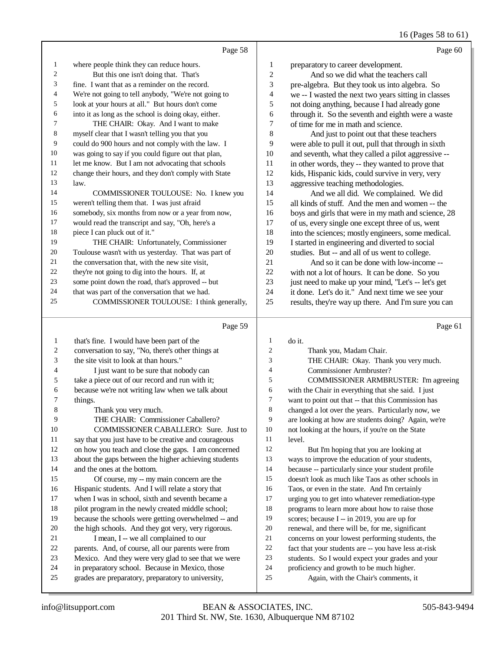# 16 (Pages 58 to 61)

|              | Page 58                                              |              | Page 60                                              |
|--------------|------------------------------------------------------|--------------|------------------------------------------------------|
| 1            | where people think they can reduce hours.            | 1            | preparatory to career development.                   |
| 2            | But this one isn't doing that. That's                | 2            | And so we did what the teachers call                 |
| 3            | fine. I want that as a reminder on the record.       | 3            | pre-algebra. But they took us into algebra. So       |
| 4            | We're not going to tell anybody, "We're not going to | 4            | we -- I wasted the next two years sitting in classes |
| 5            | look at your hours at all." But hours don't come     | 5            | not doing anything, because I had already gone       |
| 6            | into it as long as the school is doing okay, either. | 6            | through it. So the seventh and eighth were a waste   |
| 7            | THE CHAIR: Okay. And I want to make                  | 7            | of time for me in math and science.                  |
| 8            | myself clear that I wasn't telling you that you      | 8            | And just to point out that these teachers            |
| 9            | could do 900 hours and not comply with the law. I    | 9            | were able to pull it out, pull that through in sixth |
| 10           | was going to say if you could figure out that plan,  | 10           | and seventh, what they called a pilot aggressive --  |
| 11           | let me know. But I am not advocating that schools    | 11           | in other words, they -- they wanted to prove that    |
| 12           | change their hours, and they don't comply with State | 12           | kids, Hispanic kids, could survive in very, very     |
| 13           | law.                                                 | 13           | aggressive teaching methodologies.                   |
| 14           | COMMISSIONER TOULOUSE: No. I knew you                | 14           | And we all did. We complained. We did                |
| 15           | weren't telling them that. I was just afraid         | 15           | all kinds of stuff. And the men and women -- the     |
| 16           | somebody, six months from now or a year from now,    | 16           | boys and girls that were in my math and science, 28  |
| 17           | would read the transcript and say, "Oh, here's a     | 17           | of us, every single one except three of us, went     |
| 18           | piece I can pluck out of it."                        | 18           | into the sciences; mostly engineers, some medical.   |
| 19           | THE CHAIR: Unfortunately, Commissioner               | 19           | I started in engineering and diverted to social      |
| 20           | Toulouse wasn't with us yesterday. That was part of  | 20           | studies. But -- and all of us went to college.       |
| 21           | the conversation that, with the new site visit,      | 21           | And so it can be done with low-income --             |
| 22           | they're not going to dig into the hours. If, at      | 22           | with not a lot of hours. It can be done. So you      |
| 23           | some point down the road, that's approved -- but     | 23           | just need to make up your mind, "Let's -- let's get  |
| 24           | that was part of the conversation that we had.       | 24           | it done. Let's do it." And next time we see your     |
| 25           | COMMISSIONER TOULOUSE: I think generally,            | 25           | results, they're way up there. And I'm sure you can  |
|              | Page 59                                              |              | Page 61                                              |
| $\mathbf{1}$ | that's fine I would have been nort of the            | $\mathbf{1}$ | $\overline{d}$ at                                    |

| 1  | that's fine. I would have been part of the           | 1              | do it.                                               |
|----|------------------------------------------------------|----------------|------------------------------------------------------|
| 2  | conversation to say, "No, there's other things at    | $\overline{c}$ | Thank you, Madam Chair.                              |
| 3  | the site visit to look at than hours."               | 3              | THE CHAIR: Okay. Thank you very much.                |
| 4  | I just want to be sure that nobody can               | 4              | Commissioner Armbruster?                             |
| 5  | take a piece out of our record and run with it;      | 5              | COMMISSIONER ARMBRUSTER: I'm agreeing                |
| 6  | because we're not writing law when we talk about     | 6              | with the Chair in everything that she said. I just   |
| 7  | things.                                              | 7              | want to point out that -- that this Commission has   |
| 8  | Thank you very much.                                 | 8              | changed a lot over the years. Particularly now, we   |
| 9  | THE CHAIR: Commissioner Caballero?                   | 9              | are looking at how are students doing? Again, we're  |
| 10 | COMMISSIONER CABALLERO: Sure. Just to                | 10             | not looking at the hours, if you're on the State     |
| 11 | say that you just have to be creative and courageous | 11             | level.                                               |
| 12 | on how you teach and close the gaps. I am concerned  | 12             | But I'm hoping that you are looking at               |
| 13 | about the gaps between the higher achieving students | 13             | ways to improve the education of your students,      |
| 14 | and the ones at the bottom.                          | 14             | because -- particularly since your student profile   |
| 15 | Of course, my -- my main concern are the             | 15             | doesn't look as much like Taos as other schools in   |
| 16 | Hispanic students. And I will relate a story that    | 16             | Taos, or even in the state. And I'm certainly        |
| 17 | when I was in school, sixth and seventh became a     | 17             | urging you to get into whatever remediation-type     |
| 18 | pilot program in the newly created middle school;    | 18             | programs to learn more about how to raise those      |
| 19 | because the schools were getting overwhelmed -- and  | 19             | scores; because I -- in 2019, you are up for         |
| 20 | the high schools. And they got very, very rigorous.  | 20             | renewal, and there will be, for me, significant      |
| 21 | I mean, I -- we all complained to our                | 21             | concerns on your lowest performing students, the     |
| 22 | parents. And, of course, all our parents were from   | 22             | fact that your students are -- you have less at-risk |
| 23 | Mexico. And they were very glad to see that we were  | 23             | students. So I would expect your grades and your     |
| 24 | in preparatory school. Because in Mexico, those      | 24             | proficiency and growth to be much higher.            |
| 25 | grades are preparatory, preparatory to university,   | 25             | Again, with the Chair's comments, it                 |
|    |                                                      |                |                                                      |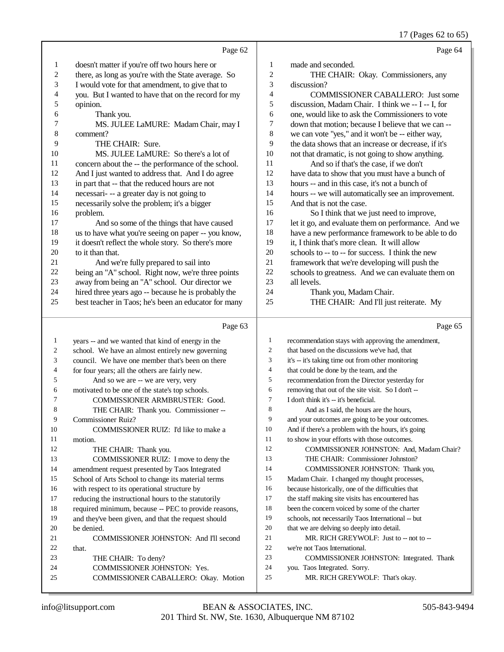17 (Pages 62 to 65)

|                | Page 62                                              |                | Page 64                                              |
|----------------|------------------------------------------------------|----------------|------------------------------------------------------|
| 1              | doesn't matter if you're off two hours here or       | 1              | made and seconded.                                   |
| $\overline{2}$ | there, as long as you're with the State average. So  | $\mathfrak{2}$ | THE CHAIR: Okay. Commissioners, any                  |
| 3              | I would vote for that amendment, to give that to     | 3              | discussion?                                          |
| 4              | you. But I wanted to have that on the record for my  | 4              | <b>COMMISSIONER CABALLERO:</b> Just some             |
| 5              | opinion.                                             | 5              | discussion, Madam Chair. I think we -- I -- I, for   |
| 6              | Thank you.                                           | 6              | one, would like to ask the Commissioners to vote     |
| 7              | MS. JULEE LaMURE: Madam Chair, may I                 | 7              | down that motion; because I believe that we can --   |
| 8              | comment?                                             | $\,8\,$        | we can vote "yes," and it won't be -- either way,    |
| 9              | THE CHAIR: Sure.                                     | 9              | the data shows that an increase or decrease, if it's |
| 10             | MS. JULEE LaMURE: So there's a lot of                | 10             | not that dramatic, is not going to show anything.    |
| 11             | concern about the -- the performance of the school.  | 11             | And so if that's the case, if we don't               |
| 12             | And I just wanted to address that. And I do agree    | 12             | have data to show that you must have a bunch of      |
| 13             | in part that -- that the reduced hours are not       | 13             | hours -- and in this case, it's not a bunch of       |
| 14             | necessari- -- a greater day is not going to          | 14             | hours -- we will automatically see an improvement.   |
| 15             | necessarily solve the problem; it's a bigger         | 15             | And that is not the case.                            |
| 16             | problem.                                             | 16             | So I think that we just need to improve,             |
| 17             | And so some of the things that have caused           | 17             | let it go, and evaluate them on performance. And we  |
| 18             | us to have what you're seeing on paper -- you know,  | 18             | have a new performance framework to be able to do    |
| 19             | it doesn't reflect the whole story. So there's more  | 19             | it, I think that's more clean. It will allow         |
| 20             | to it than that.                                     | 20             | schools to -- to -- for success. I think the new     |
| 21             | And we're fully prepared to sail into                | 21             | framework that we're developing will push the        |
| 22             | being an "A" school. Right now, we're three points   | 22             | schools to greatness. And we can evaluate them on    |
| 23             | away from being an "A" school. Our director we       | 23             | all levels.                                          |
| 24             | hired three years ago -- because he is probably the  | 24             | Thank you, Madam Chair.                              |
| 25             | best teacher in Taos; he's been an educator for many | 25             | THE CHAIR: And I'll just reiterate. My               |
|                |                                                      |                |                                                      |
|                | Page 63                                              |                | Page 65                                              |
| 1              | years -- and we wanted that kind of energy in the    | 1              | recommendation stays with approving the amendment,   |
| 2              | school. We have an almost entirely new governing     | 2              | that based on the discussions we've had, that        |
| 3              | council. We have one member that's been on there     | 3              | it's -- it's taking time out from other monitoring   |
| 4              | for four years; all the others are fairly new.       | $\overline{4}$ | that could be done by the team, and the              |
| 5              | And so we are -- we are very, very                   | 5              | recommendation from the Director yesterday for       |

- endation from the Director yesterday for
- removing that out of the site visit. So I don't --
- 7 I don't think it's -- it's beneficial.
- 8 And as I said, the hours are the hours,
- and your outcomes are going to be your outcomes.
- And if there's a problem with the hours, it's going
- to show in your efforts with those outcomes.
- COMMISSIONER JOHNSTON: And, Madam Chair?
- THE CHAIR: Commissioner Johnston?
- COMMISSIONER JOHNSTON: Thank you,
- Madam Chair. I changed my thought processes,
- because historically, one of the difficulties that
- the staff making site visits has encountered has
- been the concern voiced by some of the charter schools, not necessarily Taos International -- but
- that we are delving so deeply into detail.
	-
- 21 MR. RICH GREYWOLF: Just to -- not to --
- we're not Taos International.
- COMMISSIONER JOHNSTON: Integrated. Thank
- you. Taos Integrated. Sorry.
- MR. RICH GREYWOLF: That's okay.

be denied.

that.<br>23

6 motivated to be one of the state's top schools.<br>7 COMMISSIONER ARMBRUSTER: 0

Commissioner Ruiz?

11 motion.<br>12 T

THE CHAIR: Thank you. Commissioner --

COMMISSIONER RUIZ: I'd like to make a

COMMISSIONER JOHNSTON: And I'll second

COMMISSIONER CABALLERO: Okay. Motion

THE CHAIR: To deny? COMMISSIONER JOHNSTON: Yes.

THE CHAIR: Thank you. COMMISSIONER RUIZ: I move to deny the amendment request presented by Taos Integrated School of Arts School to change its material terms with respect to its operational structure by reducing the instructional hours to the statutorily required minimum, because -- PEC to provide reasons, and they've been given, and that the request should

COMMISSIONER ARMBRUSTER: Good.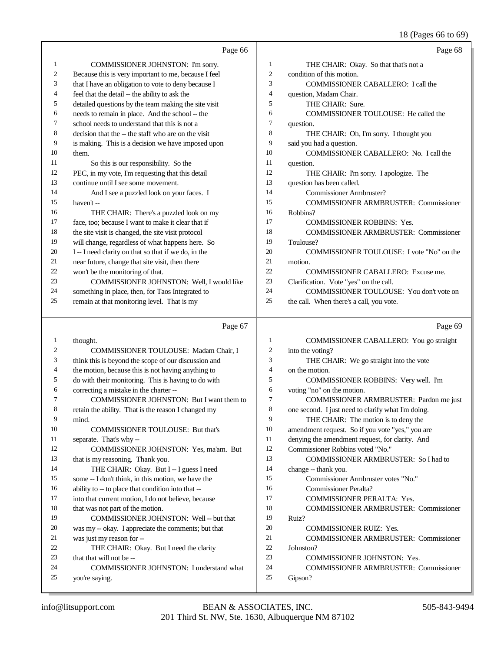#### 18 (Pages 66 to 69)

|                | Page 66                                              |                | Page 68                                            |
|----------------|------------------------------------------------------|----------------|----------------------------------------------------|
| 1              | COMMISSIONER JOHNSTON: I'm sorry.                    | $\mathbf{1}$   | THE CHAIR: Okay. So that that's not a              |
| $\mathfrak{2}$ | Because this is very important to me, because I feel | $\mathfrak{2}$ | condition of this motion.                          |
| 3              | that I have an obligation to vote to deny because I  | 3              | COMMISSIONER CABALLERO: I call the                 |
| 4              | feel that the detail -- the ability to ask the       | 4              | question, Madam Chair.                             |
| 5              | detailed questions by the team making the site visit | 5              | THE CHAIR: Sure.                                   |
| 6              | needs to remain in place. And the school -- the      | 6              | COMMISSIONER TOULOUSE: He called the               |
| 7              | school needs to understand that this is not a        | $\overline{7}$ | question.                                          |
| 8              | decision that the -- the staff who are on the visit  | 8              | THE CHAIR: Oh, I'm sorry. I thought you            |
| 9              | is making. This is a decision we have imposed upon   | 9              | said you had a question.                           |
| 10             | them.                                                | 10             | COMMISSIONER CABALLERO: No. I call the             |
| 11             | So this is our responsibility. So the                | 11             | question.                                          |
| 12             | PEC, in my vote, I'm requesting that this detail     | 12             | THE CHAIR: I'm sorry. I apologize. The             |
| 13             | continue until I see some movement.                  | 13             | question has been called.                          |
| 14             | And I see a puzzled look on your faces. I            | 14             | Commissioner Armbruster?                           |
| 15             | haven't-                                             | 15             | COMMISSIONER ARMBRUSTER: Commissioner              |
| 16             | THE CHAIR: There's a puzzled look on my              | 16             | Robbins?                                           |
| 17             | face, too; because I want to make it clear that if   | 17             | <b>COMMISSIONER ROBBINS: Yes.</b>                  |
| 18             | the site visit is changed, the site visit protocol   | 18             | COMMISSIONER ARMBRUSTER: Commissioner              |
| 19             | will change, regardless of what happens here. So     | 19             | Toulouse?                                          |
| 20             | I-I need clarity on that so that if we do, in the    | 20             | COMMISSIONER TOULOUSE: I vote "No" on the          |
| 21             | near future, change that site visit, then there      | 21             | motion.                                            |
| 22             | won't be the monitoring of that.                     | 22             | <b>COMMISSIONER CABALLERO: Excuse me.</b>          |
| 23             | COMMISSIONER JOHNSTON: Well, I would like            | 23             | Clarification. Vote "yes" on the call.             |
| 24             | something in place, then, for Taos Integrated to     | 24             | COMMISSIONER TOULOUSE: You don't vote on           |
| 25             | remain at that monitoring level. That is my          | 25             | the call. When there's a call, you vote.           |
|                | Page 67                                              |                | Page 69                                            |
| $\mathbf{1}$   | thought.                                             | $\mathbf{1}$   | COMMISSIONER CABALLERO: You go straight            |
| $\overline{c}$ | COMMISSIONER TOULOUSE: Madam Chair, I                | $\sqrt{2}$     | into the voting?                                   |
| 3              | think this is beyond the scope of our discussion and | 3              | THE CHAIR: We go straight into the vote            |
| 4              | the motion, because this is not having anything to   | 4              | on the motion.                                     |
| 5              | do with their monitoring. This is having to do with  | 5              | COMMISSIONER ROBBINS: Very well. I'm               |
| 6              | correcting a mistake in the charter --               | 6              | voting "no" on the motion.                         |
| 7              | COMMISSIONER JOHNSTON: But I want them to            | $\tau$         | COMMISSIONER ARMBRUSTER: Pardon me just            |
| 8              | retain the ability. That is the reason I changed my  | 8              | one second. I just need to clarify what I'm doing. |
| 9              | mind.                                                | 9              | THE CHAIR: The motion is to deny the               |
| 10             | <b>COMMISSIONER TOULOUSE: But that's</b>             | 10             | amendment request. So if you vote "yes," you are   |
| 11             | separate. That's why-                                | 11             | denying the amendment request, for clarity. And    |
| 12             | COMMISSIONER JOHNSTON: Yes, ma'am. But               | 12             | Commissioner Robbins voted "No."                   |

- 16 ability to -- to place that condition into that -- into that current motion, I do not believe, because 18 that was not part of the motion. COMMISSIONER JOHNSTON: Well -- but that was my -- okay. I appreciate the comments; but that was just my reason for -- 22 THE CHAIR: Okay. But I need the clarity<br>
23 that that will not be -- Commissioner Peralta? COMMISSIONER PERALTA: Yes. COMMISSIONER ARMBRUSTER: Commissioner Ruiz? COMMISSIONER RUIZ: Yes. COMMISSIONER ARMBRUSTER: Commissioner Johnston? COMMISSIONER JOHNSTON: Yes.
- that that will not be --COMMISSIONER JOHNSTON: I understand what

that is my reasoning. Thank you.

14 THE CHAIR: Okay. But I -- I guess I need some -- I don't think, in this motion, we have the

Gipson?

COMMISSIONER ARMBRUSTER: So I had to

COMMISSIONER ARMBRUSTER: Commissioner

Commissioner Armbruster votes "No."

14 change -- thank you.

you're saying.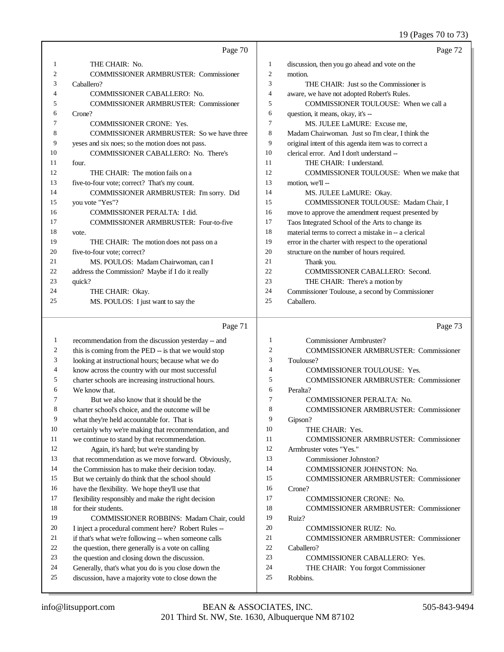### 19 (Pages 70 to 73)

|    | Page 70                                             |                | Page 72                                              |
|----|-----------------------------------------------------|----------------|------------------------------------------------------|
| 1  | THE CHAIR: No.                                      | 1              | discussion, then you go ahead and vote on the        |
| 2  | <b>COMMISSIONER ARMBRUSTER: Commissioner</b>        | $\overline{c}$ | motion.                                              |
| 3  | Caballero?                                          | 3              | THE CHAIR: Just so the Commissioner is               |
| 4  | <b>COMMISSIONER CABALLERO: No.</b>                  | $\overline{4}$ | aware, we have not adopted Robert's Rules.           |
| 5  | <b>COMMISSIONER ARMBRUSTER: Commissioner</b>        | 5              | COMMISSIONER TOULOUSE: When we call a                |
| 6  | Crone?                                              | 6              | question, it means, okay, it's --                    |
| 7  | <b>COMMISSIONER CRONE: Yes.</b>                     | 7              | MS. JULEE LaMURE: Excuse me,                         |
| 8  | <b>COMMISSIONER ARMBRUSTER:</b> So we have three    | 8              | Madam Chairwoman. Just so I'm clear, I think the     |
| 9  | yeses and six noes; so the motion does not pass.    | 9              | original intent of this agenda item was to correct a |
| 10 | COMMISSIONER CABALLERO: No. There's                 | 10             | clerical error. And I don't understand --            |
| 11 | four.                                               | 11             | THE CHAIR: I understand.                             |
| 12 | THE CHAIR: The motion fails on a                    | 12             | <b>COMMISSIONER TOULOUSE:</b> When we make that      |
| 13 | five-to-four vote; correct? That's my count.        | 13             | motion, we'll --                                     |
| 14 | COMMISSIONER ARMBRUSTER: I'm sorry. Did             | 14             | MS. JULEE LaMURE: Okay.                              |
| 15 | you vote "Yes"?                                     | 15             | COMMISSIONER TOULOUSE: Madam Chair, I                |
| 16 | COMMISSIONER PERALTA: I did.                        | 16             | move to approve the amendment request presented by   |
| 17 | <b>COMMISSIONER ARMBRUSTER: Four-to-five</b>        | 17             | Taos Integrated School of the Arts to change its     |
| 18 | vote.                                               | 18             | material terms to correct a mistake in -- a clerical |
| 19 | THE CHAIR: The motion does not pass on a            | 19             | error in the charter with respect to the operational |
| 20 | five-to-four vote; correct?                         | 20             | structure on the number of hours required.           |
| 21 | MS. POULOS: Madam Chairwoman, can I                 | 21             | Thank you.                                           |
| 22 | address the Commission? Maybe if I do it really     | 22             | COMMISSIONER CABALLERO: Second.                      |
| 23 | quick?                                              | 23             | THE CHAIR: There's a motion by                       |
| 24 | THE CHAIR: Okay.                                    | 24             | Commissioner Toulouse, a second by Commissioner      |
| 25 | MS. POULOS: I just want to say the                  | 25             | Caballero.                                           |
|    | Page 71                                             |                | Page 73                                              |
| 1  | recommendation from the discussion yesterday -- and | 1              | Commissioner Armbruster?                             |

 recommendation from the discussion yesterday -- and 2 this is coming from the PED -- is that we would stop looking at instructional hours; because what we do know across the country with our most successful charter schools are increasing instructional hours. We know that. But we also know that it should be the charter school's choice, and the outcome will be what they're held accountable for. That is certainly why we're making that recommendation, and we continue to stand by that recommendation. Again, it's hard; but we're standing by that recommendation as we move forward. Obviously, 14 the Commission has to make their decision today. But we certainly do think that the school should have the flexibility. We hope they'll use that flexibility responsibly and make the right decision for their students. COMMISSIONER ROBBINS: Madam Chair, could I inject a procedural comment here? Robert Rules -- if that's what we're following -- when someone calls the question, there generally is a vote on calling the question and closing down the discussion. Generally, that's what you do is you close down the discussion, have a majority vote to close down the Commissioner Armbruster? COMMISSIONER ARMBRUSTER: Commissioner Toulouse? COMMISSIONER TOULOUSE: Yes. COMMISSIONER ARMBRUSTER: Commissioner Peralta? COMMISSIONER PERALTA: No. COMMISSIONER ARMBRUSTER: Commissioner Gipson? 10 THE CHAIR: Yes. COMMISSIONER ARMBRUSTER: Commissioner Armbruster votes "Yes." Commissioner Johnston? COMMISSIONER JOHNSTON: No. COMMISSIONER ARMBRUSTER: Commissioner Crone? COMMISSIONER CRONE: No. COMMISSIONER ARMBRUSTER: Commissioner Ruiz? COMMISSIONER RUIZ: No. COMMISSIONER ARMBRUSTER: Commissioner Caballero? COMMISSIONER CABALLERO: Yes. THE CHAIR: You forgot Commissioner Robbins.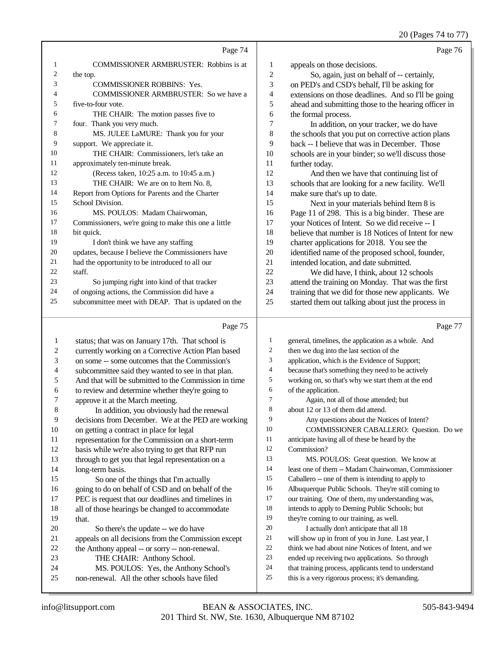#### 20 (Pages 74 to 77)

|                | Page 74                                              |                  | Page 76                                              |
|----------------|------------------------------------------------------|------------------|------------------------------------------------------|
| 1              | <b>COMMISSIONER ARMBRUSTER:</b> Robbins is at        | $\mathbf{1}$     | appeals on those decisions.                          |
| 2              | the top.                                             | $\mathfrak{2}$   | So, again, just on behalf of -- certainly,           |
| 3              | <b>COMMISSIONER ROBBINS: Yes.</b>                    | 3                | on PED's and CSD's behalf, I'll be asking for        |
| 4              | COMMISSIONER ARMBRUSTER: So we have a                | 4                | extensions on those deadlines. And so I'll be going  |
| 5              | five-to-four vote.                                   | 5                | ahead and submitting those to the hearing officer in |
| 6              | THE CHAIR: The motion passes five to                 | 6                | the formal process.                                  |
| 7              | four. Thank you very much.                           | $\boldsymbol{7}$ | In addition, on your tracker, we do have             |
| 8              | MS. JULEE LaMURE: Thank you for your                 | 8                | the schools that you put on corrective action plans  |
| 9              | support. We appreciate it.                           | 9                | back -- I believe that was in December. Those        |
| 10             | THE CHAIR: Commissioners, let's take an              | 10               | schools are in your binder; so we'll discuss those   |
| 11             | approximately ten-minute break.                      | 11               | further today.                                       |
| 12             | (Recess taken, 10:25 a.m. to 10:45 a.m.)             | 12               | And then we have that continuing list of             |
| 13             | THE CHAIR: We are on to Item No. 8,                  | 13               | schools that are looking for a new facility. We'll   |
| 14             | Report from Options for Parents and the Charter      | 14               | make sure that's up to date.                         |
| 15             | School Division.                                     | 15               | Next in your materials behind Item 8 is              |
| 16             | MS. POULOS: Madam Chairwoman,                        | 16               | Page 11 of 298. This is a big binder. These are      |
| 17             | Commissioners, we're going to make this one a little | 17               | your Notices of Intent. So we did receive -- I       |
| 18             | bit quick.                                           | 18               | believe that number is 18 Notices of Intent for new  |
| 19             | I don't think we have any staffing                   | 19               | charter applications for 2018. You see the           |
| $20\,$         | updates, because I believe the Commissioners have    | 20               | identified name of the proposed school, founder,     |
| 21             | had the opportunity to be introduced to all our      | 21               | intended location, and date submitted.               |
| 22             | staff.                                               | 22               | We did have, I think, about 12 schools               |
| 23             | So jumping right into kind of that tracker           | 23               | attend the training on Monday. That was the first    |
| 24             | of ongoing actions, the Commission did have a        | 24               | training that we did for those new applicants. We    |
| 25             | subcommittee meet with DEAP. That is updated on the  | 25               | started them out talking about just the process in   |
|                | Page 75                                              |                  | Page 77                                              |
| 1              | status; that was on January 17th. That school is     | 1                | general, timelines, the application as a whole. And  |
| $\sqrt{2}$     | currently working on a Corrective Action Plan based  | $\mathfrak{2}$   | then we dug into the last section of the             |
| 3              | on some -- some outcomes that the Commission's       | 3                | application, which is the Evidence of Support;       |
| $\overline{4}$ | subcommittee said they wanted to see in that plan.   | 4                | because that's something they need to be actively    |
| 5              | And that will be submitted to the Commission in time | 5                | working on, so that's why we start them at the end   |
| 6              | to review and determine whether they're going to     | 6                | of the application.                                  |
| $\overline{7}$ | approve it at the March meeting.                     | $\overline{7}$   | Again, not all of those attended; but                |
| 8              | In addition, you obviously had the renewal           | 8                | about 12 or 13 of them did attend.                   |
| 9              | decisions from December. We at the PED are working   | 9                | Any questions about the Notices of Intent?           |
| 10             | on getting a contract in place for legal             | 10               | COMMISSIONER CABALLERO: Question. Do we              |

- representation for the Commission on a short-term
- basis while we're also trying to get that RFP run
- through to get you that legal representation on a
- long-term basis. So one of the things that I'm actually going to do on behalf of CSD and on behalf of the
- PEC is request that our deadlines and timelines in
- all of those hearings be changed to accommodate that.
- So there's the update -- we do have appeals on all decisions from the Commission except the Anthony appeal -- or sorry -- non-renewal. THE CHAIR: Anthony School. MS. POULOS: Yes, the Anthony School's non-renewal. All the other schools have filed
- anticipate having all of these be heard by the Commission?
- MS. POULOS: Great question. We know at
- least one of them -- Madam Chairwoman, Commissioner
- Caballero -- one of them is intending to apply to
- Albuquerque Public Schools. They're still coming to
- our training. One of them, my understanding was,
- intends to apply to Deming Public Schools; but
- they're coming to our training, as well.
- 20 I actually don't anticipate that all 18 will show up in front of you in June. Last year, I
- think we had about nine Notices of Intent, and we
- ended up receiving two applications. So through
- that training process, applicants tend to understand
- this is a very rigorous process; it's demanding.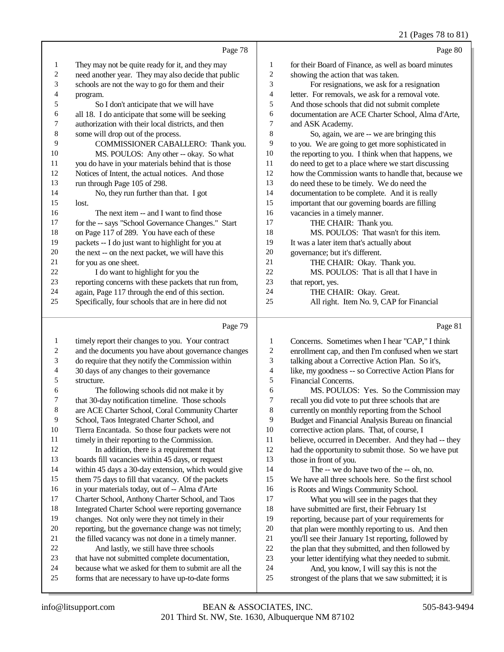## 21 (Pages 78 to 81)

|              |                                                      |    | $\cdots$ , $\cdots$ , $\cdots$                       |
|--------------|------------------------------------------------------|----|------------------------------------------------------|
|              | Page 78                                              |    | Page 80                                              |
| $\mathbf{1}$ | They may not be quite ready for it, and they may     | 1  | for their Board of Finance, as well as board minutes |
| 2            | need another year. They may also decide that public  | 2  | showing the action that was taken.                   |
| 3            | schools are not the way to go for them and their     | 3  | For resignations, we ask for a resignation           |
| 4            | program.                                             | 4  | letter. For removals, we ask for a removal vote.     |
| 5            | So I don't anticipate that we will have              | 5  | And those schools that did not submit complete       |
| 6            | all 18. I do anticipate that some will be seeking    | 6  | documentation are ACE Charter School, Alma d'Arte,   |
| 7            | authorization with their local districts, and then   | 7  | and ASK Academy.                                     |
| 8            | some will drop out of the process.                   | 8  | So, again, we are -- we are bringing this            |
| 9            | COMMISSIONER CABALLERO: Thank you.                   | 9  | to you. We are going to get more sophisticated in    |
| 10           | MS. POULOS: Any other -- okay. So what               | 10 | the reporting to you. I think when that happens, we  |
| 11           | you do have in your materials behind that is those   | 11 | do need to get to a place where we start discussing  |
| 12           | Notices of Intent, the actual notices. And those     | 12 | how the Commission wants to handle that, because we  |
| 13           | run through Page 105 of 298.                         | 13 | do need these to be timely. We do need the           |
| 14           | No, they run further than that. I got                | 14 | documentation to be complete. And it is really       |
| 15           | lost.                                                | 15 | important that our governing boards are filling      |
| 16           | The next item -- and I want to find those            | 16 | vacancies in a timely manner.                        |
| 17           | for the -- says "School Governance Changes." Start   | 17 | THE CHAIR: Thank you.                                |
| 18           | on Page 117 of 289. You have each of these           | 18 | MS. POULOS: That wasn't for this item.               |
| 19           | packets -- I do just want to highlight for you at    | 19 | It was a later item that's actually about            |
| 20           | the next -- on the next packet, we will have this    | 20 | governance; but it's different.                      |
| 21           | for you as one sheet.                                | 21 | THE CHAIR: Okay. Thank you.                          |
| 22           | I do want to highlight for you the                   | 22 | MS. POULOS: That is all that I have in               |
| 23           | reporting concerns with these packets that run from, | 23 | that report, yes.                                    |
| 24           | again, Page 117 through the end of this section.     | 24 | THE CHAIR: Okay. Great.                              |
| 25           | Specifically, four schools that are in here did not  | 25 | All right. Item No. 9, CAP for Financial             |
|              | Page 79                                              |    | Page 81                                              |

#### Page 79  $\parallel$

| 1  | timely report their changes to you. Your contract    | 1              | Concerns. Sometimes when I hear "CAP," I think      |
|----|------------------------------------------------------|----------------|-----------------------------------------------------|
| 2  | and the documents you have about governance changes  | $\overline{c}$ | enrollment cap, and then I'm confused when we start |
| 3  | do require that they notify the Commission within    | 3              | talking about a Corrective Action Plan. So it's,    |
| 4  | 30 days of any changes to their governance           | 4              | like, my goodness -- so Corrective Action Plans for |
| 5  | structure.                                           | 5              | Financial Concerns.                                 |
| 6  | The following schools did not make it by             | 6              | MS. POULOS: Yes. So the Commission may              |
| 7  | that 30-day notification timeline. Those schools     | 7              | recall you did vote to put three schools that are   |
| 8  | are ACE Charter School, Coral Community Charter      | 8              | currently on monthly reporting from the School      |
| 9  | School, Taos Integrated Charter School, and          | 9              | Budget and Financial Analysis Bureau on financial   |
| 10 | Tierra Encantada. So those four packets were not     | 10             | corrective action plans. That, of course, I         |
| 11 | timely in their reporting to the Commission.         | 11             | believe, occurred in December. And they had -- they |
| 12 | In addition, there is a requirement that             | 12             | had the opportunity to submit those. So we have put |
| 13 | boards fill vacancies within 45 days, or request     | 13             | those in front of you.                              |
| 14 | within 45 days a 30-day extension, which would give  | 14             | The -- we do have two of the -- oh, no.             |
| 15 | them 75 days to fill that vacancy. Of the packets    | 15             | We have all three schools here. So the first school |
| 16 | in your materials today, out of -- Alma d'Arte       | 16             | is Roots and Wings Community School.                |
| 17 | Charter School, Anthony Charter School, and Taos     | 17             | What you will see in the pages that they            |
| 18 | Integrated Charter School were reporting governance  | 18             | have submitted are first, their February 1st        |
| 19 | changes. Not only were they not timely in their      | 19             | reporting, because part of your requirements for    |
| 20 | reporting, but the governance change was not timely; | 20             | that plan were monthly reporting to us. And then    |
| 21 | the filled vacancy was not done in a timely manner.  | 21             | you'll see their January 1st reporting, followed by |
| 22 | And lastly, we still have three schools              | 22             | the plan that they submitted, and then followed by  |
| 23 | that have not submitted complete documentation,      | 23             | your letter identifying what they needed to submit. |
| 24 | because what we asked for them to submit are all the | 24             | And, you know, I will say this is not the           |
| 25 | forms that are necessary to have up-to-date forms    | 25             | strongest of the plans that we saw submitted; it is |
|    |                                                      |                |                                                     |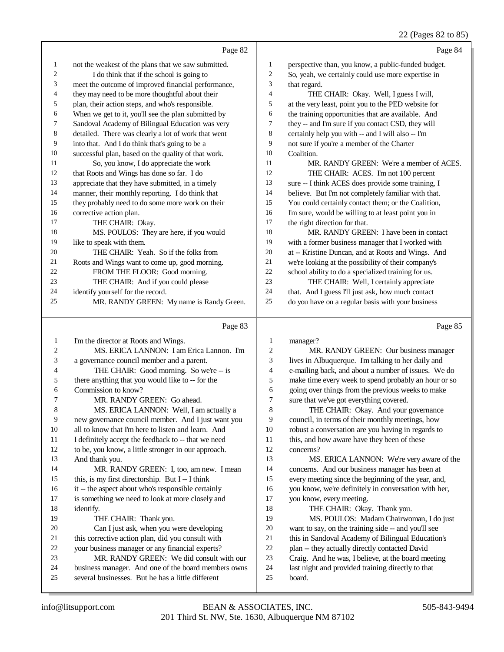|              | Page 82                                             |                  | Page 84                                             |
|--------------|-----------------------------------------------------|------------------|-----------------------------------------------------|
| $\mathbf{1}$ | not the weakest of the plans that we saw submitted. | 1                | perspective than, you know, a public-funded budget. |
| 2            | I do think that if the school is going to           | 2                | So, yeah, we certainly could use more expertise in  |
| 3            | meet the outcome of improved financial performance, | 3                | that regard.                                        |
| 4            | they may need to be more thoughtful about their     | $\overline{4}$   | THE CHAIR: Okay. Well, I guess I will,              |
| 5            | plan, their action steps, and who's responsible.    | 5                | at the very least, point you to the PED website for |
| 6            | When we get to it, you'll see the plan submitted by | 6                | the training opportunities that are available. And  |
| 7            | Sandoval Academy of Bilingual Education was very    | 7                | they -- and I'm sure if you contact CSD, they will  |
| 8            | detailed. There was clearly a lot of work that went | 8                | certainly help you with -- and I will also -- I'm   |
| 9            | into that. And I do think that's going to be a      | 9                | not sure if you're a member of the Charter          |
| 10           | successful plan, based on the quality of that work. | 10 <sup>10</sup> | Coalition.                                          |
| 11           | So, you know, I do appreciate the work              | 11               | MR. RANDY GREEN: We're a member of ACES.            |
| 12           | that Roots and Wings has done so far. I do          | 12               | THE CHAIR: ACES. I'm not 100 percent                |
| 13           | appreciate that they have submitted, in a timely    | 13               | sure -- I think ACES does provide some training, I  |
| 14           | manner, their monthly reporting. I do think that    | 14               | believe. But I'm not completely familiar with that. |
| 15           | they probably need to do some more work on their    | 15               | You could certainly contact them; or the Coalition, |
| 16           | corrective action plan.                             | 16               | I'm sure, would be willing to at least point you in |
| 17           | THE CHAIR: Okay.                                    | 17               | the right direction for that.                       |
| 18           | MS. POULOS: They are here, if you would             | 18               | MR. RANDY GREEN: I have been in contact             |
| 19           | like to speak with them.                            | 19               | with a former business manager that I worked with   |
| 20           | THE CHAIR: Yeah. So if the folks from               | 20               | at -- Kristine Duncan, and at Roots and Wings. And  |
| 21           | Roots and Wings want to come up, good morning.      | 21               | we're looking at the possibility of their company's |
| 22           | FROM THE FLOOR: Good morning.                       | 22               | school ability to do a specialized training for us. |
| 23           | THE CHAIR: And if you could please                  | 23               | THE CHAIR: Well, I certainly appreciate             |
| 24           | identify yourself for the record.                   | 24               | that. And I guess I'll just ask, how much contact   |
| 25           | MR. RANDY GREEN: My name is Randy Green.            | 25               | do you have on a regular basis with your business   |
|              |                                                     |                  |                                                     |

# Page 83

|    | Page 83                                             |    | Page 85                                              |
|----|-----------------------------------------------------|----|------------------------------------------------------|
| 1  | I'm the director at Roots and Wings.                | 1  | manager?                                             |
| 2  | MS. ERICA LANNON: I am Erica Lannon. I'm            | 2  | MR. RANDY GREEN: Our business manager                |
| 3  | a governance council member and a parent.           | 3  | lives in Albuquerque. I'm talking to her daily and   |
| 4  | THE CHAIR: Good morning. So we're -- is             | 4  | e-mailing back, and about a number of issues. We do  |
| 5  | there anything that you would like to -- for the    | 5  | make time every week to spend probably an hour or so |
| 6  | Commission to know?                                 | 6  | going over things from the previous weeks to make    |
| 7  | MR. RANDY GREEN: Go ahead.                          | 7  | sure that we've got everything covered.              |
| 8  | MS. ERICA LANNON: Well, I am actually a             | 8  | THE CHAIR: Okay. And your governance                 |
| 9  | new governance council member. And I just want you  | 9  | council, in terms of their monthly meetings, how     |
| 10 | all to know that I'm here to listen and learn. And  | 10 | robust a conversation are you having in regards to   |
| 11 | I definitely accept the feedback to -- that we need | 11 | this, and how aware have they been of these          |
| 12 | to be, you know, a little stronger in our approach. | 12 | concerns?                                            |
| 13 | And thank you.                                      | 13 | MS. ERICA LANNON: We're very aware of the            |
| 14 | MR. RANDY GREEN: I, too, am new. I mean             | 14 | concerns. And our business manager has been at       |
| 15 | this, is my first directorship. But I -- I think    | 15 | every meeting since the beginning of the year, and,  |
| 16 | it -- the aspect about who's responsible certainly  | 16 | you know, we're definitely in conversation with her, |
| 17 | is something we need to look at more closely and    | 17 | you know, every meeting.                             |
| 18 | identify.                                           | 18 | THE CHAIR: Okay. Thank you.                          |
| 19 | THE CHAIR: Thank you.                               | 19 | MS. POULOS: Madam Chairwoman, I do just              |
| 20 | Can I just ask, when you were developing            | 20 | want to say, on the training side -- and you'll see  |
| 21 | this corrective action plan, did you consult with   | 21 | this in Sandoval Academy of Bilingual Education's    |
| 22 | your business manager or any financial experts?     | 22 | plan -- they actually directly contacted David       |
| 23 | MR. RANDY GREEN: We did consult with our            | 23 | Craig. And he was, I believe, at the board meeting   |
| 24 | business manager. And one of the board members owns | 24 | last night and provided training directly to that    |
| 25 | several businesses. But he has a little different   | 25 | board.                                               |
|    |                                                     |    |                                                      |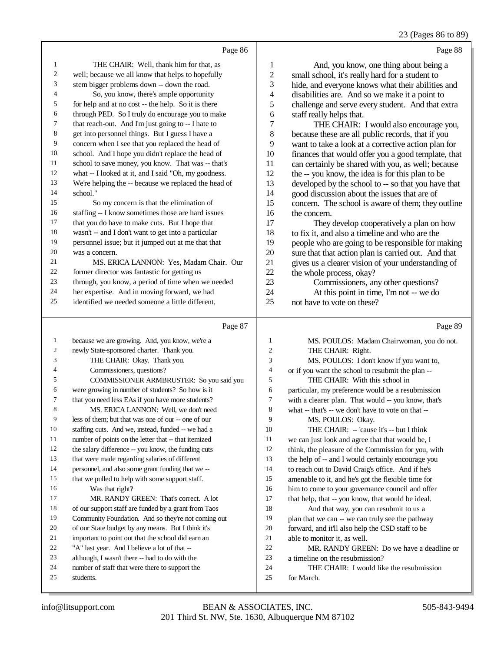### 23 (Pages 86 to 89)

|    | Page 86                                                                                                     |                | Page 88                                                                                                 |
|----|-------------------------------------------------------------------------------------------------------------|----------------|---------------------------------------------------------------------------------------------------------|
| 1  | THE CHAIR: Well, thank him for that, as                                                                     | 1              | And, you know, one thing about being a                                                                  |
| 2  | well; because we all know that helps to hopefully                                                           | $\overline{c}$ | small school, it's really hard for a student to                                                         |
| 3  | stem bigger problems down -- down the road.                                                                 | 3              | hide, and everyone knows what their abilities and                                                       |
| 4  | So, you know, there's ample opportunity                                                                     | 4              | disabilities are. And so we make it a point to                                                          |
| 5  | for help and at no cost -- the help. So it is there                                                         | 5              | challenge and serve every student. And that extra                                                       |
| 6  | through PED. So I truly do encourage you to make                                                            | 6              | staff really helps that.                                                                                |
| 7  | that reach-out. And I'm just going to -- I hate to                                                          | 7              | THE CHAIR: I would also encourage you,                                                                  |
| 8  | get into personnel things. But I guess I have a                                                             | 8              | because these are all public records, that if you                                                       |
| 9  | concern when I see that you replaced the head of                                                            | 9              | want to take a look at a corrective action plan for                                                     |
| 10 | school. And I hope you didn't replace the head of                                                           | 10             | finances that would offer you a good template, that                                                     |
| 11 | school to save money, you know. That was -- that's                                                          | 11             | can certainly be shared with you, as well; because                                                      |
| 12 | what -- I looked at it, and I said "Oh, my goodness.                                                        | 12             | the -- you know, the idea is for this plan to be                                                        |
| 13 | We're helping the -- because we replaced the head of                                                        | 13             | developed by the school to -- so that you have that                                                     |
| 14 | school."                                                                                                    | 14             | good discussion about the issues that are of                                                            |
| 15 | So my concern is that the elimination of                                                                    | 15             | concern. The school is aware of them; they outline                                                      |
| 16 | staffing -- I know sometimes those are hard issues                                                          | 16             | the concern.                                                                                            |
| 17 | that you do have to make cuts. But I hope that                                                              | 17             | They develop cooperatively a plan on how                                                                |
| 18 | wasn't -- and I don't want to get into a particular                                                         | 18             | to fix it, and also a timeline and who are the                                                          |
| 19 | personnel issue; but it jumped out at me that that                                                          | 19             | people who are going to be responsible for making                                                       |
| 20 | was a concern.                                                                                              | 20             | sure that that action plan is carried out. And that                                                     |
| 21 | MS. ERICA LANNON: Yes, Madam Chair. Our                                                                     | 21             | gives us a clearer vision of your understanding of                                                      |
| 22 | former director was fantastic for getting us                                                                | 22             | the whole process, okay?                                                                                |
| 23 | through, you know, a period of time when we needed                                                          | 23             | Commissioners, any other questions?                                                                     |
| 24 | her expertise. And in moving forward, we had                                                                | 24             | At this point in time, I'm not -- we do                                                                 |
| 25 | identified we needed someone a little different,                                                            | 25             | not have to vote on these?                                                                              |
|    |                                                                                                             |                |                                                                                                         |
|    |                                                                                                             |                |                                                                                                         |
|    | Page 87                                                                                                     |                | Page 89                                                                                                 |
| 1  |                                                                                                             | 1              |                                                                                                         |
| 2  | because we are growing. And, you know, we're a                                                              | 2              | MS. POULOS: Madam Chairwoman, you do not.                                                               |
| 3  | newly State-sponsored charter. Thank you.                                                                   | 3              | THE CHAIR: Right.                                                                                       |
| 4  | THE CHAIR: Okay. Thank you.                                                                                 | 4              | MS. POULOS: I don't know if you want to,                                                                |
| 5  | Commissioners, questions?                                                                                   | 5              | or if you want the school to resubmit the plan --                                                       |
| 6  | COMMISSIONER ARMBRUSTER: So you said you                                                                    | 6              | THE CHAIR: With this school in                                                                          |
| 7  | were growing in number of students? So how is it                                                            | 7              | particular, my preference would be a resubmission                                                       |
| 8  | that you need less EAs if you have more students?                                                           | 8              | with a clearer plan. That would -- you know, that's                                                     |
| 9  | MS. ERICA LANNON: Well, we don't need<br>less of them; but that was one of our -- one of our                | 9              | what -- that's -- we don't have to vote on that --                                                      |
| 10 |                                                                                                             | 10             | MS. POULOS: Okay.                                                                                       |
| 11 | staffing cuts. And we, instead, funded -- we had a                                                          | 11             | THE CHAIR: -- 'cause it's -- but I think                                                                |
| 12 | number of points on the letter that -- that itemized<br>the salary difference -- you know, the funding cuts | 12             | we can just look and agree that that would be, I                                                        |
| 13 | that were made regarding salaries of different                                                              | 13             | think, the pleasure of the Commission for you, with                                                     |
| 14 | personnel, and also some grant funding that we --                                                           | 14             | the help of -- and I would certainly encourage you<br>to reach out to David Craig's office. And if he's |
| 15 | that we pulled to help with some support staff.                                                             | 15             | amenable to it, and he's got the flexible time for                                                      |
| 16 | Was that right?                                                                                             | 16             | him to come to your governance council and offer                                                        |
| 17 | MR. RANDY GREEN: That's correct. A lot                                                                      | 17             |                                                                                                         |
| 18 | of our support staff are funded by a grant from Taos                                                        | 18             | that help, that -- you know, that would be ideal.<br>And that way, you can resubmit to us a             |
| 19 | Community Foundation. And so they're not coming out                                                         | 19             | plan that we can -- we can truly see the pathway                                                        |
| 20 | of our State budget by any means. But I think it's                                                          | 20             | forward, and it'll also help the CSD staff to be                                                        |
| 21 | important to point out that the school did earn an                                                          | 21             | able to monitor it, as well.                                                                            |
| 22 | "A" last year. And I believe a lot of that --                                                               | $22\,$         | MR. RANDY GREEN: Do we have a deadline or                                                               |
| 23 | although, I wasn't there -- had to do with the                                                              | 23             | a timeline on the resubmission?                                                                         |
| 24 | number of staff that were there to support the                                                              | 24             | THE CHAIR: I would like the resubmission                                                                |
| 25 | students.                                                                                                   | 25             | for March.                                                                                              |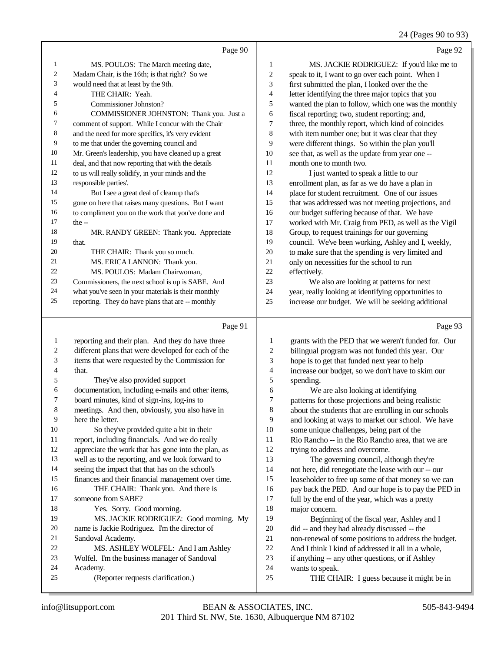#### 24 (Pages 90 to 93)

|    | Page 90                                             |    | Page 92                                              |
|----|-----------------------------------------------------|----|------------------------------------------------------|
| 1  | MS. POULOS: The March meeting date,                 | 1  | MS. JACKIE RODRIGUEZ: If you'd like me to            |
| 2  | Madam Chair, is the 16th; is that right? So we      | 2  | speak to it, I want to go over each point. When I    |
| 3  | would need that at least by the 9th.                | 3  | first submitted the plan, I looked over the the      |
| 4  | THE CHAIR: Yeah.                                    | 4  | letter identifying the three major topics that you   |
| 5  | Commissioner Johnston?                              | 5  | wanted the plan to follow, which one was the monthly |
| 6  | COMMISSIONER JOHNSTON: Thank you. Just a            | 6  | fiscal reporting; two, student reporting; and,       |
| 7  | comment of support. While I concur with the Chair   | 7  | three, the monthly report, which kind of coincides   |
| 8  | and the need for more specifics, it's very evident  | 8  | with item number one; but it was clear that they     |
| 9  | to me that under the governing council and          | 9  | were different things. So within the plan you'll     |
| 10 | Mr. Green's leadership, you have cleaned up a great | 10 | see that, as well as the update from year one --     |
| 11 | deal, and that now reporting that with the details  | 11 | month one to month two.                              |
| 12 | to us will really solidify, in your minds and the   | 12 | I just wanted to speak a little to our               |
| 13 | responsible parties'.                               | 13 | enrollment plan, as far as we do have a plan in      |
| 14 | But I see a great deal of cleanup that's            | 14 | place for student recruitment. One of our issues     |
| 15 | gone on here that raises many questions. But I want | 15 | that was addressed was not meeting projections, and  |
| 16 | to compliment you on the work that you've done and  | 16 | our budget suffering because of that. We have        |
| 17 | the $-$                                             | 17 | worked with Mr. Craig from PED, as well as the Vigil |
| 18 | MR. RANDY GREEN: Thank you. Appreciate              | 18 | Group, to request trainings for our governing        |
| 19 | that.                                               | 19 | council. We've been working, Ashley and I, weekly,   |
| 20 | THE CHAIR: Thank you so much.                       | 20 | to make sure that the spending is very limited and   |
| 21 | MS. ERICA LANNON: Thank you.                        | 21 | only on necessities for the school to run            |
| 22 | MS. POULOS: Madam Chairwoman.                       | 22 | effectively.                                         |
| 23 | Commissioners, the next school is up is SABE. And   | 23 | We also are looking at patterns for next             |
| 24 | what you've seen in your materials is their monthly | 24 | year, really looking at identifying opportunities to |
| 25 | reporting. They do have plans that are -- monthly   | 25 | increase our budget. We will be seeking additional   |
|    | Page 91                                             |    | Page 93                                              |

#### Page 91

 reporting and their plan. And they do have three different plans that were developed for each of the items that were requested by the Commission for that. They've also provided support documentation, including e-mails and other items, board minutes, kind of sign-ins, log-ins to meetings. And then, obviously, you also have in here the letter. So they've provided quite a bit in their report, including financials. And we do really appreciate the work that has gone into the plan, as well as to the reporting, and we look forward to seeing the impact that that has on the school's finances and their financial management over time. 16 THE CHAIR: Thank you. And there is someone from SABE? Yes. Sorry. Good morning. MS. JACKIE RODRIGUEZ: Good morning. My name is Jackie Rodriguez. I'm the director of Sandoval Academy. MS. ASHLEY WOLFEL: And I am Ashley Wolfel. I'm the business manager of Sandoval Academy. (Reporter requests clarification.) grants with the PED that we weren't funded for. Our bilingual program was not funded this year. Our hope is to get that funded next year to help increase our budget, so we don't have to skim our spending. We are also looking at identifying patterns for those projections and being realistic about the students that are enrolling in our schools and looking at ways to market our school. We have some unique challenges, being part of the Rio Rancho -- in the Rio Rancho area, that we are trying to address and overcome. The governing council, although they're not here, did renegotiate the lease with our -- our leaseholder to free up some of that money so we can pay back the PED. And our hope is to pay the PED in full by the end of the year, which was a pretty major concern. Beginning of the fiscal year, Ashley and I did -- and they had already discussed -- the non-renewal of some positions to address the budget. And I think I kind of addressed it all in a whole, if anything -- any other questions, or if Ashley wants to speak. THE CHAIR: I guess because it might be in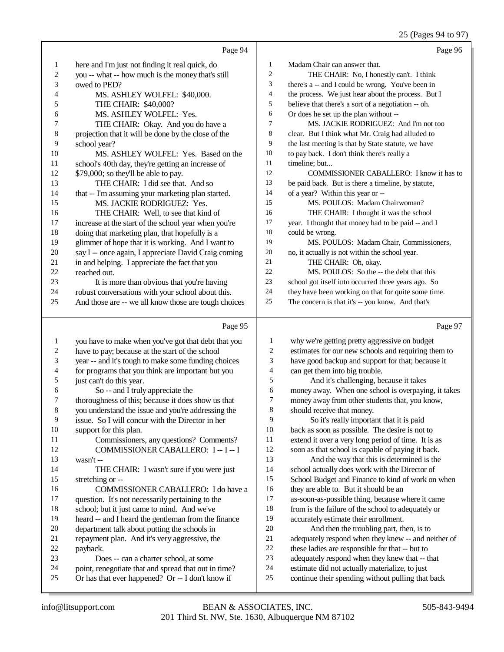|                  |                                                      |                          | 25 (Pages 94 to 97)                                 |
|------------------|------------------------------------------------------|--------------------------|-----------------------------------------------------|
|                  | Page 94                                              |                          | Page 96                                             |
| $\mathbf{1}$     | here and I'm just not finding it real quick, do      | 1                        | Madam Chair can answer that.                        |
| $\boldsymbol{2}$ | you -- what -- how much is the money that's still    | $\boldsymbol{2}$         | THE CHAIR: No, I honestly can't. I think            |
| 3                | owed to PED?                                         | 3                        | there's a -- and I could be wrong. You've been in   |
| 4                | MS. ASHLEY WOLFEL: \$40,000.                         | $\overline{\mathcal{L}}$ | the process. We just hear about the process. But I  |
| 5                | THE CHAIR: \$40,000?                                 | 5                        | believe that there's a sort of a negotiation -- oh. |
| 6                | MS. ASHLEY WOLFEL: Yes.                              | 6                        | Or does he set up the plan without --               |
| 7                | THE CHAIR: Okay. And you do have a                   | 7                        | MS. JACKIE RODRIGUEZ: And I'm not too               |
| $\,$ 8 $\,$      | projection that it will be done by the close of the  | 8                        | clear. But I think what Mr. Craig had alluded to    |
| 9                | school year?                                         | 9                        | the last meeting is that by State statute, we have  |
| 10               | MS. ASHLEY WOLFEL: Yes. Based on the                 | 10                       | to pay back. I don't think there's really a         |
| 11               | school's 40th day, they're getting an increase of    | 11                       | timeline; but                                       |
| 12               | \$79,000; so they'll be able to pay.                 | 12                       | COMMISSIONER CABALLERO: I know it has to            |
| 13               | THE CHAIR: I did see that. And so                    | 13                       | be paid back. But is there a timeline, by statute,  |
| 14               | that -- I'm assuming your marketing plan started.    | 14                       | of a year? Within this year or --                   |
| 15               | MS. JACKIE RODRIGUEZ: Yes.                           | 15                       | MS. POULOS: Madam Chairwoman?                       |
| 16               | THE CHAIR: Well, to see that kind of                 | 16                       | THE CHAIR: I thought it was the school              |
| 17               | increase at the start of the school year when you're | 17                       | year. I thought that money had to be paid -- and I  |
| 18               | doing that marketing plan, that hopefully is a       | 18                       | could be wrong.                                     |
| 19               | glimmer of hope that it is working. And I want to    | 19                       | MS. POULOS: Madam Chair, Commissioners,             |
| $20\,$           | say I -- once again, I appreciate David Craig coming | 20                       | no, it actually is not within the school year.      |
| 21               | in and helping. I appreciate the fact that you       | 21                       | THE CHAIR: Oh, okay.                                |
| $22\,$           | reached out.                                         | $22\,$                   | MS. POULOS: So the -- the debt that this            |
| 23               | It is more than obvious that you're having           | 23                       | school got itself into occurred three years ago. So |
| 24               | robust conversations with your school about this.    | 24                       | they have been working on that for quite some time. |
| 25               | And those are -- we all know those are tough choices | 25                       | The concern is that it's -- you know. And that's    |
|                  |                                                      |                          |                                                     |
|                  | Page 95                                              |                          | Page 97                                             |
| $\mathbf{1}$     | you have to make when you've got that debt that you  | $\mathbf{1}$             | why we're getting pretty aggressive on budget       |
| $\boldsymbol{2}$ | have to pay; because at the start of the school      | 2                        | estimates for our new schools and requiring them to |
| 3                | year -- and it's tough to make some funding choices  | 3                        | have good backup and support for that; because it   |
| 4                | for programs that you think are important but you    | $\overline{\mathcal{L}}$ | can get them into big trouble.                      |
| 5                | just can't do this year.                             | 5                        | And it's challenging, because it takes              |
| 6                | So -- and I truly appreciate the                     | 6                        | money away. When one school is overpaying, it takes |
| 7                | thoroughness of this; because it does show us that   | $\overline{7}$           | money away from other students that, you know,      |
| $\,$ 8 $\,$      | you understand the issue and you're addressing the   | 8                        | should receive that money.                          |
| 9                | issue. So I will concur with the Director in her     | 9                        | So it's really important that it is paid            |
| 10               | support for this plan.                               | 10                       | back as soon as possible. The desire is not to      |
| 11               | Commissioners, any questions? Comments?              | 11                       | extend it over a very long period of time. It is as |
| 12               | COMMISSIONER CABALLERO: I -- I -- I                  | 12                       | soon as that school is capable of paying it back.   |
| 13               | wasn't --                                            | 13                       | And the way that this is determined is the          |
| 14               | THE CHAIR: I wasn't sure if you were just            | 14                       | school actually does work with the Director of      |
| 15               | stretching or --                                     | 15                       | School Budget and Finance to kind of work on when   |
| 16               | COMMISSIONER CABALLERO: I do have a                  | 16                       | they are able to. But it should be an               |
| 17               | question. It's not necessarily pertaining to the     | 17                       | as-soon-as-possible thing, because where it came    |
| 18               | school; but it just came to mind. And we've          | 18                       | from is the failure of the school to adequately or  |
| 19               | heard -- and I heard the gentleman from the finance  | 19                       | accurately estimate their enrollment.               |
| 20               | department talk about putting the schools in         | 20                       | And then the troubling part, then, is to            |
| 21               | repayment plan. And it's very aggressive, the        | $21\,$                   | adequately respond when they knew -- and neither of |
| 22               | payback.                                             | $22\,$                   | these ladies are responsible for that -- but to     |
| 23               | Does -- can a charter school, at some                | 23                       | adequately respond when they knew that -- that      |
|                  |                                                      |                          |                                                     |

24 point, renegotiate that and spread that out in time?<br>25 Or has that ever happened? Or -- I don't know if Or has that ever happened? Or -- I don't know if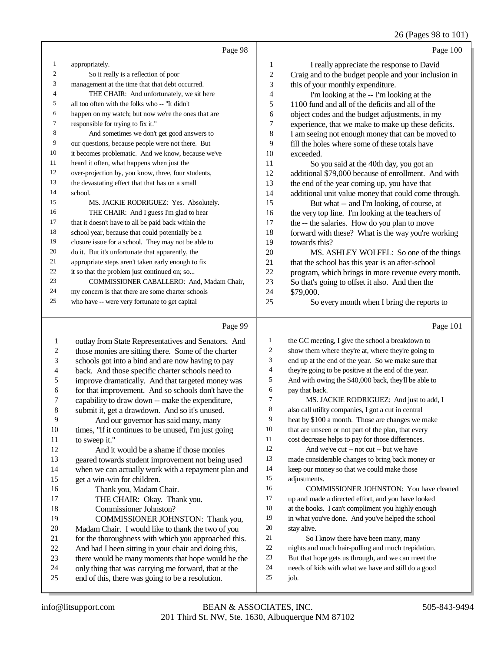## 26 (Pages 98 to 101)

|                | Page 98                                             |                | Page 100                                             |
|----------------|-----------------------------------------------------|----------------|------------------------------------------------------|
| $\mathbf{1}$   | appropriately.                                      | 1              | I really appreciate the response to David            |
| 2              | So it really is a reflection of poor                | $\mathfrak{2}$ | Craig and to the budget people and your inclusion in |
| 3              | management at the time that that debt occurred.     | 3              | this of your monthly expenditure.                    |
| $\overline{4}$ | THE CHAIR: And unfortunately, we sit here           | 4              | I'm looking at the -- I'm looking at the             |
| 5              | all too often with the folks who -- "It didn't      | 5              | 1100 fund and all of the deficits and all of the     |
| 6              | happen on my watch; but now we're the ones that are | 6              | object codes and the budget adjustments, in my       |
| 7              | responsible for trying to fix it."                  | $\tau$         | experience, that we make to make up these deficits.  |
| 8              | And sometimes we don't get good answers to          | 8              | I am seeing not enough money that can be moved to    |
| 9              | our questions, because people were not there. But   | 9              | fill the holes where some of these totals have       |
| 10             | it becomes problematic. And we know, because we've  | 10             | exceeded.                                            |
| 11             | heard it often, what happens when just the          | 11             | So you said at the 40th day, you got an              |
| 12             | over-projection by, you know, three, four students, | 12             | additional \$79,000 because of enrollment. And with  |
| 13             | the devastating effect that that has on a small     | 13             | the end of the year coming up, you have that         |
| 14             | school.                                             | 14             | additional unit value money that could come through. |
| 15             | MS. JACKIE RODRIGUEZ: Yes. Absolutely.              | 15             | But what -- and I'm looking, of course, at           |
| 16             | THE CHAIR: And I guess I'm glad to hear             | 16             | the very top line. I'm looking at the teachers of    |
| 17             | that it doesn't have to all be paid back within the | 17             | the -- the salaries. How do you plan to move         |
| 18             | school year, because that could potentially be a    | 18             | forward with these? What is the way you're working   |
| 19             | closure issue for a school. They may not be able to | 19             | towards this?                                        |
| 20             | do it. But it's unfortunate that apparently, the    | 20             | MS. ASHLEY WOLFEL: So one of the things              |
| 21             | appropriate steps aren't taken early enough to fix  | 21             | that the school has this year is an after-school     |
| 22             | it so that the problem just continued on; so        | 22             | program, which brings in more revenue every month.   |
| 23             | COMMISSIONER CABALLERO: And, Madam Chair,           | 23             | So that's going to offset it also. And then the      |
| 24             | my concern is that there are some charter schools   | 24             | \$79,000.                                            |
| 25             | who have -- were very fortunate to get capital      | 25             | So every month when I bring the reports to           |

# Page 99 |

| 1  | outlay from State Representatives and Senators. And  | 1  | the GC meeting, I give the school a breakdown to     |
|----|------------------------------------------------------|----|------------------------------------------------------|
| 2  | those monies are sitting there. Some of the charter  | 2  | show them where they're at, where they're going to   |
| 3  | schools got into a bind and are now having to pay    | 3  | end up at the end of the year. So we make sure that  |
| 4  | back. And those specific charter schools need to     | 4  | they're going to be positive at the end of the year. |
| 5  | improve dramatically. And that targeted money was    | 5  | And with owing the \$40,000 back, they'll be able to |
| 6  | for that improvement. And so schools don't have the  | 6  | pay that back.                                       |
| 7  | capability to draw down -- make the expenditure,     | 7  | MS. JACKIE RODRIGUEZ: And just to add, I             |
| 8  | submit it, get a drawdown. And so it's unused.       | 8  | also call utility companies, I got a cut in central  |
| 9  | And our governor has said many, many                 | 9  | heat by \$100 a month. Those are changes we make     |
| 10 | times, "If it continues to be unused, I'm just going | 10 | that are unseen or not part of the plan, that every  |
| 11 | to sweep it."                                        | 11 | cost decrease helps to pay for those differences.    |
| 12 | And it would be a shame if those monies              | 12 | And we've cut -- not cut -- but we have              |
| 13 | geared towards student improvement not being used    | 13 | made considerable changes to bring back money or     |
| 14 | when we can actually work with a repayment plan and  | 14 | keep our money so that we could make those           |
| 15 | get a win-win for children.                          | 15 | adjustments.                                         |
| 16 | Thank you, Madam Chair.                              | 16 | COMMISSIONER JOHNSTON: You have cleaned              |
| 17 | THE CHAIR: Okay. Thank you.                          | 17 | up and made a directed effort, and you have looked   |
| 18 | Commissioner Johnston?                               | 18 | at the books. I can't compliment you highly enough   |
| 19 | COMMISSIONER JOHNSTON: Thank you,                    | 19 | in what you've done. And you've helped the school    |
| 20 | Madam Chair. I would like to thank the two of you    | 20 | stay alive.                                          |
| 21 | for the thoroughness with which you approached this. | 21 | So I know there have been many, many                 |
| 22 | And had I been sitting in your chair and doing this, | 22 | nights and much hair-pulling and much trepidation.   |
| 23 | there would be many moments that hope would be the   | 23 | But that hope gets us through, and we can meet the   |
| 24 | only thing that was carrying me forward, that at the | 24 | needs of kids with what we have and still do a good  |
| 25 | end of this, there was going to be a resolution.     | 25 | job.                                                 |
|    |                                                      |    |                                                      |

Page 101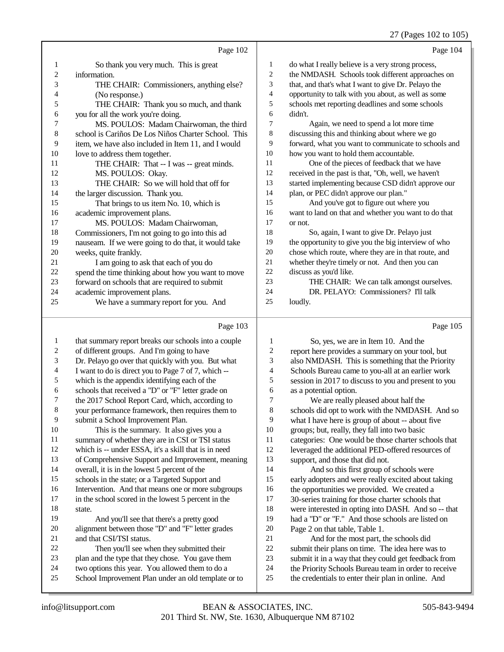## 27 (Pages 102 to 105)

|    | Page 102                                            |                | Page 104                                             |
|----|-----------------------------------------------------|----------------|------------------------------------------------------|
| 1  | So thank you very much. This is great               | 1              | do what I really believe is a very strong process,   |
| 2  | information.                                        | $\overline{c}$ | the NMDASH. Schools took different approaches on     |
| 3  | THE CHAIR: Commissioners, anything else?            | 3              | that, and that's what I want to give Dr. Pelayo the  |
| 4  | (No response.)                                      | 4              | opportunity to talk with you about, as well as some  |
| 5  | THE CHAIR: Thank you so much, and thank             | 5              | schools met reporting deadlines and some schools     |
| 6  | you for all the work you're doing.                  | 6              | didn't.                                              |
| 7  | MS. POULOS: Madam Chairwoman, the third             | 7              | Again, we need to spend a lot more time              |
| 8  | school is Cariños De Los Niños Charter School. This | 8              | discussing this and thinking about where we go       |
| 9  | item, we have also included in Item 11, and I would | 9              | forward, what you want to communicate to schools and |
| 10 | love to address them together.                      | 10             | how you want to hold them accountable.               |
| 11 | THE CHAIR: That -- I was -- great minds.            | 11             | One of the pieces of feedback that we have           |
| 12 | MS. POULOS: Okay.                                   | 12             | received in the past is that, "Oh, well, we haven't  |
| 13 | THE CHAIR: So we will hold that off for             | 13             | started implementing because CSD didn't approve our  |
| 14 | the larger discussion. Thank you.                   | 14             | plan, or PEC didn't approve our plan."               |
| 15 | That brings to us item No. 10, which is             | 15             | And you've got to figure out where you               |
| 16 | academic improvement plans.                         | 16             | want to land on that and whether you want to do that |
| 17 | MS. POULOS: Madam Chairwoman,                       | 17             | or not.                                              |
| 18 | Commissioners, I'm not going to go into this ad     | 18             | So, again, I want to give Dr. Pelayo just            |
| 19 | nauseam. If we were going to do that, it would take | 19             | the opportunity to give you the big interview of who |
| 20 | weeks, quite frankly.                               | 20             | chose which route, where they are in that route, and |
| 21 | I am going to ask that each of you do               | 21             | whether they're timely or not. And then you can      |
| 22 | spend the time thinking about how you want to move  | 22             | discuss as you'd like.                               |
| 23 | forward on schools that are required to submit      | 23             | THE CHAIR: We can talk amongst ourselves.            |
| 24 | academic improvement plans.                         | 24             | DR. PELAYO: Commissioners? I'll talk                 |
| 25 | We have a summary report for you. And               | 25             | loudly.                                              |
|    | Page 103                                            |                | Page 105                                             |

|    | $1 \mu_{5}$ $0 \mu_{3}$                              |    | $1 \mu_{5}$ $0 \sigma$                               |
|----|------------------------------------------------------|----|------------------------------------------------------|
| 1  | that summary report breaks our schools into a couple | 1  | So, yes, we are in Item 10. And the                  |
| 2  | of different groups. And I'm going to have           | 2  | report here provides a summary on your tool, but     |
| 3  | Dr. Pelayo go over that quickly with you. But what   | 3  | also NMDASH. This is something that the Priority     |
| 4  | I want to do is direct you to Page 7 of 7, which --  | 4  | Schools Bureau came to you-all at an earlier work    |
| 5  | which is the appendix identifying each of the        | 5  | session in 2017 to discuss to you and present to you |
| 6  | schools that received a "D" or "F" letter grade on   | 6  | as a potential option.                               |
| 7  | the 2017 School Report Card, which, according to     | 7  | We are really pleased about half the                 |
| 8  | your performance framework, then requires them to    | 8  | schools did opt to work with the NMDASH. And so      |
| 9  | submit a School Improvement Plan.                    | 9  | what I have here is group of about -- about five     |
| 10 | This is the summary. It also gives you a             | 10 | groups; but, really, they fall into two basic        |
| 11 | summary of whether they are in CSI or TSI status     | 11 | categories: One would be those charter schools that  |
| 12 | which is -- under ESSA, it's a skill that is in need | 12 | leveraged the additional PED-offered resources of    |
| 13 | of Comprehensive Support and Improvement, meaning    | 13 | support, and those that did not.                     |
| 14 | overall, it is in the lowest 5 percent of the        | 14 | And so this first group of schools were              |
| 15 | schools in the state; or a Targeted Support and      | 15 | early adopters and were really excited about taking  |
| 16 | Intervention. And that means one or more subgroups   | 16 | the opportunities we provided. We created a          |
| 17 | in the school scored in the lowest 5 percent in the  | 17 | 30-series training for those charter schools that    |
| 18 | state.                                               | 18 | were interested in opting into DASH. And so -- that  |
| 19 | And you'll see that there's a pretty good            | 19 | had a "D" or "F." And those schools are listed on    |
| 20 | alignment between those "D" and "F" letter grades    | 20 | Page 2 on that table, Table 1.                       |
| 21 | and that CSI/TSI status.                             | 21 | And for the most part, the schools did               |
| 22 | Then you'll see when they submitted their            | 22 | submit their plans on time. The idea here was to     |
| 23 | plan and the type that they chose. You gave them     | 23 | submit it in a way that they could get feedback from |
| 24 | two options this year. You allowed them to do a      | 24 | the Priority Schools Bureau team in order to receive |
| 25 | School Improvement Plan under an old template or to  | 25 | the credentials to enter their plan in online. And   |
|    |                                                      |    |                                                      |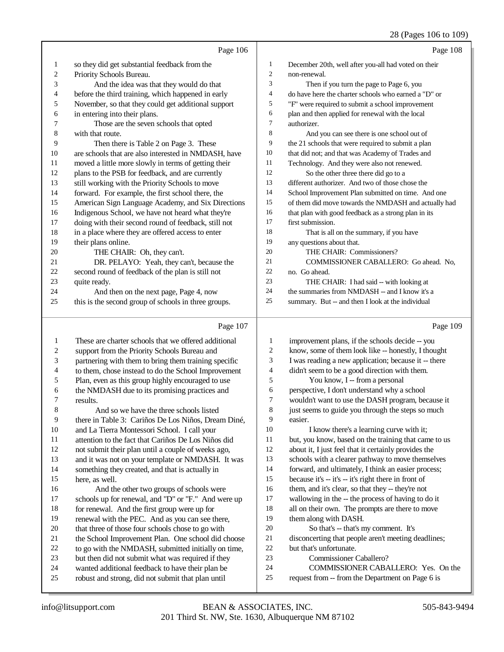|                         |                                                                                                             |                  | $20$ (1 ages 100 to 102)                                                                               |
|-------------------------|-------------------------------------------------------------------------------------------------------------|------------------|--------------------------------------------------------------------------------------------------------|
|                         | Page 106                                                                                                    |                  | Page 108                                                                                               |
| $\mathbf{1}$            | so they did get substantial feedback from the                                                               | 1                | December 20th, well after you-all had voted on their                                                   |
| $\overline{\mathbf{c}}$ | Priority Schools Bureau.                                                                                    | $\boldsymbol{2}$ | non-renewal.                                                                                           |
| 3                       | And the idea was that they would do that                                                                    | 3                | Then if you turn the page to Page 6, you                                                               |
| 4                       | before the third training, which happened in early                                                          | 4                | do have here the charter schools who earned a "D" or                                                   |
| 5                       | November, so that they could get additional support                                                         | 5                | "F" were required to submit a school improvement                                                       |
| 6                       | in entering into their plans.                                                                               | 6                | plan and then applied for renewal with the local                                                       |
| 7                       | Those are the seven schools that opted                                                                      | $\overline{7}$   | authorizer.                                                                                            |
| 8                       | with that route.                                                                                            | 8                | And you can see there is one school out of                                                             |
| 9                       | Then there is Table 2 on Page 3. These                                                                      | 9                | the 21 schools that were required to submit a plan                                                     |
| 10                      | are schools that are also interested in NMDASH, have                                                        | 10               | that did not; and that was Academy of Trades and                                                       |
| 11                      | moved a little more slowly in terms of getting their                                                        | 11               | Technology. And they were also not renewed.                                                            |
| 12                      | plans to the PSB for feedback, and are currently                                                            | 12               | So the other three there did go to a                                                                   |
| 13                      | still working with the Priority Schools to move                                                             | 13               | different authorizer. And two of those chose the                                                       |
| 14                      | forward. For example, the first school there, the                                                           | 14               | School Improvement Plan submitted on time. And one                                                     |
| 15                      | American Sign Language Academy, and Six Directions                                                          | 15               | of them did move towards the NMDASH and actually had                                                   |
| 16                      | Indigenous School, we have not heard what they're                                                           | 16               | that plan with good feedback as a strong plan in its                                                   |
| 17                      | doing with their second round of feedback, still not                                                        | 17               | first submission.                                                                                      |
| 18                      | in a place where they are offered access to enter                                                           | 18               | That is all on the summary, if you have                                                                |
| 19                      | their plans online.                                                                                         | 19               | any questions about that.                                                                              |
| 20                      | THE CHAIR: Oh, they can't.                                                                                  | $20\,$           | THE CHAIR: Commissioners?                                                                              |
| 21                      | DR. PELAYO: Yeah, they can't, because the                                                                   | 21               | COMMISSIONER CABALLERO: Go ahead. No,                                                                  |
| 22                      | second round of feedback of the plan is still not                                                           | $22\,$           | no. Go ahead.                                                                                          |
| 23                      | quite ready.                                                                                                | 23               | THE CHAIR: I had said -- with looking at                                                               |
| 24                      | And then on the next page, Page 4, now                                                                      | 24               | the summaries from NMDASH -- and I know it's a                                                         |
| 25                      | this is the second group of schools in three groups.                                                        | 25               | summary. But -- and then I look at the individual                                                      |
|                         |                                                                                                             |                  |                                                                                                        |
|                         | Page 107                                                                                                    |                  | Page 109                                                                                               |
| $\mathbf{1}$            |                                                                                                             | 1                |                                                                                                        |
| $\overline{c}$          | These are charter schools that we offered additional                                                        | 2                | improvement plans, if the schools decide -- you<br>know, some of them look like -- honestly, I thought |
| 3                       | support from the Priority Schools Bureau and                                                                | 3                | I was reading a new application; because it -- there                                                   |
| 4                       | partnering with them to bring them training specific<br>to them, chose instead to do the School Improvement | 4                | didn't seem to be a good direction with them.                                                          |
| 5                       | Plan, even as this group highly encouraged to use                                                           | 5                | You know, I -- from a personal                                                                         |
| 6                       | the NMDASH due to its promising practices and                                                               | 6                | perspective, I don't understand why a school                                                           |
| 7                       | results.                                                                                                    | 7                | wouldn't want to use the DASH program, because it                                                      |
| $\,8\,$                 | And so we have the three schools listed                                                                     | 8                | just seems to guide you through the steps so much                                                      |
| 9                       | there in Table 3: Cariños De Los Niños, Dream Diné,                                                         | 9                | easier.                                                                                                |
| 10                      | and La Tierra Montessori School. I call your                                                                | 10               | I know there's a learning curve with it;                                                               |
| 11                      | attention to the fact that Cariños De Los Niños did                                                         | 11               | but, you know, based on the training that came to us                                                   |
| 12                      | not submit their plan until a couple of weeks ago,                                                          | 12               | about it, I just feel that it certainly provides the                                                   |
| 13                      | and it was not on your template or NMDASH. It was                                                           | 13               | schools with a clearer pathway to move themselves                                                      |
| 14                      | something they created, and that is actually in                                                             | 14               | forward, and ultimately, I think an easier process;                                                    |
| 15                      | here, as well.                                                                                              | 15               | because it's -- it's -- it's right there in front of                                                   |
| 16                      | And the other two groups of schools were                                                                    | 16               | them, and it's clear, so that they -- they're not                                                      |
| 17                      | schools up for renewal, and "D" or "F." And were up                                                         | $17\,$           | wallowing in the -- the process of having to do it                                                     |
| 18                      | for renewal. And the first group were up for                                                                | 18               | all on their own. The prompts are there to move                                                        |
| 19                      | renewal with the PEC. And as you can see there,                                                             | 19               | them along with DASH.                                                                                  |
| $20\,$                  | that three of those four schools chose to go with                                                           | 20               | So that's -- that's my comment. It's                                                                   |
| 21                      | the School Improvement Plan. One school did choose                                                          | $21\,$           | disconcerting that people aren't meeting deadlines;                                                    |
| 22                      | to go with the NMDASH, submitted initially on time,                                                         | $22\,$           | but that's unfortunate.                                                                                |
| $23\,$                  | but then did not submit what was required if they                                                           | 23               | Commissioner Caballero?                                                                                |
| 24<br>25                | wanted additional feedback to have their plan be<br>robust and strong, did not submit that plan until       | 24<br>25         | COMMISSIONER CABALLERO: Yes. On the<br>request from -- from the Department on Page 6 is                |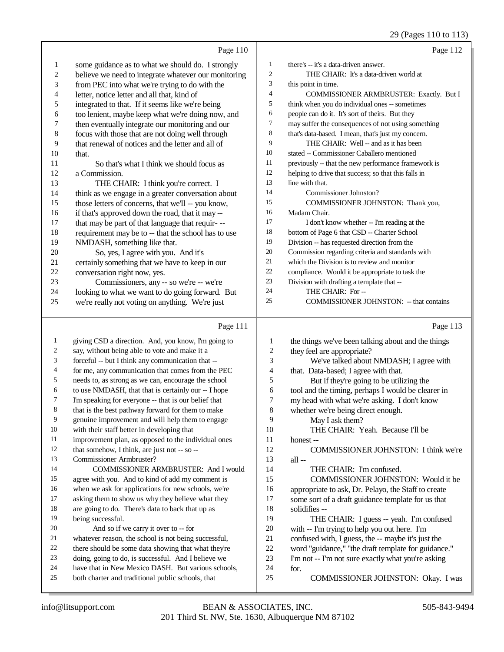### 29 (Pages 110 to 113)

|                  | Page 110                                             |                | Page 112                                             |
|------------------|------------------------------------------------------|----------------|------------------------------------------------------|
| 1                | some guidance as to what we should do. I strongly    | $\mathbf{1}$   | there's -- it's a data-driven answer.                |
| $\sqrt{2}$       | believe we need to integrate whatever our monitoring | $\overline{c}$ | THE CHAIR: It's a data-driven world at               |
| 3                | from PEC into what we're trying to do with the       | 3              | this point in time.                                  |
| $\overline{4}$   | letter, notice letter and all that, kind of          | 4              | COMMISSIONER ARMBRUSTER: Exactly. But I              |
| 5                | integrated to that. If it seems like we're being     | 5              | think when you do individual ones -- sometimes       |
| 6                | too lenient, maybe keep what we're doing now, and    | 6              | people can do it. It's sort of theirs. But they      |
| $\boldsymbol{7}$ | then eventually integrate our monitoring and our     | 7              | may suffer the consequences of not using something   |
| $\,$ 8 $\,$      | focus with those that are not doing well through     | 8              | that's data-based. I mean, that's just my concern.   |
| 9                | that renewal of notices and the letter and all of    | 9              | THE CHAIR: Well -- and as it has been                |
| 10               | that.                                                | 10             | stated -- Commissioner Caballero mentioned           |
| 11               | So that's what I think we should focus as            | 11             | previously -- that the new performance framework is  |
| 12               | a Commission.                                        | 12             | helping to drive that success; so that this falls in |
| 13               | THE CHAIR: I think you're correct. I                 | 13             | line with that.                                      |
| 14               | think as we engage in a greater conversation about   | 14             | Commissioner Johnston?                               |
| 15               | those letters of concerns, that we'll -- you know,   | 15             | COMMISSIONER JOHNSTON: Thank you,                    |
| 16               | if that's approved down the road, that it may --     | 16             | Madam Chair.                                         |
| 17               | that may be part of that language that requir---     | 17             | I don't know whether -- I'm reading at the           |
| 18               | requirement may be to -- that the school has to use  | 18             | bottom of Page 6 that CSD -- Charter School          |
| 19               | NMDASH, something like that.                         | 19             | Division -- has requested direction from the         |
| $20\,$           | So, yes, I agree with you. And it's                  | 20             | Commission regarding criteria and standards with     |
| 21               | certainly something that we have to keep in our      | 21             | which the Division is to review and monitor          |
| 22               | conversation right now, yes.                         | 22             | compliance. Would it be appropriate to task the      |
| 23               | Commissioners, any -- so we're -- we're              | 23             | Division with drafting a template that --            |
| 24               | looking to what we want to do going forward. But     | 24             | THE CHAIR: For --                                    |
| 25               | we're really not voting on anything. We're just      | 25             | COMMISSIONER JOHNSTON: -- that contains              |
|                  |                                                      |                |                                                      |
|                  | Page 111                                             |                | Page 113                                             |
| 1                | giving CSD a direction. And, you know, I'm going to  | 1              | the things we've been talking about and the things   |
| 2                | say, without being able to vote and make it a        | $\overline{c}$ | they feel are appropriate?                           |
| 3                | forceful -- but I think any communication that --    | 3              | We've talked about NMDASH; I agree with              |
| 4                | for me, any communication that comes from the PEC    | 4              | that. Data-based; I agree with that.                 |
| 5                | needs to, as strong as we can, encourage the school  | 5              | But if they're going to be utilizing the             |
| 6                | to use NMDASH, that that is certainly our -- I hope  | 6              | tool and the timing, perhaps I would be clearer in   |
| 7                | I'm speaking for everyone -- that is our belief that | 7              | my head with what we're asking. I don't know         |
| 8                | that is the best pathway forward for them to make    | $\,8\,$        | whether we're being direct enough.                   |
| 9                | genuine improvement and will help them to engage     | 9              | May I ask them?                                      |
| 10               | with their staff better in developing that           | 10             | THE CHAIR: Yeah. Because I'll be                     |
| 11               | improvement plan, as opposed to the individual ones  | 11             | honest-                                              |
| 12               | that somehow, I think, are just not -- so --         | 12             | COMMISSIONER JOHNSTON: I think we're                 |
| 13               | Commissioner Armbruster?                             | 13             | all-                                                 |
| 14               | COMMISSIONER ARMBRUSTER: And I would                 | 14             | THE CHAIR: I'm confused.                             |

- COMMISSIONER ARMBRUSTER: And I would agree with you. And to kind of add my comment is
- when we ask for applications for new schools, we're
- asking them to show us why they believe what they
- 18 are going to do. There's data to back that up as<br>19 being successful. being successful.
- 20 And so if we carry it over to -- for
- 
- 21 whatever reason, the school is not being successful,<br>22 there should be some data showing that what they're 22 there should be some data showing that what they're  $\frac{23}{1000}$  doing only to do, is successful. And I believe we
- doing, going to do, is successful. And I believe we
- 24 have that in New Mexico DASH. But various schools,<br>25 hoth charter and traditional public schools that
- both charter and traditional public schools, that
- 18 solidifies --<br>19 THE THE CHAIR: I guess -- yeah. I'm confused 20 with -- I'm trying to help you out here. I'm<br>21 confused with. I guess, the -- maybe it's just

 COMMISSIONER JOHNSTON: Would it be 16 appropriate to ask, Dr. Pelayo, the Staff to create<br>17 some sort of a draft guidance template for us that some sort of a draft guidance template for us that

- 21 confused with, I guess, the -- maybe it's just the 22 word "guidance." "the draft template for guidance
- 22 word "guidance," "the draft template for guidance."<br>
23 I'm not -- I'm not sure exactly what you're asking
- 23 I'm not -- I'm not sure exactly what you're asking<br>24 for. for.
- COMMISSIONER JOHNSTON: Okay. I was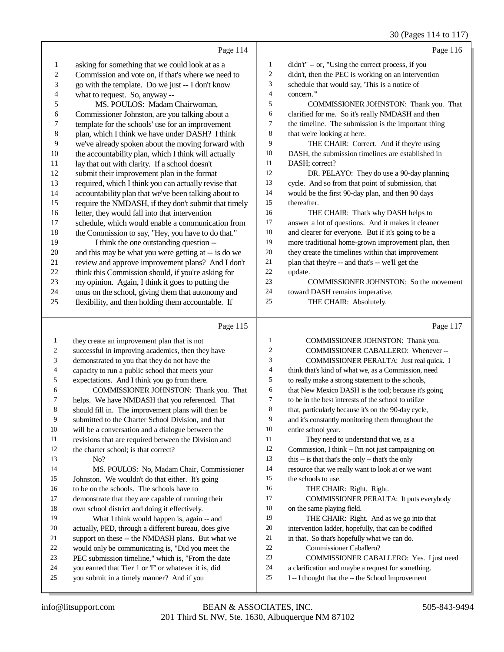30 (Pages 114 to 117)

|                |                                                                                                       |                | 30 (Fages 114 to 117                                                     |
|----------------|-------------------------------------------------------------------------------------------------------|----------------|--------------------------------------------------------------------------|
|                | Page 114                                                                                              |                | Page 116                                                                 |
| $\mathbf{1}$   | asking for something that we could look at as a                                                       | 1              | didn't" -- or, "Using the correct process, if you                        |
| $\overline{c}$ | Commission and vote on, if that's where we need to                                                    | $\overline{2}$ | didn't, then the PEC is working on an intervention                       |
| 3              | go with the template. Do we just -- I don't know                                                      | 3              | schedule that would say, This is a notice of                             |
| 4              | what to request. So, anyway --                                                                        | $\overline{4}$ | concern.""                                                               |
| 5              | MS. POULOS: Madam Chairwoman,                                                                         | 5              | COMMISSIONER JOHNSTON: Thank you. That                                   |
| 6              | Commissioner Johnston, are you talking about a                                                        | 6              | clarified for me. So it's really NMDASH and then                         |
| 7              | template for the schools' use for an improvement                                                      | 7              | the timeline. The submission is the important thing                      |
| $\,8\,$        | plan, which I think we have under DASH? I think                                                       | 8              | that we're looking at here.                                              |
| $\overline{9}$ | we've already spoken about the moving forward with                                                    | 9              | THE CHAIR: Correct. And if they're using                                 |
| 10             | the accountability plan, which I think will actually                                                  | 10             | DASH, the submission timelines are established in                        |
| 11             | lay that out with clarity. If a school doesn't                                                        | 11             | DASH; correct?                                                           |
| 12             | submit their improvement plan in the format                                                           | 12             | DR. PELAYO: They do use a 90-day planning                                |
| 13             | required, which I think you can actually revise that                                                  | 13             | cycle. And so from that point of submission, that                        |
| 14             | accountability plan that we've been talking about to                                                  | 14             | would be the first 90-day plan, and then 90 days                         |
| 15             | require the NMDASH, if they don't submit that timely                                                  | 15             | thereafter.                                                              |
| 16             | letter, they would fall into that intervention                                                        | 16             | THE CHAIR: That's why DASH helps to                                      |
| 17             | schedule, which would enable a communication from                                                     | 17             | answer a lot of questions. And it makes it cleaner                       |
| 18             | the Commission to say, "Hey, you have to do that."                                                    | 18             | and clearer for everyone. But if it's going to be a                      |
| 19             | I think the one outstanding question --                                                               | 19             | more traditional home-grown improvement plan, then                       |
| 20             | and this may be what you were getting at -- is do we                                                  | $20\,$         | they create the timelines within that improvement                        |
| 21             | review and approve improvement plans? And I don't                                                     | 21             | plan that they're -- and that's -- we'll get the                         |
| 22             | think this Commission should, if you're asking for                                                    | $22\,$         | update.                                                                  |
| 23             | my opinion. Again, I think it goes to putting the                                                     | 23             | COMMISSIONER JOHNSTON: So the movement                                   |
| 24             | onus on the school, giving them that autonomy and                                                     | 24             | toward DASH remains imperative.                                          |
| 25             | flexibility, and then holding them accountable. If                                                    | 25             | THE CHAIR: Absolutely.                                                   |
|                |                                                                                                       |                |                                                                          |
|                | Page 115                                                                                              |                | Page 117                                                                 |
| $\mathbf{1}$   | they create an improvement plan that is not                                                           |                |                                                                          |
|                |                                                                                                       | 1              |                                                                          |
| 2              |                                                                                                       | 2              | COMMISSIONER JOHNSTON: Thank you.<br>COMMISSIONER CABALLERO: Whenever -- |
| $\mathfrak{Z}$ | successful in improving academics, then they have                                                     | 3              | COMMISSIONER PERALTA: Just real quick. I                                 |
| 4              | demonstrated to you that they do not have the<br>capacity to run a public school that meets your      | 4              | think that's kind of what we, as a Commission, need                      |
| 5              | expectations. And I think you go from there.                                                          | 5              | to really make a strong statement to the schools,                        |
| 6              | COMMISSIONER JOHNSTON: Thank you. That                                                                | 6              | that New Mexico DASH is the tool; because it's going                     |
| 7              |                                                                                                       | $\tau$         | to be in the best interests of the school to utilize                     |
| 8              | helps. We have NMDASH that you referenced. That<br>should fill in. The improvement plans will then be | 8              | that, particularly because it's on the 90-day cycle,                     |
| 9              | submitted to the Charter School Division, and that                                                    | 9              | and it's constantly monitoring them throughout the                       |
| 10             | will be a conversation and a dialogue between the                                                     | $10\,$         | entire school year.                                                      |
| 11             | revisions that are required between the Division and                                                  | 11             | They need to understand that we, as a                                    |
| 12             | the charter school; is that correct?                                                                  | $12\,$         | Commission, I think -- I'm not just campaigning on                       |
| 13             | No?                                                                                                   | 13             | this -- is that that's the only -- that's the only                       |
| 14             | MS. POULOS: No, Madam Chair, Commissioner                                                             | 14             | resource that we really want to look at or we want                       |
| 15             | Johnston. We wouldn't do that either. It's going                                                      | $15\,$         | the schools to use.                                                      |
| 16             | to be on the schools. The schools have to                                                             | 16             | THE CHAIR: Right. Right.                                                 |
| 17             | demonstrate that they are capable of running their                                                    | 17             | COMMISSIONER PERALTA: It puts everybody                                  |
| 18             | own school district and doing it effectively.                                                         | $18\,$         | on the same playing field.                                               |
| 19             | What I think would happen is, again -- and                                                            | 19             | THE CHAIR: Right. And as we go into that                                 |
| 20             | actually, PED, through a different bureau, does give                                                  | 20             | intervention ladder, hopefully, that can be codified                     |
| 21             | support on these -- the NMDASH plans. But what we                                                     | $21\,$         | in that. So that's hopefully what we can do.                             |
| 22             | would only be communicating is, "Did you meet the                                                     | $22\,$         | Commissioner Caballero?                                                  |
| 23             | PEC submission timeline," which is, "From the date                                                    | $23\,$         | COMMISSIONER CABALLERO: Yes. I just need                                 |
| 24             | you earned that Tier 1 or F' or whatever it is, did                                                   | 24             | a clarification and maybe a request for something.                       |
| 25             | you submit in a timely manner? And if you                                                             | 25             | I-I thought that the -- the School Improvement                           |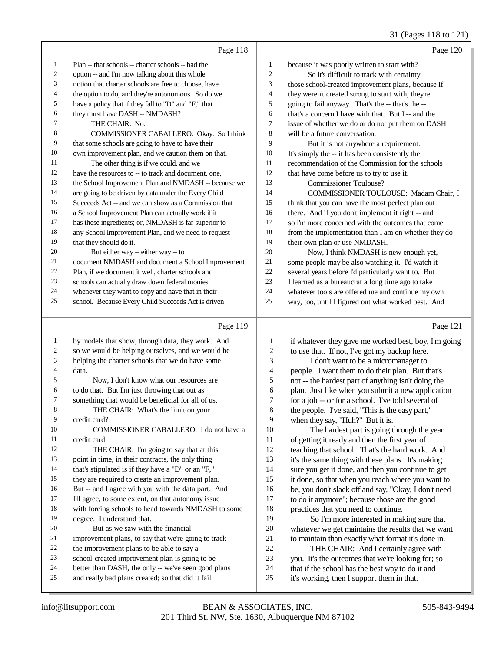|                          |                                                      |                          | 31 (Pages 118 to 121)                                |
|--------------------------|------------------------------------------------------|--------------------------|------------------------------------------------------|
|                          | Page 118                                             |                          | Page 120                                             |
| 1                        | Plan -- that schools -- charter schools -- had the   | $\mathbf{1}$             | because it was poorly written to start with?         |
| $\overline{c}$           | option -- and I'm now talking about this whole       | $\overline{2}$           | So it's difficult to track with certainty            |
| 3                        | notion that charter schools are free to choose, have | 3                        | those school-created improvement plans, because if   |
| 4                        | the option to do, and they're autonomous. So do we   | $\overline{\mathcal{L}}$ | they weren't created strong to start with, they're   |
| 5                        | have a policy that if they fall to "D" and "F," that | 5                        | going to fail anyway. That's the -- that's the --    |
| 6                        | they must have DASH -- NMDASH?                       | 6                        | that's a concern I have with that. But I -- and the  |
| 7                        | THE CHAIR: No.                                       | $\tau$                   | issue of whether we do or do not put them on DASH    |
| 8                        | COMMISSIONER CABALLERO: Okay. So I think             | 8                        | will be a future conversation.                       |
| 9                        | that some schools are going to have to have their    | 9                        | But it is not anywhere a requirement.                |
| 10                       | own improvement plan, and we caution them on that.   | 10                       | It's simply the -- it has been consistently the      |
| 11                       | The other thing is if we could, and we               | 11                       | recommendation of the Commission for the schools     |
| 12                       | have the resources to -- to track and document, one, | 12                       | that have come before us to try to use it.           |
| 13                       | the School Improvement Plan and NMDASH -- because we | 13                       | <b>Commissioner Toulouse?</b>                        |
| 14                       | are going to be driven by data under the Every Child | 14                       | COMMISSIONER TOULOUSE: Madam Chair, I                |
| 15                       | Succeeds Act -- and we can show as a Commission that | 15                       | think that you can have the most perfect plan out    |
| 16                       | a School Improvement Plan can actually work if it    | 16                       | there. And if you don't implement it right -- and    |
| 17                       | has these ingredients; or, NMDASH is far superior to | 17                       | so I'm more concerned with the outcomes that come    |
| 18                       | any School Improvement Plan, and we need to request  | 18                       | from the implementation than I am on whether they do |
| 19                       | that they should do it.                              | 19                       | their own plan or use NMDASH.                        |
| 20                       | But either way -- either way -- to                   | 20                       | Now, I think NMDASH is new enough yet,               |
| 21                       | document NMDASH and document a School Improvement    | 21                       | some people may be also watching it. I'd watch it    |
| 22                       | Plan, if we document it well, charter schools and    | 22                       | several years before I'd particularly want to. But   |
| 23                       | schools can actually draw down federal monies        | 23                       | I learned as a bureaucrat a long time ago to take    |
| 24                       | whenever they want to copy and have that in their    | 24                       | whatever tools are offered me and continue my own    |
| 25                       | school. Because Every Child Succeeds Act is driven   | 25                       | way, too, until I figured out what worked best. And  |
|                          |                                                      |                          |                                                      |
|                          | Page 119                                             |                          | Page 121                                             |
| 1                        | by models that show, through data, they work. And    | $\mathbf{1}$             | if whatever they gave me worked best, boy, I'm going |
| $\overline{c}$           | so we would be helping ourselves, and we would be    | $\overline{c}$           | to use that. If not, I've got my backup here.        |
| 3                        | helping the charter schools that we do have some     | 3                        | I don't want to be a micromanager to                 |
| $\overline{\mathcal{L}}$ | data.                                                | $\overline{4}$           | people. I want them to do their plan. But that's     |
| 5                        | Now, I don't know what our resources are.            | 5                        | not -- the hardest part of anything isn't doing the  |
| 6                        | to do that. But I'm just throwing that out as        | 6                        | plan. Just like when you submit a new application    |
| 7                        | something that would be beneficial for all of us.    | $\tau$                   | for a job -- or for a school. I've told several of   |
| 8                        | THE CHAIR: What's the limit on your                  | 8                        | the people. I've said, "This is the easy part,"      |
| 9                        | credit card?                                         | 9                        | when they say, "Huh?" But it is.                     |
| 10                       | COMMISSIONER CABALLERO: I do not have a              | 10                       | The hardest part is going through the year           |
| 11                       | credit card.                                         | 11                       | of getting it ready and then the first year of       |
| 12                       | THE CHAIR: I'm going to say that at this             | 12                       | teaching that school. That's the hard work. And      |

 point in time, in their contracts, the only thing that's stipulated is if they have a "D" or an "F," they are required to create an improvement plan.

 But -- and I agree with you with the data part. And I'll agree, to some extent, on that autonomy issue

with forcing schools to head towards NMDASH to some

 degree. I understand that. But as we saw with the financial

- 
- 21 improvement plans, to say that we're going to track<br>22 the improvement plans to be able to say a
- 22 the improvement plans to be able to say a<br>23 school-created improvement plan is going school-created improvement plan is going to be
- 24 better than DASH, the only -- we've seen good plans<br>25 and really bad plans created: so that did it fail
- and really bad plans created; so that did it fail

 teaching that school. That's the hard work. And it's the same thing with these plans. It's making

 sure you get it done, and then you continue to get it done, so that when you reach where you want to 16 be, you don't slack off and say, "Okay, I don't need<br>17 to do it anymore": because those are the good to do it anymore"; because those are the good 18 practices that you need to continue.<br>19 So I'm more interested in mal

 So I'm more interested in making sure that 20 whatever we get maintains the results that we want<br>21 to maintain than exactly what format it's done in. 21 to maintain than exactly what format it's done in.<br>22 THE CHAIR: And I certainly agree with

- 22 THE CHAIR: And I certainly agree with<br>23 vou. It's the outcomes that we're looking for: so 23 you. It's the outcomes that we're looking for; so<br>24 that if the school has the best way to do it and
	- that if the school has the best way to do it and
- it's working, then I support them in that.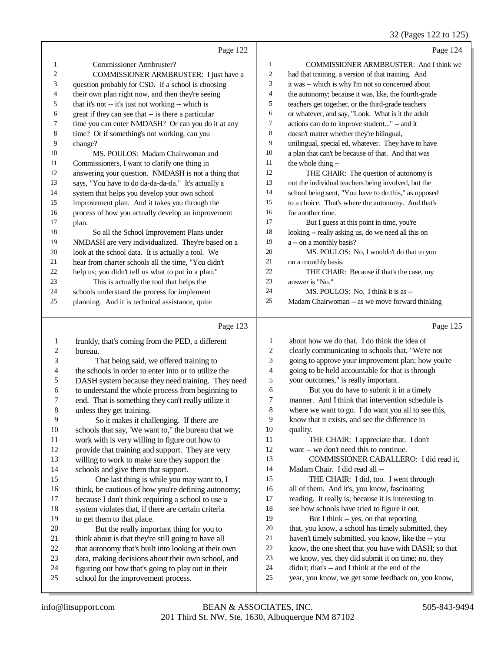### $32 \text{ (Page 122 to 125)}$

|                  |                                                      |                | 32 (Pages 122 to 123                                 |
|------------------|------------------------------------------------------|----------------|------------------------------------------------------|
|                  | Page 122                                             |                | Page 124                                             |
| $\mathbf{1}$     | Commissioner Armbruster?                             | $\mathbf{1}$   | COMMISSIONER ARMBRUSTER: And I think we              |
| $\mathfrak{2}$   | COMMISSIONER ARMBRUSTER: I just have a               | 2              | had that training, a version of that training. And   |
| 3                | question probably for CSD. If a school is choosing   | 3              | it was -- which is why I'm not so concerned about    |
| 4                | their own plan right now, and then they're seeing    | 4              | the autonomy; because it was, like, the fourth-grade |
| 5                | that it's not -- it's just not working -- which is   | 5              | teachers get together, or the third-grade teachers   |
| 6                | great if they can see that -- is there a particular  | 6              | or whatever, and say, "Look. What is it the adult    |
| 7                | time you can enter NMDASH? Or can you do it at any   | 7              | actions can do to improve student" -- and it         |
| $\,$ 8 $\,$      | time? Or if something's not working, can you         | 8              | doesn't matter whether they're bilingual,            |
| 9                | change?                                              | 9              | unilingual, special ed, whatever. They have to have  |
| 10               | MS. POULOS: Madam Chairwoman and                     | $10\,$         | a plan that can't be because of that. And that was   |
| 11               | Commissioners, I want to clarify one thing in        | 11             | the whole thing --                                   |
| 12               | answering your question. NMDASH is not a thing that  | 12             | THE CHAIR: The question of autonomy is               |
| 13               | says, "You have to do da-da-da-da." It's actually a  | 13             | not the individual teachers being involved, but the  |
| 14               | system that helps you develop your own school        | 14             | school being sent, "You have to do this," as opposed |
| 15               | improvement plan. And it takes you through the       | 15             | to a choice. That's where the autonomy. And that's   |
| 16               | process of how you actually develop an improvement   | 16             | for another time.                                    |
| 17               | plan.                                                | 17             | But I guess at this point in time, you're            |
| 18               | So all the School Improvement Plans under            | 18             | looking -- really asking us, do we need all this on  |
| 19               | NMDASH are very individualized. They're based on a   | 19             | a -- on a monthly basis?                             |
| 20               | look at the school data. It is actually a tool. We   | $20\,$         | MS. POULOS: No, I wouldn't do that to you            |
| 21               | hear from charter schools all the time, "You didn't  | 21             | on a monthly basis.                                  |
| 22               | help us; you didn't tell us what to put in a plan."  | 22             | THE CHAIR: Because if that's the case, my            |
| 23               | This is actually the tool that helps the             | 23             | answer is "No."                                      |
| 24               | schools understand the process for implement         | 24             | MS. POULOS: No. I think it is as --                  |
| 25               | planning. And it is technical assistance, quite      | 25             | Madam Chairwoman -- as we move forward thinking      |
|                  |                                                      |                |                                                      |
|                  | Page 123                                             |                | Page 125                                             |
| $\mathbf{1}$     | frankly, that's coming from the PED, a different     | 1              | about how we do that. I do think the idea of         |
| $\boldsymbol{2}$ | bureau.                                              | $\overline{c}$ | clearly communicating to schools that, "We're not    |
| 3                | That being said, we offered training to              | 3              | going to approve your improvement plan; how you're   |
| 4                | the schools in order to enter into or to utilize the | 4              | going to be held accountable for that is through     |
| $\mathfrak s$    | DASH system because they need training. They need    | 5              | your outcomes," is really important.                 |
| 6                | to understand the whole process from beginning to    | 6              | But you do have to submit it in a timely             |
| 7                | end. That is something they can't really utilize it  | 7              | manner. And I think that intervention schedule is    |
| $\,8\,$          | unless they get training.                            | 8              | where we want to go. I do want you all to see this,  |
| 9                | So it makes it challenging. If there are             | 9              | know that it exists, and see the difference in       |
| $10\,$           | schools that say, 'We want to," the bureau that we   | 10             | quality.                                             |
| 11               | work with is very willing to figure out how to       | 11             | THE CHAIR: I appreciate that. I don't                |
| 12               | provide that training and support. They are very     | 12             | want -- we don't need this to continue.              |
| 13               | willing to work to make sure they support the        | 13             | COMMISSIONER CABALLERO: I did read it,               |
| 14               | schools and give them that support.                  | 14             | Madam Chair. I did read all --                       |
| 15               | One last thing is while you may want to, I           | 15             | THE CHAIR: I did, too. I went through                |
| 16               | think, be cautious of how you're defining autonomy;  | 16             | all of them. And it's, you know, fascinating         |
| 17               | because I don't think requiring a school to use a    | 17             | reading. It really is; because it is interesting to  |

18 system violates that, if there are certain criteria<br>19 to get them to that place.

20 But the really important thing for you to<br>21 think about is that they're still going to have all 21 think about is that they're still going to have all<br>22 that autonomy that's built into looking at their c 22 that autonomy that's built into looking at their own<br>23 data, making decisions about their own school, and 23 data, making decisions about their own school, and<br>24 figuring out how that's going to play out in their 24 figuring out how that's going to play out in their<br>25 school for the improvement process. school for the improvement process.

to get them to that place.

 see how schools have tried to figure it out. 19 But I think -- yes, on that reporting

 that, you know, a school has timely submitted, they haven't timely submitted, you know, like the -- you know, the one sheet that you have with DASH; so that we know, yes, they did submit it on time; no, they didn't; that's -- and I think at the end of the

year, you know, we get some feedback on, you know,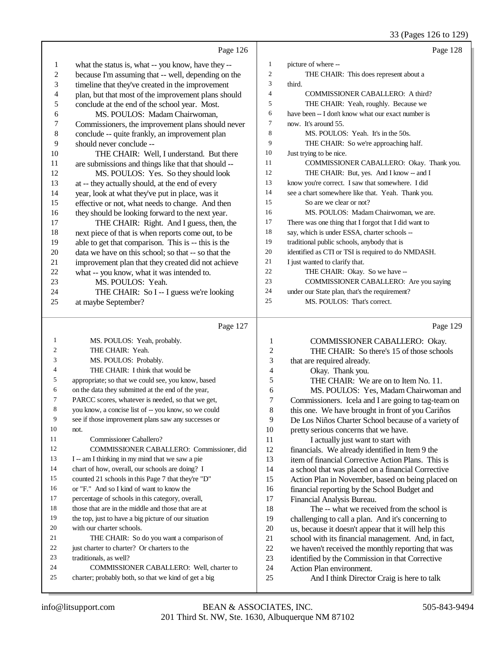### 33 (Pages 126 to 129)

|              | Page 126                                                                                            |                | Page 128                                                                             |
|--------------|-----------------------------------------------------------------------------------------------------|----------------|--------------------------------------------------------------------------------------|
| $\mathbf{1}$ | what the status is, what -- you know, have they --                                                  | $\mathbf{1}$   | picture of where --                                                                  |
| $\sqrt{2}$   | because I'm assuming that -- well, depending on the                                                 | 2              | THE CHAIR: This does represent about a                                               |
| 3            | timeline that they've created in the improvement                                                    | 3              | third.                                                                               |
| 4            | plan, but that most of the improvement plans should                                                 | $\overline{4}$ | <b>COMMISSIONER CABALLERO: A third?</b>                                              |
| 5            | conclude at the end of the school year. Most.                                                       | 5              | THE CHAIR: Yeah, roughly. Because we                                                 |
| 6            | MS. POULOS: Madam Chairwoman,                                                                       | 6              | have been -- I don't know what our exact number is                                   |
| 7            | Commissioners, the improvement plans should never                                                   | 7              | now. It's around 55.                                                                 |
| $\,$ 8 $\,$  | conclude -- quite frankly, an improvement plan                                                      | 8              | MS. POULOS: Yeah. It's in the 50s.                                                   |
| 9            | should never conclude --                                                                            | 9              | THE CHAIR: So we're approaching half.                                                |
| 10           | THE CHAIR: Well, I understand. But there                                                            | 10<br>11       | Just trying to be nice.                                                              |
| 11<br>12     | are submissions and things like that that should --                                                 | 12             | COMMISSIONER CABALLERO: Okay. Thank you.<br>THE CHAIR: But, yes. And I know -- and I |
| 13           | MS. POULOS: Yes. So they should look                                                                | 13             | know you're correct. I saw that somewhere. I did                                     |
| 14           | at -- they actually should, at the end of every                                                     | 14             | see a chart somewhere like that. Yeah. Thank you.                                    |
| 15           | year, look at what they've put in place, was it<br>effective or not, what needs to change. And then | 15             | So are we clear or not?                                                              |
| 16           | they should be looking forward to the next year.                                                    | 16             | MS. POULOS: Madam Chairwoman, we are.                                                |
| 17           | THE CHAIR: Right. And I guess, then, the                                                            | 17             | There was one thing that I forgot that I did want to                                 |
| 18           | next piece of that is when reports come out, to be                                                  | 18             | say, which is under ESSA, charter schools --                                         |
| 19           | able to get that comparison. This is -- this is the                                                 | 19             | traditional public schools, anybody that is                                          |
| 20           | data we have on this school; so that -- so that the                                                 | 20             | identified as CTI or TSI is required to do NMDASH.                                   |
| 21           | improvement plan that they created did not achieve                                                  | 21             | I just wanted to clarify that.                                                       |
| 22           | what -- you know, what it was intended to.                                                          | 22             | THE CHAIR: Okay. So we have --                                                       |
| 23           | MS. POULOS: Yeah.                                                                                   | 23             | COMMISSIONER CABALLERO: Are you saying                                               |
| 24           | THE CHAIR: So I -- I guess we're looking                                                            | 24             | under our State plan, that's the requirement?                                        |
| 25           | at maybe September?                                                                                 | 25             | MS. POULOS: That's correct.                                                          |
|              |                                                                                                     |                |                                                                                      |
|              |                                                                                                     |                |                                                                                      |
|              | Page 127                                                                                            |                | Page 129                                                                             |
| 1            |                                                                                                     | 1              |                                                                                      |
| 2            | MS. POULOS: Yeah, probably.<br>THE CHAIR: Yeah.                                                     | 2              | COMMISSIONER CABALLERO: Okay.<br>THE CHAIR: So there's 15 of those schools           |
| 3            | MS. POULOS: Probably.                                                                               | 3              | that are required already.                                                           |
| 4            | THE CHAIR: I think that would be                                                                    | 4              | Okay. Thank you.                                                                     |
| 5            | appropriate; so that we could see, you know, based                                                  | 5              | THE CHAIR: We are on to Item No. 11.                                                 |
| 6            | on the data they submitted at the end of the year,                                                  | 6              | MS. POULOS: Yes, Madam Chairwoman and                                                |
| 7            | PARCC scores, whatever is needed, so that we get,                                                   | 7              | Commissioners. Icela and I are going to tag-team on                                  |
| 8            | you know, a concise list of -- you know, so we could                                                | 8              | this one. We have brought in front of you Cariños                                    |
| 9            | see if those improvement plans saw any successes or                                                 | 9              | De Los Niños Charter School because of a variety of                                  |
| 10           | not.                                                                                                | 10             | pretty serious concerns that we have.                                                |
| 11           | Commissioner Caballero?                                                                             | 11             | I actually just want to start with                                                   |
| 12           | COMMISSIONER CABALLERO: Commissioner, did                                                           | 12             | financials. We already identified in Item 9 the                                      |
| 13           | I -- am I thinking in my mind that we saw a pie                                                     | 13             | item of financial Corrective Action Plans. This is                                   |
| 14           | chart of how, overall, our schools are doing? I                                                     | 14             | a school that was placed on a financial Corrective                                   |
| 15           | counted 21 schools in this Page 7 that they're "D"                                                  | 15             | Action Plan in November, based on being placed on                                    |
| 16           | or "F." And so I kind of want to know the                                                           | 16             | financial reporting by the School Budget and                                         |
| 17           | percentage of schools in this category, overall,                                                    | 17             | Financial Analysis Bureau.                                                           |
| 18           | those that are in the middle and those that are at                                                  | 18             | The -- what we received from the school is                                           |
| 19<br>20     | the top, just to have a big picture of our situation                                                | 19             | challenging to call a plan. And it's concerning to                                   |
| 21           | with our charter schools.                                                                           | 20             | us, because it doesn't appear that it will help this                                 |
| 22           | THE CHAIR: So do you want a comparison of<br>just charter to charter? Or charters to the            | 21<br>$22\,$   | school with its financial management. And, in fact,                                  |
| 23           | traditionals, as well?                                                                              | 23             | we haven't received the monthly reporting that was                                   |
| 24           | COMMISSIONER CABALLERO: Well, charter to                                                            | 24             | identified by the Commission in that Corrective<br>Action Plan environment.          |
| 25           | charter; probably both, so that we kind of get a big                                                | 25             | And I think Director Craig is here to talk                                           |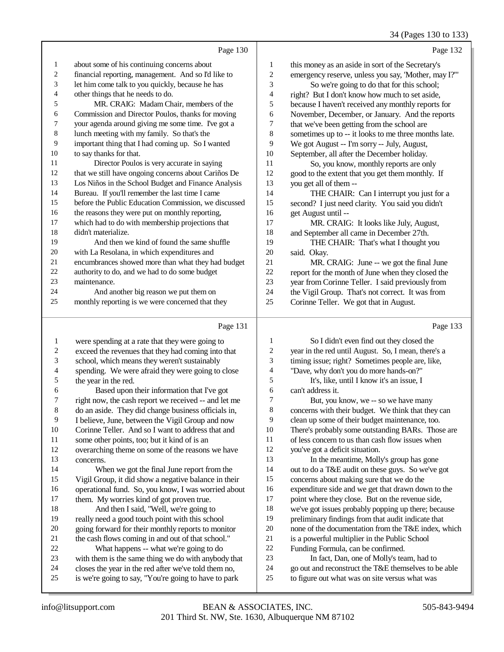34 (Pages 130 to 133)

|                          | Page 130                                             |                         | Page 132                                             |
|--------------------------|------------------------------------------------------|-------------------------|------------------------------------------------------|
| $\mathbf{1}$             | about some of his continuing concerns about          | $\mathbf{1}$            | this money as an aside in sort of the Secretary's    |
| 2                        | financial reporting, management. And so I'd like to  | 2                       | emergency reserve, unless you say, 'Mother, may I?"  |
| 3                        | let him come talk to you quickly, because he has     | 3                       | So we're going to do that for this school;           |
| 4                        | other things that he needs to do.                    | 4                       | right? But I don't know how much to set aside,       |
| 5                        | MR. CRAIG: Madam Chair, members of the               | 5                       | because I haven't received any monthly reports for   |
| 6                        | Commission and Director Poulos, thanks for moving    | 6                       | November, December, or January. And the reports      |
| 7                        | your agenda around giving me some time. I've got a   | 7                       | that we've been getting from the school are          |
| $\,8\,$                  | lunch meeting with my family. So that's the          | 8                       | sometimes up to -- it looks to me three months late. |
| 9                        | important thing that I had coming up. So I wanted    | 9                       | We got August -- I'm sorry -- July, August,          |
| 10                       | to say thanks for that.                              | 10                      | September, all after the December holiday.           |
| 11                       | Director Poulos is very accurate in saying           | 11                      | So, you know, monthly reports are only               |
| 12                       | that we still have ongoing concerns about Cariños De | 12                      | good to the extent that you get them monthly. If     |
| 13                       | Los Niños in the School Budget and Finance Analysis  | 13                      | you get all of them --                               |
| 14                       | Bureau. If you'll remember the last time I came      | 14                      | THE CHAIR: Can I interrupt you just for a            |
| 15                       | before the Public Education Commission, we discussed | 15                      | second? I just need clarity. You said you didn't     |
| 16                       | the reasons they were put on monthly reporting,      | 16                      | get August until --                                  |
| 17                       | which had to do with membership projections that     | 17                      | MR. CRAIG: It looks like July, August,               |
| 18                       | didn't materialize.                                  | 18                      | and September all came in December 27th.             |
| 19                       | And then we kind of found the same shuffle           | 19                      | THE CHAIR: That's what I thought you                 |
| 20                       | with La Resolana, in which expenditures and          | 20                      | said. Okay.                                          |
| 21                       | encumbrances showed more than what they had budget   | 21                      | MR. CRAIG: June -- we got the final June             |
| 22                       | authority to do, and we had to do some budget        | 22                      | report for the month of June when they closed the    |
| 23                       | maintenance.                                         | 23                      | year from Corinne Teller. I said previously from     |
| 24                       | And another big reason we put them on                | 24                      | the Vigil Group. That's not correct. It was from     |
| 25                       | monthly reporting is we were concerned that they     | 25                      | Corinne Teller. We got that in August.               |
|                          | Page 131                                             |                         | Page 133                                             |
| 1                        | were spending at a rate that they were going to      | 1                       | So I didn't even find out they closed the            |
| $\overline{\mathbf{c}}$  | exceed the revenues that they had coming into that   | $\overline{\mathbf{c}}$ | year in the red until August. So, I mean, there's a  |
| 3                        | school, which means they weren't sustainably         | 3                       | timing issue; right? Sometimes people are, like,     |
| $\overline{\mathcal{L}}$ | spending. We were afraid they were going to close    | 4                       | "Dave, why don't you do more hands-on?"              |
| 5                        | the year in the red.                                 | 5                       | It's, like, until I know it's an issue, I            |
| 6                        | Based upon their information that I've got           | 6                       | can't address it.                                    |
| 7                        | right now, the cash report we received -- and let me | 7                       | But, you know, we -- so we have many                 |
| 8                        | do an aside. They did change business officials in,  | 8                       | concerns with their budget. We think that they can   |
| 9                        | I believe, June, between the Vigil Group and now     | 9                       | clean up some of their budget maintenance, too.      |
| 10                       | Corinne Teller. And so I want to address that and    | 10                      | There's probably some outstanding BARs. Those are    |
| 11                       | some other points, too; but it kind of is an         | 11                      | of less concern to us than cash flow issues when     |
| 12                       | overarching theme on some of the reasons we have     | 12                      | you've got a deficit situation.                      |
| 13                       | concerns.                                            | 13                      | In the meantime, Molly's group has gone              |
| 14                       | When we got the final June report from the           | 14                      | out to do a T&E audit on these guys. So we've got    |
| 15                       | Vigil Group, it did show a negative balance in their | 15                      | concerns about making sure that we do the            |
| 16                       | operational fund. So, you know, I was worried about  | 16                      | expenditure side and we get that drawn down to the   |
| 17                       | them. My worries kind of got proven true.            | 17                      | point where they close. But on the revenue side,     |
| 18                       | And then I said, "Well, we're going to               | 18                      | we've got issues probably popping up there; because  |
| 19                       | really need a good touch point with this school      | 19                      | preliminary findings from that audit indicate that   |
| $20\,$                   | going forward for their monthly reports to monitor   | $20\,$                  | none of the documentation from the T&E index, which  |
| 21                       | the cash flows coming in and out of that school."    | 21                      | is a powerful multiplier in the Public School        |
| $22\,$                   | What happens -- what we're going to do               | $22\,$                  | Funding Formula, can be confirmed.                   |
| 23                       | with them is the same thing we do with anybody that  | 23                      | In fact, Dan, one of Molly's team, had to            |
| 24                       | closes the year in the red after we've told them no, | 24                      | go out and reconstruct the T&E themselves to be able |
| 25                       | is we're going to say, "You're going to have to park | 25                      | to figure out what was on site versus what was       |
|                          |                                                      |                         |                                                      |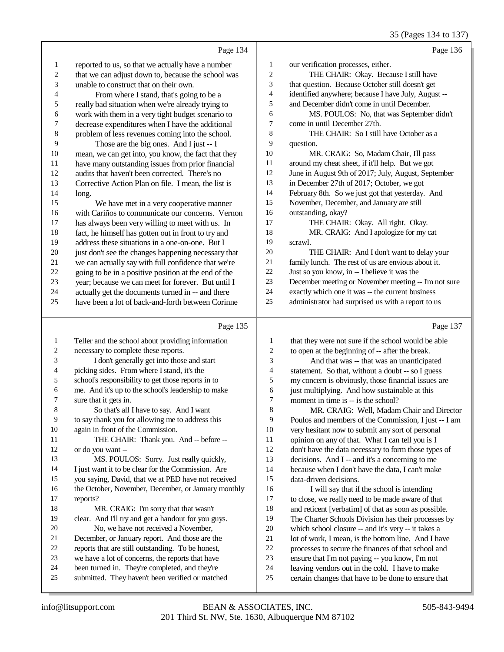|                  |                                                      |                  | 35 (Pages 134 to 137)                                |
|------------------|------------------------------------------------------|------------------|------------------------------------------------------|
|                  | Page 134                                             |                  | Page 136                                             |
| 1                | reported to us, so that we actually have a number    | $\mathbf{1}$     | our verification processes, either.                  |
| $\boldsymbol{2}$ | that we can adjust down to, because the school was   | $\boldsymbol{2}$ | THE CHAIR: Okay. Because I still have                |
| 3                | unable to construct that on their own.               | 3                | that question. Because October still doesn't get     |
| 4                | From where I stand, that's going to be a             | 4                | identified anywhere; because I have July, August --  |
| 5                | really bad situation when we're already trying to    | 5                | and December didn't come in until December.          |
| 6                | work with them in a very tight budget scenario to    | 6                | MS. POULOS: No, that was September didn't            |
| 7                | decrease expenditures when I have the additional     | 7                | come in until December 27th.                         |
| $\,$ 8 $\,$      | problem of less revenues coming into the school.     | 8                | THE CHAIR: So I still have October as a              |
| 9                | Those are the big ones. And I just -- I              | 9                | question.                                            |
| 10               | mean, we can get into, you know, the fact that they  | 10               | MR. CRAIG: So, Madam Chair, I'll pass                |
| 11               | have many outstanding issues from prior financial    | 11               | around my cheat sheet, if it'll help. But we got     |
| 12               | audits that haven't been corrected. There's no       | 12               | June in August 9th of 2017; July, August, September  |
| 13               | Corrective Action Plan on file. I mean, the list is  | 13               | in December 27th of 2017; October, we got            |
| 14               | long.                                                | 14               | February 8th. So we just got that yesterday. And     |
| 15               | We have met in a very cooperative manner             | 15               | November, December, and January are still            |
| 16               | with Cariños to communicate our concerns. Vernon     | 16               | outstanding, okay?                                   |
| 17               | has always been very willing to meet with us. In     | 17               | THE CHAIR: Okay. All right. Okay.                    |
| 18               | fact, he himself has gotten out in front to try and  | 18               | MR. CRAIG: And I apologize for my cat                |
| 19               | address these situations in a one-on-one. But I      | 19               | scrawl.                                              |
| 20               | just don't see the changes happening necessary that  | 20               | THE CHAIR: And I don't want to delay your            |
| 21               | we can actually say with full confidence that we're  | $21\,$           | family lunch. The rest of us are envious about it.   |
| 22               | going to be in a positive position at the end of the | 22               | Just so you know, in -- I believe it was the         |
| 23               | year; because we can meet for forever. But until I   | 23               | December meeting or November meeting -- I'm not sure |
| 24               | actually get the documents turned in -- and there    | 24               | exactly which one it was -- the current business     |
| 25               | have been a lot of back-and-forth between Corinne    | 25               | administrator had surprised us with a report to us   |
|                  | Page 135                                             |                  | Page 137                                             |
| $\mathbf{1}$     | Teller and the school about providing information    | $\mathbf{1}$     | that they were not sure if the school would be able  |
| 2                | necessary to complete these reports.                 | $\sqrt{2}$       | to open at the beginning of -- after the break.      |
| 3                | I don't generally get into those and start           | 3                | And that was -- that was an unanticipated            |
| 4                | picking sides. From where I stand, it's the          | $\overline{4}$   | statement. So that, without a doubt -- so I guess    |
| 5                | school's responsibility to get those reports in to   | 5                | my concern is obviously, those financial issues are  |
| 6                | me. And it's up to the school's leadership to make   | 6                | just multiplying. And how sustainable at this        |
| 7                | sure that it gets in.                                | $\sqrt{ }$       | moment in time is -- is the school?                  |
| 8                | So that's all I have to say. And I want              | 8                | MR. CRAIG: Well, Madam Chair and Director            |
| 9                | to say thank you for allowing me to address this     | 9                | Poulos and members of the Commission, I just -- I am |
| 10               | again in front of the Commission.                    | 10               | very hesitant now to submit any sort of personal     |
| 11               | THE CHAIR: Thank you. And -- before --               | 11               | opinion on any of that. What I can tell you is I     |
| 12               | or do you want --                                    | 12               | don't have the data necessary to form those types of |
| 13               | MS. POULOS: Sorry. Just really quickly,              | 13               | decisions. And I -- and it's a concerning to me      |
| 14               | I just want it to be clear for the Commission. Are   | 14               | because when I don't have the data, I can't make     |
| 15               | you saying, David, that we at PED have not received  | 15               | data-driven decisions.                               |
| 16               | the October, November, December, or January monthly  | 16               | I will say that if the school is intending           |
| 17               | reports?                                             | 17               | to close, we really need to be made aware of that    |
| 18               | MR. CRAIG: I'm sorry that that wasn't                | 18               | and reticent [verbatim] of that as soon as possible. |
| 19               | clear. And I'll try and get a handout for you guys.  | 19               | The Charter Schools Division has their processes by  |
| 20               | No, we have not received a November,                 | $20\,$           | which school closure -- and it's very -- it takes a  |
| 21               | December, or January report. And those are the       | 21               | lot of work, I mean, is the bottom line. And I have  |
| 22               | reports that are still outstanding. To be honest,    | $22\,$           | processes to secure the finances of that school and  |
| 23               | we have a lot of concerns, the reports that have     | $23\,$           | ensure that I'm not paying -- you know, I'm not      |

been turned in. They're completed, and they're

24 leaving vendors out in the cold. I have to make<br>25 certain changes that have to be done to ensure the

certain changes that have to be done to ensure that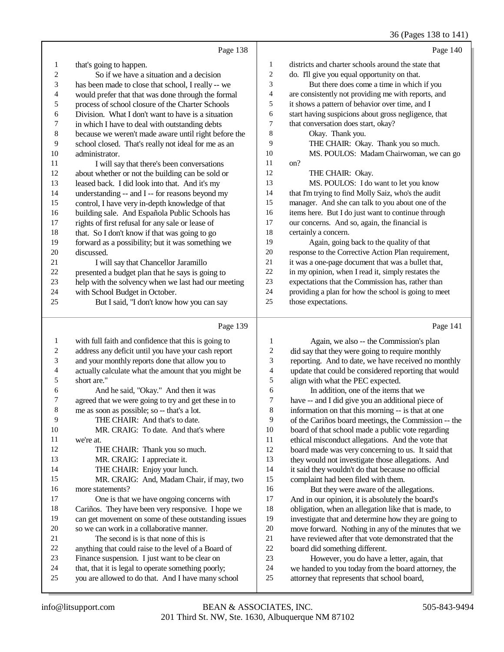#### 36 (Pages 138 to 141)

|    |                                                      |                | (2.45)                                               |
|----|------------------------------------------------------|----------------|------------------------------------------------------|
|    | Page 138                                             |                | Page 140                                             |
| 1  | that's going to happen.                              | 1              | districts and charter schools around the state that  |
| 2  | So if we have a situation and a decision             | $\overline{2}$ | do. I'll give you equal opportunity on that.         |
| 3  | has been made to close that school, I really -- we   | 3              | But there does come a time in which if you           |
| 4  | would prefer that that was done through the formal   | 4              | are consistently not providing me with reports, and  |
| 5  | process of school closure of the Charter Schools     | 5              | it shows a pattern of behavior over time, and I      |
| 6  | Division. What I don't want to have is a situation   | 6              | start having suspicions about gross negligence, that |
| 7  | in which I have to deal with outstanding debts       | $\overline{7}$ | that conversation does start, okay?                  |
| 8  | because we weren't made aware until right before the | 8              | Okay. Thank you.                                     |
| 9  | school closed. That's really not ideal for me as an  | 9              | THE CHAIR: Okay. Thank you so much.                  |
| 10 | administrator.                                       | 10             | MS. POULOS: Madam Chairwoman, we can go              |
| 11 | I will say that there's been conversations           | 11             | on?                                                  |
| 12 | about whether or not the building can be sold or     | 12             | THE CHAIR: Okay.                                     |
| 13 | leased back. I did look into that. And it's my       | 13             | MS. POULOS: I do want to let you know                |
| 14 | understanding -- and I -- for reasons beyond my      | 14             | that I'm trying to find Molly Saiz, who's the audit  |
| 15 | control, I have very in-depth knowledge of that      | 15             | manager. And she can talk to you about one of the    |
| 16 | building sale. And Española Public Schools has       | 16             | items here. But I do just want to continue through   |
| 17 | rights of first refusal for any sale or lease of     | 17             | our concerns. And so, again, the financial is        |
| 18 | that. So I don't know if that was going to go        | 18             | certainly a concern.                                 |
| 19 | forward as a possibility; but it was something we    | 19             | Again, going back to the quality of that             |
| 20 | discussed.                                           | 20             | response to the Corrective Action Plan requirement,  |
| 21 | I will say that Chancellor Jaramillo                 | 21             | it was a one-page document that was a bullet that,   |
| 22 | presented a budget plan that he says is going to     | 22             | in my opinion, when I read it, simply restates the   |
| 23 | help with the solvency when we last had our meeting  | 23             | expectations that the Commission has, rather than    |
| 24 | with School Budget in October.                       | 24             | providing a plan for how the school is going to meet |
| 25 | But I said, "I don't know how you can say            | 25             | those expectations.                                  |
|    | Page 139                                             |                | Page 141                                             |

|                | r age 137                                            |
|----------------|------------------------------------------------------|
| 1              | with full faith and confidence that this is going to |
| $\overline{c}$ | address any deficit until you have your cash report  |
| 3              | and your monthly reports done that allow you to      |
| $\overline{4}$ | actually calculate what the amount that you might be |
| 5              | short are."                                          |
| 6              | And he said, "Okay." And then it was                 |
| 7              | agreed that we were going to try and get these in to |
| 8              | me as soon as possible; so -- that's a lot.          |
| 9              | THE CHAIR: And that's to date.                       |
| 10             | MR. CRAIG: To date. And that's where                 |
| 11             | we're at.                                            |
| 12             | THE CHAIR: Thank you so much.                        |
| 13             | MR. CRAIG: I appreciate it.                          |
| 14             | THE CHAIR: Enjoy your lunch.                         |
| 15             | MR. CRAIG: And, Madam Chair, if may, two             |
| 16             | more statements?                                     |
| 17             | One is that we have ongoing concerns with            |
| 18             | Cariños. They have been very responsive. I hope we   |
| 19             | can get movement on some of these outstanding issues |
| 20             | so we can work in a collaborative manner.            |
| 21             | The second is is that none of this is                |
| 22             | anything that could raise to the level of a Board of |
| 23             | Finance suspension. I just want to be clear on       |
| 24             | that, that it is legal to operate something poorly;  |
| 25             | you are allowed to do that. And I have many school   |

1 Again, we also -- the Commission's plan<br>2 did say that they were going to require monthly did say that they were going to require monthly reporting. And to date, we have received no monthly update that could be considered reporting that would align with what the PEC expected. 6 In addition, one of the items that we  $\frac{7}{7}$  have  $\frac{1}{7}$  and I did give you an additional pie 7 have -- and I did give you an additional piece of<br>8 information on that this morning -- is that at one information on that this morning -- is that at one of the Cariños board meetings, the Commission -- the 10 board of that school made a public vote regarding<br>11 ethical misconduct allegations. And the vote that ethical misconduct allegations. And the vote that board made was very concerning to us. It said that they would not investigate those allegations. And it said they wouldn't do that because no official complaint had been filed with them. 16 But they were aware of the allegations.<br>17 And in our opinion, it is absolutely the board's And in our opinion, it is absolutely the board's 18 obligation, when an allegation like that is made, to<br>19 investigate that and determine how they are going t investigate that and determine how they are going to 20 move forward. Nothing in any of the minutes that we<br>21 have reviewed after that vote demonstrated that the 21 have reviewed after that vote demonstrated that the<br>22 hoard did something different. 22 board did something different.<br>23 However, you do have a

23 However, you do have a letter, again, that 24 we handed to you today from the board attorney. 24 we handed to you today from the board attorney, the attorney that represents that school board. attorney that represents that school board,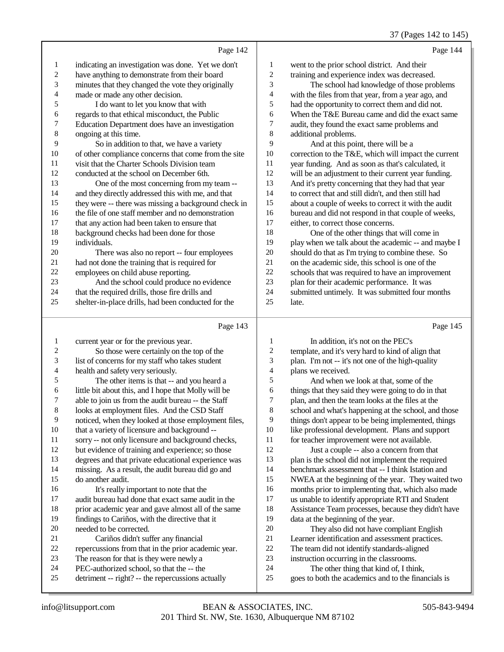#### 37 (Pages 142 to 145)

|    | Page 142                                             |                         | Page 144                                             |
|----|------------------------------------------------------|-------------------------|------------------------------------------------------|
| 1  | indicating an investigation was done. Yet we don't   | 1                       | went to the prior school district. And their         |
| 2  | have anything to demonstrate from their board        | 2                       | training and experience index was decreased.         |
| 3  | minutes that they changed the vote they originally   | 3                       | The school had knowledge of those problems           |
| 4  | made or made any other decision.                     | $\overline{\mathbf{4}}$ | with the files from that year, from a year ago, and  |
| 5  | I do want to let you know that with                  | 5                       | had the opportunity to correct them and did not.     |
| 6  | regards to that ethical misconduct, the Public       | 6                       | When the T&E Bureau came and did the exact same      |
| 7  | Education Department does have an investigation      | 7                       | audit, they found the exact same problems and        |
| 8  | ongoing at this time.                                | 8                       | additional problems.                                 |
| 9  | So in addition to that, we have a variety            | 9                       | And at this point, there will be a                   |
| 10 | of other compliance concerns that come from the site | 10                      | correction to the T&E, which will impact the current |
| 11 | visit that the Charter Schools Division team         | 11                      | year funding. And as soon as that's calculated, it   |
| 12 | conducted at the school on December 6th.             | 12                      | will be an adjustment to their current year funding. |
| 13 | One of the most concerning from my team --           | 13                      | And it's pretty concerning that they had that year   |
| 14 | and they directly addressed this with me, and that   | 14                      | to correct that and still didn't, and then still had |
| 15 | they were -- there was missing a background check in | 15                      | about a couple of weeks to correct it with the audit |
| 16 | the file of one staff member and no demonstration    | 16                      | bureau and did not respond in that couple of weeks,  |
| 17 | that any action had been taken to ensure that        | 17                      | either, to correct those concerns.                   |
| 18 | background checks had been done for those            | 18                      | One of the other things that will come in            |
| 19 | individuals.                                         | 19                      | play when we talk about the academic -- and maybe I  |
| 20 | There was also no report -- four employees           | 20                      | should do that as I'm trying to combine these. So    |
| 21 | had not done the training that is required for       | 21                      | on the academic side, this school is one of the      |
| 22 | employees on child abuse reporting.                  | 22                      | schools that was required to have an improvement     |
| 23 | And the school could produce no evidence             | 23                      | plan for their academic performance. It was          |
| 24 | that the required drills, those fire drills and      | 24                      | submitted untimely. It was submitted four months     |
| 25 | shelter-in-place drills, had been conducted for the  | 25                      | late.                                                |
|    | Page 143                                             |                         | Page 145                                             |
| 1  | current year or for the previous year.               | 1                       | In addition, it's not on the PEC's                   |
| 2  | So those were certainly on the top of the            | $\overline{c}$          | template, and it's very hard to kind of align that   |
| 3  | list of concerns for my staff who takes student      | 3                       | plan. I'm not -- it's not one of the high-quality    |

health and safety very seriously.

 The other items is that -- and you heard a 6 little bit about this, and I hope that Molly will be able to join us from the audit bureau -- the Staff

- 7 able to join us from the audit bureau -- the Staff<br>8 looks at employment files. And the CSD Staff
- looks at employment files. And the CSD Staff
- 9 noticed, when they looked at those employment files,<br>10 that a variety of licensure and background --
- that a variety of licensure and background --
- sorry -- not only licensure and background checks,
- but evidence of training and experience; so those
- degrees and that private educational experience was missing. As a result, the audit bureau did go and
- do another audit.
- 16 It's really important to note that the<br>17 audit bureau had done that exact same au audit bureau had done that exact same audit in the
- 18 prior academic year and gave almost all of the same<br>19 findings to Cariños with the directive that it findings to Cariños, with the directive that it
- 20 needed to be corrected.<br>21 Cariños didn't sui
- 21 Cariños didn't suffer any financial<br>22 repercussions from that in the prior acad
- 22 repercussions from that in the prior academic year.<br>23 The reason for that is they were newly a
- The reason for that is they were newly a
- 24 PEC-authorized school, so that the  $-$  the constant  $25$  detriment  $-$  right?  $-$  the repercussions as
- detriment -- right? -- the repercussions actually
- 
- 4 plans we received.<br>5 And when w 5 And when we look at that, some of the<br>6 things that they said they were going to do in 6 things that they said they were going to do in that<br>
7 blan, and then the team looks at the files at the 7 plan, and then the team looks at the files at the school and what's happening at the school and school and what's happening at the school, and those 9 things don't appear to be being implemented, things<br>10 like professional development. Plans and support 10 like professional development. Plans and support<br>11 for teacher improvement were not available. for teacher improvement were not available.
- Just a couple -- also a concern from that plan is the school did not implement the required benchmark assessment that -- I think Istation and NWEA at the beginning of the year. They waited two 16 months prior to implementing that, which also made<br>17 us unable to identify appropriate RTI and Student us unable to identify appropriate RTI and Student 18 Assistance Team processes, because they didn't have<br>19 data at the beginning of the year data at the beginning of the year.
- 20 They also did not have compliant English<br>21 Learner identification and assessment practices. 21 Learner identification and assessment practices.<br>22 The team did not identify standards-aligned 22 The team did not identify standards-aligned<br>23 instruction occurring in the classrooms. instruction occurring in the classrooms.
- 24 The other thing that kind of, I think,<br>25 soes to both the academics and to the final
	- goes to both the academics and to the financials is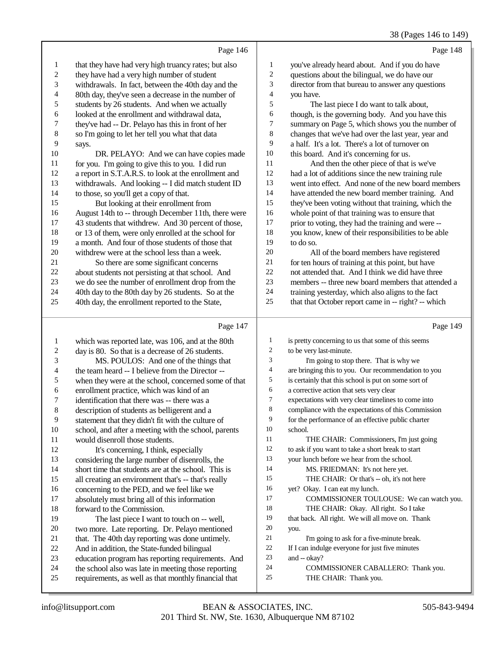## 38 (Pages 146 to 149)

|                |                                                      |                  | (1.45)                                               |
|----------------|------------------------------------------------------|------------------|------------------------------------------------------|
|                | Page 146                                             |                  | Page 148                                             |
| 1              | that they have had very high truancy rates; but also | $\mathbf{1}$     | you've already heard about. And if you do have       |
| $\mathfrak{2}$ | they have had a very high number of student          | $\overline{c}$   | questions about the bilingual, we do have our        |
| 3              | withdrawals. In fact, between the 40th day and the   | $\mathfrak{Z}$   | director from that bureau to answer any questions    |
| 4              | 80th day, they've seen a decrease in the number of   | $\overline{4}$   | you have.                                            |
| 5              | students by 26 students. And when we actually        | 5                | The last piece I do want to talk about,              |
| 6              | looked at the enrollment and withdrawal data,        | 6                | though, is the governing body. And you have this     |
| 7              | they've had -- Dr. Pelayo has this in front of her   | $\boldsymbol{7}$ | summary on Page 5, which shows you the number of     |
| 8              | so I'm going to let her tell you what that data      | 8                | changes that we've had over the last year, year and  |
| 9              | says.                                                | 9                | a half. It's a lot. There's a lot of turnover on     |
| 10             | DR. PELAYO: And we can have copies made              | 10               | this board. And it's concerning for us.              |
| 11             | for you. I'm going to give this to you. I did run    | 11               | And then the other piece of that is we've            |
| 12             | a report in S.T.A.R.S. to look at the enrollment and | 12               | had a lot of additions since the new training rule   |
| 13             | withdrawals. And looking -- I did match student ID   | 13               | went into effect. And none of the new board members  |
| 14             | to those, so you'll get a copy of that.              | 14               | have attended the new board member training. And     |
| 15             | But looking at their enrollment from                 | 15               | they've been voting without that training, which the |
| 16             | August 14th to -- through December 11th, there were  | 16               | whole point of that training was to ensure that      |
| 17             | 43 students that withdrew. And 30 percent of those,  | 17               | prior to voting, they had the training and were --   |
| 18             | or 13 of them, were only enrolled at the school for  | 18               | you know, knew of their responsibilities to be able  |
| 19             | a month. And four of those students of those that    | 19               | to do so.                                            |
| 20             | withdrew were at the school less than a week.        | 20               | All of the board members have registered             |
| 21             | So there are some significant concerns               | 21               | for ten hours of training at this point, but have    |
| 22             | about students not persisting at that school. And    | 22               | not attended that. And I think we did have three     |
| 23             | we do see the number of enrollment drop from the     | 23               | members -- three new board members that attended a   |
| 24             | 40th day to the 80th day by 26 students. So at the   | 24               | training yesterday, which also aligns to the fact    |
| 25             | 40th day, the enrollment reported to the State,      | 25               | that that October report came in -- right? -- which  |
|                | Page 147                                             |                  | Page 149                                             |

|    | which was reported late, was 106, and at the 80th    | $\mathbf{1}$ | is pretty concerning to us that some of this seems   |
|----|------------------------------------------------------|--------------|------------------------------------------------------|
| 2  | day is 80. So that is a decrease of 26 students.     | 2            | to be very last-minute.                              |
| 3  | MS. POULOS: And one of the things that               | 3            | I'm going to stop there. That is why we              |
| 4  | the team heard -- I believe from the Director --     | 4            | are bringing this to you. Our recommendation to you  |
| 5  | when they were at the school, concerned some of that | 5            | is certainly that this school is put on some sort of |
| 6  | enrollment practice, which was kind of an            | 6            | a corrective action that sets very clear             |
| 7  | identification that there was -- there was a         | 7            | expectations with very clear timelines to come into  |
| 8  | description of students as belligerent and a         | 8            | compliance with the expectations of this Commission  |
| 9  | statement that they didn't fit with the culture of   | 9            | for the performance of an effective public charter   |
| 10 | school, and after a meeting with the school, parents | 10           | school.                                              |
| 11 | would disenroll those students.                      | 11           | THE CHAIR: Commissioners, I'm just going             |
| 12 | It's concerning, I think, especially                 | 12           | to ask if you want to take a short break to start    |
| 13 | considering the large number of disenrolls, the      | 13           | your lunch before we hear from the school.           |
| 14 | short time that students are at the school. This is  | 14           | MS. FRIEDMAN: It's not here yet.                     |
| 15 | all creating an environment that's -- that's really  | 15           | THE CHAIR: Or that's -- oh. it's not here            |
| 16 | concerning to the PED, and we feel like we           | 16           | yet? Okay. I can eat my lunch.                       |
| 17 | absolutely must bring all of this information        | 17           | COMMISSIONER TOULOUSE: We can watch you.             |
| 18 | forward to the Commission.                           | 18           | THE CHAIR: Okay. All right. So I take                |
| 19 | The last piece I want to touch on -- well,           | 19           | that back. All right. We will all move on. Thank     |
| 20 | two more. Late reporting. Dr. Pelayo mentioned       | 20           | you.                                                 |
| 21 | that. The 40th day reporting was done untimely.      | 21           | I'm going to ask for a five-minute break.            |
| 22 | And in addition, the State-funded bilingual          | 22           | If I can indulge everyone for just five minutes      |
| 23 | education program has reporting requirements. And    | 23           | and $-$ okay?                                        |
| 24 | the school also was late in meeting those reporting  | 24           | COMMISSIONER CABALLERO: Thank you.                   |
| 25 | requirements, as well as that monthly financial that | 25           | THE CHAIR: Thank you.                                |
|    |                                                      |              |                                                      |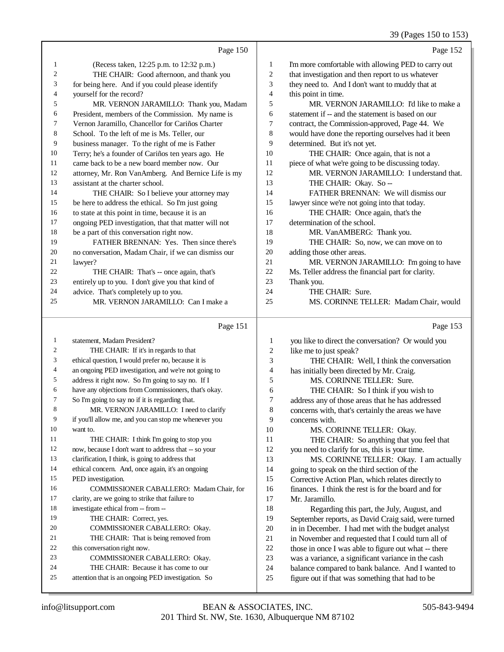39 (Pages 150 to 153)

|    |                                                      |    | $\cdots$                                            |
|----|------------------------------------------------------|----|-----------------------------------------------------|
|    | Page 150                                             |    | Page 152                                            |
| 1  | (Recess taken, 12:25 p.m. to 12:32 p.m.)             | 1  | I'm more comfortable with allowing PED to carry out |
| 2  | THE CHAIR: Good afternoon, and thank you             | 2  | that investigation and then report to us whatever   |
| 3  | for being here. And if you could please identify     | 3  | they need to. And I don't want to muddy that at     |
| 4  | yourself for the record?                             | 4  | this point in time.                                 |
| 5  | MR. VERNON JARAMILLO: Thank you, Madam               | 5  | MR. VERNON JARAMILLO: I'd like to make a            |
| 6  | President, members of the Commission. My name is     | 6  | statement if -- and the statement is based on our   |
| 7  | Vernon Jaramillo, Chancellor for Cariños Charter     | 7  | contract, the Commission-approved, Page 44. We      |
| 8  | School. To the left of me is Ms. Teller, our         | 8  | would have done the reporting ourselves had it been |
| 9  | business manager. To the right of me is Father       | 9  | determined. But it's not yet.                       |
| 10 | Terry; he's a founder of Cariños ten years ago. He   | 10 | THE CHAIR: Once again, that is not a                |
| 11 | came back to be a new board member now. Our          | 11 | piece of what we're going to be discussing today.   |
| 12 | attorney, Mr. Ron VanAmberg. And Bernice Life is my  | 12 | MR. VERNON JARAMILLO: I understand that.            |
| 13 | assistant at the charter school.                     | 13 | THE CHAIR: Okay. So --                              |
| 14 | THE CHAIR: So I believe your attorney may            | 14 | FATHER BRENNAN: We will dismiss our                 |
| 15 | be here to address the ethical. So I'm just going    | 15 | lawyer since we're not going into that today.       |
| 16 | to state at this point in time, because it is an     | 16 | THE CHAIR: Once again, that's the                   |
| 17 | ongoing PED investigation, that that matter will not | 17 | determination of the school.                        |
| 18 | be a part of this conversation right now.            | 18 | MR. VanAMBERG: Thank you.                           |
| 19 | FATHER BRENNAN: Yes. Then since there's              | 19 | THE CHAIR: So, now, we can move on to               |
| 20 | no conversation, Madam Chair, if we can dismiss our  | 20 | adding those other areas.                           |
| 21 | lawyer?                                              | 21 | MR. VERNON JARAMILLO: I'm going to have             |
| 22 | THE CHAIR: That's -- once again, that's              | 22 | Ms. Teller address the financial part for clarity.  |
| 23 | entirely up to you. I don't give you that kind of    | 23 | Thank you.                                          |
| 24 | advice. That's completely up to you.                 | 24 | THE CHAIR: Sure.                                    |
| 25 | MR. VERNON JARAMILLO: Can I make a                   | 25 | MS. CORINNE TELLER: Madam Chair, would              |
|    |                                                      |    |                                                     |

# $p_{\text{90}}$  151

|    | Page 151                                             |                | Page 153                                             |
|----|------------------------------------------------------|----------------|------------------------------------------------------|
| 1  | statement, Madam President?                          | 1              | you like to direct the conversation? Or would you    |
| 2  | THE CHAIR: If it's in regards to that                | $\mathfrak{2}$ | like me to just speak?                               |
| 3  | ethical question, I would prefer no, because it is   | 3              | THE CHAIR: Well, I think the conversation            |
| 4  | an ongoing PED investigation, and we're not going to | $\overline{4}$ | has initially been directed by Mr. Craig.            |
| 5  | address it right now. So I'm going to say no. If I   | 5              | MS. CORINNE TELLER: Sure.                            |
| 6  | have any objections from Commissioners, that's okay. | 6              | THE CHAIR: So I think if you wish to                 |
| 7  | So I'm going to say no if it is regarding that.      | 7              | address any of those areas that he has addressed     |
| 8  | MR. VERNON JARAMILLO: I need to clarify              | 8              | concerns with, that's certainly the areas we have    |
| 9  | if you'll allow me, and you can stop me whenever you | 9              | concerns with.                                       |
| 10 | want to.                                             | 10             | MS. CORINNE TELLER: Okay.                            |
| 11 | THE CHAIR: I think I'm going to stop you             | 11             | THE CHAIR: So anything that you feel that            |
| 12 | now, because I don't want to address that -- so your | 12             | you need to clarify for us, this is your time.       |
| 13 | clarification, I think, is going to address that     | 13             | MS. CORINNE TELLER: Okay. I am actually              |
| 14 | ethical concern. And, once again, it's an ongoing    | 14             | going to speak on the third section of the           |
| 15 | PED investigation.                                   | 15             | Corrective Action Plan, which relates directly to    |
| 16 | COMMISSIONER CABALLERO: Madam Chair, for             | 16             | finances. I think the rest is for the board and for  |
| 17 | clarity, are we going to strike that failure to      | 17             | Mr. Jaramillo.                                       |
| 18 | investigate ethical from -- from --                  | 18             | Regarding this part, the July, August, and           |
| 19 | THE CHAIR: Correct, yes.                             | 19             | September reports, as David Craig said, were turned  |
| 20 | COMMISSIONER CABALLERO: Okay.                        | 20             | in in December. I had met with the budget analyst    |
| 21 | THE CHAIR: That is being removed from                | 21             | in November and requested that I could turn all of   |
| 22 | this conversation right now.                         | 22             | those in once I was able to figure out what -- there |
| 23 | COMMISSIONER CABALLERO: Okay.                        | 23             | was a variance, a significant variance in the cash   |
| 24 | THE CHAIR: Because it has come to our                | 24             | balance compared to bank balance. And I wanted to    |
| 25 | attention that is an ongoing PED investigation. So   | 25             | figure out if that was something that had to be      |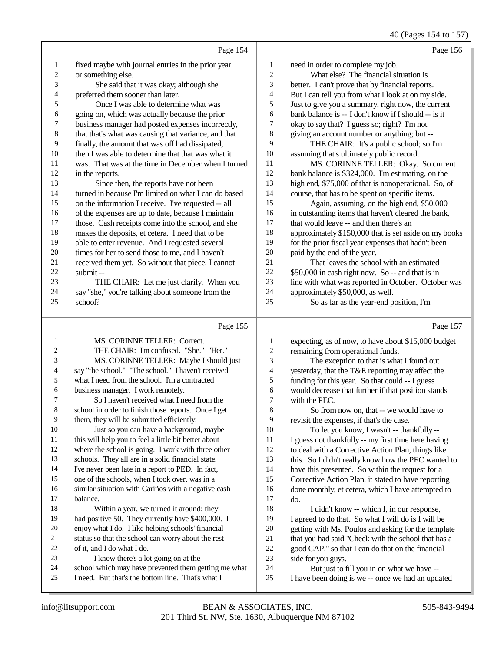40 (Pages 154 to 157)

|                  |                                                                                                           |                   | 40 (Pages 154 to 157)                                                                           |
|------------------|-----------------------------------------------------------------------------------------------------------|-------------------|-------------------------------------------------------------------------------------------------|
|                  | Page 154                                                                                                  |                   | Page 156                                                                                        |
| 1                | fixed maybe with journal entries in the prior year                                                        | 1                 | need in order to complete my job.                                                               |
| $\overline{c}$   | or something else.                                                                                        | $\overline{c}$    | What else? The financial situation is                                                           |
| 3                | She said that it was okay; although she                                                                   | 3                 | better. I can't prove that by financial reports.                                                |
| 4                | preferred them sooner than later.                                                                         | 4                 | But I can tell you from what I look at on my side.                                              |
| 5                | Once I was able to determine what was                                                                     | 5                 | Just to give you a summary, right now, the current                                              |
| 6                | going on, which was actually because the prior                                                            | 6                 | bank balance is -- I don't know if I should -- is it                                            |
| $\boldsymbol{7}$ | business manager had posted expenses incorrectly,                                                         | 7                 | okay to say that? I guess so; right? I'm not                                                    |
| $\,$ 8 $\,$      | that that's what was causing that variance, and that                                                      | 8                 | giving an account number or anything; but --                                                    |
| 9                | finally, the amount that was off had dissipated,                                                          | 9                 | THE CHAIR: It's a public school; so I'm                                                         |
| 10               | then I was able to determine that that was what it                                                        | 10                | assuming that's ultimately public record.                                                       |
| 11               | was. That was at the time in December when I turned                                                       | 11                | MS. CORINNE TELLER: Okay. So current                                                            |
| 12               | in the reports.                                                                                           | 12                | bank balance is \$324,000. I'm estimating, on the                                               |
| 13               | Since then, the reports have not been                                                                     | 13                | high end, \$75,000 of that is nonoperational. So, of                                            |
| 14               | turned in because I'm limited on what I can do based                                                      | 14                | course, that has to be spent on specific items.                                                 |
| 15               | on the information I receive. I've requested -- all                                                       | 15                | Again, assuming, on the high end, \$50,000                                                      |
| 16               | of the expenses are up to date, because I maintain                                                        | 16                | in outstanding items that haven't cleared the bank,                                             |
| 17               | those. Cash receipts come into the school, and she                                                        | 17                | that would leave -- and then there's an                                                         |
| 18               | makes the deposits, et cetera. I need that to be                                                          | 18                | approximately \$150,000 that is set aside on my books                                           |
| 19               | able to enter revenue. And I requested several                                                            | 19                | for the prior fiscal year expenses that hadn't been                                             |
| $20\,$           | times for her to send those to me, and I haven't                                                          | 20                | paid by the end of the year.                                                                    |
| 21               | received them yet. So without that piece, I cannot                                                        | 21                | That leaves the school with an estimated                                                        |
| 22               | submit-                                                                                                   | $22\,$            | \$50,000 in cash right now. So -- and that is in                                                |
| 23               | THE CHAIR: Let me just clarify. When you                                                                  | $23\,$            | line with what was reported in October. October was                                             |
| 24               | say "she," you're talking about someone from the                                                          | 24                | approximately \$50,000, as well.                                                                |
| 25               | school?                                                                                                   | 25                | So as far as the year-end position, I'm                                                         |
|                  |                                                                                                           |                   |                                                                                                 |
|                  | Page 155                                                                                                  |                   | Page 157                                                                                        |
| $\mathbf{1}$     |                                                                                                           |                   |                                                                                                 |
| 2                | MS. CORINNE TELLER: Correct.                                                                              | $\mathbf{1}$      | expecting, as of now, to have about \$15,000 budget                                             |
| 3                | THE CHAIR: I'm confused. "She." "Her."                                                                    | $\mathbf{2}$<br>3 | remaining from operational funds.                                                               |
| 4                | MS. CORINNE TELLER: Maybe I should just<br>say "the school." "The school." I haven't received             | 4                 | The exception to that is what I found out                                                       |
| 5                | what I need from the school. I'm a contracted                                                             | 5                 | yesterday, that the T&E reporting may affect the                                                |
| 6                | business manager. I work remotely.                                                                        | 6                 | funding for this year. So that could -- I guess                                                 |
| 7                | So I haven't received what I need from the                                                                | 7                 | would decrease that further if that position stands<br>with the PEC.                            |
| 8                | school in order to finish those reports. Once I get                                                       | 8                 | So from now on, that -- we would have to                                                        |
| 9                | them, they will be submitted efficiently.                                                                 | 9                 | revisit the expenses, if that's the case.                                                       |
| 10               | Just so you can have a background, maybe                                                                  | 10                | To let you know, I wasn't -- thankfully --                                                      |
| 11               | this will help you to feel a little bit better about                                                      | 11                | I guess not thankfully -- my first time here having                                             |
| 12               | where the school is going. I work with three other                                                        | 12                | to deal with a Corrective Action Plan, things like                                              |
| 13               | schools. They all are in a solid financial state.                                                         | 13                | this. So I didn't really know how the PEC wanted to                                             |
| 14               | I've never been late in a report to PED. In fact,                                                         | 14                | have this presented. So within the request for a                                                |
| 15               | one of the schools, when I took over, was in a                                                            | 15                | Corrective Action Plan, it stated to have reporting                                             |
| 16               | similar situation with Cariños with a negative cash                                                       | 16                | done monthly, et cetera, which I have attempted to                                              |
| 17               | balance.                                                                                                  | 17                | do.                                                                                             |
| 18               | Within a year, we turned it around; they                                                                  | 18                | I didn't know -- which I, in our response,                                                      |
| 19               | had positive 50. They currently have \$400,000. I                                                         | 19                | I agreed to do that. So what I will do is I will be                                             |
| 20               | enjoy what I do. I like helping schools' financial                                                        | $20\,$            | getting with Ms. Poulos and asking for the template                                             |
| 21               | status so that the school can worry about the rest                                                        | $21\,$            | that you had said "Check with the school that has a                                             |
| 22               | of it, and I do what I do.                                                                                | $22\,$            | good CAP," so that I can do that on the financial                                               |
| 23               | I know there's a lot going on at the                                                                      | $23\,$            | side for you guys.                                                                              |
| 24<br>25         | school which may have prevented them getting me what<br>I need. But that's the bottom line. That's what I | 24<br>$25\,$      | But just to fill you in on what we have --<br>I have been doing is we -- once we had an updated |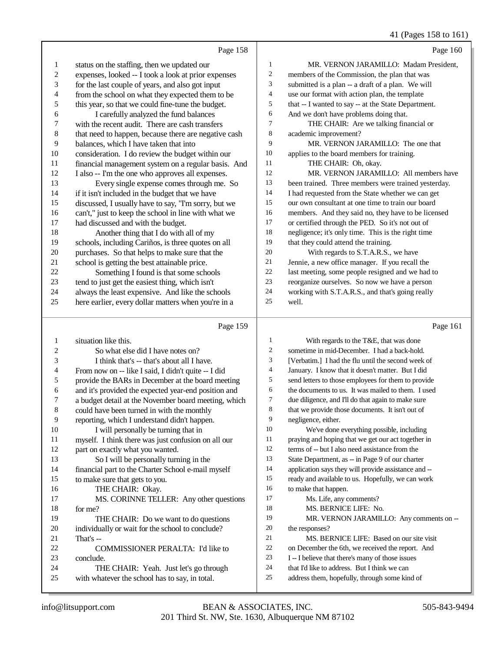41 (Pages 158 to 161)

|    | Page 158                                             |                | Page 160                                            |
|----|------------------------------------------------------|----------------|-----------------------------------------------------|
| 1  | status on the staffing, then we updated our          | 1              | MR. VERNON JARAMILLO: Madam President.              |
| 2  | expenses, looked -- I took a look at prior expenses  | $\overline{2}$ | members of the Commission, the plan that was        |
| 3  | for the last couple of years, and also got input     | 3              | submitted is a plan -- a draft of a plan. We will   |
| 4  | from the school on what they expected them to be     | $\overline{4}$ | use our format with action plan, the template       |
| 5  | this year, so that we could fine-tune the budget.    | 5              | that -- I wanted to say -- at the State Department. |
| 6  | I carefully analyzed the fund balances               | 6              | And we don't have problems doing that.              |
| 7  | with the recent audit. There are cash transfers      | 7              | THE CHAIR: Are we talking financial or              |
| 8  | that need to happen, because there are negative cash | 8              | academic improvement?                               |
| 9  | balances, which I have taken that into               | 9              | MR. VERNON JARAMILLO: The one that                  |
| 10 | consideration. I do review the budget within our     | 10             | applies to the board members for training.          |
| 11 | financial management system on a regular basis. And  | 11             | THE CHAIR: Oh, okay.                                |
| 12 | I also -- I'm the one who approves all expenses.     | 12             | MR. VERNON JARAMILLO: All members have              |
| 13 | Every single expense comes through me. So            | 13             | been trained. Three members were trained yesterday. |
| 14 | if it isn't included in the budget that we have      | 14             | I had requested from the State whether we can get   |
| 15 | discussed, I usually have to say, "I'm sorry, but we | 15             | our own consultant at one time to train our board   |
| 16 | can't," just to keep the school in line with what we | 16             | members. And they said no, they have to be licensed |
| 17 | had discussed and with the budget.                   | 17             | or certified through the PED. So it's not out of    |
| 18 | Another thing that I do with all of my               | 18             | negligence; it's only time. This is the right time  |
| 19 | schools, including Cariños, is three quotes on all   | 19             | that they could attend the training.                |
| 20 | purchases. So that helps to make sure that the       | 20             | With regards to S.T.A.R.S., we have                 |
| 21 | school is getting the best attainable price.         | 21             | Jennie, a new office manager. If you recall the     |
| 22 | Something I found is that some schools               | 22             | last meeting, some people resigned and we had to    |
| 23 | tend to just get the easiest thing, which isn't      | 23             | reorganize ourselves. So now we have a person       |
| 24 | always the least expensive. And like the schools     | 24             | working with S.T.A.R.S., and that's going really    |
| 25 | here earlier, every dollar matters when you're in a  | 25             | well.                                               |
|    |                                                      |                |                                                     |
|    | Page 159                                             |                | Page 161                                            |

|                | $1 \, \text{age} \, 1 \, \text{cm}$                  |                | $1 \, \text{ag}$ c 101                               |
|----------------|------------------------------------------------------|----------------|------------------------------------------------------|
| 1              | situation like this.                                 | 1              | With regards to the T&E, that was done               |
| $\overline{c}$ | So what else did I have notes on?                    | $\overline{c}$ | sometime in mid-December. I had a back-hold.         |
| 3              | I think that's -- that's about all I have.           | 3              | [Verbatim.] I had the flu until the second week of   |
| 4              | From now on -- like I said, I didn't quite -- I did  | $\overline{4}$ | January. I know that it doesn't matter. But I did    |
| 5              | provide the BARs in December at the board meeting    | 5              | send letters to those employees for them to provide  |
| 6              | and it's provided the expected year-end position and | 6              | the documents to us. It was mailed to them. I used   |
| 7              | a budget detail at the November board meeting, which | $\tau$         | due diligence, and I'll do that again to make sure   |
| 8              | could have been turned in with the monthly           | 8              | that we provide those documents. It isn't out of     |
| 9              | reporting, which I understand didn't happen.         | 9              | negligence, either.                                  |
| 10             | I will personally be turning that in                 | 10             | We've done everything possible, including            |
| 11             | myself. I think there was just confusion on all our  | 11             | praying and hoping that we get our act together in   |
| 12             | part on exactly what you wanted.                     | 12             | terms of -- but I also need assistance from the      |
| 13             | So I will be personally turning in the               | 13             | State Department, as -- in Page 9 of our charter     |
| 14             | financial part to the Charter School e-mail myself   | 14             | application says they will provide assistance and -- |
| 15             | to make sure that gets to you.                       | 15             | ready and available to us. Hopefully, we can work    |
| 16             | THE CHAIR: Okay.                                     | 16             | to make that happen.                                 |
| 17             | MS. CORINNE TELLER: Any other questions              | 17             | Ms. Life, any comments?                              |
| 18             | for me?                                              | 18             | MS. BERNICE LIFE: No.                                |
| 19             | THE CHAIR: Do we want to do questions                | 19             | MR. VERNON JARAMILLO: Any comments on --             |
| 20             | individually or wait for the school to conclude?     | 20             | the responses?                                       |
| 21             | That's $-$                                           | 21             | MS. BERNICE LIFE: Based on our site visit            |
| 22             | <b>COMMISSIONER PERALTA: I'd like to</b>             | 22             | on December the 6th, we received the report. And     |
| 23             | conclude.                                            | 23             | I -- I believe that there's many of those issues     |
| 24             | THE CHAIR: Yeah. Just let's go through               | 24             | that I'd like to address. But I think we can         |
| 25             | with whatever the school has to say, in total.       | 25             | address them, hopefully, through some kind of        |
|                |                                                      |                |                                                      |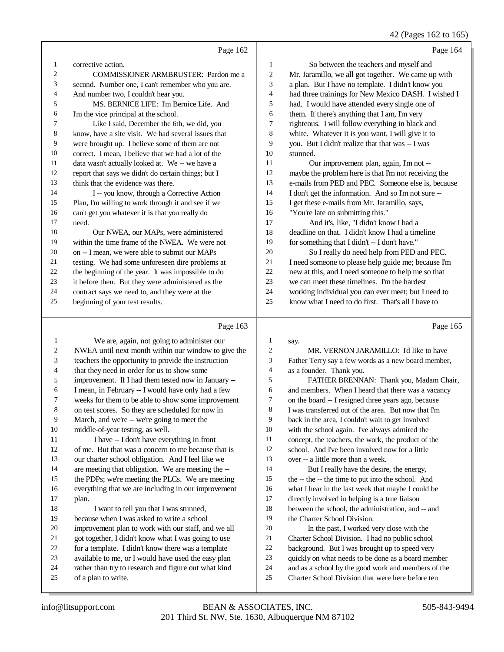# 42 (Pages 162 to 165)

|                |                                                     |                | $+2$ (1 agos 102 to 10.                              |
|----------------|-----------------------------------------------------|----------------|------------------------------------------------------|
|                | Page 162                                            |                | Page 164                                             |
| 1              | corrective action.                                  | 1              | So between the teachers and myself and               |
| $\overline{2}$ | <b>COMMISSIONER ARMBRUSTER: Pardon me a</b>         | $\overline{c}$ | Mr. Jaramillo, we all got together. We came up with  |
| 3              | second. Number one, I can't remember who you are.   | 3              | a plan. But I have no template. I didn't know you    |
| 4              | And number two, I couldn't hear you.                | 4              | had three trainings for New Mexico DASH. I wished I  |
| 5              | MS. BERNICE LIFE: I'm Bernice Life. And             | 5              | had. I would have attended every single one of       |
| 6              | I'm the vice principal at the school.               | 6              | them. If there's anything that I am, I'm very        |
| 7              | Like I said, December the 6th, we did, you          | 7              | righteous. I will follow everything in black and     |
| 8              | know, have a site visit. We had several issues that | 8              | white. Whatever it is you want, I will give it to    |
| 9              | were brought up. I believe some of them are not     | 9              | you. But I didn't realize that that was -- I was     |
| 10             | correct. I mean, I believe that we had a lot of the | 10             | stunned.                                             |
| 11             | data wasn't actually looked at. We -- we have a     | 11             | Our improvement plan, again, I'm not --              |
| 12             | report that says we didn't do certain things; but I | 12             | maybe the problem here is that I'm not receiving the |
| 13             | think that the evidence was there.                  | 13             | e-mails from PED and PEC. Someone else is, because   |
| 14             | I -- you know, through a Corrective Action          | 14             | I don't get the information. And so I'm not sure --  |
| 15             | Plan, I'm willing to work through it and see if we  | 15             | I get these e-mails from Mr. Jaramillo, says,        |
| 16             | can't get you whatever it is that you really do     | 16             | "You're late on submitting this."                    |
| 17             | need.                                               | 17             | And it's, like, "I didn't know I had a               |
| 18             | Our NWEA, our MAPs, were administered               | 18             | deadline on that. I didn't know I had a timeline     |
| 19             | within the time frame of the NWEA. We were not      | 19             | for something that I didn't -- I don't have."        |
| 20             | on -- I mean, we were able to submit our MAPs       | 20             | So I really do need help from PED and PEC.           |
| 21             | testing. We had some unforeseen dire problems at    | 21             | I need someone to please help guide me; because I'm  |
| 22             | the beginning of the year. It was impossible to do  | 22             | new at this, and I need someone to help me so that   |
| 23             | it before then. But they were administered as the   | 23             | we can meet these timelines. I'm the hardest         |
| 24             | contract says we need to, and they were at the      | 24             | working individual you can ever meet; but I need to  |
| 25             | beginning of your test results.                     | 25             | know what I need to do first. That's all I have to   |
|                | Page 163                                            |                | Page 165                                             |

#### Page 163 |

| 1  | We are, again, not going to administer our           | 1              | say.                                                |
|----|------------------------------------------------------|----------------|-----------------------------------------------------|
| 2  | NWEA until next month within our window to give the  | $\overline{2}$ | MR. VERNON JARAMILLO: I'd like to have              |
| 3  | teachers the opportunity to provide the instruction  | 3              | Father Terry say a few words as a new board member, |
| 4  | that they need in order for us to show some          | 4              | as a founder. Thank you.                            |
| 5  | improvement. If I had them tested now in January --  | 5              | FATHER BRENNAN: Thank you, Madam Chair,             |
| 6  | I mean, in February -- I would have only had a few   | 6              | and members. When I heard that there was a vacancy  |
| 7  | weeks for them to be able to show some improvement   | 7              | on the board -- I resigned three years ago, because |
| 8  | on test scores. So they are scheduled for now in     | 8              | I was transferred out of the area. But now that I'm |
| 9  | March, and we're -- we're going to meet the          | 9              | back in the area, I couldn't wait to get involved   |
| 10 | middle-of-year testing, as well.                     | 10             | with the school again. I've always admired the      |
| 11 | I have -- I don't have everything in front           | 11             | concept, the teachers, the work, the product of the |
| 12 | of me. But that was a concern to me because that is  | 12             | school. And I've been involved now for a little     |
| 13 | our charter school obligation. And I feel like we    | 13             | over -- a little more than a week.                  |
| 14 | are meeting that obligation. We are meeting the --   | 14             | But I really have the desire, the energy,           |
| 15 | the PDPs; we're meeting the PLCs. We are meeting     | 15             | the -- the -- the time to put into the school. And  |
| 16 | everything that we are including in our improvement  | 16             | what I hear in the last week that maybe I could be  |
| 17 | plan.                                                | 17             | directly involved in helping is a true liaison      |
| 18 | I want to tell you that I was stunned,               | 18             | between the school, the administration, and -- and  |
| 19 | because when I was asked to write a school           | 19             | the Charter School Division.                        |
| 20 | improvement plan to work with our staff, and we all  | 20             | In the past, I worked very close with the           |
| 21 | got together, I didn't know what I was going to use  | 21             | Charter School Division. I had no public school     |
| 22 | for a template. I didn't know there was a template   | 22             | background. But I was brought up to speed very      |
| 23 | available to me, or I would have used the easy plan  | 23             | quickly on what needs to be done as a board member  |
| 24 | rather than try to research and figure out what kind | 24             | and as a school by the good work and members of the |
| 25 | of a plan to write.                                  | 25             | Charter School Division that were here before ten   |
|    |                                                      |                |                                                     |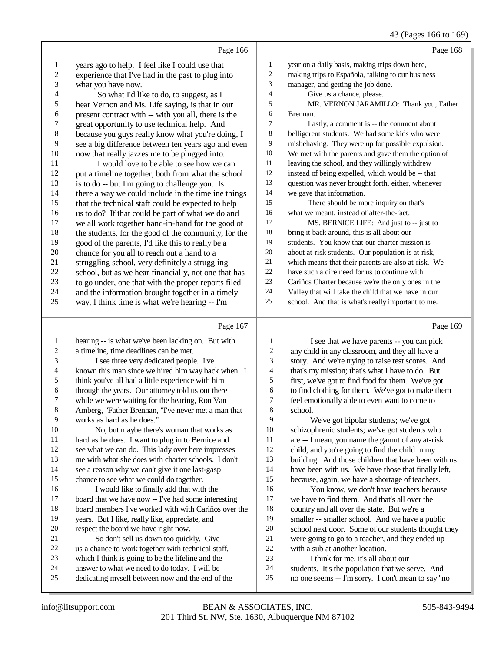|                | Page 166                                             |                | Page 168                                            |
|----------------|------------------------------------------------------|----------------|-----------------------------------------------------|
| 1              | years ago to help. I feel like I could use that      | 1              | year on a daily basis, making trips down here,      |
| $\overline{c}$ | experience that I've had in the past to plug into    | $\overline{c}$ | making trips to Española, talking to our business   |
| 3              | what you have now.                                   | 3              | manager, and getting the job done.                  |
| 4              | So what I'd like to do, to suggest, as I             | 4              | Give us a chance, please.                           |
| 5              | hear Vernon and Ms. Life saying, is that in our      | 5              | MR. VERNON JARAMILLO: Thank you, Father             |
| 6              | present contract with -- with you all, there is the  | 6              | Brennan.                                            |
| 7              | great opportunity to use technical help. And         | 7              | Lastly, a comment is -- the comment about           |
| 8              | because you guys really know what you're doing, I    | 8              | belligerent students. We had some kids who were     |
| 9              | see a big difference between ten years ago and even  | 9              | misbehaving. They were up for possible expulsion.   |
| 10             | now that really jazzes me to be plugged into.        | 10             | We met with the parents and gave them the option of |
| 11             | I would love to be able to see how we can            | 11             | leaving the school, and they willingly withdrew     |
| 12             | put a timeline together, both from what the school   | 12             | instead of being expelled, which would be -- that   |
| 13             | is to do -- but I'm going to challenge you. Is       | 13             | question was never brought forth, either, whenever  |
| 14             | there a way we could include in the timeline things  | 14             | we gave that information.                           |
| 15             | that the technical staff could be expected to help   | 15             | There should be more inquiry on that's              |
| 16             | us to do? If that could be part of what we do and    | 16             | what we meant, instead of after-the-fact.           |
| 17             | we all work together hand-in-hand for the good of    | 17             | MS. BERNICE LIFE: And just to -- just to            |
| 18             | the students, for the good of the community, for the | 18             | bring it back around, this is all about our         |
| 19             | good of the parents, I'd like this to really be a    | 19             | students. You know that our charter mission is      |
| $20\,$         | chance for you all to reach out a hand to a          | 20             | about at-risk students. Our population is at-risk,  |
| 21             | struggling school, very definitely a struggling      | 21             | which means that their parents are also at-risk. We |
| 22             | school, but as we hear financially, not one that has | 22             | have such a dire need for us to continue with       |
| 23             | to go under, one that with the proper reports filed  | 23             | Cariños Charter because we're the only ones in the  |
| 24             | and the information brought together in a timely     | 24             | Valley that will take the child that we have in our |
| 25             | way, I think time is what we're hearing -- I'm       | 25             | school. And that is what's really important to me.  |
|                | Page 167                                             |                | Page 169                                            |
| 1              | hearing -- is what we've been lacking on. But with   | 1              | I see that we have parents -- you can pick          |
| $\overline{c}$ | a timeline, time deadlines can be met.               | $\overline{2}$ | any child in any classroom, and they all have a     |
|                |                                                      |                |                                                     |

| 3        | I see three very dedicated people. I've              |  |
|----------|------------------------------------------------------|--|
| 4        | known this man since we hired him way back when. I   |  |
| 5        | think you've all had a little experience with him    |  |
| 6        | through the years. Our attorney told us out there    |  |
| 7        | while we were waiting for the hearing, Ron Van       |  |
| 8        | Amberg, "Father Brennan, "I've never met a man that  |  |
| 9        | works as hard as he does."                           |  |
| 10       | No, but maybe there's woman that works as            |  |
| 11       | hard as he does. I want to plug in to Bernice and    |  |
| 12       | see what we can do. This lady over here impresses    |  |
| 13       | me with what she does with charter schools. I don't  |  |
| 14       | see a reason why we can't give it one last-gasp      |  |
| 15       | chance to see what we could do together.             |  |
| 16       | I would like to finally add that with the            |  |
| 17       | board that we have now -- I've had some interesting  |  |
| 18       | board members I've worked with with Cariños over the |  |
| 19       | years. But I like, really like, appreciate, and      |  |
| $\gamma$ | regneest the hoord wis hows right now.               |  |

- respect the board we have right now. So don't sell us down too quickly. Give us a chance to work together with technical staff, which I think is going to be the lifeline and the
- answer to what we need to do today. I will be
- dedicating myself between now and the end of the

 any child in any classroom, and they all have a story. And we're trying to raise test scores. And that's my mission; that's what I have to do. But first, we've got to find food for them. We've got to find clothing for them. We've got to make them 7 feel emotionally able to even want to come to school. school.

9 We've got bipolar students; we've got<br>10 schizophrenic students: we've got students we've schizophrenic students; we've got students who are -- I mean, you name the gamut of any at-risk child, and you're going to find the child in my building. And those children that have been with us have been with us. We have those that finally left, because, again, we have a shortage of teachers. 16 You know, we don't have teachers because<br>17 we have to find them. And that's all over the we have to find them. And that's all over the 18 country and all over the state. But we're a<br>19 smaller -- smaller school. And we have a smaller -- smaller school. And we have a public 20 school next door. Some of our students thought they<br>21 were going to go to a teacher, and they ended up 21 were going to go to a teacher, and they ended up<br>22 with a sub at another location. 22 with a sub at another location.<br>23 I think for me. it's all abo I think for me, it's all about our 24 students. It's the population that we serve. And<br>25 no one seems -- I'm sorry. I don't mean to say "n no one seems -- I'm sorry. I don't mean to say "no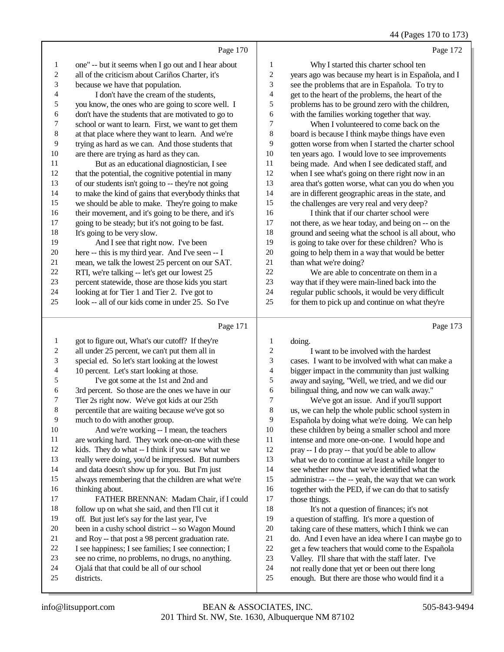44 (Pages 170 to 173)

|                                                                                                                                                               | Page 172                                                                                                                                                                                                                                                                                                                                                                                                                                                                                                                                                                                                                               |
|---------------------------------------------------------------------------------------------------------------------------------------------------------------|----------------------------------------------------------------------------------------------------------------------------------------------------------------------------------------------------------------------------------------------------------------------------------------------------------------------------------------------------------------------------------------------------------------------------------------------------------------------------------------------------------------------------------------------------------------------------------------------------------------------------------------|
| 1                                                                                                                                                             | Why I started this charter school ten                                                                                                                                                                                                                                                                                                                                                                                                                                                                                                                                                                                                  |
| $\overline{\mathbf{c}}$                                                                                                                                       | years ago was because my heart is in Española, and I                                                                                                                                                                                                                                                                                                                                                                                                                                                                                                                                                                                   |
| 3                                                                                                                                                             | see the problems that are in Española. To try to                                                                                                                                                                                                                                                                                                                                                                                                                                                                                                                                                                                       |
| 4                                                                                                                                                             | get to the heart of the problems, the heart of the                                                                                                                                                                                                                                                                                                                                                                                                                                                                                                                                                                                     |
| 5                                                                                                                                                             | problems has to be ground zero with the children,                                                                                                                                                                                                                                                                                                                                                                                                                                                                                                                                                                                      |
| 6                                                                                                                                                             | with the families working together that way.                                                                                                                                                                                                                                                                                                                                                                                                                                                                                                                                                                                           |
| 7                                                                                                                                                             | When I volunteered to come back on the                                                                                                                                                                                                                                                                                                                                                                                                                                                                                                                                                                                                 |
| 8                                                                                                                                                             | board is because I think maybe things have even                                                                                                                                                                                                                                                                                                                                                                                                                                                                                                                                                                                        |
| 9                                                                                                                                                             | gotten worse from when I started the charter school                                                                                                                                                                                                                                                                                                                                                                                                                                                                                                                                                                                    |
| 10                                                                                                                                                            | ten years ago. I would love to see improvements                                                                                                                                                                                                                                                                                                                                                                                                                                                                                                                                                                                        |
| 11                                                                                                                                                            | being made. And when I see dedicated staff, and                                                                                                                                                                                                                                                                                                                                                                                                                                                                                                                                                                                        |
| 12                                                                                                                                                            | when I see what's going on there right now in an                                                                                                                                                                                                                                                                                                                                                                                                                                                                                                                                                                                       |
| 13                                                                                                                                                            | area that's gotten worse, what can you do when you                                                                                                                                                                                                                                                                                                                                                                                                                                                                                                                                                                                     |
| 14                                                                                                                                                            | are in different geographic areas in the state, and                                                                                                                                                                                                                                                                                                                                                                                                                                                                                                                                                                                    |
| 15                                                                                                                                                            | the challenges are very real and very deep?                                                                                                                                                                                                                                                                                                                                                                                                                                                                                                                                                                                            |
| 16                                                                                                                                                            | I think that if our charter school were                                                                                                                                                                                                                                                                                                                                                                                                                                                                                                                                                                                                |
| 17                                                                                                                                                            | not there, as we hear today, and being on -- on the                                                                                                                                                                                                                                                                                                                                                                                                                                                                                                                                                                                    |
| 18                                                                                                                                                            | ground and seeing what the school is all about, who                                                                                                                                                                                                                                                                                                                                                                                                                                                                                                                                                                                    |
| 19                                                                                                                                                            | is going to take over for these children? Who is                                                                                                                                                                                                                                                                                                                                                                                                                                                                                                                                                                                       |
| 20                                                                                                                                                            | going to help them in a way that would be better                                                                                                                                                                                                                                                                                                                                                                                                                                                                                                                                                                                       |
| 21                                                                                                                                                            | than what we're doing?                                                                                                                                                                                                                                                                                                                                                                                                                                                                                                                                                                                                                 |
| 22                                                                                                                                                            | We are able to concentrate on them in a                                                                                                                                                                                                                                                                                                                                                                                                                                                                                                                                                                                                |
| 23                                                                                                                                                            | way that if they were main-lined back into the                                                                                                                                                                                                                                                                                                                                                                                                                                                                                                                                                                                         |
| 24                                                                                                                                                            | regular public schools, it would be very difficult                                                                                                                                                                                                                                                                                                                                                                                                                                                                                                                                                                                     |
| 25                                                                                                                                                            | for them to pick up and continue on what they're                                                                                                                                                                                                                                                                                                                                                                                                                                                                                                                                                                                       |
|                                                                                                                                                               | Page 173                                                                                                                                                                                                                                                                                                                                                                                                                                                                                                                                                                                                                               |
| of our students isn't going to -- they're not going<br>percent statewide, those are those kids you start<br>look -- all of our kids come in under 25. So I've | Page 170<br>one" -- but it seems when I go out and I hear about<br>you know, the ones who are going to score well. I<br>don't have the students that are motivated to go to<br>school or want to learn. First, we want to get them<br>at that place where they want to learn. And we're<br>trying as hard as we can. And those students that<br>that the potential, the cognitive potential in many<br>to make the kind of gains that everybody thinks that<br>we should be able to make. They're going to make<br>their movement, and it's going to be there, and it's<br>mean, we talk the lowest 25 percent on our SAT.<br>Page 171 |

| $\mathbf{1}$   | got to figure out, What's our cutoff? If they're     | 1  | doing.                                              |
|----------------|------------------------------------------------------|----|-----------------------------------------------------|
| $\overline{c}$ | all under 25 percent, we can't put them all in       | 2  | I want to be involved with the hardest              |
| 3              | special ed. So let's start looking at the lowest     | 3  | cases. I want to be involved with what can make a   |
| 4              | 10 percent. Let's start looking at those.            | 4  | bigger impact in the community than just walking    |
| 5              | I've got some at the 1st and 2nd and                 | 5  | away and saying, "Well, we tried, and we did our    |
| 6              | 3rd percent. So those are the ones we have in our    | 6  | bilingual thing, and now we can walk away."         |
| 7              | Tier 2s right now. We've got kids at our 25th        | 7  | We've got an issue. And if you'll support           |
| 8              | percentile that are waiting because we've got so     | 8  | us, we can help the whole public school system in   |
| 9              | much to do with another group.                       | 9  | Española by doing what we're doing. We can help     |
| 10             | And we're working -- I mean, the teachers            | 10 | these children by being a smaller school and more   |
| 11             | are working hard. They work one-on-one with these    | 11 | intense and more one-on-one. I would hope and       |
| 12             | kids. They do what -- I think if you saw what we     | 12 | pray -- I do pray -- that you'd be able to allow    |
| 13             | really were doing, you'd be impressed. But numbers   | 13 | what we do to continue at least a while longer to   |
| 14             | and data doesn't show up for you. But I'm just       | 14 | see whether now that we've identified what the      |
| 15             | always remembering that the children are what we're  | 15 | administra--- the -- yeah, the way that we can work |
| 16             | thinking about.                                      | 16 | together with the PED, if we can do that to satisfy |
| 17             | FATHER BRENNAN: Madam Chair, if I could              | 17 | those things.                                       |
| 18             | follow up on what she said, and then I'll cut it     | 18 | It's not a question of finances; it's not           |
| 19             | off. But just let's say for the last year, I've      | 19 | a question of staffing. It's more a question of     |
| 20             | been in a cushy school district -- so Wagon Mound    | 20 | taking care of these matters, which I think we can  |
| 21             | and Roy -- that post a 98 percent graduation rate.   | 21 | do. And I even have an idea where I can maybe go to |
| 22             | I see happiness; I see families; I see connection; I | 22 | get a few teachers that would come to the Española  |
| 23             | see no crime, no problems, no drugs, no anything.    | 23 | Valley. I'll share that with the staff later. I've  |
| 24             | Ojalá that that could be all of our school           | 24 | not really done that yet or been out there long     |
| 25             | districts.                                           | 25 | enough. But there are those who would find it a     |
|                |                                                      |    |                                                     |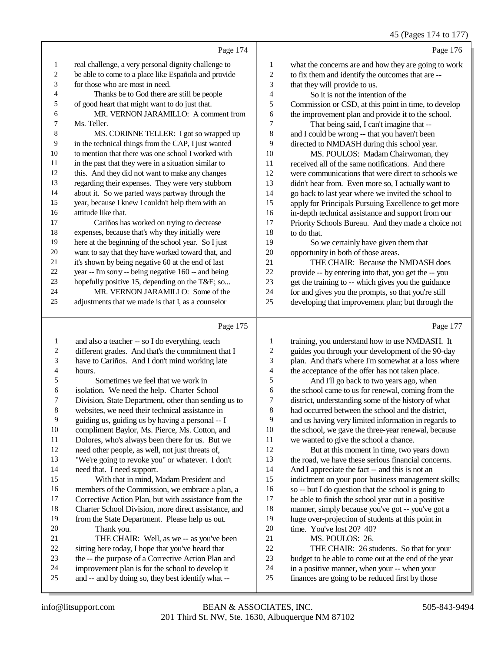45 (Pages 174 to 177)

- Page 174 1 real challenge, a very personal dignity challenge to 2 be able to come to a place like Española and provide 3 for those who are most in need. 4 Thanks be to God there are still be people 5 of good heart that might want to do just that. 6 MR. VERNON JARAMILLO: A comment from 7 Ms. Teller. 8 MS. CORINNE TELLER: I got so wrapped up 9 in the technical things from the CAP, I just wanted 10 to mention that there was one school I worked with 11 in the past that they were in a situation similar to 12 this. And they did not want to make any changes 13 regarding their expenses. They were very stubborn 14 about it. So we parted ways partway through the 15 year, because I knew I couldn't help them with an 16 attitude like that. 17 Cariños has worked on trying to decrease 18 expenses, because that's why they initially were 19 here at the beginning of the school year. So I just 20 want to say that they have worked toward that, and 21 it's shown by being negative 60 at the end of last 22 year -- I'm sorry -- being negative 160 -- and being 23 hopefully positive 15, depending on the T&E; so... 24 MR. VERNON JARAMILLO: Some of the 25 adjustments that we made is that I, as a counselor Page 175 1 and also a teacher -- so I do everything, teach<br>2 different grades. And that's the commitment t 2 different grades. And that's the commitment that I<br>3 have to Cariños. And I don't mind working late have to Cariños. And I don't mind working late  $\frac{4}{5}$  hours. 5 Sometimes we feel that we work in<br>6 isolation. We need the help. Charter Sch 6 isolation. We need the help. Charter School<br>7 Division. State Department, other than sending 7 Division, State Department, other than sending us to<br>8 websites we need their technical assistance in websites, we need their technical assistance in 9 guiding us, guiding us by having a personal -- I<br>10 compliment Baylor. Ms. Pierce. Ms. Cotton. and 10 compliment Baylor, Ms. Pierce, Ms. Cotton, and<br>11 Dolores, who's always been there for us. But we Page 176 1 what the concerns are and how they are going to work 2 to fix them and identify the outcomes that are -- 3 that they will provide to us. 4 So it is not the intention of the 5 Commission or CSD, at this point in time, to develop 6 the improvement plan and provide it to the school. 7 That being said, I can't imagine that -- 8 and I could be wrong -- that you haven't been 9 directed to NMDASH during this school year. 10 MS. POULOS: Madam Chairwoman, they 11 received all of the same notifications. And there 12 were communications that were direct to schools we 13 didn't hear from. Even more so, I actually want to 14 go back to last year where we invited the school to 15 apply for Principals Pursuing Excellence to get more 16 in-depth technical assistance and support from our 17 Priority Schools Bureau. And they made a choice not 18 to do that. 19 So we certainly have given them that 20 opportunity in both of those areas. 21 THE CHAIR: Because the NMDASH does 22 provide -- by entering into that, you get the -- you 23 get the training to -- which gives you the guidance 24 for and gives you the prompts, so that you're still 25 developing that improvement plan; but through the Page 177 1 training, you understand how to use NMDASH. It 2 guides you through your development of the 90-day<br>3 plan. And that's where I'm somewhat at a loss where plan. And that's where I'm somewhat at a loss where 4 the acceptance of the offer has not taken place. 5 And I'll go back to two years ago, when<br>6 the school came to us for renewal, coming from 6 the school came to us for renewal, coming from the<br>
district understanding some of the history of what 7 district, understanding some of the history of what had occurred between the school and the district, 9 and us having very limited information in regards to<br>10 the school, we gave the three-vear renewal, because
	- 10 the school, we gave the three-year renewal, because<br>11 we wanted to give the school a chance. we wanted to give the school a chance. 12 But at this moment in time, two years down
		- 13 the road, we have these serious financial concerns. 14 And I appreciate the fact -- and this is not an 15 indictment on your poor business management skills; 16 so -- but I do question that the school is going to<br>17 be able to finish the school year out in a positive be able to finish the school year out in a positive 18 manner, simply because you've got -- you've got a<br>19 huge over-projection of students at this point in huge over-projection of students at this point in 20 time. You've lost 20? 40?<br>21 MS. POULOS: 26. 21 MS. POULOS: 26.<br>22 THE CHAIR: 26 st 22 THE CHAIR: 26 students. So that for your<br>23 budget to be able to come out at the end of the year budget to be able to come out at the end of the year
		- 24 in a positive manner, when your -- when your<br>25 finances are going to be reduced first by those finances are going to be reduced first by those

11 Dolores, who's always been there for us. But we<br>12 need other people, as well, not just threats of need other people, as well, not just threats of, 13 "We're going to revoke you" or whatever. I don't

15 With that in mind, Madam President and 16 members of the Commission, we embrace a plan, a<br>17 Corrective Action Plan, but with assistance from the Corrective Action Plan, but with assistance from the

18 Charter School Division, more direct assistance, and<br>19 from the State Department Please beln us out from the State Department. Please help us out.

21 THE CHAIR: Well, as we -- as you've been<br>22 sitting here today. I hope that you've heard that 22 sitting here today, I hope that you've heard that<br>23 the -- the purpose of a Corrective Action Plan a 23 the -- the purpose of a Corrective Action Plan and<br>24 improvement plan is for the school to develop it 24 improvement plan is for the school to develop it<br>25 and  $\epsilon$ - and by doing so they best identify what  $\epsilon$ and -- and by doing so, they best identify what --

14 need that. I need support.

20 Thank you.<br>21 THE CHAI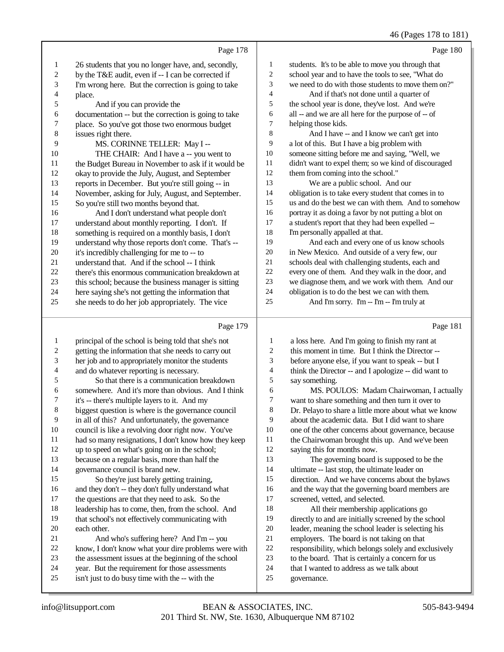# 46 (Pages 178 to 181)

|                | Page 178                                             |                | Page 180                                             |
|----------------|------------------------------------------------------|----------------|------------------------------------------------------|
| 1              | 26 students that you no longer have, and, secondly,  | 1              | students. It's to be able to move you through that   |
| $\overline{2}$ | by the T&E audit, even if -- I can be corrected if   | 2              | school year and to have the tools to see, "What do   |
| 3              | I'm wrong here. But the correction is going to take  | 3              | we need to do with those students to move them on?"  |
| $\overline{4}$ | place.                                               | $\overline{4}$ | And if that's not done until a quarter of            |
| 5              | And if you can provide the                           | 5              | the school year is done, they've lost. And we're     |
| 6              | documentation -- but the correction is going to take | 6              | all -- and we are all here for the purpose of -- of  |
| 7              | place. So you've got those two enormous budget       | 7              | helping those kids.                                  |
| 8              | issues right there.                                  | 8              | And I have -- and I know we can't get into           |
| 9              | MS. CORINNE TELLER: May I --                         | 9              | a lot of this. But I have a big problem with         |
| 10             | THE CHAIR: And I have a -- you went to               | 10             | someone sitting before me and saying, "Well, we      |
| 11             | the Budget Bureau in November to ask if it would be  | 11             | didn't want to expel them; so we kind of discouraged |
| 12             | okay to provide the July, August, and September      | 12             | them from coming into the school."                   |
| 13             | reports in December. But you're still going -- in    | 13             | We are a public school. And our                      |
| 14             | November, asking for July, August, and September.    | 14             | obligation is to take every student that comes in to |
| 15             | So you're still two months beyond that.              | 15             | us and do the best we can with them. And to somehow  |
| 16             | And I don't understand what people don't             | 16             | portray it as doing a favor by not putting a blot on |
| 17             | understand about monthly reporting. I don't. If      | 17             | a student's report that they had been expelled --    |
| 18             | something is required on a monthly basis, I don't    | 18             | I'm personally appalled at that.                     |
| 19             | understand why those reports don't come. That's --   | 19             | And each and every one of us know schools            |
| 20             | it's incredibly challenging for me to -- to          | 20             | in New Mexico. And outside of a very few, our        |
| 21             | understand that. And if the school -- I think        | 21             | schools deal with challenging students, each and     |
| 22             | there's this enormous communication breakdown at     | 22             | every one of them. And they walk in the door, and    |
| 23             | this school; because the business manager is sitting | 23             | we diagnose them, and we work with them. And our     |
| 24             | here saying she's not getting the information that   | 24             | obligation is to do the best we can with them.       |
| 25             | she needs to do her job appropriately. The vice      | 25             | And I'm sorry. I'm -- I'm -- I'm truly at            |
|                |                                                      |                |                                                      |
|                | Page 179                                             |                | Page 181                                             |

## Page 179 |

| 1  | principal of the school is being told that she's not | 1              | a loss here. And I'm going to finish my rant at      |
|----|------------------------------------------------------|----------------|------------------------------------------------------|
| 2  | getting the information that she needs to carry out  | $\overline{c}$ | this moment in time. But I think the Director --     |
| 3  | her job and to appropriately monitor the students    | 3              | before anyone else, if you want to speak -- but I    |
| 4  | and do whatever reporting is necessary.              | 4              | think the Director -- and I apologize -- did want to |
| 5  | So that there is a communication breakdown           | 5              | say something.                                       |
| 6  | somewhere. And it's more than obvious. And I think   | 6              | MS. POULOS: Madam Chairwoman, I actually             |
| 7  | it's -- there's multiple layers to it. And my        | 7              | want to share something and then turn it over to     |
| 8  | biggest question is where is the governance council  | 8              | Dr. Pelayo to share a little more about what we know |
| 9  | in all of this? And unfortunately, the governance    | 9              | about the academic data. But I did want to share     |
| 10 | council is like a revolving door right now. You've   | 10             | one of the other concerns about governance, because  |
| 11 | had so many resignations, I don't know how they keep | 11             | the Chairwoman brought this up. And we've been       |
| 12 | up to speed on what's going on in the school;        | 12             | saying this for months now.                          |
| 13 | because on a regular basis, more than half the       | 13             | The governing board is supposed to be the            |
| 14 | governance council is brand new.                     | 14             | ultimate -- last stop, the ultimate leader on        |
| 15 | So they're just barely getting training,             | 15             | direction. And we have concerns about the bylaws     |
| 16 | and they don't -- they don't fully understand what   | 16             | and the way that the governing board members are     |
| 17 | the questions are that they need to ask. So the      | 17             | screened, vetted, and selected.                      |
| 18 | leadership has to come, then, from the school. And   | 18             | All their membership applications go                 |
| 19 | that school's not effectively communicating with     | 19             | directly to and are initially screened by the school |
| 20 | each other.                                          | 20             | leader, meaning the school leader is selecting his   |
| 21 | And who's suffering here? And I'm -- you             | 21             | employers. The board is not taking on that           |
| 22 | know, I don't know what your dire problems were with | 22             | responsibility, which belongs solely and exclusively |
| 23 | the assessment issues at the beginning of the school | 23             | to the board. That is certainly a concern for us     |
| 24 | year. But the requirement for those assessments      | 24             | that I wanted to address as we talk about            |
| 25 | isn't just to do busy time with the -- with the      | 25             | governance.                                          |
|    |                                                      |                |                                                      |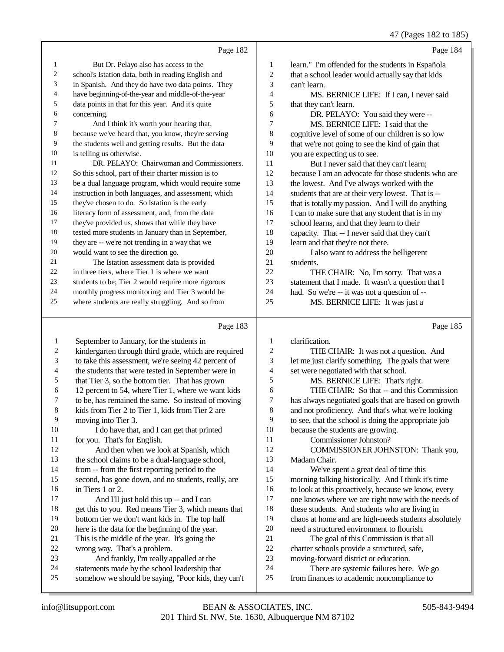# 47 (Pages 182 to 185)

|    | Page 182                                             |    | Page 184                                            |
|----|------------------------------------------------------|----|-----------------------------------------------------|
| 1  | But Dr. Pelayo also has access to the                | 1  | learn." I'm offended for the students in Española   |
| 2  | school's Istation data, both in reading English and  | 2  | that a school leader would actually say that kids   |
| 3  | in Spanish. And they do have two data points. They   | 3  | can't learn.                                        |
| 4  | have beginning-of-the-year and middle-of-the-year    | 4  | MS. BERNICE LIFE: If I can, I never said            |
| 5  | data points in that for this year. And it's quite    | 5  | that they can't learn.                              |
| 6  | concerning.                                          | 6  | DR. PELAYO: You said they were --                   |
| 7  | And I think it's worth your hearing that,            | 7  | MS. BERNICE LIFE: I said that the                   |
| 8  | because we've heard that, you know, they're serving  | 8  | cognitive level of some of our children is so low   |
| 9  | the students well and getting results. But the data  | 9  | that we're not going to see the kind of gain that   |
| 10 | is telling us otherwise.                             | 10 | you are expecting us to see.                        |
| 11 | DR. PELAYO: Chairwoman and Commissioners.            | 11 | But I never said that they can't learn;             |
| 12 | So this school, part of their charter mission is to  | 12 | because I am an advocate for those students who are |
| 13 | be a dual language program, which would require some | 13 | the lowest. And I've always worked with the         |
| 14 | instruction in both languages, and assessment, which | 14 | students that are at their very lowest. That is --  |
| 15 | they've chosen to do. So Istation is the early       | 15 | that is totally my passion. And I will do anything  |
| 16 | literacy form of assessment, and, from the data      | 16 | I can to make sure that any student that is in my   |
| 17 | they've provided us, shows that while they have      | 17 | school learns, and that they learn to their         |
| 18 | tested more students in January than in September,   | 18 | capacity. That -- I never said that they can't      |
| 19 | they are -- we're not trending in a way that we      | 19 | learn and that they're not there.                   |
| 20 | would want to see the direction go.                  | 20 | I also want to address the belligerent              |
| 21 | The Istation assessment data is provided             | 21 | students.                                           |
| 22 | in three tiers, where Tier 1 is where we want        | 22 | THE CHAIR: No, I'm sorry. That was a                |
| 23 | students to be; Tier 2 would require more rigorous   | 23 | statement that I made. It wasn't a question that I  |
| 24 | monthly progress monitoring; and Tier 3 would be     | 24 | had. So we're -- it was not a question of --        |
| 25 | where students are really struggling. And so from    | 25 | MS. BERNICE LIFE: It was just a                     |
|    | Page 183                                             |    | Page 185                                            |

# Page 183 |

| 1  | September to January, for the students in            | 1  | clarification.                                       |
|----|------------------------------------------------------|----|------------------------------------------------------|
| 2  | kindergarten through third grade, which are required | 2  | THE CHAIR: It was not a question. And                |
| 3  | to take this assessment, we're seeing 42 percent of  | 3  | let me just clarify something. The goals that were   |
| 4  | the students that were tested in September were in   | 4  | set were negotiated with that school.                |
| 5  | that Tier 3, so the bottom tier. That has grown      | 5  | MS. BERNICE LIFE: That's right.                      |
| 6  | 12 percent to 54, where Tier 1, where we want kids   | 6  | THE CHAIR: So that -- and this Commission            |
| 7  | to be, has remained the same. So instead of moving   | 7  | has always negotiated goals that are based on growth |
| 8  | kids from Tier 2 to Tier 1, kids from Tier 2 are     | 8  | and not proficiency. And that's what we're looking   |
| 9  | moving into Tier 3.                                  | 9  | to see, that the school is doing the appropriate job |
| 10 | I do have that, and I can get that printed           | 10 | because the students are growing.                    |
| 11 | for you. That's for English.                         | 11 | Commissioner Johnston?                               |
| 12 | And then when we look at Spanish, which              | 12 | COMMISSIONER JOHNSTON: Thank you,                    |
| 13 | the school claims to be a dual-language school,      | 13 | Madam Chair.                                         |
| 14 | from -- from the first reporting period to the       | 14 | We've spent a great deal of time this                |
| 15 | second, has gone down, and no students, really, are  | 15 | morning talking historically. And I think it's time  |
| 16 | in Tiers 1 or 2.                                     | 16 | to look at this proactively, because we know, every  |
| 17 | And I'll just hold this up -- and I can              | 17 | one knows where we are right now with the needs of   |
| 18 | get this to you. Red means Tier 3, which means that  | 18 | these students. And students who are living in       |
| 19 | bottom tier we don't want kids in. The top half      | 19 | chaos at home and are high-needs students absolutely |
| 20 | here is the data for the beginning of the year.      | 20 | need a structured environment to flourish.           |
| 21 | This is the middle of the year. It's going the       | 21 | The goal of this Commission is that all              |
| 22 | wrong way. That's a problem.                         | 22 | charter schools provide a structured, safe,          |
| 23 | And frankly, I'm really appalled at the              | 23 | moving-forward district or education.                |
| 24 | statements made by the school leadership that        | 24 | There are systemic failures here. We go              |
| 25 | somehow we should be saying, "Poor kids, they can't  | 25 | from finances to academic noncompliance to           |
|    |                                                      |    |                                                      |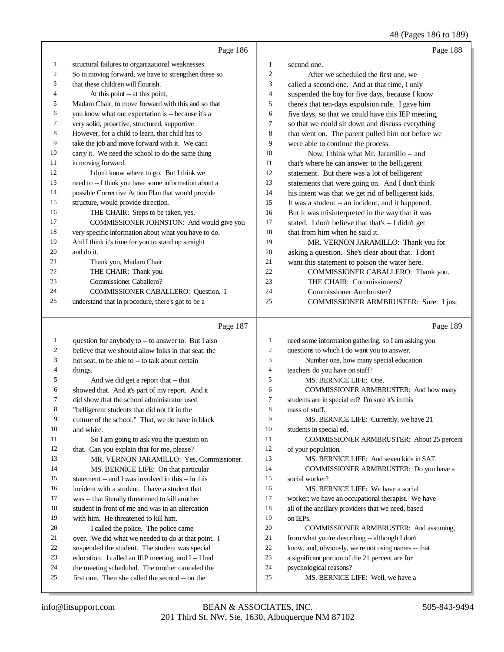|    | Page 186                                             |                | Page 188                                            |
|----|------------------------------------------------------|----------------|-----------------------------------------------------|
| 1  | structural failures to organizational weaknesses.    | 1              | second one.                                         |
| 2  | So in moving forward, we have to strengthen these so | $\overline{c}$ | After we scheduled the first one, we                |
| 3  | that these children will flourish.                   | 3              | called a second one. And at that time, I only       |
| 4  | At this point -- at this point,                      | $\overline{4}$ | suspended the boy for five days, because I know     |
| 5  | Madam Chair, to move forward with this and so that   | 5              | there's that ten-days expulsion rule. I gave him    |
| 6  | you know what our expectation is -- because it's a   | 6              | five days, so that we could have this IEP meeting,  |
| 7  | very solid, proactive, structured, supportive.       | $\tau$         | so that we could sit down and discuss everything    |
| 8  | However, for a child to learn, that child has to     | 8              | that went on. The parent pulled him out before we   |
| 9  | take the job and move forward with it. We can't      | 9              | were able to continue the process.                  |
| 10 | carry it. We need the school to do the same thing    | 10             | Now, I think what Mr. Jaramillo -- and              |
| 11 | in moving forward.                                   | 11             | that's where he can answer to the belligerent       |
| 12 | I don't know where to go. But I think we             | 12             | statement. But there was a lot of belligerent       |
| 13 | need to -- I think you have some information about a | 13             | statements that were going on. And I don't think    |
| 14 | possible Corrective Action Plan that would provide   | 14             | his intent was that we get rid of belligerent kids. |
| 15 | structure, would provide direction.                  | 15             | It was a student -- an incident, and it happened.   |
| 16 | THE CHAIR: Steps to be taken, yes.                   | 16             | But it was misinterpreted in the way that it was    |
| 17 | COMMISSIONER JOHNSTON: And would give you            | 17             | stated. I don't believe that that's -- I didn't get |
| 18 | very specific information about what you have to do. | 18             | that from him when he said it.                      |
| 19 | And I think it's time for you to stand up straight   | 19             | MR. VERNON JARAMILLO: Thank you for                 |
| 20 | and do it.                                           | 20             | asking a question. She's clear about that. I don't  |
| 21 | Thank you, Madam Chair.                              | 21             | want this statement to poison the water here.       |
| 22 | THE CHAIR: Thank you.                                | 22             | COMMISSIONER CABALLERO: Thank you.                  |
| 23 | Commissioner Caballero?                              | 23             | THE CHAIR: Commissioners?                           |
| 24 | COMMISSIONER CABALLERO: Question. I                  | 24             | Commissioner Armbruster?                            |
| 25 | understand that in procedure, there's got to be a    | 25             | COMMISSIONER ARMBRUSTER: Sure. I just               |
|    |                                                      |                |                                                     |
|    | Page 187                                             |                | Page 189                                            |
|    | question for anybody to -- to answer to But Lake     |                | need some information gathering so I am asking you  |

question for anybody to  $-$  to answer to. But I also believe that we should allow folks in that seat, the hot seat, to be able to -- to talk about certain things. 5 And we did get a report that -- that showed that. And it's part of my report. And it did show that the school administrator used "belligerent students that did not fit in the culture of the school." That, we do have in black and white. So I am going to ask you the question on that. Can you explain that for me, please? MR. VERNON JARAMILLO: Yes, Commissioner. MS. BERNICE LIFE: On that particular 15 statement -- and I was involved in this -- in this incident with a student. I have a student that was -- that literally threatened to kill another student in front of me and was in an altercation with him. He threatened to kill him. 20 I called the police. The police came over. We did what we needed to do at that point. I suspended the student. The student was special education. I called an IEP meeting, and I -- I had the meeting scheduled. The mother canceled the first one. Then she called the second -- on the need some information gathering, so I am asking you questions to which I do want you to answer. Number one, how many special education teachers do you have on staff? MS. BERNICE LIFE: One. COMMISSIONER ARMBRUSTER: And how many students are in special ed? I'm sure it's in this mass of stuff. MS. BERNICE LIFE: Currently, we have 21 students in special ed. COMMISSIONER ARMBRUSTER: About 25 percent of your population. MS. BERNICE LIFE: And seven kids in SAT. COMMISSIONER ARMBRUSTER: Do you have a social worker? MS. BERNICE LIFE: We have a social worker; we have an occupational therapist. We have all of the ancillary providers that we need, based on IEPs. COMMISSIONER ARMBRUSTER: And assuming, from what you're describing -- although I don't know, and, obviously, we're not using names -- that a significant portion of the 21 percent are for psychological reasons? MS. BERNICE LIFE: Well, we have a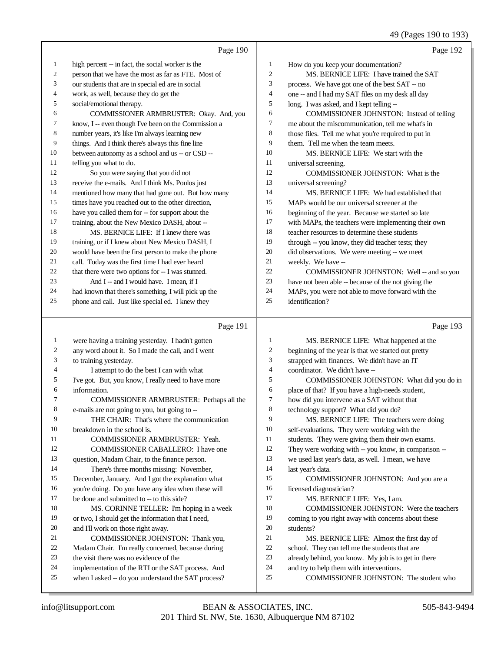49 (Pages 190 to 193)

|    | Page 190                                             |                | Page 192                                            |
|----|------------------------------------------------------|----------------|-----------------------------------------------------|
| 1  | high percent -- in fact, the social worker is the    | 1              | How do you keep your documentation?                 |
| 2  | person that we have the most as far as FTE. Most of  | $\overline{c}$ | MS. BERNICE LIFE: I have trained the SAT            |
| 3  | our students that are in special ed are in social    | 3              | process. We have got one of the best SAT -- no      |
| 4  | work, as well, because they do get the               | $\overline{4}$ | one -- and I had my SAT files on my desk all day    |
| 5  | social/emotional therapy.                            | 5              | long. I was asked, and I kept telling --            |
| 6  | COMMISSIONER ARMBRUSTER: Okay. And, you              | 6              | COMMISSIONER JOHNSTON: Instead of telling           |
| 7  | know, I -- even though I've been on the Commission a | $\overline{7}$ | me about the miscommunication, tell me what's in    |
| 8  | number years, it's like I'm always learning new      | 8              | those files. Tell me what you're required to put in |
| 9  | things. And I think there's always this fine line    | 9              | them. Tell me when the team meets.                  |
| 10 | between autonomy as a school and us -- or CSD --     | 10             | MS. BERNICE LIFE: We start with the                 |
| 11 | telling you what to do.                              | 11             | universal screening.                                |
| 12 | So you were saying that you did not                  | 12             | COMMISSIONER JOHNSTON: What is the                  |
| 13 | receive the e-mails. And I think Ms. Poulos just     | 13             | universal screening?                                |
| 14 | mentioned how many that had gone out. But how many   | 14             | MS. BERNICE LIFE: We had established that           |
| 15 | times have you reached out to the other direction,   | 15             | MAPs would be our universal screener at the         |
| 16 | have you called them for -- for support about the    | 16             | beginning of the year. Because we started so late   |
| 17 | training, about the New Mexico DASH, about --        | 17             | with MAPs, the teachers were implementing their own |
| 18 | MS. BERNICE LIFE: If I knew there was                | 18             | teacher resources to determine these students       |
| 19 | training, or if I knew about New Mexico DASH, I      | 19             | through -- you know, they did teacher tests; they   |
| 20 | would have been the first person to make the phone   | 20             | did observations. We were meeting -- we meet        |
| 21 | call. Today was the first time I had ever heard      | 21             | weekly. We have --                                  |
| 22 | that there were two options for -- I was stunned.    | 22             | COMMISSIONER JOHNSTON: Well -- and so you           |
| 23 | And I -- and I would have. I mean, if I              | 23             | have not been able -- because of the not giving the |
| 24 | had known that there's something, I will pick up the | 24             | MAPs, you were not able to move forward with the    |
| 25 | phone and call. Just like special ed. I knew they    | 25             | identification?                                     |
|    | Page 191                                             |                | Page 193                                            |
|    |                                                      |                |                                                     |

| 1  | were having a training yesterday. I hadn't gotten   |    | MS. BERNICE LIFE: What happened at the               |
|----|-----------------------------------------------------|----|------------------------------------------------------|
| 2  | any word about it. So I made the call, and I went   | 2  | beginning of the year is that we started out pretty  |
| 3  | to training yesterday.                              | 3  | strapped with finances. We didn't have an IT         |
| 4  | I attempt to do the best I can with what            | 4  | coordinator. We didn't have --                       |
| 5  | I've got. But, you know, I really need to have more | 5  | COMMISSIONER JOHNSTON: What did you do in            |
| 6  | information.                                        | 6  | place of that? If you have a high-needs student,     |
| 7  | COMMISSIONER ARMBRUSTER: Perhaps all the            | 7  | how did you intervene as a SAT without that          |
| 8  | e-mails are not going to you, but going to --       | 8  | technology support? What did you do?                 |
| 9  | THE CHAIR: That's where the communication           | 9  | MS. BERNICE LIFE: The teachers were doing            |
| 10 | breakdown in the school is.                         | 10 | self-evaluations. They were working with the         |
| 11 | <b>COMMISSIONER ARMBRUSTER: Yeah.</b>               | 11 | students. They were giving them their own exams.     |
| 12 | <b>COMMISSIONER CABALLERO: I have one</b>           | 12 | They were working with -- you know, in comparison -- |
| 13 | question, Madam Chair, to the finance person.       | 13 | we used last year's data, as well. I mean, we have   |
| 14 | There's three months missing: November,             | 14 | last year's data.                                    |
| 15 | December, January. And I got the explanation what   | 15 | COMMISSIONER JOHNSTON: And you are a                 |
| 16 | you're doing. Do you have any idea when these will  | 16 | licensed diagnostician?                              |
| 17 | be done and submitted to -- to this side?           | 17 | MS. BERNICE LIFE: Yes, I am.                         |
| 18 | MS. CORINNE TELLER: I'm hoping in a week            | 18 | <b>COMMISSIONER JOHNSTON: Were the teachers</b>      |
| 19 | or two, I should get the information that I need,   | 19 | coming to you right away with concerns about these   |
| 20 | and I'll work on those right away.                  | 20 | students?                                            |
| 21 | COMMISSIONER JOHNSTON: Thank you,                   | 21 | MS. BERNICE LIFE: Almost the first day of            |
| 22 | Madam Chair. I'm really concerned, because during   | 22 | school. They can tell me the students that are       |
| 23 | the visit there was no evidence of the              | 23 | already behind, you know. My job is to get in there  |
| 24 | implementation of the RTI or the SAT process. And   | 24 | and try to help them with interventions.             |
| 25 | when I asked -- do you understand the SAT process?  | 25 | COMMISSIONER JOHNSTON: The student who               |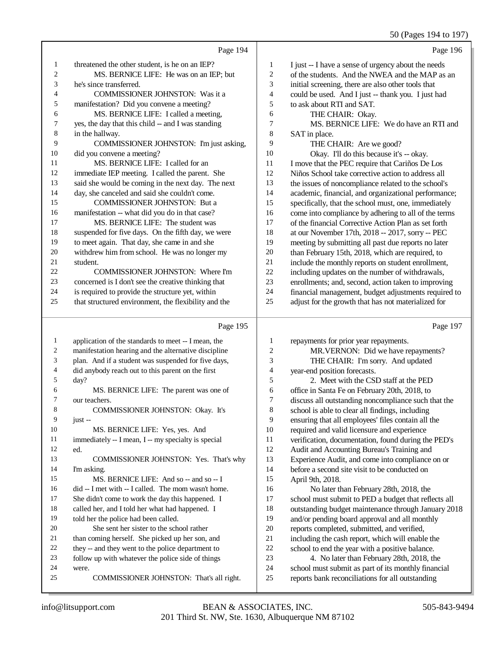|               |                                                      |                | 50 (Pages 194 to 197)                                |
|---------------|------------------------------------------------------|----------------|------------------------------------------------------|
|               | Page 194                                             |                | Page 196                                             |
| 1             | threatened the other student, is he on an IEP?       | $\mathbf{1}$   | I just -- I have a sense of urgency about the needs  |
| 2             | MS. BERNICE LIFE: He was on an IEP; but              | 2              | of the students. And the NWEA and the MAP as an      |
| 3             | he's since transferred.                              | 3              | initial screening, there are also other tools that   |
| 4             | COMMISSIONER JOHNSTON: Was it a                      | $\overline{4}$ | could be used. And I just -- thank you. I just had   |
| 5             | manifestation? Did you convene a meeting?            | 5              | to ask about RTI and SAT.                            |
| 6             | MS. BERNICE LIFE: I called a meeting,                | 6              | THE CHAIR: Okay.                                     |
| 7             | yes, the day that this child -- and I was standing   | 7              | MS. BERNICE LIFE: We do have an RTI and              |
| 8             | in the hallway.                                      | 8              | SAT in place.                                        |
| 9             | COMMISSIONER JOHNSTON: I'm just asking,              | 9              | THE CHAIR: Are we good?                              |
| 10            | did you convene a meeting?                           | 10             | Okay. I'll do this because it's -- okay.             |
| 11            | MS. BERNICE LIFE: I called for an                    | 11             | I move that the PEC require that Cariños De Los      |
| 12            | immediate IEP meeting. I called the parent. She      | 12             | Niños School take corrective action to address all   |
| 13            | said she would be coming in the next day. The next   | 13             | the issues of noncompliance related to the school's  |
| 14            | day, she canceled and said she couldn't come.        | 14             | academic, financial, and organizational performance; |
| 15            | <b>COMMISSIONER JOHNSTON: But a</b>                  | 15             | specifically, that the school must, one, immediately |
| 16            | manifestation -- what did you do in that case?       | 16             | come into compliance by adhering to all of the terms |
| 17            | MS. BERNICE LIFE: The student was                    | 17             | of the financial Corrective Action Plan as set forth |
| 18            | suspended for five days. On the fifth day, we were   | 18             | at our November 17th, 2018 -- 2017, sorry -- PEC     |
| 19            | to meet again. That day, she came in and she         | 19             | meeting by submitting all past due reports no later  |
| 20            | withdrew him from school. He was no longer my        | 20             | than February 15th, 2018, which are required, to     |
| 21            | student.                                             | 21             | include the monthly reports on student enrollment,   |
| 22            | COMMISSIONER JOHNSTON: Where I'm                     | 22             | including updates on the number of withdrawals,      |
| 23            | concerned is I don't see the creative thinking that  | 23             | enrollments; and, second, action taken to improving  |
| 24            | is required to provide the structure yet, within     | 24             | financial management, budget adjustments required to |
| 25            | that structured environment, the flexibility and the | 25             | adjust for the growth that has not materialized for  |
|               | Page 195                                             |                | Page 197                                             |
| $\mathbf{1}$  | application of the standards to meet -- I mean, the  | 1              | repayments for prior year repayments.                |
| 2             | manifestation hearing and the alternative discipline | $\overline{2}$ | MR.VERNON: Did we have repayments?                   |
| 3             | plan. And if a student was suspended for five days,  | 3              | THE CHAIR: I'm sorry. And updated                    |
| 4             | did anybody reach out to this parent on the first    | $\overline{4}$ | year-end position forecasts.                         |
| 5             | day?                                                 | 5              | 2. Meet with the CSD staff at the PED                |
| 6             | MS. BERNICE LIFE: The parent was one of              | 6              | office in Santa Fe on February 20th, 2018, to        |
| $\mathcal{L}$ | our teachers.                                        | $\mathcal{L}$  | discuss all outstanding noncompliance such that the  |
| 8             | COMMISSIONER JOHNSTON: Okay. It's                    | 8              | school is able to clear all findings, including      |
| 9             | $just -$                                             | 9              | ensuring that all employees' files contain all the   |
| 10            | MS. BERNICE LIFE: Yes, yes. And                      | $10\,$         | required and valid licensure and experience          |
| 11            | immediately -- I mean, I -- my specialty is special  | 11             | verification, documentation, found during the PED's  |
| 12            | ed.                                                  | 12             | Audit and Accounting Bureau's Training and           |
| 13            | COMMISSIONER JOHNSTON: Yes. That's why               | 13             | Experience Audit, and come into compliance on or     |
| 14            | I'm asking.                                          | 14             | before a second site visit to be conducted on        |
| 15            | MS. BERNICE LIFE: And so -- and so -- I              | 15             | April 9th, 2018.                                     |
| 16            | did -- I met with -- I called. The mom wasn't home.  | 16             | No later than February 28th, 2018, the               |
| 17            | She didn't come to work the day this happened. I     | 17             | school must submit to PED a budget that reflects all |
| 18            | called her, and I told her what had happened. I      | 18             | outstanding budget maintenance through January 2018  |
| 19            | told her the police had been called.                 | 19             | and/or pending board approval and all monthly        |

- She sent her sister to the school rather 21 than coming herself. She picked up her son, and<br>22 they -- and they went to the police department to 22 they -- and they went to the police department to<br>23 follow up with whatever the police side of things follow up with whatever the police side of things
- were.

 reports completed, submitted, and verified, including the cash report, which will enable the 22 school to end the year with a positive balance.<br>23 4. No later than February 28th. 2018. the

 school must submit as part of its monthly financial reports bank reconciliations for all outstanding

4. No later than February 28th, 2018, the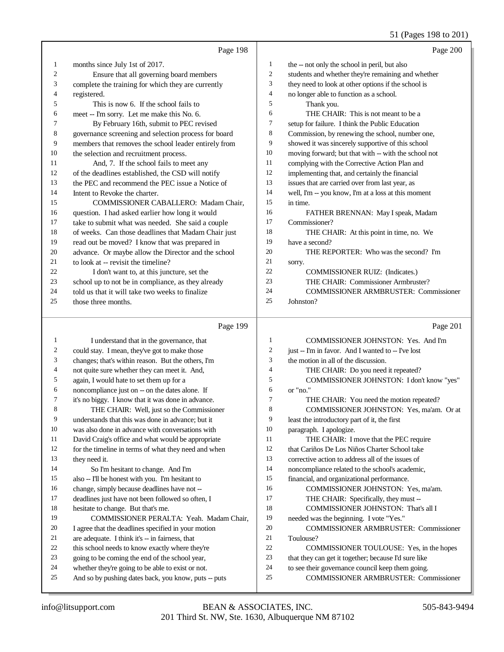# 51 (Pages 198 to 201)

|              | Page 198                                                                                |        | Page 200                                                                     |
|--------------|-----------------------------------------------------------------------------------------|--------|------------------------------------------------------------------------------|
| $\mathbf{1}$ | months since July 1st of 2017.                                                          | 1      | the -- not only the school in peril, but also                                |
| 2            | Ensure that all governing board members                                                 | 2      | students and whether they're remaining and whether                           |
| 3            | complete the training for which they are currently                                      | 3      | they need to look at other options if the school is                          |
| 4            | registered.                                                                             | 4      | no longer able to function as a school.                                      |
| 5            | This is now 6. If the school fails to                                                   | 5      | Thank you.                                                                   |
| 6            | meet -- I'm sorry. Let me make this No. 6.                                              | 6      | THE CHAIR: This is not meant to be a                                         |
| 7            | By February 16th, submit to PEC revised                                                 | 7      | setup for failure. I think the Public Education                              |
| 8            | governance screening and selection process for board                                    | 8      | Commission, by renewing the school, number one,                              |
| 9            | members that removes the school leader entirely from                                    | 9      | showed it was sincerely supportive of this school                            |
| 10           | the selection and recruitment process.                                                  | 10     | moving forward; but that with -- with the school not                         |
| 11           | And, 7. If the school fails to meet any                                                 | 11     | complying with the Corrective Action Plan and                                |
| 12           | of the deadlines established, the CSD will notify                                       | 12     | implementing that, and certainly the financial                               |
| 13           | the PEC and recommend the PEC issue a Notice of                                         | 13     | issues that are carried over from last year, as                              |
| 14           | Intent to Revoke the charter.                                                           | 14     | well, I'm -- you know, I'm at a loss at this moment                          |
| 15           | COMMISSIONER CABALLERO: Madam Chair,                                                    | 15     | in time.                                                                     |
| 16           | question. I had asked earlier how long it would                                         | 16     | FATHER BRENNAN: May I speak, Madam                                           |
| 17           | take to submit what was needed. She said a couple                                       | 17     | Commissioner?                                                                |
| 18           | of weeks. Can those deadlines that Madam Chair just                                     | 18     | THE CHAIR: At this point in time, no. We                                     |
| 19           | read out be moved? I know that was prepared in                                          | 19     | have a second?                                                               |
| 20           | advance. Or maybe allow the Director and the school                                     | 20     | THE REPORTER: Who was the second? I'm                                        |
| 21           | to look at -- revisit the timeline?                                                     | 21     | sorry.                                                                       |
| 22           | I don't want to, at this juncture, set the                                              | 22     | COMMISSIONER RUIZ: (Indicates.)                                              |
| 23           | school up to not be in compliance, as they already                                      | 23     | THE CHAIR: Commissioner Armbruster?                                          |
| 24           | told us that it will take two weeks to finalize                                         | 24     | <b>COMMISSIONER ARMBRUSTER: Commissioner</b>                                 |
| 25           | those three months.                                                                     | 25     | Johnston?                                                                    |
|              |                                                                                         |        |                                                                              |
|              |                                                                                         |        |                                                                              |
|              | Page 199                                                                                |        | Page 201                                                                     |
| 1            | I understand that in the governance, that                                               | 1      | COMMISSIONER JOHNSTON: Yes. And I'm                                          |
| 2            | could stay. I mean, they've got to make those                                           | 2      | just -- I'm in favor. And I wanted to -- I've lost                           |
| 3            | changes; that's within reason. But the others, I'm                                      | 3      | the motion in all of the discussion.                                         |
| 4            | not quite sure whether they can meet it. And,                                           | 4      | THE CHAIR: Do you need it repeated?                                          |
| 5            | again, I would hate to set them up for a                                                | 5      | COMMISSIONER JOHNSTON: I don't know "yes"                                    |
| 6            | noncompliance just on -- on the dates alone. If                                         | 6<br>7 | or "no."                                                                     |
| 7<br>8       | it's no biggy. I know that it was done in advance.                                      | 8      | THE CHAIR: You need the motion repeated?                                     |
| 9            | THE CHAIR: Well, just so the Commissioner                                               | 9      | COMMISSIONER JOHNSTON: Yes, ma'am. Or at                                     |
| 10           | understands that this was done in advance; but it                                       | 10     | least the introductory part of it, the first                                 |
| 11           | was also done in advance with conversations with                                        | 11     | paragraph. I apologize.                                                      |
| 12           | David Craig's office and what would be appropriate                                      | 12     | THE CHAIR: I move that the PEC require                                       |
| 13           | for the timeline in terms of what they need and when                                    | 13     | that Cariños De Los Niños Charter School take                                |
| 14           | they need it.                                                                           | 14     | corrective action to address all of the issues of                            |
| 15           | So I'm hesitant to change. And I'm                                                      | 15     | noncompliance related to the school's academic,                              |
| 16           | also -- I'll be honest with you. I'm hesitant to                                        | 16     | financial, and organizational performance.                                   |
| 17           | change, simply because deadlines have not --                                            | 17     | COMMISSIONER JOHNSTON: Yes, ma'am.                                           |
| 18           | deadlines just have not been followed so often, I<br>hesitate to change. But that's me. | 18     | THE CHAIR: Specifically, they must --<br>COMMISSIONER JOHNSTON: That's all I |
| 19           | COMMISSIONER PERALTA: Yeah. Madam Chair,                                                | 19     | needed was the beginning. I vote "Yes."                                      |
| 20           | I agree that the deadlines specified in your motion                                     | 20     | <b>COMMISSIONER ARMBRUSTER: Commissioner</b>                                 |
| 21           | are adequate. I think it's -- in fairness, that                                         | 21     | Toulouse?                                                                    |
| 22           | this school needs to know exactly where they're                                         | 22     | COMMISSIONER TOULOUSE: Yes, in the hopes                                     |
| 23           | going to be coming the end of the school year,                                          | 23     | that they can get it together; because I'd sure like                         |
| 24           | whether they're going to be able to exist or not.                                       | 24     | to see their governance council keep them going.                             |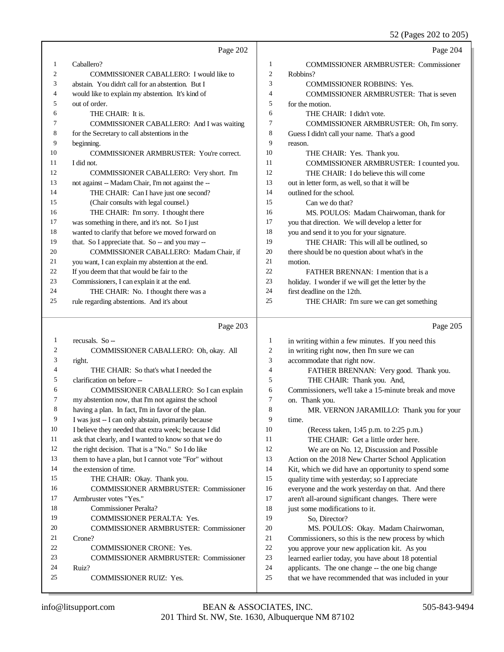52 (Pages 202 to 205)

|    | Page 202                                           |                | Page 204                                           |
|----|----------------------------------------------------|----------------|----------------------------------------------------|
| 1  | Caballero?                                         | 1              | <b>COMMISSIONER ARMBRUSTER: Commissioner</b>       |
| 2  | <b>COMMISSIONER CABALLERO: I would like to</b>     | $\overline{2}$ | Robbins?                                           |
| 3  | abstain. You didn't call for an abstention. But I  | 3              | <b>COMMISSIONER ROBBINS: Yes.</b>                  |
| 4  | would like to explain my abstention. It's kind of  | $\overline{4}$ | <b>COMMISSIONER ARMBRUSTER:</b> That is seven      |
| 5  | out of order.                                      | 5              | for the motion.                                    |
| 6  | THE CHAIR: It is.                                  | 6              | THE CHAIR: I didn't vote.                          |
| 7  | COMMISSIONER CABALLERO: And I was waiting          | 7              | COMMISSIONER ARMBRUSTER: Oh, I'm sorry.            |
| 8  | for the Secretary to call abstentions in the       | 8              | Guess I didn't call your name. That's a good       |
| 9  | beginning.                                         | 9              | reason.                                            |
| 10 | COMMISSIONER ARMBRUSTER: You're correct.           | 10             | THE CHAIR: Yes. Thank you.                         |
| 11 | I did not.                                         | 11             | COMMISSIONER ARMBRUSTER: I counted you.            |
| 12 | COMMISSIONER CABALLERO: Very short. I'm            | 12             | THE CHAIR: I do believe this will come             |
| 13 | not against -- Madam Chair, I'm not against the -- | 13             | out in letter form, as well, so that it will be    |
| 14 | THE CHAIR: Can I have just one second?             | 14             | outlined for the school.                           |
| 15 | (Chair consults with legal counsel.)               | 15             | Can we do that?                                    |
| 16 | THE CHAIR: I'm sorry. I thought there              | 16             | MS. POULOS: Madam Chairwoman, thank for            |
| 17 | was something in there, and it's not. So I just    | 17             | you that direction. We will develop a letter for   |
| 18 | wanted to clarify that before we moved forward on  | 18             | you and send it to you for your signature.         |
| 19 | that. So I appreciate that. So -- and you may --   | 19             | THE CHAIR: This will all be outlined, so           |
| 20 | COMMISSIONER CABALLERO: Madam Chair, if            | 20             | there should be no question about what's in the    |
| 21 | you want, I can explain my abstention at the end.  | 21             | motion.                                            |
| 22 | If you deem that that would be fair to the         | 22             | FATHER BRENNAN: I mention that is a                |
| 23 | Commissioners, I can explain it at the end.        | 23             | holiday. I wonder if we will get the letter by the |
| 24 | THE CHAIR: No. I thought there was a               | 24             | first deadline on the 12th.                        |
| 25 | rule regarding abstentions. And it's about         | 25             | THE CHAIR: I'm sure we can get something           |
|    |                                                    |                |                                                    |
|    | Page 203                                           |                | Page 205                                           |
| 1  | recusals. So --                                    | 1              | in writing within a few minutes. If you need this  |
| 2  | COMMISSIONER CABALLERO: Oh, okay. All              | $\overline{2}$ | in writing right now, then I'm sure we can         |
| 3  | right.                                             | 3              | accommodate that right now.                        |
| 4  | THE CHAIR: So that's what I needed the             | 4              | FATHER BRENNAN: Very good. Thank you.              |

 COMMISSIONER CABALLERO: So I can explain my abstention now, that I'm not against the school Commissioners, we'll take a 15-minute break and move on. Thank you. MR. VERNON JARAMILLO: Thank you for your

 having a plan. In fact, I'm in favor of the plan. I was just -- I can only abstain, primarily because

clarification on before --

I believe they needed that extra week; because I did

ask that clearly, and I wanted to know so that we do

the right decision. That is a "No." So I do like

COMMISSIONER RUIZ: Yes.

 them to have a plan, but I cannot vote "For" without the extension of time. THE CHAIR: Okay. Thank you. COMMISSIONER ARMBRUSTER: Commissioner Armbruster votes "Yes." Commissioner Peralta? COMMISSIONER PERALTA: Yes. COMMISSIONER ARMBRUSTER: Commissioner Crone? COMMISSIONER CRONE: Yes. COMMISSIONER ARMBRUSTER: Commissioner

 (Recess taken, 1:45 p.m. to 2:25 p.m.) THE CHAIR: Get a little order here. We are on No. 12, Discussion and Possible Action on the 2018 New Charter School Application Kit, which we did have an opportunity to spend some quality time with yesterday; so I appreciate

time.

 everyone and the work yesterday on that. And there aren't all-around significant changes. There were 18 iust some modifications to it.

THE CHAIR: Thank you. And,

So, Director?

 MS. POULOS: Okay. Madam Chairwoman, Commissioners, so this is the new process by which you approve your new application kit. As you learned earlier today, you have about 18 potential applicants. The one change -- the one big change that we have recommended that was included in your

Ruiz?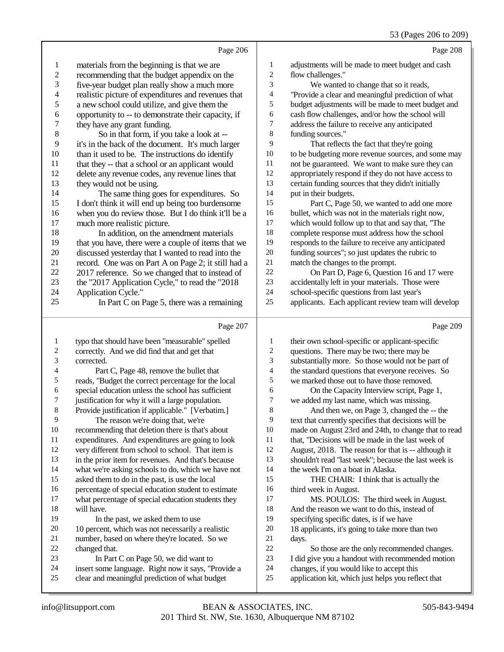|  | 53 (Pages 206 to 209) |  |  |  |
|--|-----------------------|--|--|--|
|--|-----------------------|--|--|--|

| $\mathbf{1}$<br>$\mathbf{1}$<br>adjustments will be made to meet budget and cash<br>materials from the beginning is that we are<br>$\overline{c}$<br>$\overline{\mathbf{c}}$<br>recommending that the budget appendix on the<br>flow challenges."<br>3<br>3<br>five-year budget plan really show a much more<br>We wanted to change that so it reads,<br>$\overline{\mathcal{L}}$<br>4<br>realistic picture of expenditures and revenues that<br>"Provide a clear and meaningful prediction of what<br>5<br>5<br>a new school could utilize, and give them the<br>budget adjustments will be made to meet budget and<br>6<br>6<br>opportunity to -- to demonstrate their capacity, if<br>cash flow challenges, and/or how the school will<br>$\boldsymbol{7}$<br>7<br>address the failure to receive any anticipated<br>they have any grant funding.<br>$\,$ 8 $\,$<br>8<br>So in that form, if you take a look at --<br>funding sources."<br>9<br>9<br>it's in the back of the document. It's much larger<br>That reflects the fact that they're going<br>10<br>10<br>to be budgeting more revenue sources, and some may<br>than it used to be. The instructions do identify<br>11<br>11<br>not be guaranteed. We want to make sure they can<br>that they -- that a school or an applicant would<br>12<br>12<br>appropriately respond if they do not have access to<br>delete any revenue codes, any revenue lines that<br>13<br>13<br>certain funding sources that they didn't initially<br>they would not be using.<br>14<br>14<br>The same thing goes for expenditures. So<br>put in their budgets.<br>15<br>15<br>I don't think it will end up being too burdensome<br>Part C, Page 50, we wanted to add one more<br>16<br>16<br>when you do review those. But I do think it'll be a<br>bullet, which was not in the materials right now,<br>17<br>17<br>which would follow up to that and say that, "The<br>much more realistic picture.<br>18<br>18<br>In addition, on the amendment materials<br>complete response must address how the school<br>19<br>19<br>responds to the failure to receive any anticipated<br>that you have, there were a couple of items that we<br>$20\,$<br>$20\,$<br>discussed yesterday that I wanted to read into the<br>funding sources"; so just updates the rubric to<br>21<br>$21\,$<br>match the changes to the prompt.<br>record. One was on Part A on Page 2; it still had a<br>22<br>22<br>On Part D, Page 6, Question 16 and 17 were<br>2017 reference. So we changed that to instead of<br>$23\,$<br>23<br>accidentally left in your materials. Those were<br>the "2017 Application Cycle," to read the "2018<br>24<br>24<br>Application Cycle."<br>school-specific questions from last year's<br>25<br>25<br>applicants. Each applicant review team will develop<br>In Part C on Page 5, there was a remaining<br>Page 209<br>Page 207<br>$\mathbf{1}$<br>typo that should have been "measurable" spelled<br>1<br>their own school-specific or applicant-specific<br>$\boldsymbol{2}$<br>2<br>correctly. And we did find that and get that<br>questions. There may be two; there may be<br>3<br>3<br>corrected.<br>substantially more. So those would not be part of<br>$\overline{\mathcal{L}}$<br>$\overline{\mathbf{4}}$<br>Part C, Page 48, remove the bullet that<br>the standard questions that everyone receives. So<br>5<br>5<br>reads, "Budget the correct percentage for the local<br>we marked those out to have those removed.<br>6<br>special education unless the school has sufficient<br>6<br>On the Capacity Interview script, Page 1,<br>7<br>7<br>justification for why it will a large population.<br>we added my last name, which was missing.<br>$\,8$<br>8<br>Provide justification if applicable." [Verbatim.]<br>And then we, on Page 3, changed the -- the<br>9<br>9<br>The reason we're doing that, we're<br>text that currently specifies that decisions will be<br>10<br>recommending that deletion there is that's about<br>10<br>made on August 23rd and 24th, to change that to read<br>11<br>11<br>expenditures. And expenditures are going to look<br>that, "Decisions will be made in the last week of<br>12<br>12<br>very different from school to school. That item is<br>August, 2018. The reason for that is -- although it<br>13<br>13<br>in the prior item for revenues. And that's because<br>shouldn't read "last week"; because the last week is<br>14<br>14<br>what we're asking schools to do, which we have not<br>the week I'm on a boat in Alaska.<br>15<br>15<br>asked them to do in the past, is use the local<br>THE CHAIR: I think that is actually the<br>16<br>16<br>percentage of special education student to estimate<br>third week in August.<br>17<br>17<br>what percentage of special education students they<br>MS. POULOS: The third week in August.<br>18<br>18<br>will have.<br>And the reason we want to do this, instead of<br>19<br>19<br>In the past, we asked them to use<br>specifying specific dates, is if we have<br>$20\,$<br>$20\,$<br>18 applicants, it's going to take more than two<br>10 percent, which was not necessarily a realistic<br>$21\,$<br>21<br>number, based on where they're located. So we<br>days.<br>22<br>$22\,$<br>changed that.<br>So those are the only recommended changes.<br>23<br>$23\,$<br>In Part C on Page 50, we did want to<br>I did give you a handout with recommended motion<br>24<br>24<br>insert some language. Right now it says, "Provide a<br>changes, if you would like to accept this<br>25<br>$25\,$<br>clear and meaningful prediction of what budget<br>application kit, which just helps you reflect that | Page 206 | Page 208 |
|-------------------------------------------------------------------------------------------------------------------------------------------------------------------------------------------------------------------------------------------------------------------------------------------------------------------------------------------------------------------------------------------------------------------------------------------------------------------------------------------------------------------------------------------------------------------------------------------------------------------------------------------------------------------------------------------------------------------------------------------------------------------------------------------------------------------------------------------------------------------------------------------------------------------------------------------------------------------------------------------------------------------------------------------------------------------------------------------------------------------------------------------------------------------------------------------------------------------------------------------------------------------------------------------------------------------------------------------------------------------------------------------------------------------------------------------------------------------------------------------------------------------------------------------------------------------------------------------------------------------------------------------------------------------------------------------------------------------------------------------------------------------------------------------------------------------------------------------------------------------------------------------------------------------------------------------------------------------------------------------------------------------------------------------------------------------------------------------------------------------------------------------------------------------------------------------------------------------------------------------------------------------------------------------------------------------------------------------------------------------------------------------------------------------------------------------------------------------------------------------------------------------------------------------------------------------------------------------------------------------------------------------------------------------------------------------------------------------------------------------------------------------------------------------------------------------------------------------------------------------------------------------------------------------------------------------------------------------------------------------------------------------------------------------------------------------------------------------------------------------------------------------------------------------------------------------------------------------------------------------------------------------------------------------------------------------------------------------------------------------------------------------------------------------------------------------------------------------------------------------------------------------------------------------------------------------------------------------------------------------------------------------------------------------------------------------------------------------------------------------------------------------------------------------------------------------------------------------------------------------------------------------------------------------------------------------------------------------------------------------------------------------------------------------------------------------------------------------------------------------------------------------------------------------------------------------------------------------------------------------------------------------------------------------------------------------------------------------------------------------------------------------------------------------------------------------------------------------------------------------------------------------------------------------------------------------------------------------------------------------------------------------------------------------------------------------------------------------------------------------------------------------------------------------------------------------------------------------------------------------------------------------------------------------------------------------------------------------------------------------------------------------------------------------------------------------------------------------------------------------------------------------------------------------------------------------------------------------------------------------------------------------------------------------------------------------------------------------------------------------------------------------------------------------------------------------------------------------------------------------------------------------------------------------------------------------------------------------------------------------------------------------------------------------------------------|----------|----------|
|                                                                                                                                                                                                                                                                                                                                                                                                                                                                                                                                                                                                                                                                                                                                                                                                                                                                                                                                                                                                                                                                                                                                                                                                                                                                                                                                                                                                                                                                                                                                                                                                                                                                                                                                                                                                                                                                                                                                                                                                                                                                                                                                                                                                                                                                                                                                                                                                                                                                                                                                                                                                                                                                                                                                                                                                                                                                                                                                                                                                                                                                                                                                                                                                                                                                                                                                                                                                                                                                                                                                                                                                                                                                                                                                                                                                                                                                                                                                                                                                                                                                                                                                                                                                                                                                                                                                                                                                                                                                                                                                                                                                                                                                                                                                                                                                                                                                                                                                                                                                                                                                                                                                                                                                                                                                                                                                                                                                                                                                                                                                                                                                                                                                                     |          |          |
|                                                                                                                                                                                                                                                                                                                                                                                                                                                                                                                                                                                                                                                                                                                                                                                                                                                                                                                                                                                                                                                                                                                                                                                                                                                                                                                                                                                                                                                                                                                                                                                                                                                                                                                                                                                                                                                                                                                                                                                                                                                                                                                                                                                                                                                                                                                                                                                                                                                                                                                                                                                                                                                                                                                                                                                                                                                                                                                                                                                                                                                                                                                                                                                                                                                                                                                                                                                                                                                                                                                                                                                                                                                                                                                                                                                                                                                                                                                                                                                                                                                                                                                                                                                                                                                                                                                                                                                                                                                                                                                                                                                                                                                                                                                                                                                                                                                                                                                                                                                                                                                                                                                                                                                                                                                                                                                                                                                                                                                                                                                                                                                                                                                                                     |          |          |
|                                                                                                                                                                                                                                                                                                                                                                                                                                                                                                                                                                                                                                                                                                                                                                                                                                                                                                                                                                                                                                                                                                                                                                                                                                                                                                                                                                                                                                                                                                                                                                                                                                                                                                                                                                                                                                                                                                                                                                                                                                                                                                                                                                                                                                                                                                                                                                                                                                                                                                                                                                                                                                                                                                                                                                                                                                                                                                                                                                                                                                                                                                                                                                                                                                                                                                                                                                                                                                                                                                                                                                                                                                                                                                                                                                                                                                                                                                                                                                                                                                                                                                                                                                                                                                                                                                                                                                                                                                                                                                                                                                                                                                                                                                                                                                                                                                                                                                                                                                                                                                                                                                                                                                                                                                                                                                                                                                                                                                                                                                                                                                                                                                                                                     |          |          |
|                                                                                                                                                                                                                                                                                                                                                                                                                                                                                                                                                                                                                                                                                                                                                                                                                                                                                                                                                                                                                                                                                                                                                                                                                                                                                                                                                                                                                                                                                                                                                                                                                                                                                                                                                                                                                                                                                                                                                                                                                                                                                                                                                                                                                                                                                                                                                                                                                                                                                                                                                                                                                                                                                                                                                                                                                                                                                                                                                                                                                                                                                                                                                                                                                                                                                                                                                                                                                                                                                                                                                                                                                                                                                                                                                                                                                                                                                                                                                                                                                                                                                                                                                                                                                                                                                                                                                                                                                                                                                                                                                                                                                                                                                                                                                                                                                                                                                                                                                                                                                                                                                                                                                                                                                                                                                                                                                                                                                                                                                                                                                                                                                                                                                     |          |          |
|                                                                                                                                                                                                                                                                                                                                                                                                                                                                                                                                                                                                                                                                                                                                                                                                                                                                                                                                                                                                                                                                                                                                                                                                                                                                                                                                                                                                                                                                                                                                                                                                                                                                                                                                                                                                                                                                                                                                                                                                                                                                                                                                                                                                                                                                                                                                                                                                                                                                                                                                                                                                                                                                                                                                                                                                                                                                                                                                                                                                                                                                                                                                                                                                                                                                                                                                                                                                                                                                                                                                                                                                                                                                                                                                                                                                                                                                                                                                                                                                                                                                                                                                                                                                                                                                                                                                                                                                                                                                                                                                                                                                                                                                                                                                                                                                                                                                                                                                                                                                                                                                                                                                                                                                                                                                                                                                                                                                                                                                                                                                                                                                                                                                                     |          |          |
|                                                                                                                                                                                                                                                                                                                                                                                                                                                                                                                                                                                                                                                                                                                                                                                                                                                                                                                                                                                                                                                                                                                                                                                                                                                                                                                                                                                                                                                                                                                                                                                                                                                                                                                                                                                                                                                                                                                                                                                                                                                                                                                                                                                                                                                                                                                                                                                                                                                                                                                                                                                                                                                                                                                                                                                                                                                                                                                                                                                                                                                                                                                                                                                                                                                                                                                                                                                                                                                                                                                                                                                                                                                                                                                                                                                                                                                                                                                                                                                                                                                                                                                                                                                                                                                                                                                                                                                                                                                                                                                                                                                                                                                                                                                                                                                                                                                                                                                                                                                                                                                                                                                                                                                                                                                                                                                                                                                                                                                                                                                                                                                                                                                                                     |          |          |
|                                                                                                                                                                                                                                                                                                                                                                                                                                                                                                                                                                                                                                                                                                                                                                                                                                                                                                                                                                                                                                                                                                                                                                                                                                                                                                                                                                                                                                                                                                                                                                                                                                                                                                                                                                                                                                                                                                                                                                                                                                                                                                                                                                                                                                                                                                                                                                                                                                                                                                                                                                                                                                                                                                                                                                                                                                                                                                                                                                                                                                                                                                                                                                                                                                                                                                                                                                                                                                                                                                                                                                                                                                                                                                                                                                                                                                                                                                                                                                                                                                                                                                                                                                                                                                                                                                                                                                                                                                                                                                                                                                                                                                                                                                                                                                                                                                                                                                                                                                                                                                                                                                                                                                                                                                                                                                                                                                                                                                                                                                                                                                                                                                                                                     |          |          |
|                                                                                                                                                                                                                                                                                                                                                                                                                                                                                                                                                                                                                                                                                                                                                                                                                                                                                                                                                                                                                                                                                                                                                                                                                                                                                                                                                                                                                                                                                                                                                                                                                                                                                                                                                                                                                                                                                                                                                                                                                                                                                                                                                                                                                                                                                                                                                                                                                                                                                                                                                                                                                                                                                                                                                                                                                                                                                                                                                                                                                                                                                                                                                                                                                                                                                                                                                                                                                                                                                                                                                                                                                                                                                                                                                                                                                                                                                                                                                                                                                                                                                                                                                                                                                                                                                                                                                                                                                                                                                                                                                                                                                                                                                                                                                                                                                                                                                                                                                                                                                                                                                                                                                                                                                                                                                                                                                                                                                                                                                                                                                                                                                                                                                     |          |          |
|                                                                                                                                                                                                                                                                                                                                                                                                                                                                                                                                                                                                                                                                                                                                                                                                                                                                                                                                                                                                                                                                                                                                                                                                                                                                                                                                                                                                                                                                                                                                                                                                                                                                                                                                                                                                                                                                                                                                                                                                                                                                                                                                                                                                                                                                                                                                                                                                                                                                                                                                                                                                                                                                                                                                                                                                                                                                                                                                                                                                                                                                                                                                                                                                                                                                                                                                                                                                                                                                                                                                                                                                                                                                                                                                                                                                                                                                                                                                                                                                                                                                                                                                                                                                                                                                                                                                                                                                                                                                                                                                                                                                                                                                                                                                                                                                                                                                                                                                                                                                                                                                                                                                                                                                                                                                                                                                                                                                                                                                                                                                                                                                                                                                                     |          |          |
|                                                                                                                                                                                                                                                                                                                                                                                                                                                                                                                                                                                                                                                                                                                                                                                                                                                                                                                                                                                                                                                                                                                                                                                                                                                                                                                                                                                                                                                                                                                                                                                                                                                                                                                                                                                                                                                                                                                                                                                                                                                                                                                                                                                                                                                                                                                                                                                                                                                                                                                                                                                                                                                                                                                                                                                                                                                                                                                                                                                                                                                                                                                                                                                                                                                                                                                                                                                                                                                                                                                                                                                                                                                                                                                                                                                                                                                                                                                                                                                                                                                                                                                                                                                                                                                                                                                                                                                                                                                                                                                                                                                                                                                                                                                                                                                                                                                                                                                                                                                                                                                                                                                                                                                                                                                                                                                                                                                                                                                                                                                                                                                                                                                                                     |          |          |
|                                                                                                                                                                                                                                                                                                                                                                                                                                                                                                                                                                                                                                                                                                                                                                                                                                                                                                                                                                                                                                                                                                                                                                                                                                                                                                                                                                                                                                                                                                                                                                                                                                                                                                                                                                                                                                                                                                                                                                                                                                                                                                                                                                                                                                                                                                                                                                                                                                                                                                                                                                                                                                                                                                                                                                                                                                                                                                                                                                                                                                                                                                                                                                                                                                                                                                                                                                                                                                                                                                                                                                                                                                                                                                                                                                                                                                                                                                                                                                                                                                                                                                                                                                                                                                                                                                                                                                                                                                                                                                                                                                                                                                                                                                                                                                                                                                                                                                                                                                                                                                                                                                                                                                                                                                                                                                                                                                                                                                                                                                                                                                                                                                                                                     |          |          |
|                                                                                                                                                                                                                                                                                                                                                                                                                                                                                                                                                                                                                                                                                                                                                                                                                                                                                                                                                                                                                                                                                                                                                                                                                                                                                                                                                                                                                                                                                                                                                                                                                                                                                                                                                                                                                                                                                                                                                                                                                                                                                                                                                                                                                                                                                                                                                                                                                                                                                                                                                                                                                                                                                                                                                                                                                                                                                                                                                                                                                                                                                                                                                                                                                                                                                                                                                                                                                                                                                                                                                                                                                                                                                                                                                                                                                                                                                                                                                                                                                                                                                                                                                                                                                                                                                                                                                                                                                                                                                                                                                                                                                                                                                                                                                                                                                                                                                                                                                                                                                                                                                                                                                                                                                                                                                                                                                                                                                                                                                                                                                                                                                                                                                     |          |          |
|                                                                                                                                                                                                                                                                                                                                                                                                                                                                                                                                                                                                                                                                                                                                                                                                                                                                                                                                                                                                                                                                                                                                                                                                                                                                                                                                                                                                                                                                                                                                                                                                                                                                                                                                                                                                                                                                                                                                                                                                                                                                                                                                                                                                                                                                                                                                                                                                                                                                                                                                                                                                                                                                                                                                                                                                                                                                                                                                                                                                                                                                                                                                                                                                                                                                                                                                                                                                                                                                                                                                                                                                                                                                                                                                                                                                                                                                                                                                                                                                                                                                                                                                                                                                                                                                                                                                                                                                                                                                                                                                                                                                                                                                                                                                                                                                                                                                                                                                                                                                                                                                                                                                                                                                                                                                                                                                                                                                                                                                                                                                                                                                                                                                                     |          |          |
|                                                                                                                                                                                                                                                                                                                                                                                                                                                                                                                                                                                                                                                                                                                                                                                                                                                                                                                                                                                                                                                                                                                                                                                                                                                                                                                                                                                                                                                                                                                                                                                                                                                                                                                                                                                                                                                                                                                                                                                                                                                                                                                                                                                                                                                                                                                                                                                                                                                                                                                                                                                                                                                                                                                                                                                                                                                                                                                                                                                                                                                                                                                                                                                                                                                                                                                                                                                                                                                                                                                                                                                                                                                                                                                                                                                                                                                                                                                                                                                                                                                                                                                                                                                                                                                                                                                                                                                                                                                                                                                                                                                                                                                                                                                                                                                                                                                                                                                                                                                                                                                                                                                                                                                                                                                                                                                                                                                                                                                                                                                                                                                                                                                                                     |          |          |
|                                                                                                                                                                                                                                                                                                                                                                                                                                                                                                                                                                                                                                                                                                                                                                                                                                                                                                                                                                                                                                                                                                                                                                                                                                                                                                                                                                                                                                                                                                                                                                                                                                                                                                                                                                                                                                                                                                                                                                                                                                                                                                                                                                                                                                                                                                                                                                                                                                                                                                                                                                                                                                                                                                                                                                                                                                                                                                                                                                                                                                                                                                                                                                                                                                                                                                                                                                                                                                                                                                                                                                                                                                                                                                                                                                                                                                                                                                                                                                                                                                                                                                                                                                                                                                                                                                                                                                                                                                                                                                                                                                                                                                                                                                                                                                                                                                                                                                                                                                                                                                                                                                                                                                                                                                                                                                                                                                                                                                                                                                                                                                                                                                                                                     |          |          |
|                                                                                                                                                                                                                                                                                                                                                                                                                                                                                                                                                                                                                                                                                                                                                                                                                                                                                                                                                                                                                                                                                                                                                                                                                                                                                                                                                                                                                                                                                                                                                                                                                                                                                                                                                                                                                                                                                                                                                                                                                                                                                                                                                                                                                                                                                                                                                                                                                                                                                                                                                                                                                                                                                                                                                                                                                                                                                                                                                                                                                                                                                                                                                                                                                                                                                                                                                                                                                                                                                                                                                                                                                                                                                                                                                                                                                                                                                                                                                                                                                                                                                                                                                                                                                                                                                                                                                                                                                                                                                                                                                                                                                                                                                                                                                                                                                                                                                                                                                                                                                                                                                                                                                                                                                                                                                                                                                                                                                                                                                                                                                                                                                                                                                     |          |          |
|                                                                                                                                                                                                                                                                                                                                                                                                                                                                                                                                                                                                                                                                                                                                                                                                                                                                                                                                                                                                                                                                                                                                                                                                                                                                                                                                                                                                                                                                                                                                                                                                                                                                                                                                                                                                                                                                                                                                                                                                                                                                                                                                                                                                                                                                                                                                                                                                                                                                                                                                                                                                                                                                                                                                                                                                                                                                                                                                                                                                                                                                                                                                                                                                                                                                                                                                                                                                                                                                                                                                                                                                                                                                                                                                                                                                                                                                                                                                                                                                                                                                                                                                                                                                                                                                                                                                                                                                                                                                                                                                                                                                                                                                                                                                                                                                                                                                                                                                                                                                                                                                                                                                                                                                                                                                                                                                                                                                                                                                                                                                                                                                                                                                                     |          |          |
|                                                                                                                                                                                                                                                                                                                                                                                                                                                                                                                                                                                                                                                                                                                                                                                                                                                                                                                                                                                                                                                                                                                                                                                                                                                                                                                                                                                                                                                                                                                                                                                                                                                                                                                                                                                                                                                                                                                                                                                                                                                                                                                                                                                                                                                                                                                                                                                                                                                                                                                                                                                                                                                                                                                                                                                                                                                                                                                                                                                                                                                                                                                                                                                                                                                                                                                                                                                                                                                                                                                                                                                                                                                                                                                                                                                                                                                                                                                                                                                                                                                                                                                                                                                                                                                                                                                                                                                                                                                                                                                                                                                                                                                                                                                                                                                                                                                                                                                                                                                                                                                                                                                                                                                                                                                                                                                                                                                                                                                                                                                                                                                                                                                                                     |          |          |
|                                                                                                                                                                                                                                                                                                                                                                                                                                                                                                                                                                                                                                                                                                                                                                                                                                                                                                                                                                                                                                                                                                                                                                                                                                                                                                                                                                                                                                                                                                                                                                                                                                                                                                                                                                                                                                                                                                                                                                                                                                                                                                                                                                                                                                                                                                                                                                                                                                                                                                                                                                                                                                                                                                                                                                                                                                                                                                                                                                                                                                                                                                                                                                                                                                                                                                                                                                                                                                                                                                                                                                                                                                                                                                                                                                                                                                                                                                                                                                                                                                                                                                                                                                                                                                                                                                                                                                                                                                                                                                                                                                                                                                                                                                                                                                                                                                                                                                                                                                                                                                                                                                                                                                                                                                                                                                                                                                                                                                                                                                                                                                                                                                                                                     |          |          |
|                                                                                                                                                                                                                                                                                                                                                                                                                                                                                                                                                                                                                                                                                                                                                                                                                                                                                                                                                                                                                                                                                                                                                                                                                                                                                                                                                                                                                                                                                                                                                                                                                                                                                                                                                                                                                                                                                                                                                                                                                                                                                                                                                                                                                                                                                                                                                                                                                                                                                                                                                                                                                                                                                                                                                                                                                                                                                                                                                                                                                                                                                                                                                                                                                                                                                                                                                                                                                                                                                                                                                                                                                                                                                                                                                                                                                                                                                                                                                                                                                                                                                                                                                                                                                                                                                                                                                                                                                                                                                                                                                                                                                                                                                                                                                                                                                                                                                                                                                                                                                                                                                                                                                                                                                                                                                                                                                                                                                                                                                                                                                                                                                                                                                     |          |          |
|                                                                                                                                                                                                                                                                                                                                                                                                                                                                                                                                                                                                                                                                                                                                                                                                                                                                                                                                                                                                                                                                                                                                                                                                                                                                                                                                                                                                                                                                                                                                                                                                                                                                                                                                                                                                                                                                                                                                                                                                                                                                                                                                                                                                                                                                                                                                                                                                                                                                                                                                                                                                                                                                                                                                                                                                                                                                                                                                                                                                                                                                                                                                                                                                                                                                                                                                                                                                                                                                                                                                                                                                                                                                                                                                                                                                                                                                                                                                                                                                                                                                                                                                                                                                                                                                                                                                                                                                                                                                                                                                                                                                                                                                                                                                                                                                                                                                                                                                                                                                                                                                                                                                                                                                                                                                                                                                                                                                                                                                                                                                                                                                                                                                                     |          |          |
|                                                                                                                                                                                                                                                                                                                                                                                                                                                                                                                                                                                                                                                                                                                                                                                                                                                                                                                                                                                                                                                                                                                                                                                                                                                                                                                                                                                                                                                                                                                                                                                                                                                                                                                                                                                                                                                                                                                                                                                                                                                                                                                                                                                                                                                                                                                                                                                                                                                                                                                                                                                                                                                                                                                                                                                                                                                                                                                                                                                                                                                                                                                                                                                                                                                                                                                                                                                                                                                                                                                                                                                                                                                                                                                                                                                                                                                                                                                                                                                                                                                                                                                                                                                                                                                                                                                                                                                                                                                                                                                                                                                                                                                                                                                                                                                                                                                                                                                                                                                                                                                                                                                                                                                                                                                                                                                                                                                                                                                                                                                                                                                                                                                                                     |          |          |
|                                                                                                                                                                                                                                                                                                                                                                                                                                                                                                                                                                                                                                                                                                                                                                                                                                                                                                                                                                                                                                                                                                                                                                                                                                                                                                                                                                                                                                                                                                                                                                                                                                                                                                                                                                                                                                                                                                                                                                                                                                                                                                                                                                                                                                                                                                                                                                                                                                                                                                                                                                                                                                                                                                                                                                                                                                                                                                                                                                                                                                                                                                                                                                                                                                                                                                                                                                                                                                                                                                                                                                                                                                                                                                                                                                                                                                                                                                                                                                                                                                                                                                                                                                                                                                                                                                                                                                                                                                                                                                                                                                                                                                                                                                                                                                                                                                                                                                                                                                                                                                                                                                                                                                                                                                                                                                                                                                                                                                                                                                                                                                                                                                                                                     |          |          |
|                                                                                                                                                                                                                                                                                                                                                                                                                                                                                                                                                                                                                                                                                                                                                                                                                                                                                                                                                                                                                                                                                                                                                                                                                                                                                                                                                                                                                                                                                                                                                                                                                                                                                                                                                                                                                                                                                                                                                                                                                                                                                                                                                                                                                                                                                                                                                                                                                                                                                                                                                                                                                                                                                                                                                                                                                                                                                                                                                                                                                                                                                                                                                                                                                                                                                                                                                                                                                                                                                                                                                                                                                                                                                                                                                                                                                                                                                                                                                                                                                                                                                                                                                                                                                                                                                                                                                                                                                                                                                                                                                                                                                                                                                                                                                                                                                                                                                                                                                                                                                                                                                                                                                                                                                                                                                                                                                                                                                                                                                                                                                                                                                                                                                     |          |          |
|                                                                                                                                                                                                                                                                                                                                                                                                                                                                                                                                                                                                                                                                                                                                                                                                                                                                                                                                                                                                                                                                                                                                                                                                                                                                                                                                                                                                                                                                                                                                                                                                                                                                                                                                                                                                                                                                                                                                                                                                                                                                                                                                                                                                                                                                                                                                                                                                                                                                                                                                                                                                                                                                                                                                                                                                                                                                                                                                                                                                                                                                                                                                                                                                                                                                                                                                                                                                                                                                                                                                                                                                                                                                                                                                                                                                                                                                                                                                                                                                                                                                                                                                                                                                                                                                                                                                                                                                                                                                                                                                                                                                                                                                                                                                                                                                                                                                                                                                                                                                                                                                                                                                                                                                                                                                                                                                                                                                                                                                                                                                                                                                                                                                                     |          |          |
|                                                                                                                                                                                                                                                                                                                                                                                                                                                                                                                                                                                                                                                                                                                                                                                                                                                                                                                                                                                                                                                                                                                                                                                                                                                                                                                                                                                                                                                                                                                                                                                                                                                                                                                                                                                                                                                                                                                                                                                                                                                                                                                                                                                                                                                                                                                                                                                                                                                                                                                                                                                                                                                                                                                                                                                                                                                                                                                                                                                                                                                                                                                                                                                                                                                                                                                                                                                                                                                                                                                                                                                                                                                                                                                                                                                                                                                                                                                                                                                                                                                                                                                                                                                                                                                                                                                                                                                                                                                                                                                                                                                                                                                                                                                                                                                                                                                                                                                                                                                                                                                                                                                                                                                                                                                                                                                                                                                                                                                                                                                                                                                                                                                                                     |          |          |
|                                                                                                                                                                                                                                                                                                                                                                                                                                                                                                                                                                                                                                                                                                                                                                                                                                                                                                                                                                                                                                                                                                                                                                                                                                                                                                                                                                                                                                                                                                                                                                                                                                                                                                                                                                                                                                                                                                                                                                                                                                                                                                                                                                                                                                                                                                                                                                                                                                                                                                                                                                                                                                                                                                                                                                                                                                                                                                                                                                                                                                                                                                                                                                                                                                                                                                                                                                                                                                                                                                                                                                                                                                                                                                                                                                                                                                                                                                                                                                                                                                                                                                                                                                                                                                                                                                                                                                                                                                                                                                                                                                                                                                                                                                                                                                                                                                                                                                                                                                                                                                                                                                                                                                                                                                                                                                                                                                                                                                                                                                                                                                                                                                                                                     |          |          |
|                                                                                                                                                                                                                                                                                                                                                                                                                                                                                                                                                                                                                                                                                                                                                                                                                                                                                                                                                                                                                                                                                                                                                                                                                                                                                                                                                                                                                                                                                                                                                                                                                                                                                                                                                                                                                                                                                                                                                                                                                                                                                                                                                                                                                                                                                                                                                                                                                                                                                                                                                                                                                                                                                                                                                                                                                                                                                                                                                                                                                                                                                                                                                                                                                                                                                                                                                                                                                                                                                                                                                                                                                                                                                                                                                                                                                                                                                                                                                                                                                                                                                                                                                                                                                                                                                                                                                                                                                                                                                                                                                                                                                                                                                                                                                                                                                                                                                                                                                                                                                                                                                                                                                                                                                                                                                                                                                                                                                                                                                                                                                                                                                                                                                     |          |          |
|                                                                                                                                                                                                                                                                                                                                                                                                                                                                                                                                                                                                                                                                                                                                                                                                                                                                                                                                                                                                                                                                                                                                                                                                                                                                                                                                                                                                                                                                                                                                                                                                                                                                                                                                                                                                                                                                                                                                                                                                                                                                                                                                                                                                                                                                                                                                                                                                                                                                                                                                                                                                                                                                                                                                                                                                                                                                                                                                                                                                                                                                                                                                                                                                                                                                                                                                                                                                                                                                                                                                                                                                                                                                                                                                                                                                                                                                                                                                                                                                                                                                                                                                                                                                                                                                                                                                                                                                                                                                                                                                                                                                                                                                                                                                                                                                                                                                                                                                                                                                                                                                                                                                                                                                                                                                                                                                                                                                                                                                                                                                                                                                                                                                                     |          |          |
|                                                                                                                                                                                                                                                                                                                                                                                                                                                                                                                                                                                                                                                                                                                                                                                                                                                                                                                                                                                                                                                                                                                                                                                                                                                                                                                                                                                                                                                                                                                                                                                                                                                                                                                                                                                                                                                                                                                                                                                                                                                                                                                                                                                                                                                                                                                                                                                                                                                                                                                                                                                                                                                                                                                                                                                                                                                                                                                                                                                                                                                                                                                                                                                                                                                                                                                                                                                                                                                                                                                                                                                                                                                                                                                                                                                                                                                                                                                                                                                                                                                                                                                                                                                                                                                                                                                                                                                                                                                                                                                                                                                                                                                                                                                                                                                                                                                                                                                                                                                                                                                                                                                                                                                                                                                                                                                                                                                                                                                                                                                                                                                                                                                                                     |          |          |
|                                                                                                                                                                                                                                                                                                                                                                                                                                                                                                                                                                                                                                                                                                                                                                                                                                                                                                                                                                                                                                                                                                                                                                                                                                                                                                                                                                                                                                                                                                                                                                                                                                                                                                                                                                                                                                                                                                                                                                                                                                                                                                                                                                                                                                                                                                                                                                                                                                                                                                                                                                                                                                                                                                                                                                                                                                                                                                                                                                                                                                                                                                                                                                                                                                                                                                                                                                                                                                                                                                                                                                                                                                                                                                                                                                                                                                                                                                                                                                                                                                                                                                                                                                                                                                                                                                                                                                                                                                                                                                                                                                                                                                                                                                                                                                                                                                                                                                                                                                                                                                                                                                                                                                                                                                                                                                                                                                                                                                                                                                                                                                                                                                                                                     |          |          |
|                                                                                                                                                                                                                                                                                                                                                                                                                                                                                                                                                                                                                                                                                                                                                                                                                                                                                                                                                                                                                                                                                                                                                                                                                                                                                                                                                                                                                                                                                                                                                                                                                                                                                                                                                                                                                                                                                                                                                                                                                                                                                                                                                                                                                                                                                                                                                                                                                                                                                                                                                                                                                                                                                                                                                                                                                                                                                                                                                                                                                                                                                                                                                                                                                                                                                                                                                                                                                                                                                                                                                                                                                                                                                                                                                                                                                                                                                                                                                                                                                                                                                                                                                                                                                                                                                                                                                                                                                                                                                                                                                                                                                                                                                                                                                                                                                                                                                                                                                                                                                                                                                                                                                                                                                                                                                                                                                                                                                                                                                                                                                                                                                                                                                     |          |          |
|                                                                                                                                                                                                                                                                                                                                                                                                                                                                                                                                                                                                                                                                                                                                                                                                                                                                                                                                                                                                                                                                                                                                                                                                                                                                                                                                                                                                                                                                                                                                                                                                                                                                                                                                                                                                                                                                                                                                                                                                                                                                                                                                                                                                                                                                                                                                                                                                                                                                                                                                                                                                                                                                                                                                                                                                                                                                                                                                                                                                                                                                                                                                                                                                                                                                                                                                                                                                                                                                                                                                                                                                                                                                                                                                                                                                                                                                                                                                                                                                                                                                                                                                                                                                                                                                                                                                                                                                                                                                                                                                                                                                                                                                                                                                                                                                                                                                                                                                                                                                                                                                                                                                                                                                                                                                                                                                                                                                                                                                                                                                                                                                                                                                                     |          |          |
|                                                                                                                                                                                                                                                                                                                                                                                                                                                                                                                                                                                                                                                                                                                                                                                                                                                                                                                                                                                                                                                                                                                                                                                                                                                                                                                                                                                                                                                                                                                                                                                                                                                                                                                                                                                                                                                                                                                                                                                                                                                                                                                                                                                                                                                                                                                                                                                                                                                                                                                                                                                                                                                                                                                                                                                                                                                                                                                                                                                                                                                                                                                                                                                                                                                                                                                                                                                                                                                                                                                                                                                                                                                                                                                                                                                                                                                                                                                                                                                                                                                                                                                                                                                                                                                                                                                                                                                                                                                                                                                                                                                                                                                                                                                                                                                                                                                                                                                                                                                                                                                                                                                                                                                                                                                                                                                                                                                                                                                                                                                                                                                                                                                                                     |          |          |
|                                                                                                                                                                                                                                                                                                                                                                                                                                                                                                                                                                                                                                                                                                                                                                                                                                                                                                                                                                                                                                                                                                                                                                                                                                                                                                                                                                                                                                                                                                                                                                                                                                                                                                                                                                                                                                                                                                                                                                                                                                                                                                                                                                                                                                                                                                                                                                                                                                                                                                                                                                                                                                                                                                                                                                                                                                                                                                                                                                                                                                                                                                                                                                                                                                                                                                                                                                                                                                                                                                                                                                                                                                                                                                                                                                                                                                                                                                                                                                                                                                                                                                                                                                                                                                                                                                                                                                                                                                                                                                                                                                                                                                                                                                                                                                                                                                                                                                                                                                                                                                                                                                                                                                                                                                                                                                                                                                                                                                                                                                                                                                                                                                                                                     |          |          |
|                                                                                                                                                                                                                                                                                                                                                                                                                                                                                                                                                                                                                                                                                                                                                                                                                                                                                                                                                                                                                                                                                                                                                                                                                                                                                                                                                                                                                                                                                                                                                                                                                                                                                                                                                                                                                                                                                                                                                                                                                                                                                                                                                                                                                                                                                                                                                                                                                                                                                                                                                                                                                                                                                                                                                                                                                                                                                                                                                                                                                                                                                                                                                                                                                                                                                                                                                                                                                                                                                                                                                                                                                                                                                                                                                                                                                                                                                                                                                                                                                                                                                                                                                                                                                                                                                                                                                                                                                                                                                                                                                                                                                                                                                                                                                                                                                                                                                                                                                                                                                                                                                                                                                                                                                                                                                                                                                                                                                                                                                                                                                                                                                                                                                     |          |          |
|                                                                                                                                                                                                                                                                                                                                                                                                                                                                                                                                                                                                                                                                                                                                                                                                                                                                                                                                                                                                                                                                                                                                                                                                                                                                                                                                                                                                                                                                                                                                                                                                                                                                                                                                                                                                                                                                                                                                                                                                                                                                                                                                                                                                                                                                                                                                                                                                                                                                                                                                                                                                                                                                                                                                                                                                                                                                                                                                                                                                                                                                                                                                                                                                                                                                                                                                                                                                                                                                                                                                                                                                                                                                                                                                                                                                                                                                                                                                                                                                                                                                                                                                                                                                                                                                                                                                                                                                                                                                                                                                                                                                                                                                                                                                                                                                                                                                                                                                                                                                                                                                                                                                                                                                                                                                                                                                                                                                                                                                                                                                                                                                                                                                                     |          |          |
|                                                                                                                                                                                                                                                                                                                                                                                                                                                                                                                                                                                                                                                                                                                                                                                                                                                                                                                                                                                                                                                                                                                                                                                                                                                                                                                                                                                                                                                                                                                                                                                                                                                                                                                                                                                                                                                                                                                                                                                                                                                                                                                                                                                                                                                                                                                                                                                                                                                                                                                                                                                                                                                                                                                                                                                                                                                                                                                                                                                                                                                                                                                                                                                                                                                                                                                                                                                                                                                                                                                                                                                                                                                                                                                                                                                                                                                                                                                                                                                                                                                                                                                                                                                                                                                                                                                                                                                                                                                                                                                                                                                                                                                                                                                                                                                                                                                                                                                                                                                                                                                                                                                                                                                                                                                                                                                                                                                                                                                                                                                                                                                                                                                                                     |          |          |
|                                                                                                                                                                                                                                                                                                                                                                                                                                                                                                                                                                                                                                                                                                                                                                                                                                                                                                                                                                                                                                                                                                                                                                                                                                                                                                                                                                                                                                                                                                                                                                                                                                                                                                                                                                                                                                                                                                                                                                                                                                                                                                                                                                                                                                                                                                                                                                                                                                                                                                                                                                                                                                                                                                                                                                                                                                                                                                                                                                                                                                                                                                                                                                                                                                                                                                                                                                                                                                                                                                                                                                                                                                                                                                                                                                                                                                                                                                                                                                                                                                                                                                                                                                                                                                                                                                                                                                                                                                                                                                                                                                                                                                                                                                                                                                                                                                                                                                                                                                                                                                                                                                                                                                                                                                                                                                                                                                                                                                                                                                                                                                                                                                                                                     |          |          |
|                                                                                                                                                                                                                                                                                                                                                                                                                                                                                                                                                                                                                                                                                                                                                                                                                                                                                                                                                                                                                                                                                                                                                                                                                                                                                                                                                                                                                                                                                                                                                                                                                                                                                                                                                                                                                                                                                                                                                                                                                                                                                                                                                                                                                                                                                                                                                                                                                                                                                                                                                                                                                                                                                                                                                                                                                                                                                                                                                                                                                                                                                                                                                                                                                                                                                                                                                                                                                                                                                                                                                                                                                                                                                                                                                                                                                                                                                                                                                                                                                                                                                                                                                                                                                                                                                                                                                                                                                                                                                                                                                                                                                                                                                                                                                                                                                                                                                                                                                                                                                                                                                                                                                                                                                                                                                                                                                                                                                                                                                                                                                                                                                                                                                     |          |          |
|                                                                                                                                                                                                                                                                                                                                                                                                                                                                                                                                                                                                                                                                                                                                                                                                                                                                                                                                                                                                                                                                                                                                                                                                                                                                                                                                                                                                                                                                                                                                                                                                                                                                                                                                                                                                                                                                                                                                                                                                                                                                                                                                                                                                                                                                                                                                                                                                                                                                                                                                                                                                                                                                                                                                                                                                                                                                                                                                                                                                                                                                                                                                                                                                                                                                                                                                                                                                                                                                                                                                                                                                                                                                                                                                                                                                                                                                                                                                                                                                                                                                                                                                                                                                                                                                                                                                                                                                                                                                                                                                                                                                                                                                                                                                                                                                                                                                                                                                                                                                                                                                                                                                                                                                                                                                                                                                                                                                                                                                                                                                                                                                                                                                                     |          |          |
|                                                                                                                                                                                                                                                                                                                                                                                                                                                                                                                                                                                                                                                                                                                                                                                                                                                                                                                                                                                                                                                                                                                                                                                                                                                                                                                                                                                                                                                                                                                                                                                                                                                                                                                                                                                                                                                                                                                                                                                                                                                                                                                                                                                                                                                                                                                                                                                                                                                                                                                                                                                                                                                                                                                                                                                                                                                                                                                                                                                                                                                                                                                                                                                                                                                                                                                                                                                                                                                                                                                                                                                                                                                                                                                                                                                                                                                                                                                                                                                                                                                                                                                                                                                                                                                                                                                                                                                                                                                                                                                                                                                                                                                                                                                                                                                                                                                                                                                                                                                                                                                                                                                                                                                                                                                                                                                                                                                                                                                                                                                                                                                                                                                                                     |          |          |
|                                                                                                                                                                                                                                                                                                                                                                                                                                                                                                                                                                                                                                                                                                                                                                                                                                                                                                                                                                                                                                                                                                                                                                                                                                                                                                                                                                                                                                                                                                                                                                                                                                                                                                                                                                                                                                                                                                                                                                                                                                                                                                                                                                                                                                                                                                                                                                                                                                                                                                                                                                                                                                                                                                                                                                                                                                                                                                                                                                                                                                                                                                                                                                                                                                                                                                                                                                                                                                                                                                                                                                                                                                                                                                                                                                                                                                                                                                                                                                                                                                                                                                                                                                                                                                                                                                                                                                                                                                                                                                                                                                                                                                                                                                                                                                                                                                                                                                                                                                                                                                                                                                                                                                                                                                                                                                                                                                                                                                                                                                                                                                                                                                                                                     |          |          |
|                                                                                                                                                                                                                                                                                                                                                                                                                                                                                                                                                                                                                                                                                                                                                                                                                                                                                                                                                                                                                                                                                                                                                                                                                                                                                                                                                                                                                                                                                                                                                                                                                                                                                                                                                                                                                                                                                                                                                                                                                                                                                                                                                                                                                                                                                                                                                                                                                                                                                                                                                                                                                                                                                                                                                                                                                                                                                                                                                                                                                                                                                                                                                                                                                                                                                                                                                                                                                                                                                                                                                                                                                                                                                                                                                                                                                                                                                                                                                                                                                                                                                                                                                                                                                                                                                                                                                                                                                                                                                                                                                                                                                                                                                                                                                                                                                                                                                                                                                                                                                                                                                                                                                                                                                                                                                                                                                                                                                                                                                                                                                                                                                                                                                     |          |          |
|                                                                                                                                                                                                                                                                                                                                                                                                                                                                                                                                                                                                                                                                                                                                                                                                                                                                                                                                                                                                                                                                                                                                                                                                                                                                                                                                                                                                                                                                                                                                                                                                                                                                                                                                                                                                                                                                                                                                                                                                                                                                                                                                                                                                                                                                                                                                                                                                                                                                                                                                                                                                                                                                                                                                                                                                                                                                                                                                                                                                                                                                                                                                                                                                                                                                                                                                                                                                                                                                                                                                                                                                                                                                                                                                                                                                                                                                                                                                                                                                                                                                                                                                                                                                                                                                                                                                                                                                                                                                                                                                                                                                                                                                                                                                                                                                                                                                                                                                                                                                                                                                                                                                                                                                                                                                                                                                                                                                                                                                                                                                                                                                                                                                                     |          |          |
|                                                                                                                                                                                                                                                                                                                                                                                                                                                                                                                                                                                                                                                                                                                                                                                                                                                                                                                                                                                                                                                                                                                                                                                                                                                                                                                                                                                                                                                                                                                                                                                                                                                                                                                                                                                                                                                                                                                                                                                                                                                                                                                                                                                                                                                                                                                                                                                                                                                                                                                                                                                                                                                                                                                                                                                                                                                                                                                                                                                                                                                                                                                                                                                                                                                                                                                                                                                                                                                                                                                                                                                                                                                                                                                                                                                                                                                                                                                                                                                                                                                                                                                                                                                                                                                                                                                                                                                                                                                                                                                                                                                                                                                                                                                                                                                                                                                                                                                                                                                                                                                                                                                                                                                                                                                                                                                                                                                                                                                                                                                                                                                                                                                                                     |          |          |
|                                                                                                                                                                                                                                                                                                                                                                                                                                                                                                                                                                                                                                                                                                                                                                                                                                                                                                                                                                                                                                                                                                                                                                                                                                                                                                                                                                                                                                                                                                                                                                                                                                                                                                                                                                                                                                                                                                                                                                                                                                                                                                                                                                                                                                                                                                                                                                                                                                                                                                                                                                                                                                                                                                                                                                                                                                                                                                                                                                                                                                                                                                                                                                                                                                                                                                                                                                                                                                                                                                                                                                                                                                                                                                                                                                                                                                                                                                                                                                                                                                                                                                                                                                                                                                                                                                                                                                                                                                                                                                                                                                                                                                                                                                                                                                                                                                                                                                                                                                                                                                                                                                                                                                                                                                                                                                                                                                                                                                                                                                                                                                                                                                                                                     |          |          |
|                                                                                                                                                                                                                                                                                                                                                                                                                                                                                                                                                                                                                                                                                                                                                                                                                                                                                                                                                                                                                                                                                                                                                                                                                                                                                                                                                                                                                                                                                                                                                                                                                                                                                                                                                                                                                                                                                                                                                                                                                                                                                                                                                                                                                                                                                                                                                                                                                                                                                                                                                                                                                                                                                                                                                                                                                                                                                                                                                                                                                                                                                                                                                                                                                                                                                                                                                                                                                                                                                                                                                                                                                                                                                                                                                                                                                                                                                                                                                                                                                                                                                                                                                                                                                                                                                                                                                                                                                                                                                                                                                                                                                                                                                                                                                                                                                                                                                                                                                                                                                                                                                                                                                                                                                                                                                                                                                                                                                                                                                                                                                                                                                                                                                     |          |          |
|                                                                                                                                                                                                                                                                                                                                                                                                                                                                                                                                                                                                                                                                                                                                                                                                                                                                                                                                                                                                                                                                                                                                                                                                                                                                                                                                                                                                                                                                                                                                                                                                                                                                                                                                                                                                                                                                                                                                                                                                                                                                                                                                                                                                                                                                                                                                                                                                                                                                                                                                                                                                                                                                                                                                                                                                                                                                                                                                                                                                                                                                                                                                                                                                                                                                                                                                                                                                                                                                                                                                                                                                                                                                                                                                                                                                                                                                                                                                                                                                                                                                                                                                                                                                                                                                                                                                                                                                                                                                                                                                                                                                                                                                                                                                                                                                                                                                                                                                                                                                                                                                                                                                                                                                                                                                                                                                                                                                                                                                                                                                                                                                                                                                                     |          |          |
|                                                                                                                                                                                                                                                                                                                                                                                                                                                                                                                                                                                                                                                                                                                                                                                                                                                                                                                                                                                                                                                                                                                                                                                                                                                                                                                                                                                                                                                                                                                                                                                                                                                                                                                                                                                                                                                                                                                                                                                                                                                                                                                                                                                                                                                                                                                                                                                                                                                                                                                                                                                                                                                                                                                                                                                                                                                                                                                                                                                                                                                                                                                                                                                                                                                                                                                                                                                                                                                                                                                                                                                                                                                                                                                                                                                                                                                                                                                                                                                                                                                                                                                                                                                                                                                                                                                                                                                                                                                                                                                                                                                                                                                                                                                                                                                                                                                                                                                                                                                                                                                                                                                                                                                                                                                                                                                                                                                                                                                                                                                                                                                                                                                                                     |          |          |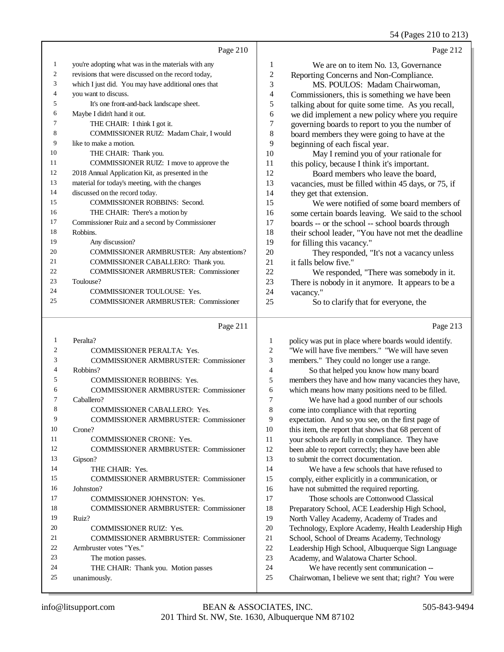54 (Pages 210 to 213)

|    |                                                     |                  | 34 (Pages 210 to 213)                                |
|----|-----------------------------------------------------|------------------|------------------------------------------------------|
|    | Page 210                                            |                  | Page 212                                             |
| 1  | you're adopting what was in the materials with any  | 1                | We are on to item No. 13, Governance                 |
| 2  | revisions that were discussed on the record today,  | $\boldsymbol{2}$ | Reporting Concerns and Non-Compliance.               |
| 3  | which I just did. You may have additional ones that | 3                | MS. POULOS: Madam Chairwoman,                        |
| 4  | you want to discuss.                                | $\overline{4}$   | Commissioners, this is something we have been        |
| 5  | It's one front-and-back landscape sheet.            | 5                | talking about for quite some time. As you recall,    |
| 6  | Maybe I didn't hand it out.                         | 6                | we did implement a new policy where you require      |
| 7  | THE CHAIR: I think I got it.                        | 7                | governing boards to report to you the number of      |
| 8  | COMMISSIONER RUIZ: Madam Chair, I would             | 8                | board members they were going to have at the         |
| 9  | like to make a motion.                              | 9                | beginning of each fiscal year.                       |
| 10 | THE CHAIR: Thank you.                               | 10               | May I remind you of your rationale for               |
| 11 | COMMISSIONER RUIZ: I move to approve the            | 11               | this policy, because I think it's important.         |
| 12 | 2018 Annual Application Kit, as presented in the    | 12               | Board members who leave the board,                   |
| 13 | material for today's meeting, with the changes      | 13               | vacancies, must be filled within 45 days, or 75, if  |
| 14 | discussed on the record today.                      | 14               | they get that extension.                             |
| 15 | <b>COMMISSIONER ROBBINS: Second.</b>                | 15               | We were notified of some board members of            |
| 16 | THE CHAIR: There's a motion by                      | 16               | some certain boards leaving. We said to the school   |
| 17 | Commissioner Ruiz and a second by Commissioner      | 17               | boards -- or the school -- school boards through     |
| 18 | Robbins.                                            | 18               | their school leader, "You have not met the deadline  |
| 19 | Any discussion?                                     | 19               | for filling this vacancy."                           |
| 20 | COMMISSIONER ARMBRUSTER: Any abstentions?           | 20               | They responded, "It's not a vacancy unless           |
| 21 | COMMISSIONER CABALLERO: Thank you.                  | 21               | it falls below five."                                |
| 22 | <b>COMMISSIONER ARMBRUSTER: Commissioner</b>        | 22               | We responded, "There was somebody in it.             |
| 23 | Toulouse?                                           | 23               | There is nobody in it anymore. It appears to be a    |
| 24 | COMMISSIONER TOULOUSE: Yes.                         | 24               | vacancy."                                            |
| 25 | <b>COMMISSIONER ARMBRUSTER: Commissioner</b>        | 25               | So to clarify that for everyone, the                 |
|    | Page 211                                            |                  | Page 213                                             |
| 1  | Peralta?                                            | 1                | policy was put in place where boards would identify. |
| 2  | COMMISSIONER PERALTA: Yes.                          | $\overline{2}$   | "We will have five members." "We will have seven     |
| 3  | <b>COMMISSIONER ARMBRUSTER: Commissioner</b>        | 3                | members." They could no longer use a range.          |
| 4  | Robbins?                                            | 4                |                                                      |
|    |                                                     |                  | So that helped you know how many board               |

 COMMISSIONER ROBBINS: Yes. COMMISSIONER ARMBRUSTER: Commissioner Caballero?

COMMISSIONER CABALLERO: Yes.

- COMMISSIONER ARMBRUSTER: Commissioner Crone?
- COMMISSIONER CRONE: Yes.

 COMMISSIONER ARMBRUSTER: Commissioner Gipson? 14 THE CHAIR: Yes. COMMISSIONER ARMBRUSTER: Commissioner Johnston?

- 17 COMMISSIONER JOHNSTON: Yes.
- COMMISSIONER ARMBRUSTER: Commissioner Ruiz? COMMISSIONER RUIZ: Yes. COMMISSIONER ARMBRUSTER: Commissioner Armbruster votes "Yes."
- The motion passes. THE CHAIR: Thank you. Motion passes unanimously.

members they have and how many vacancies they have,

 which means how many positions need to be filled. We have had a good number of our schools come into compliance with that reporting

 expectation. And so you see, on the first page of this item, the report that shows that 68 percent of your schools are fully in compliance. They have been able to report correctly; they have been able to submit the correct documentation.

 We have a few schools that have refused to comply, either explicitly in a communication, or have not submitted the required reporting.

 Those schools are Cottonwood Classical Preparatory School, ACE Leadership High School, North Valley Academy, Academy of Trades and Technology, Explore Academy, Health Leadership High School, School of Dreams Academy, Technology Leadership High School, Albuquerque Sign Language Academy, and Walatowa Charter School.

We have recently sent communication --

Chairwoman, I believe we sent that; right? You were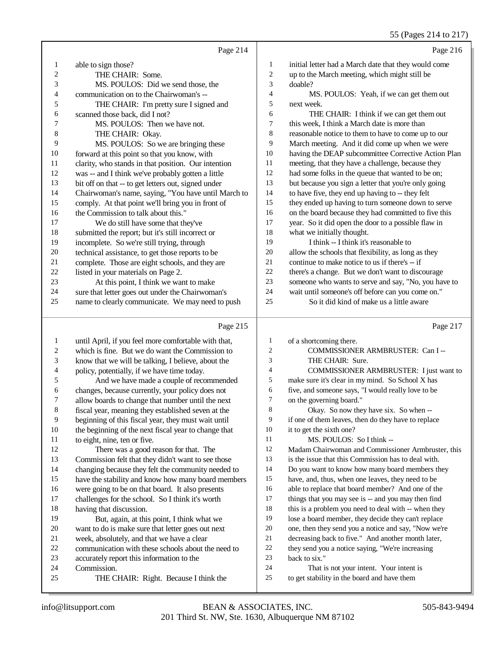55 (Pages 214 to 217)

|                |                                                      |                | 55 (Pages 214 to 217)                                |
|----------------|------------------------------------------------------|----------------|------------------------------------------------------|
|                | Page 214                                             |                | Page 216                                             |
| $\mathbf{1}$   | able to sign those?                                  | 1              | initial letter had a March date that they would come |
| 2              | THE CHAIR: Some.                                     | $\sqrt{2}$     | up to the March meeting, which might still be        |
| 3              | MS. POULOS: Did we send those, the                   | 3              | doable?                                              |
| 4              | communication on to the Chairwoman's --              | 4              | MS. POULOS: Yeah, if we can get them out             |
| 5              | THE CHAIR: I'm pretty sure I signed and              | 5              | next week.                                           |
| 6              | scanned those back, did I not?                       | 6              | THE CHAIR: I think if we can get them out            |
| 7              | MS. POULOS: Then we have not.                        | $\tau$         | this week, I think a March date is more than         |
| 8              | THE CHAIR: Okay.                                     | $\,$ 8 $\,$    | reasonable notice to them to have to come up to our  |
| 9              | MS. POULOS: So we are bringing these                 | 9              | March meeting. And it did come up when we were       |
| 10             | forward at this point so that you know, with         | 10             | having the DEAP subcommittee Corrective Action Plan  |
| 11             | clarity, who stands in that position. Our intention  | 11             | meeting, that they have a challenge, because they    |
| 12             | was -- and I think we've probably gotten a little    | 12             | had some folks in the queue that wanted to be on;    |
| 13             | bit off on that -- to get letters out, signed under  | 13             | but because you sign a letter that you're only going |
| 14             | Chairwoman's name, saying, "You have until March to  | 14             | to have five, they end up having to -- they felt     |
| 15             | comply. At that point we'll bring you in front of    | 15             | they ended up having to turn someone down to serve   |
| 16             | the Commission to talk about this."                  | 16             | on the board because they had committed to five this |
| 17             | We do still have some that they've                   | 17             | year. So it did open the door to a possible flaw in  |
| 18             | submitted the report; but it's still incorrect or    | 18             | what we initially thought.                           |
| 19             | incomplete. So we're still trying, through           | 19             | I think -- I think it's reasonable to                |
| 20             | technical assistance, to get those reports to be     | 20             | allow the schools that flexibility, as long as they  |
| 21             | complete. Those are eight schools, and they are      | 21             | continue to make notice to us if there's -- if       |
| 22             | listed in your materials on Page 2.                  | 22             | there's a change. But we don't want to discourage    |
| 23             | At this point, I think we want to make               | 23             | someone who wants to serve and say, "No, you have to |
| 24             | sure that letter goes out under the Chairwoman's     | 24             | wait until someone's off before can you come on."    |
| 25             | name to clearly communicate. We may need to push     | 25             | So it did kind of make us a little aware             |
|                | Page 215                                             |                | Page 217                                             |
| $\mathbf{1}$   | until April, if you feel more comfortable with that, | $\mathbf{1}$   | of a shortcoming there.                              |
| $\overline{c}$ | which is fine. But we do want the Commission to      | $\overline{c}$ | COMMISSIONER ARMBRUSTER: Can I --                    |
| 3              | know that we will be talking, I believe, about the   | 3              | THE CHAIR: Sure.                                     |
| 4              | policy, potentially, if we have time today.          | $\overline{4}$ | COMMISSIONER ARMBRUSTER: I just want to              |
| 5              | And we have made a couple of recommended             | 5              | make sure it's clear in my mind. So School X has     |
| 6              | changes, because currently, your policy does not     | 6              | five, and someone says, "I would really love to be   |
| 7              | allow boards to change that number until the next    | 7              | on the governing board."                             |
| 8              | fiscal year, meaning they established seven at the   | 8              | Okay. So now they have six. So when --               |
| 9              | beginning of this fiscal year, they must wait until  | 9              | if one of them leaves, then do they have to replace  |
| 10             | the beginning of the next fiscal year to change that | 10             | it to get the sixth one?                             |
| 11             | to eight, nine, ten or five.                         | 11             | MS. POULOS: So I think --                            |
| 12             | There was a good reason for that. The                | 12             | Madam Chairwoman and Commissioner Armbruster, this   |
| 13             | Commission felt that they didn't want to see those   | 13             | is the issue that this Commission has to deal with.  |
| 14             | changing because they felt the community needed to   | 14             | Do you want to know how many board members they      |
| 15             | have the stability and know how many board members   | 15             | have, and, thus, when one leaves, they need to be    |
| 16             | were going to be on that board. It also presents     | 16             | able to replace that board member? And one of the    |
| 17             | challenges for the school. So I think it's worth     | 17             | things that you may see is -- and you may then find  |
| 18             | having that discussion.                              | 18             | this is a problem you need to deal with -- when they |
| 19             | But, again, at this point, I think what we           | 19             | lose a board member, they decide they can't replace  |

- want to do is make sure that letter goes out next week, absolutely, and that we have a clear
	- communication with these schools about the need to
	- accurately report this information to the
	- Commission.
	- THE CHAIR: Right. Because I think the
- 22 they send you a notice saying, "We're increasing back to six." back to six."

 one, then they send you a notice and say, "Now we're 21 decreasing back to five." And another month later,<br>22 they send you a notice saving. "We're increasing

- 24 That is not your intent. Your intent is<br>25 to get stability in the board and have them
	- to get stability in the board and have them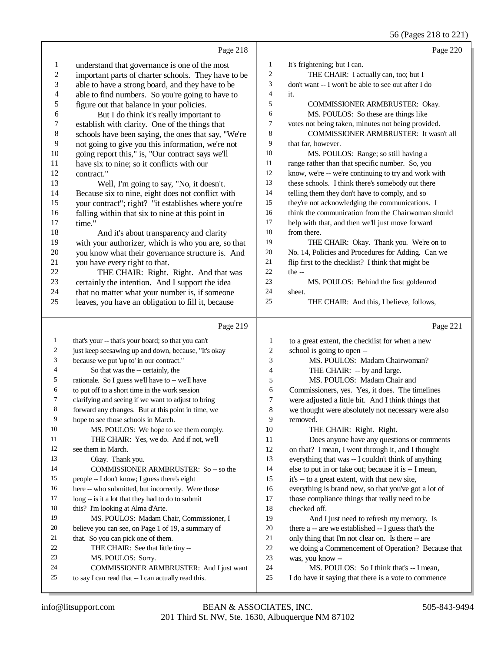# 56 (Pages 218 to 221)

|                          | Page 218                                                                                        |                  | Page 220                                                                                         |
|--------------------------|-------------------------------------------------------------------------------------------------|------------------|--------------------------------------------------------------------------------------------------|
| $\mathbf{1}$             | understand that governance is one of the most                                                   | $\mathbf{1}$     | It's frightening; but I can.                                                                     |
| $\overline{\mathbf{c}}$  | important parts of charter schools. They have to be                                             | $\boldsymbol{2}$ | THE CHAIR: I actually can, too; but I                                                            |
| 3                        | able to have a strong board, and they have to be                                                | 3                | don't want -- I won't be able to see out after I do                                              |
| $\overline{\mathcal{L}}$ | able to find numbers. So you're going to have to                                                | $\overline{4}$   | it.                                                                                              |
| 5                        | figure out that balance in your policies.                                                       | 5                | COMMISSIONER ARMBRUSTER: Okay.                                                                   |
| 6                        | But I do think it's really important to                                                         | 6                | MS. POULOS: So these are things like                                                             |
| 7                        | establish with clarity. One of the things that                                                  | 7                | votes not being taken, minutes not being provided.                                               |
| 8                        | schools have been saying, the ones that say, "We're                                             | 8                | COMMISSIONER ARMBRUSTER: It wasn't all                                                           |
| 9                        | not going to give you this information, we're not                                               | 9                | that far, however.                                                                               |
| 10                       | going report this," is, "Our contract says we'll                                                | 10               | MS. POULOS: Range; so still having a                                                             |
| 11                       | have six to nine; so it conflicts with our                                                      | 11               | range rather than that specific number. So, you                                                  |
| 12                       | contract."                                                                                      | 12               | know, we're -- we're continuing to try and work with                                             |
| 13                       | Well, I'm going to say, "No, it doesn't.                                                        | 13               | these schools. I think there's somebody out there                                                |
| 14                       | Because six to nine, eight does not conflict with                                               | 14               | telling them they don't have to comply, and so                                                   |
| 15                       | your contract"; right? "it establishes where you're                                             | 15               | they're not acknowledging the communications. I                                                  |
| 16                       | falling within that six to nine at this point in                                                | 16               | think the communication from the Chairwoman should                                               |
| 17                       | time."                                                                                          | 17               | help with that, and then we'll just move forward                                                 |
| 18                       | And it's about transparency and clarity                                                         | 18               | from there.                                                                                      |
| 19                       | with your authorizer, which is who you are, so that                                             | 19               | THE CHAIR: Okay. Thank you. We're on to                                                          |
| $20\,$                   | you know what their governance structure is. And                                                | 20               | No. 14, Policies and Procedures for Adding. Can we                                               |
| 21                       | you have every right to that.                                                                   | 21               | flip first to the checklist? I think that might be                                               |
| $22\,$                   | THE CHAIR: Right. Right. And that was                                                           | $22\,$           | the $-$                                                                                          |
| $23\,$                   | certainly the intention. And I support the idea                                                 | 23               | MS. POULOS: Behind the first goldenrod                                                           |
| 24                       | that no matter what your number is, if someone                                                  | 24               | sheet.                                                                                           |
| 25                       | leaves, you have an obligation to fill it, because                                              | 25               | THE CHAIR: And this, I believe, follows,                                                         |
|                          |                                                                                                 |                  |                                                                                                  |
|                          | Page 219                                                                                        |                  | Page 221                                                                                         |
| $\mathbf{1}$             | that's your -- that's your board; so that you can't                                             | $\mathbf{1}$     | to a great extent, the checklist for when a new                                                  |
| $\overline{c}$           | just keep seesawing up and down, because, "It's okay                                            | 2                | school is going to open --                                                                       |
| 3                        | because we put 'up to' in our contract."                                                        | 3                | MS. POULOS: Madam Chairwoman?                                                                    |
| 4                        | So that was the -- certainly, the                                                               | 4                | THE CHAIR: -- by and large.                                                                      |
| 5                        | rationale. So I guess we'll have to -- we'll have                                               | 5                | MS. POULOS: Madam Chair and                                                                      |
| 6                        | to put off to a short time in the work session                                                  | 6                | Commissioners, yes. Yes, it does. The timelines                                                  |
| 7                        | clarifying and seeing if we want to adjust to bring                                             | 7                | were adjusted a little bit. And I think things that                                              |
| 8                        | forward any changes. But at this point in time, we                                              | 8                | we thought were absolutely not necessary were also                                               |
| 9                        | hope to see those schools in March.                                                             | 9                | removed.                                                                                         |
| 10                       | MS. POULOS: We hope to see them comply.                                                         | 10               | THE CHAIR: Right. Right.                                                                         |
| 11                       | THE CHAIR: Yes, we do. And if not, we'll                                                        | 11               | Does anyone have any questions or comments                                                       |
| 12                       | see them in March.                                                                              | 12               | on that? I mean, I went through it, and I thought                                                |
| 13                       | Okay. Thank you.                                                                                | 13               | everything that was -- I couldn't think of anything                                              |
| 14                       | COMMISSIONER ARMBRUSTER: So -- so the                                                           | 14               | else to put in or take out; because it is -- I mean,                                             |
| 15                       | people -- I don't know; I guess there's eight                                                   | 15               | it's -- to a great extent, with that new site,                                                   |
| 16                       | here -- who submitted, but incorrectly. Were those                                              | 16               | everything is brand new, so that you've got a lot of                                             |
| 17                       | long -- is it a lot that they had to do to submit                                               | 17               | those compliance things that really need to be                                                   |
| 18                       | this? I'm looking at Alma d'Arte.                                                               | 18               | checked off.                                                                                     |
| 19                       | MS. POULOS: Madam Chair, Commissioner, I                                                        | 19               | And I just need to refresh my memory. Is                                                         |
| 20<br>21                 | believe you can see, on Page 1 of 19, a summary of                                              | 20               | there a -- are we established -- I guess that's the                                              |
| 22                       | that. So you can pick one of them.                                                              | 21               | only thing that I'm not clear on. Is there -- are                                                |
| 23                       | THE CHAIR: See that little tiny --                                                              | 22               | we doing a Commencement of Operation? Because that                                               |
| 24                       | MS. POULOS: Sorry.                                                                              | 23<br>24         | was, you know --                                                                                 |
| 25                       | COMMISSIONER ARMBRUSTER: And I just want<br>to say I can read that -- I can actually read this. | $25\,$           | MS. POULOS: So I think that's -- I mean,<br>I do have it saying that there is a vote to commence |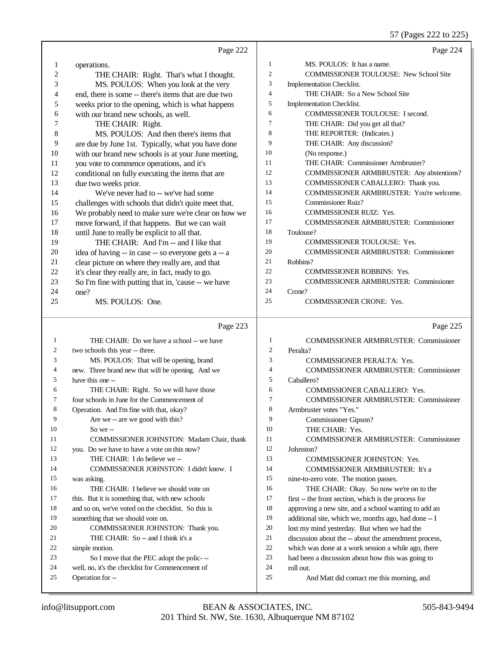57 (Pages 222 to 225)

|    | Page 222                                                                   |                | Page 224                                                 |
|----|----------------------------------------------------------------------------|----------------|----------------------------------------------------------|
| 1  | operations.                                                                | $\mathbf{1}$   | MS. POULOS: It has a name.                               |
| 2  | THE CHAIR: Right. That's what I thought.                                   | $\sqrt{2}$     | COMMISSIONER TOULOUSE: New School Site                   |
| 3  | MS. POULOS: When you look at the very                                      | 3              | Implementation Checklist.                                |
| 4  | end, there is some -- there's items that are due two                       | $\overline{4}$ | THE CHAIR: So a New School Site                          |
| 5  | weeks prior to the opening, which is what happens                          | 5              | Implementation Checklist.                                |
| 6  | with our brand new schools, as well.                                       | 6              | COMMISSIONER TOULOUSE: I second.                         |
| 7  | THE CHAIR: Right.                                                          | $\tau$         | THE CHAIR: Did you get all that?                         |
| 8  | MS. POULOS: And then there's items that                                    | 8              | THE REPORTER: (Indicates.)                               |
| 9  | are due by June 1st. Typically, what you have done                         | 9              | THE CHAIR: Any discussion?                               |
| 10 | with our brand new schools is at your June meeting,                        | 10             | (No response.)                                           |
| 11 | you vote to commence operations, and it's                                  | 11             | THE CHAIR: Commissioner Armbruster?                      |
| 12 | conditional on fully executing the items that are                          | 12             | COMMISSIONER ARMBRUSTER: Any abstentions?                |
| 13 | due two weeks prior.                                                       | 13             | COMMISSIONER CABALLERO: Thank you.                       |
| 14 | We've never had to -- we've had some                                       | 14             | COMMISSIONER ARMBRUSTER: You're welcome.                 |
| 15 | challenges with schools that didn't quite meet that.                       | 15             | <b>Commissioner Ruiz?</b>                                |
| 16 | We probably need to make sure we're clear on how we                        | 16             | <b>COMMISSIONER RUIZ: Yes.</b>                           |
| 17 | move forward, if that happens. But we can wait                             | 17             | <b>COMMISSIONER ARMBRUSTER: Commissioner</b>             |
| 18 | until June to really be explicit to all that.                              | 18             | Toulouse?                                                |
| 19 | THE CHAIR: And I'm -- and I like that                                      | 19             | <b>COMMISSIONER TOULOUSE: Yes.</b>                       |
| 20 | idea of having -- in case -- so everyone gets a -- a                       | 20             | <b>COMMISSIONER ARMBRUSTER: Commissioner</b>             |
| 21 | clear picture on where they really are, and that                           | 21             | Robbins?                                                 |
| 22 | it's clear they really are, in fact, ready to go.                          | 22             | <b>COMMISSIONER ROBBINS: Yes.</b>                        |
| 23 | So I'm fine with putting that in, 'cause -- we have                        | 23             | <b>COMMISSIONER ARMBRUSTER: Commissioner</b>             |
| 24 | one?                                                                       | 24             | Crone?                                                   |
| 25 | MS. POULOS: One.                                                           | 25             | <b>COMMISSIONER CRONE: Yes.</b>                          |
|    | Page 223                                                                   |                |                                                          |
|    |                                                                            |                |                                                          |
| 1  | THE CHAIR: Do we have a school -- we have                                  | 1              | Page 225<br><b>COMMISSIONER ARMBRUSTER: Commissioner</b> |
| 2  |                                                                            | $\mathfrak{2}$ | Peralta?                                                 |
| 3  | two schools this year -- three.<br>MS. POULOS: That will be opening, brand | 3              | <b>COMMISSIONER PERALTA: Yes.</b>                        |
| 4  | new. Three brand new that will be opening. And we                          | 4              | <b>COMMISSIONER ARMBRUSTER: Commissioner</b>             |
| 5  | have this one --                                                           | 5              | Caballero?                                               |
| 6  | THE CHAIR: Right. So we will have those                                    | 6              | COMMISSIONER CABALLERO: Yes.                             |
| 7  | four schools in June for the Commencement of                               | 7              | <b>COMMISSIONER ARMBRUSTER: Commissioner</b>             |
|    | Operation. And I'm fine with that, okay?                                   | 8              | Armbruster votes "Yes."                                  |
| 9  | Are we -- are we good with this?                                           | 9              | Commissioner Gipson?                                     |
| 10 | So we $-$                                                                  | 10             | THE CHAIR: Yes.                                          |
| 11 | COMMISSIONER JOHNSTON: Madam Chair, thank                                  | 11             | <b>COMMISSIONER ARMBRUSTER: Commissioner</b>             |
| 12 | you. Do we have to have a vote on this now?                                | 12             | Johnston?                                                |
| 13 | THE CHAIR: I do believe we --                                              | 13             | <b>COMMISSIONER JOHNSTON: Yes.</b>                       |
| 14 | COMMISSIONER JOHNSTON: I didn't know. I                                    | 14             | COMMISSIONER ARMBRUSTER: It's a                          |
| 15 | was asking.                                                                | 15             | nine-to-zero vote. The motion passes.                    |
| 16 | THE CHAIR: I believe we should vote on                                     | 16             | THE CHAIR: Okay. So now we're on to the                  |
| 17 | this. But it is something that, with new schools                           | 17             | first -- the front section, which is the process for     |
| 18 | and so on, we've voted on the checklist. So this is                        | 18             | approving a new site, and a school wanting to add an     |
| 19 | something that we should vote on.                                          | 19             | additional site, which we, months ago, had done -- I     |
| 20 | COMMISSIONER JOHNSTON: Thank you.                                          | 20             | lost my mind yesterday. But when we had the              |
| 21 | THE CHAIR: So -- and I think it's a                                        | 21             | discussion about the -- about the amendment process,     |
| 22 | simple motion.                                                             | 22             | which was done at a work session a while ago, there      |
| 23 | So I move that the PEC adopt the polic---                                  | 23             | had been a discussion about how this was going to        |
| 24 | well, no, it's the checklist for Commencement of                           | 24             | roll out.                                                |
| 25 | Operation for --                                                           | 25             | And Matt did contact me this morning, and                |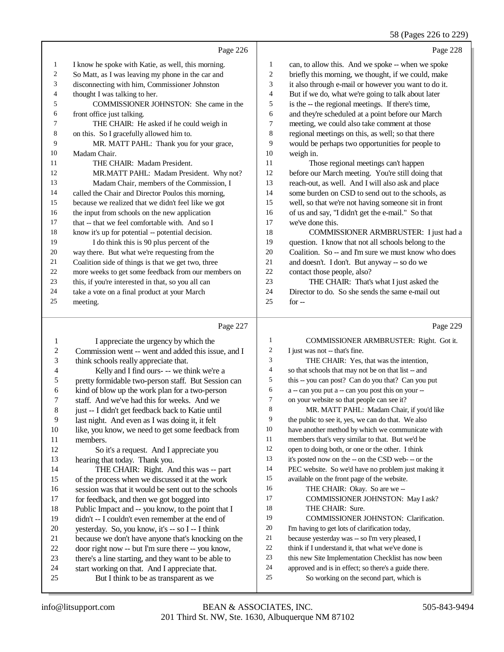## 58 (Pages 226 to 229)

|    | Page 226                                            |    | Page 228                                             |
|----|-----------------------------------------------------|----|------------------------------------------------------|
| 1  | I know he spoke with Katie, as well, this morning.  | 1  | can, to allow this. And we spoke -- when we spoke    |
| 2  | So Matt, as I was leaving my phone in the car and   | 2  | briefly this morning, we thought, if we could, make  |
| 3  | disconnecting with him, Commissioner Johnston       | 3  | it also through e-mail or however you want to do it. |
| 4  | thought I was talking to her.                       | 4  | But if we do, what we're going to talk about later   |
| 5  | COMMISSIONER JOHNSTON: She came in the              | 5  | is the -- the regional meetings. If there's time,    |
| 6  | front office just talking.                          | 6  | and they're scheduled at a point before our March    |
| 7  | THE CHAIR: He asked if he could weigh in            | 7  | meeting, we could also take comment at those         |
| 8  | on this. So I gracefully allowed him to.            | 8  | regional meetings on this, as well; so that there    |
| 9  | MR. MATT PAHL: Thank you for your grace,            | 9  | would be perhaps two opportunities for people to     |
| 10 | Madam Chair.                                        | 10 | weigh in.                                            |
| 11 | THE CHAIR: Madam President.                         | 11 | Those regional meetings can't happen                 |
| 12 | MR.MATT PAHL: Madam President. Why not?             | 12 | before our March meeting. You're still doing that    |
| 13 | Madam Chair, members of the Commission, I           | 13 | reach-out, as well. And I will also ask and place    |
| 14 | called the Chair and Director Poulos this morning,  | 14 | some burden on CSD to send out to the schools, as    |
| 15 | because we realized that we didn't feel like we got | 15 | well, so that we're not having someone sit in front  |
| 16 | the input from schools on the new application       | 16 | of us and say, "I didn't get the e-mail." So that    |
| 17 | that -- that we feel comfortable with. And so I     | 17 | we've done this.                                     |
| 18 | know it's up for potential -- potential decision.   | 18 | COMMISSIONER ARMBRUSTER: I just had a                |
| 19 | I do think this is 90 plus percent of the           | 19 | question. I know that not all schools belong to the  |
| 20 | way there. But what we're requesting from the       | 20 | Coalition. So -- and I'm sure we must know who does  |
| 21 | Coalition side of things is that we get two, three  | 21 | and doesn't. I don't. But anyway -- so do we         |
| 22 | more weeks to get some feedback from our members on | 22 | contact those people, also?                          |
| 23 | this, if you're interested in that, so you all can  | 23 | THE CHAIR: That's what I just asked the              |
| 24 | take a vote on a final product at your March        | 24 | Director to do. So she sends the same e-mail out     |
| 25 | meeting.                                            | 25 | $for -$                                              |
|    |                                                     |    |                                                      |

### Page 227 |

| 1              | I appreciate the urgency by which the                | 1              | COMMISSIONER ARMBRUSTER: Right. Got it.              |
|----------------|------------------------------------------------------|----------------|------------------------------------------------------|
| $\sqrt{2}$     | Commission went -- went and added this issue, and I  | $\overline{2}$ | I just was not -- that's fine.                       |
| 3              | think schools really appreciate that.                | 3              | THE CHAIR: Yes, that was the intention,              |
| $\overline{4}$ | Kelly and I find ours- -- we think we're a           | 4              | so that schools that may not be on that list -- and  |
| 5              | pretty formidable two-person staff. But Session can  | 5              | this -- you can post? Can do you that? Can you put   |
| 6              | kind of blow up the work plan for a two-person       | 6              | a -- can you put a -- can you post this on your --   |
| 7              | staff. And we've had this for weeks. And we          | 7              | on your website so that people can see it?           |
| $\,8\,$        | just -- I didn't get feedback back to Katie until    | 8              | MR. MATT PAHL: Madam Chair, if you'd like            |
| 9              | last night. And even as I was doing it, it felt      | 9              | the public to see it, yes, we can do that. We also   |
| 10             | like, you know, we need to get some feedback from    | 10             | have another method by which we communicate with     |
| 11             | members.                                             | 11             | members that's very similar to that. But we'd be     |
| 12             | So it's a request. And I appreciate you              | 12             | open to doing both, or one or the other. I think     |
| 13             | hearing that today. Thank you.                       | 13             | it's posted now on the -- on the CSD web--- or the   |
| 14             | THE CHAIR: Right. And this was -- part               | 14             | PEC website. So we'd have no problem just making it  |
| 15             | of the process when we discussed it at the work      | 15             | available on the front page of the website.          |
| 16             | session was that it would be sent out to the schools | 16             | THE CHAIR: Okay. So are we --                        |
| 17             | for feedback, and then we got bogged into            | 17             | <b>COMMISSIONER JOHNSTON: May I ask?</b>             |
| 18             | Public Impact and -- you know, to the point that I   | 18             | THE CHAIR: Sure.                                     |
| 19             | didn't -- I couldn't even remember at the end of     | 19             | <b>COMMISSIONER JOHNSTON: Clarification.</b>         |
| 20             | yesterday. So, you know, it's -- so I -- I think     | 20             | I'm having to get lots of clarification today,       |
| 21             | because we don't have anyone that's knocking on the  | 21             | because yesterday was -- so I'm very pleased, I      |
| 22             | door right now -- but I'm sure there -- you know,    | 22             | think if I understand it, that what we've done is    |
| 23             | there's a line starting, and they want to be able to | 23             | this new Site Implementation Checklist has now been  |
| 24             | start working on that. And I appreciate that.        | 24             | approved and is in effect; so there's a guide there. |
| 25             | But I think to be as transparent as we               | 25             | So working on the second part, which is              |
|                |                                                      |                |                                                      |

Page 229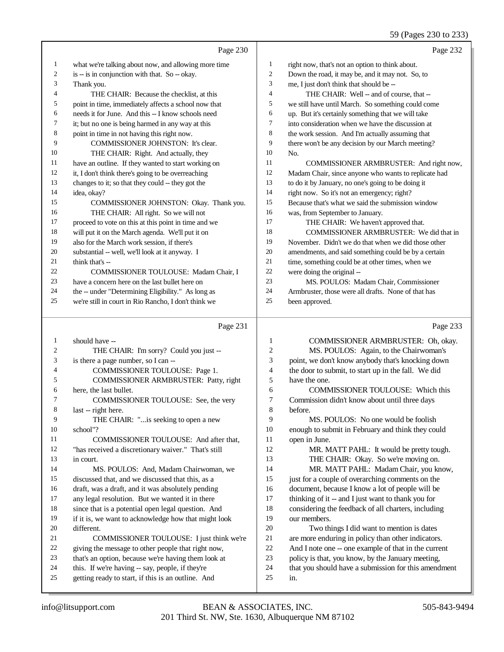|              |                                                      |                | 59 (Pages 230 to 233)                                |
|--------------|------------------------------------------------------|----------------|------------------------------------------------------|
|              | Page 230                                             |                | Page 232                                             |
| 1            | what we're talking about now, and allowing more time | 1              | right now, that's not an option to think about.      |
| 2            | is -- is in conjunction with that. So -- okay.       | $\overline{c}$ | Down the road, it may be, and it may not. So, to     |
| 3            | Thank you.                                           | 3              | me, I just don't think that should be --             |
| 4            | THE CHAIR: Because the checklist, at this            | $\overline{4}$ | THE CHAIR: Well -- and of course, that --            |
| 5            | point in time, immediately affects a school now that | 5              | we still have until March. So something could come   |
| 6            | needs it for June. And this -- I know schools need   | 6              | up. But it's certainly something that we will take   |
| 7            | it; but no one is being harmed in any way at this    | $\tau$         | into consideration when we have the discussion at    |
| 8            | point in time in not having this right now.          | 8              | the work session. And I'm actually assuming that     |
| 9            | COMMISSIONER JOHNSTON: It's clear.                   | 9              | there won't be any decision by our March meeting?    |
| 10           | THE CHAIR: Right. And actually, they                 | 10             | No.                                                  |
| 11           | have an outline. If they wanted to start working on  | 11             | COMMISSIONER ARMBRUSTER: And right now,              |
| 12           | it, I don't think there's going to be overreaching   | 12             | Madam Chair, since anyone who wants to replicate had |
| 13           | changes to it; so that they could -- they got the    | 13             | to do it by January, no one's going to be doing it   |
| 14           | idea, okay?                                          | 14             | right now. So it's not an emergency; right?          |
| 15           | COMMISSIONER JOHNSTON: Okay. Thank you.              | 15             | Because that's what we said the submission window    |
| 16           | THE CHAIR: All right. So we will not                 | 16             | was, from September to January.                      |
| 17           | proceed to vote on this at this point in time and we | 17             | THE CHAIR: We haven't approved that.                 |
| 18           | will put it on the March agenda. We'll put it on     | 18             | COMMISSIONER ARMBRUSTER: We did that in              |
| 19           | also for the March work session, if there's          | 19             | November. Didn't we do that when we did those other  |
| 20           | substantial -- well, we'll look at it anyway. I      | $20\,$         | amendments, and said something could be by a certain |
| 21           | think that's --                                      | 21             | time, something could be at other times, when we     |
| 22           | COMMISSIONER TOULOUSE: Madam Chair, I                | 22             | were doing the original --                           |
| 23           | have a concern here on the last bullet here on       | 23             | MS. POULOS: Madam Chair, Commissioner                |
| 24           | the -- under "Determining Eligibility." As long as   | 24             | Armbruster, those were all drafts. None of that has  |
| 25           | we're still in court in Rio Rancho, I don't think we | 25             | been approved.                                       |
|              |                                                      |                |                                                      |
|              | Page 231                                             |                | Page 233                                             |
| $\mathbf{1}$ | should have --                                       | 1              | COMMISSIONER ARMBRUSTER: Oh, okay.                   |
| 2            | THE CHAIR: I'm sorry? Could you just --              | 2              | MS. POULOS: Again, to the Chairwoman's               |
| 3            | is there a page number, so I can --                  | 3              | point, we don't know anybody that's knocking down    |
| 4            | COMMISSIONER TOULOUSE: Page 1.                       | 4              | the door to submit, to start up in the fall. We did  |
| 5            | COMMISSIONER ARMBRUSTER: Patty, right                | 5              | have the one.                                        |
| 6            | here, the last bullet.                               | 6              | COMMISSIONER TOULOUSE: Which this                    |
| 7            | COMMISSIONER TOULOUSE: See, the very                 | 7              | Commission didn't know about until three days        |
| 8            | last -- right here.                                  | 8              | before.                                              |
| 9            | THE CHAIR: "is seeking to open a new                 | 9              | MS. POULOS: No one would be foolish                  |
| 10           | school"?                                             | 10             | enough to submit in February and think they could    |
| 11           | COMMISSIONER TOULOUSE: And after that,               | 11             | open in June.                                        |
| 12           | "has received a discretionary waiver." That's still  | 12             | MR. MATT PAHL: It would be pretty tough.             |
| 13           | in court.                                            | 13             | THE CHAIR: Okay. So we're moving on.                 |
| 14           | MS. POULOS: And, Madam Chairwoman, we                | 14             | MR. MATT PAHL: Madam Chair, you know,                |
| 15           | discussed that, and we discussed that this, as a     | 15             | just for a couple of overarching comments on the     |
| 16           | draft, was a draft, and it was absolutely pending    | 16             | document, because I know a lot of people will be     |
| 17           | any legal resolution. But we wanted it in there      | 17             | thinking of it -- and I just want to thank you for   |
| 18           | since that is a potential open legal question. And   | 18             | considering the feedback of all charters, including  |
| 19           | if it is, we want to acknowledge how that might look | 19             | our members.                                         |
| 20           | different.                                           | 20             | Two things I did want to mention is dates            |
|              |                                                      |                |                                                      |

- 21 COMMISSIONER TOULOUSE: I just think we're<br>22 giving the message to other people that right now. 22 giving the message to other people that right now,<br>23 that's an option, because we're having them look at
- that's an option, because we're having them look at
- 24 this. If we're having -- say, people, if they're getting ready to start, if this is an outline. A getting ready to start, if this is an outline. And

in.

 are more enduring in policy than other indicators. 22 And I note one -- one example of that in the current<br>23 policy is that, you know, by the January meeting, policy is that, you know, by the January meeting, that you should have a submission for this amendment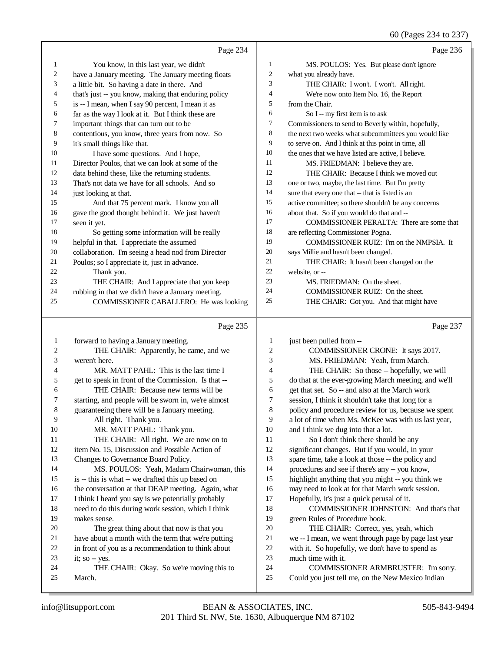|              |                                                      |                | 60 (Pages 234 to 237)                                                                   |
|--------------|------------------------------------------------------|----------------|-----------------------------------------------------------------------------------------|
|              | Page 234                                             |                | Page 236                                                                                |
| 1            | You know, in this last year, we didn't               | $\mathbf{1}$   | MS. POULOS: Yes. But please don't ignore                                                |
| 2            | have a January meeting. The January meeting floats   | 2              | what you already have.                                                                  |
| 3            | a little bit. So having a date in there. And         | 3              | THE CHAIR: I won't. I won't. All right.                                                 |
| 4            | that's just -- you know, making that enduring policy | $\overline{4}$ | We're now onto Item No. 16, the Report                                                  |
| 5            | is -- I mean, when I say 90 percent, I mean it as    | 5              | from the Chair.                                                                         |
| 6            | far as the way I look at it. But I think these are   | 6              | So I -- my first item is to ask                                                         |
| 7            | important things that can turn out to be             | 7              | Commissioners to send to Beverly within, hopefully,                                     |
| $\,8$        | contentious, you know, three years from now. So      | 8              | the next two weeks what subcommittees you would like                                    |
| 9            | it's small things like that.                         | 9              | to serve on. And I think at this point in time, all                                     |
| 10           | I have some questions. And I hope,                   | 10             | the ones that we have listed are active, I believe.                                     |
| 11           | Director Poulos, that we can look at some of the     | 11             | MS. FRIEDMAN: I believe they are.                                                       |
| 12           | data behind these, like the returning students.      | 12             | THE CHAIR: Because I think we moved out                                                 |
| 13           | That's not data we have for all schools. And so      | 13             | one or two, maybe, the last time. But I'm pretty                                        |
| 14           | just looking at that.                                | 14             | sure that every one that -- that is listed is an                                        |
| 15           | And that 75 percent mark. I know you all             | 15             | active committee; so there shouldn't be any concerns                                    |
| 16           | gave the good thought behind it. We just haven't     | 16             | about that. So if you would do that and --                                              |
| 17           | seen it yet.                                         | 17             | COMMISSIONER PERALTA: There are some that                                               |
| 18           | So getting some information will be really           | 18             | are reflecting Commissioner Pogna.                                                      |
| 19           | helpful in that. I appreciate the assumed            | 19             | COMMISSIONER RUIZ: I'm on the NMPSIA. It                                                |
| 20           | collaboration. I'm seeing a head nod from Director   | 20             | says Millie and hasn't been changed.                                                    |
| 21           | Poulos; so I appreciate it, just in advance.         | 21             | THE CHAIR: It hasn't been changed on the                                                |
| 22           | Thank you.                                           | $22\,$         | website, or --                                                                          |
| 23           | THE CHAIR: And I appreciate that you keep            | 23             | MS. FRIEDMAN: On the sheet.                                                             |
| 24           | rubbing in that we didn't have a January meeting.    | 24             | COMMISSIONER RUIZ: On the sheet.                                                        |
| 25           | COMMISSIONER CABALLERO: He was looking               | 25             | THE CHAIR: Got you. And that might have                                                 |
|              | Page 235                                             |                | Page 237                                                                                |
| $\mathbf{1}$ | forward to having a January meeting.                 | 1              | just been pulled from --                                                                |
| 2            | THE CHAIR: Apparently, he came, and we               | $\overline{c}$ | COMMISSIONER CRONE: It says 2017.                                                       |
| 3            | weren't here.                                        | 3              | MS. FRIEDMAN: Yeah, from March.                                                         |
| 4            | MR. MATT PAHL: This is the last time I               | $\overline{4}$ | THE CHAIR: So those -- hopefully, we will                                               |
| 5            | get to speak in front of the Commission. Is that --  | 5              | do that at the ever-growing March meeting, and we'll                                    |
| 6            | THE CHAIR: Because new terms will be                 | 6              | get that set. So -- and also at the March work                                          |
| 7            | starting, and people will be sworn in, we're almost  | 7              | session, I think it shouldn't take that long for a                                      |
| 8            | guaranteeing there will be a January meeting.        | 8              | policy and procedure review for us, because we spent                                    |
| 9            | All right. Thank you.                                | 9              | a lot of time when Ms. McKee was with us last year,                                     |
| 10           | MR. MATT PAHL: Thank you.                            | 10             | and I think we dug into that a lot.                                                     |
| 11           | THE CHAIR: All right. We are now on to               | 11             | So I don't think there should be any                                                    |
| 12           | item No. 15, Discussion and Possible Action of       | 12             | significant changes. But if you would, in your                                          |
| 13           | Changes to Governance Board Policy.                  | 13             | spare time, take a look at those -- the policy and                                      |
| 14           | MS. POULOS: Yeah, Madam Chairwoman, this             | 14             | procedures and see if there's any -- you know,                                          |
| 15           | is -- this is what -- we drafted this up based on    | 15             | highlight anything that you might -- you think we                                       |
| 16           | the conversation at that DEAP meeting. Again, what   | 16             | may need to look at for that March work session.                                        |
| 17           | I think I heard you say is we potentially probably   | 17             | Hopefully, it's just a quick perusal of it.                                             |
| 18           | need to do this during work session, which I think   | 18             | COMMISSIONER JOHNSTON: And that's that                                                  |
| 19           | makes sense.                                         | 19             | green Rules of Procedure book.                                                          |
| $20\,$       | The great thing about that now is that you           | 20             | THE CHAIR: Correct, yes, yeah, which                                                    |
| 21           | have about a month with the term that we're putting  | 21             | we -- I mean, we went through page by page last year                                    |
| 22           | in front of you as a recommendation to think about   | 22             | with it. So hopefully, we don't have to spend as                                        |
| 23           |                                                      |                |                                                                                         |
|              | it; so -- yes.                                       | 23             | much time with it.                                                                      |
| 24<br>25     | THE CHAIR: Okay. So we're moving this to<br>March.   | 24<br>25       | COMMISSIONER ARMBRUSTER: I'm sorry.<br>Could you just tell me, on the New Mexico Indian |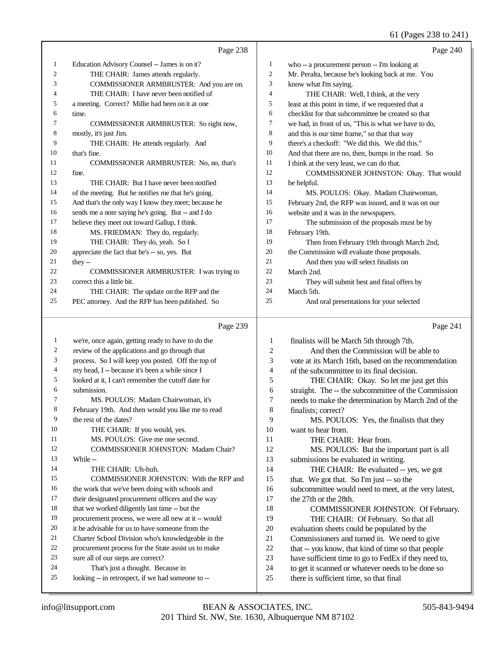61 (Pages 238 to 241)

|    | Page 238                                             |                | Page 240                                             |
|----|------------------------------------------------------|----------------|------------------------------------------------------|
| 1  | Education Advisory Counsel -- James is on it?        | 1              | who -- a procurement person -- I'm looking at        |
| 2  | THE CHAIR: James attends regularly.                  | 2              | Mr. Peralta, because he's looking back at me. You    |
| 3  | COMMISSIONER ARMBRUSTER: And you are on.             | 3              | know what I'm saying.                                |
| 4  | THE CHAIR: I have never been notified of             | $\overline{4}$ | THE CHAIR: Well, I think, at the very                |
| 5  | a meeting. Correct? Millie had been on it at one     | 5              | least at this point in time, if we requested that a  |
| 6  | time.                                                | 6              | checklist for that subcommittee be created so that   |
| 7  | COMMISSIONER ARMBRUSTER: So right now,               | $\tau$         | we had, in front of us, "This is what we have to do, |
| 8  | mostly, it's just Jim.                               | 8              | and this is our time frame," so that that way        |
| 9  | THE CHAIR: He attends regularly. And                 | 9              | there's a checkoff: "We did this. We did this."      |
| 10 | that's fine.                                         | 10             | And that there are no, then, bumps in the road. So   |
| 11 | COMMISSIONER ARMBRUSTER: No. no. that's              | 11             | I think at the very least, we can do that.           |
| 12 | fine.                                                | 12             | COMMISSIONER JOHNSTON: Okay. That would              |
| 13 | THE CHAIR: But I have never been notified            | 13             | be helpful.                                          |
| 14 | of the meeting. But he notifies me that he's going.  | 14             | MS. POULOS: Okay. Madam Chairwoman,                  |
| 15 | And that's the only way I know they meet; because he | 15             | February 2nd, the RFP was issued, and it was on our  |
| 16 | sends me a note saying he's going. But -- and I do   | 16             | website and it was in the newspapers.                |
| 17 | believe they meet out toward Gallup, I think.        | 17             | The submission of the proposals must be by           |
| 18 | MS. FRIEDMAN: They do, regularly.                    | 18             | February 19th.                                       |
| 19 | THE CHAIR: They do, yeah. So I                       | 19             | Then from February 19th through March 2nd,           |
| 20 | appreciate the fact that he's -- so, yes. But        | 20             | the Commission will evaluate those proposals.        |
| 21 | they $-$                                             | 21             | And then you will select finalists on                |
| 22 | <b>COMMISSIONER ARMBRUSTER:</b> I was trying to      | 22             | March 2nd.                                           |
| 23 | correct this a little bit.                           | 23             | They will submit best and final offers by            |
| 24 | THE CHAIR: The update on the RFP and the             | 24             | March 5th.                                           |
| 25 | PEC attorney. And the RFP has been published. So     | 25             | And oral presentations for your selected             |
|    |                                                      |                |                                                      |

|                | Page 239                                            |                | Page 241                                             |
|----------------|-----------------------------------------------------|----------------|------------------------------------------------------|
| $\mathbf{1}$   | we're, once again, getting ready to have to do the  | 1              | finalists will be March 5th through 7th.             |
| 2              | review of the applications and go through that      | $\overline{c}$ | And then the Commission will be able to              |
| 3              | process. So I will keep you posted. Off the top of  | 3              | vote at its March 16th, based on the recommendation  |
| $\overline{4}$ | my head, I -- because it's been a while since I     | 4              | of the subcommittee to its final decision.           |
| 5              | looked at it, I can't remember the cutoff date for  | 5              | THE CHAIR: Okay. So let me just get this             |
| 6              | submission.                                         | 6              | straight. The -- the subcommittee of the Commission  |
| 7              | MS. POULOS: Madam Chairwoman, it's                  | 7              | needs to make the determination by March 2nd of the  |
| 8              | February 19th. And then would you like me to read   | 8              | finalists; correct?                                  |
| 9              | the rest of the dates?                              | 9              | MS. POULOS: Yes, the finalists that they             |
| 10             | THE CHAIR: If you would, yes.                       | 10             | want to hear from.                                   |
| 11             | MS. POULOS: Give me one second.                     | 11             | THE CHAIR: Hear from.                                |
| 12             | <b>COMMISSIONER JOHNSTON: Madam Chair?</b>          | 12             | MS. POULOS: But the important part is all            |
| 13             | While --                                            | 13             | submissions be evaluated in writing.                 |
| 14             | THE CHAIR: Uh-huh.                                  | 14             | THE CHAIR: Be evaluated -- yes, we got               |
| 15             | COMMISSIONER JOHNSTON: With the RFP and             | 15             | that. We got that. So I'm just -- so the             |
| 16             | the work that we've been doing with schools and     | 16             | subcommittee would need to meet, at the very latest, |
| 17             | their designated procurement officers and the way   | 17             | the 27th or the 28th.                                |
| 18             | that we worked diligently last time -- but the      | 18             | COMMISSIONER JOHNSTON: Of February.                  |
| 19             | procurement process, we were all new at it -- would | 19             | THE CHAIR: Of February. So that all                  |
| 20             | it be advisable for us to have someone from the     | 20             | evaluation sheets could be populated by the          |
| 21             | Charter School Division who's knowledgeable in the  | 21             | Commissioners and turned in. We need to give         |
| 22             | procurement process for the State assist us to make | 22             | that -- you know, that kind of time so that people   |
| 23             | sure all of our steps are correct?                  | 23             | have sufficient time to go to FedEx if they need to, |
| 24             | That's just a thought. Because in                   | 24             | to get it scanned or whatever needs to be done so    |
| 25             | looking -- in retrospect, if we had someone to --   | 25             | there is sufficient time, so that final              |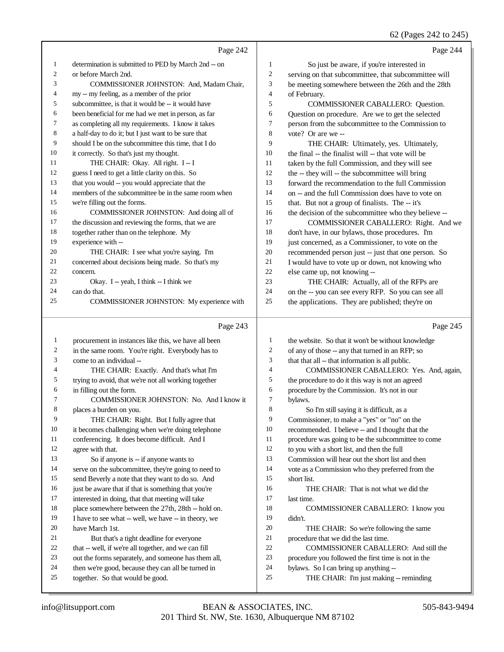#### 62 (Pages 242 to 245)

|                | Page 242                                               |                | Page 244                                                                         |
|----------------|--------------------------------------------------------|----------------|----------------------------------------------------------------------------------|
| 1              | determination is submitted to PED by March 2nd -- on   | 1              | So just be aware, if you're interested in                                        |
| $\overline{c}$ | or before March 2nd.                                   | $\overline{c}$ | serving on that subcommittee, that subcommittee will                             |
| 3              | COMMISSIONER JOHNSTON: And, Madam Chair,               | 3              | be meeting somewhere between the 26th and the 28th                               |
| 4              | my -- my feeling, as a member of the prior             | $\overline{4}$ | of February.                                                                     |
| 5              | subcommittee, is that it would be -- it would have     | 5              | COMMISSIONER CABALLERO: Question.                                                |
| 6              | been beneficial for me had we met in person, as far    | 6              | Question on procedure. Are we to get the selected                                |
| 7              | as completing all my requirements. I know it takes     | 7              | person from the subcommittee to the Commission to                                |
| 8              | a half-day to do it; but I just want to be sure that   | 8              | vote? Or are we --                                                               |
| 9              | should I be on the subcommittee this time, that I do   | 9              | THE CHAIR: Ultimately, yes. Ultimately,                                          |
| 10             | it correctly. So that's just my thought.               | 10             | the final -- the finalist will -- that vote will be                              |
| 11             | THE CHAIR: Okay. All right. I-I                        | 11             | taken by the full Commission, and they will see                                  |
| 12             | guess I need to get a little clarity on this. So       | 12             | the -- they will -- the subcommittee will bring                                  |
| 13             | that you would -- you would appreciate that the        | 13             | forward the recommendation to the full Commission                                |
| 14             | members of the subcommittee be in the same room when   | 14             | on -- and the full Commission does have to vote on                               |
| 15             | we're filling out the forms.                           | 15             | that. But not a group of finalists. The -- it's                                  |
| 16             | COMMISSIONER JOHNSTON: And doing all of                | 16             | the decision of the subcommittee who they believe --                             |
| 17             | the discussion and reviewing the forms, that we are    | 17             | COMMISSIONER CABALLERO: Right. And we                                            |
| 18             | together rather than on the telephone. My              | 18             | don't have, in our bylaws, those procedures. I'm                                 |
| 19             | experience with --                                     | 19             | just concerned, as a Commissioner, to vote on the                                |
| 20             | THE CHAIR: I see what you're saying. I'm               | 20             | recommended person just -- just that one person. So                              |
| 21             | concerned about decisions being made. So that's my     | 21             |                                                                                  |
| 22             | concern.                                               | 22             | I would have to vote up or down, not knowing who<br>else came up, not knowing -- |
| 23             |                                                        | 23             |                                                                                  |
| 24             | Okay. I -- yeah, I think -- I think we<br>can do that. | 24             | THE CHAIR: Actually, all of the RFPs are                                         |
| 25             | COMMISSIONER JOHNSTON: My experience with              | 25             | on the -- you can see every RFP. So you can see all                              |
|                |                                                        |                | the applications. They are published; they're on                                 |
|                | Page 243                                               |                | Page 245                                                                         |
| $\mathbf{1}$   | procurement in instances like this, we have all been   | 1              | the website. So that it won't be without knowledge                               |
| 2              | in the same room. You're right. Everybody has to       | 2              | of any of those -- any that turned in an RFP; so                                 |
| 3              | come to an individual --                               | 3              | that that all -- that information is all public.                                 |
| 4              | THE CHAIR: Exactly. And that's what I'm                | $\overline{4}$ | COMMISSIONER CABALLERO: Yes. And, again,                                         |
| 5              | trying to avoid, that we're not all working together   | 5              | the procedure to do it this way is not an agreed                                 |
| 6              | in filling out the form.                               | 6              | procedure by the Commission. It's not in our                                     |
| 7              | COMMISSIONER JOHNSTON: No. And I know it               | 7              | bylaws.                                                                          |
| 8              | places a burden on you.                                | 8              | So I'm still saying it is difficult, as a                                        |
| 9              | THE CHAIR: Right. But I fully agree that               | 9              | Commissioner, to make a "yes" or "no" on the                                     |
| 10             | it becomes challenging when we're doing telephone      | 10             | recommended. I believe -- and I thought that the                                 |
| 11             | conferencing. It does become difficult. And I          | 11             | procedure was going to be the subcommittee to come                               |
| 12             | agree with that.                                       | 12             | to you with a short list, and then the full                                      |
| 13             | So if anyone is -- if anyone wants to                  | 13             | Commission will hear out the short list and then                                 |
| 14             | serve on the subcommittee, they're going to need to    | 14             | vote as a Commission who they preferred from the                                 |
| 15             | send Beverly a note that they want to do so. And       | 15             | short list.                                                                      |
| 16             | just be aware that if that is something that you're    | 16             | THE CHAIR: That is not what we did the                                           |
| 17             | interested in doing, that that meeting will take       | 17             | last time.                                                                       |
| 18             | place somewhere between the 27th, 28th -- hold on.     | 18             | COMMISSIONER CABALLERO: I know you                                               |
| 19             | I have to see what -- well, we have -- in theory, we   | 19             | didn't.                                                                          |
| 20             | have March 1st.                                        | $20\,$         | THE CHAIR: So we're following the same                                           |
| 21             | But that's a tight deadline for everyone               | 21             | procedure that we did the last time.                                             |
| 22             | that -- well, if we're all together, and we can fill   | $22\,$         | COMMISSIONER CABALLERO: And still the                                            |
| 23             | out the forms separately, and someone has them all,    | 23             | procedure you followed the first time is not in the                              |
| 24             | then we're good, because they can all be turned in     | 24             | bylaws. So I can bring up anything --                                            |

- bylaws. So I can bring up anything --
- 25 THE CHAIR: I'm just making -- reminding

together. So that would be good.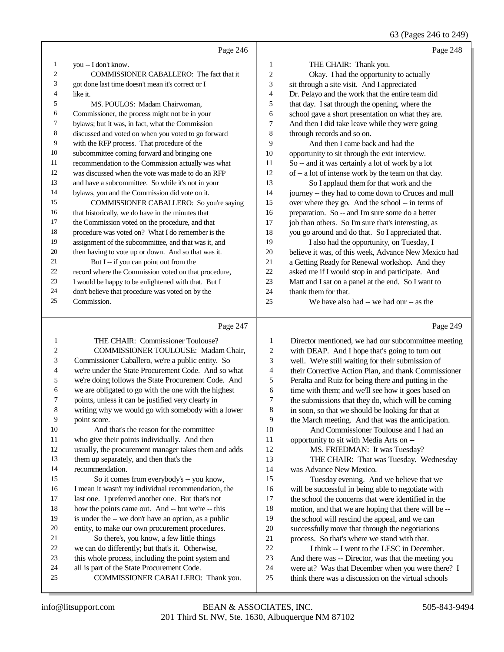63 (Pages 246 to 249)

|    | Page 246                                             |                | Page 248                                             |
|----|------------------------------------------------------|----------------|------------------------------------------------------|
| 1  | you -- I don't know.                                 | 1              | THE CHAIR: Thank you.                                |
| 2  | COMMISSIONER CABALLERO: The fact that it             | 2              | Okay. I had the opportunity to actually              |
| 3  | got done last time doesn't mean it's correct or I    | 3              | sit through a site visit. And I appreciated          |
| 4  | like it.                                             | $\overline{4}$ | Dr. Pelayo and the work that the entire team did     |
| 5  | MS. POULOS: Madam Chairwoman,                        | 5              | that day. I sat through the opening, where the       |
| 6  | Commissioner, the process might not be in your       | 6              | school gave a short presentation on what they are.   |
| 7  | bylaws; but it was, in fact, what the Commission     | $\tau$         | And then I did take leave while they were going      |
| 8  | discussed and voted on when you voted to go forward  | 8              | through records and so on.                           |
| 9  | with the RFP process. That procedure of the          | 9              | And then I came back and had the                     |
| 10 | subcommittee coming forward and bringing one         | 10             | opportunity to sit through the exit interview.       |
| 11 | recommendation to the Commission actually was what   | 11             | So -- and it was certainly a lot of work by a lot    |
| 12 | was discussed when the vote was made to do an RFP    | 12             | of -- a lot of intense work by the team on that day. |
| 13 | and have a subcommittee. So while it's not in your   | 13             | So I applaud them for that work and the              |
| 14 | bylaws, you and the Commission did vote on it.       | 14             | journey -- they had to come down to Cruces and mull  |
| 15 | COMMISSIONER CABALLERO: So you're saying             | 15             | over where they go. And the school -- in terms of    |
| 16 | that historically, we do have in the minutes that    | 16             | preparation. So -- and I'm sure some do a better     |
| 17 | the Commission voted on the procedure, and that      | 17             | job than others. So I'm sure that's interesting, as  |
| 18 | procedure was voted on? What I do remember is the    | 18             | you go around and do that. So I appreciated that.    |
| 19 | assignment of the subcommittee, and that was it, and | 19             | I also had the opportunity, on Tuesday, I            |
| 20 | then having to vote up or down. And so that was it.  | 20             | believe it was, of this week, Advance New Mexico had |
| 21 | But I -- if you can point out from the               | 21             | a Getting Ready for Renewal workshop. And they       |
| 22 | record where the Commission voted on that procedure, | 22             | asked me if I would stop in and participate. And     |
| 23 | I would be happy to be enlightened with that. But I  | 23             | Matt and I sat on a panel at the end. So I want to   |
| 24 | don't believe that procedure was voted on by the     | 24             | thank them for that.                                 |
| 25 | Commission.                                          | 25             | We have also had -- we had our -- as the             |
|    | Page 247                                             |                | Page 249                                             |

## Page 247

|    | THE CHAIR: Commissioner Toulouse?                    | 1  | Director mentioned, we had our subcommittee meeting  |
|----|------------------------------------------------------|----|------------------------------------------------------|
| 2  | <b>COMMISSIONER TOULOUSE: Madam Chair.</b>           | 2  | with DEAP. And I hope that's going to turn out       |
| 3  | Commissioner Caballero, we're a public entity. So    | 3  | well. We're still waiting for their submission of    |
| 4  | we're under the State Procurement Code. And so what  | 4  | their Corrective Action Plan, and thank Commissioner |
| 5  | we're doing follows the State Procurement Code. And  | 5  | Peralta and Ruiz for being there and putting in the  |
| 6  | we are obligated to go with the one with the highest | 6  | time with them; and we'll see how it goes based on   |
| 7  | points, unless it can be justified very clearly in   | 7  | the submissions that they do, which will be coming   |
| 8  | writing why we would go with somebody with a lower   | 8  | in soon, so that we should be looking for that at    |
| 9  | point score.                                         | 9  | the March meeting. And that was the anticipation.    |
| 10 | And that's the reason for the committee              | 10 | And Commissioner Toulouse and I had an               |
| 11 | who give their points individually. And then         | 11 | opportunity to sit with Media Arts on --             |
| 12 | usually, the procurement manager takes them and adds | 12 | MS. FRIEDMAN: It was Tuesday?                        |
| 13 | them up separately, and then that's the              | 13 | THE CHAIR: That was Tuesday. Wednesday               |
| 14 | recommendation.                                      | 14 | was Advance New Mexico.                              |
| 15 | So it comes from everybody's -- you know,            | 15 | Tuesday evening. And we believe that we              |
| 16 | I mean it wasn't my individual recommendation, the   | 16 | will be successful in being able to negotiate with   |
| 17 | last one. I preferred another one. But that's not    | 17 | the school the concerns that were identified in the  |
| 18 | how the points came out. And -- but we're -- this    | 18 | motion, and that we are hoping that there will be -- |
| 19 | is under the -- we don't have an option, as a public | 19 | the school will rescind the appeal, and we can       |
| 20 | entity, to make our own procurement procedures.      | 20 | successfully move that through the negotiations      |
| 21 | So there's, you know, a few little things            | 21 | process. So that's where we stand with that.         |
| 22 | we can do differently; but that's it. Otherwise,     | 22 | I think -- I went to the LESC in December.           |
| 23 | this whole process, including the point system and   | 23 | And there was -- Director, was that the meeting you  |
| 24 | all is part of the State Procurement Code.           | 24 | were at? Was that December when you were there? I    |
| 25 | COMMISSIONER CABALLERO: Thank you.                   | 25 | think there was a discussion on the virtual schools  |
|    |                                                      |    |                                                      |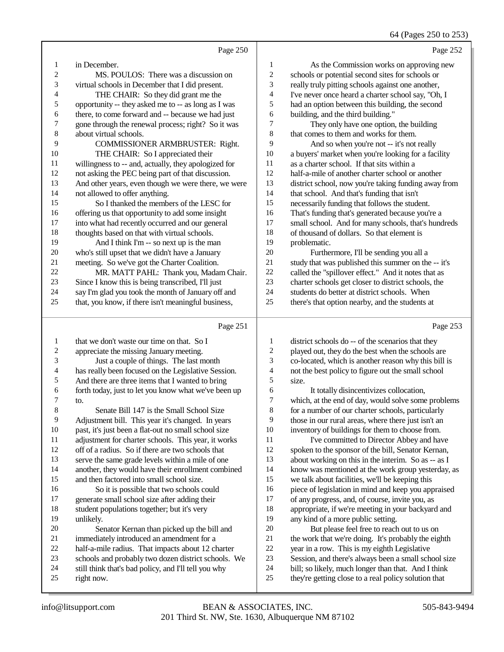64 (Pages 250 to 253)

|                | Page 250                                             |                | Page 252                                             |
|----------------|------------------------------------------------------|----------------|------------------------------------------------------|
| 1              | in December.                                         | 1              | As the Commission works on approving new             |
| $\overline{c}$ | MS. POULOS: There was a discussion on                | $\overline{c}$ | schools or potential second sites for schools or     |
| 3              | virtual schools in December that I did present.      | 3              | really truly pitting schools against one another,    |
| 4              | THE CHAIR: So they did grant me the                  | 4              | I've never once heard a charter school say, "Oh, I   |
| 5              | opportunity -- they asked me to -- as long as I was  | 5              | had an option between this building, the second      |
| 6              | there, to come forward and -- because we had just    | 6              | building, and the third building."                   |
| 7              | gone through the renewal process; right? So it was   | 7              | They only have one option, the building              |
| 8              | about virtual schools.                               | 8              | that comes to them and works for them.               |
| 9              | COMMISSIONER ARMBRUSTER: Right.                      | 9              | And so when you're not -- it's not really            |
| 10             | THE CHAIR: So I appreciated their                    | 10             | a buyers' market when you're looking for a facility  |
| 11             | willingness to -- and, actually, they apologized for | 11             | as a charter school. If that sits within a           |
| 12             | not asking the PEC being part of that discussion.    | 12             | half-a-mile of another charter school or another     |
| 13             | And other years, even though we were there, we were  | 13             | district school, now you're taking funding away from |
| 14             | not allowed to offer anything.                       | 14             | that school. And that's funding that isn't           |
| 15             | So I thanked the members of the LESC for             | 15             | necessarily funding that follows the student.        |
| 16             | offering us that opportunity to add some insight     | 16             | That's funding that's generated because you're a     |
| 17             | into what had recently occurred and our general      | 17             | small school. And for many schools, that's hundreds  |
| 18             | thoughts based on that with virtual schools.         | 18             | of thousand of dollars. So that element is           |
| 19             | And I think I'm -- so next up is the man             | 19             | problematic.                                         |
| 20             | who's still upset that we didn't have a January      | 20             | Furthermore, I'll be sending you all a               |
| 21             | meeting. So we've got the Charter Coalition.         | 21             | study that was published this summer on the -- it's  |
| 22             | MR. MATT PAHL: Thank you, Madam Chair.               | 22             | called the "spillover effect." And it notes that as  |
| 23             | Since I know this is being transcribed, I'll just    | 23             | charter schools get closer to district schools, the  |
| 24             | say I'm glad you took the month of January off and   | 24             | students do better at district schools. When         |
| 25             | that, you know, if there isn't meaningful business,  | 25             | there's that option nearby, and the students at      |
|                | Page 251                                             |                | Page 253                                             |
| 1              | that we don't waste our time on that. So I           | 1              | district schools do -- of the scenarios that they    |
| 2              | appreciate the missing January meeting.              | $\sqrt{2}$     | played out, they do the best when the schools are    |
| 3              | Just a couple of things. The last month              | 3              | co-located, which is another reason why this bill is |

- has really been focused on the Legislative Session.
- 5 And there are three items that I wanted to bring<br>6 forth today, just to let you know what we've bee
- 6 forth today, just to let you know what we've been up  $\frac{7}{10}$
- $\frac{7}{8}$  to. Senate Bill 147 is the Small School Size 9 Adjustment bill. This year it's changed. In years<br>10 nast. it's just been a flat-out no small school size 10 past, it's just been a flat-out no small school size<br>11 adjustment for charter schools. This year, it work 11 adjustment for charter schools. This year, it works<br>12 off of a radius. So if there are two schools that off of a radius. So if there are two schools that serve the same grade levels within a mile of one
- another, they would have their enrollment combined
- and then factored into small school size.
- 16 So it is possible that two schools could<br>17 senerate small school size after adding their generate small school size after adding their 18 student populations together; but it's very<br>19 unlikely unlikely.
- 20 Senator Kernan than picked up the bill and<br>21 immediately introduced an amendment for a
- 21 immediately introduced an amendment for a<br>22 half-a-mile radius. That impacts about 12 ch
- 22 half-a-mile radius. That impacts about 12 charter<br>23 schools and probably two dozen district schools.
- 23 schools and probably two dozen district schools. We<br>24 still think that's bad policy, and I'll tell you why
- 24 still think that's bad policy, and I'll tell you why<br>25 right now.
- right now.
- co-located, which is another reason why this bill is not the best policy to figure out the small school size.<br>6
- 6 It totally disincentivizes collocation,<br>
7 which at the end of day would solve some 7 which, at the end of day, would solve some problems<br>8 for a number of our charter schools, particularly for a number of our charter schools, particularly 9 those in our rural areas, where there just isn't an 10 inventory of buildings for them to choose from. 10 inventory of buildings for them to choose from.<br>11 Vecommitted to Director Abbey and has
- I've committed to Director Abbey and have spoken to the sponsor of the bill, Senator Kernan, about working on this in the interim. So as -- as I know was mentioned at the work group yesterday, as we talk about facilities, we'll be keeping this 16 piece of legislation in mind and keep you appraised<br>17 of any progress, and, of course, invite you, as of any progress, and, of course, invite you, as 18 appropriate, if we're meeting in your backyard and<br>19 any kind of a more public setting any kind of a more public setting.
- 20 But please feel free to reach out to us on<br>21 the work that we're doing. It's probably the eig 21 the work that we're doing. It's probably the eighth<br>22 vear in a row. This is my eighth Legislative 22 year in a row. This is my eighth Legislative<br>23 Session, and there's always been a small sch Session, and there's always been a small school size bill; so likely, much longer than that. And I think they're getting close to a real policy solution that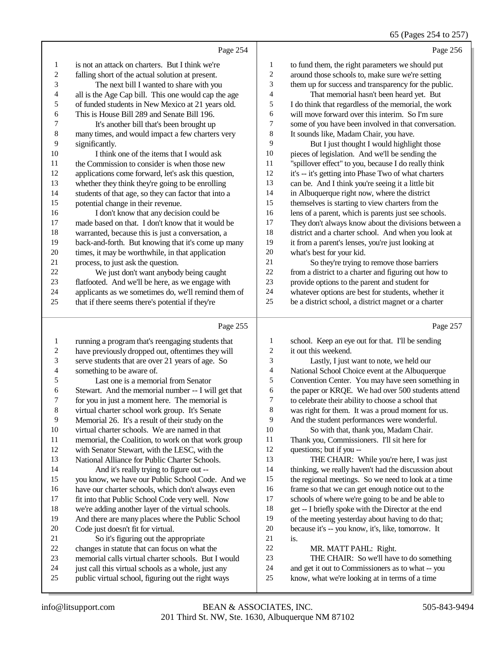|                  | Page 254                                                                                                  |              | Page 256                                                                                            |
|------------------|-----------------------------------------------------------------------------------------------------------|--------------|-----------------------------------------------------------------------------------------------------|
| 1                | is not an attack on charters. But I think we're                                                           | 1            | to fund them, the right parameters we should put                                                    |
| $\boldsymbol{2}$ | falling short of the actual solution at present.                                                          | 2            | around those schools to, make sure we're setting                                                    |
| 3                | The next bill I wanted to share with you                                                                  | 3            | them up for success and transparency for the public.                                                |
| 4                | all is the Age Cap bill. This one would cap the age                                                       | 4            | That memorial hasn't been heard yet. But                                                            |
| 5                | of funded students in New Mexico at 21 years old.                                                         | 5            | I do think that regardless of the memorial, the work                                                |
| 6                | This is House Bill 289 and Senate Bill 196.                                                               | 6            | will move forward over this interim. So I'm sure                                                    |
| 7                | It's another bill that's been brought up                                                                  | 7            | some of you have been involved in that conversation.                                                |
| 8                | many times, and would impact a few charters very                                                          | 8            | It sounds like, Madam Chair, you have.                                                              |
| 9                | significantly.                                                                                            | 9            | But I just thought I would highlight those                                                          |
| 10               | I think one of the items that I would ask                                                                 | 10           | pieces of legislation. And we'll be sending the                                                     |
| 11               | the Commission to consider is when those new                                                              | 11           | "spillover effect" to you, because I do really think                                                |
| 12               | applications come forward, let's ask this question,                                                       | 12           | it's -- it's getting into Phase Two of what charters                                                |
| 13               | whether they think they're going to be enrolling                                                          | 13           | can be. And I think you're seeing it a little bit                                                   |
| 14               | students of that age, so they can factor that into a                                                      | 14           | in Albuquerque right now, where the district                                                        |
| 15               | potential change in their revenue.                                                                        | 15           | themselves is starting to view charters from the                                                    |
| 16               | I don't know that any decision could be                                                                   | 16           | lens of a parent, which is parents just see schools.                                                |
| 17               | made based on that. I don't know that it would be                                                         | 17           | They don't always know about the divisions between a                                                |
| 18               | warranted, because this is just a conversation, a                                                         | 18           | district and a charter school. And when you look at                                                 |
| 19               | back-and-forth. But knowing that it's come up many                                                        | 19           | it from a parent's lenses, you're just looking at                                                   |
| 20               | times, it may be worthwhile, in that application                                                          | $20\,$       | what's best for your kid.                                                                           |
| 21               | process, to just ask the question.                                                                        | 21           | So they're trying to remove those barriers                                                          |
| 22               | We just don't want anybody being caught                                                                   | $22\,$       | from a district to a charter and figuring out how to                                                |
| 23               | flatfooted. And we'll be here, as we engage with                                                          | 23           | provide options to the parent and student for                                                       |
| 24               | applicants as we sometimes do, we'll remind them of                                                       | 24           | whatever options are best for students, whether it                                                  |
| 25               | that if there seems there's potential if they're                                                          | 25           | be a district school, a district magnet or a charter                                                |
|                  |                                                                                                           |              |                                                                                                     |
|                  | Page 255                                                                                                  |              | Page 257                                                                                            |
| $\mathbf{1}$     | running a program that's reengaging students that                                                         | $\mathbf{1}$ | school. Keep an eye out for that. I'll be sending                                                   |
| $\boldsymbol{2}$ | have previously dropped out, oftentimes they will                                                         | 2            | it out this weekend.                                                                                |
| 3                | serve students that are over 21 years of age. So                                                          | 3            | Lastly, I just want to note, we held our                                                            |
| 4                | something to be aware of.                                                                                 | 4            | National School Choice event at the Albuquerque                                                     |
| 5                | Last one is a memorial from Senator                                                                       |              |                                                                                                     |
| 6                |                                                                                                           | 5            | Convention Center. You may have seen something in                                                   |
|                  | Stewart. And the memorial number -- I will get that                                                       | 6            | the paper or KRQE. We had over 500 students attend                                                  |
| 7                | for you in just a moment here. The memorial is                                                            | 7            | to celebrate their ability to choose a school that                                                  |
| 8                | virtual charter school work group. It's Senate                                                            | 8            | was right for them. It was a proud moment for us.                                                   |
| 9                | Memorial 26. It's a result of their study on the                                                          | 9            | And the student performances were wonderful.                                                        |
| 10               | virtual charter schools. We are named in that                                                             | 10           | So with that, thank you, Madam Chair.                                                               |
| 11               | memorial, the Coalition, to work on that work group                                                       | 11           | Thank you, Commissioners. I'll sit here for                                                         |
| 12               | with Senator Stewart, with the LESC, with the                                                             | 12           | questions; but if you --                                                                            |
| 13               | National Alliance for Public Charter Schools.                                                             | 13           | THE CHAIR: While you're here, I was just                                                            |
| 14               | And it's really trying to figure out --                                                                   | 14           | thinking, we really haven't had the discussion about                                                |
| 15               | you know, we have our Public School Code. And we                                                          | 15           | the regional meetings. So we need to look at a time                                                 |
| 16               | have our charter schools, which don't always even                                                         | 16           | frame so that we can get enough notice out to the                                                   |
| 17               | fit into that Public School Code very well. Now                                                           | 17           | schools of where we're going to be and be able to                                                   |
| 18               | we're adding another layer of the virtual schools.                                                        | 18           | get -- I briefly spoke with the Director at the end                                                 |
| 19               | And there are many places where the Public School                                                         | 19           | of the meeting yesterday about having to do that;                                                   |
| 20               | Code just doesn't fit for virtual.                                                                        | 20           | because it's -- you know, it's, like, tomorrow. It                                                  |
| 21               | So it's figuring out the appropriate                                                                      | 21           | is.                                                                                                 |
| 22               | changes in statute that can focus on what the                                                             | $22\,$       | MR. MATT PAHL: Right.                                                                               |
| 23               | memorial calls virtual charter schools. But I would                                                       | 23           | THE CHAIR: So we'll have to do something                                                            |
| 24<br>25         | just call this virtual schools as a whole, just any<br>public virtual school, figuring out the right ways | 24<br>25     | and get it out to Commissioners as to what -- you<br>know, what we're looking at in terms of a time |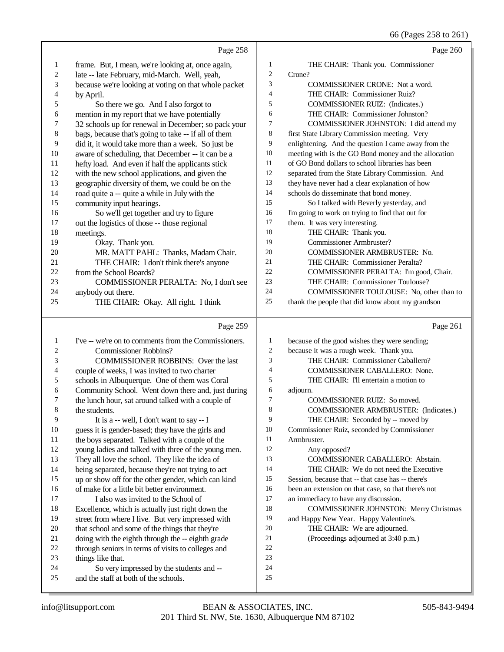# 66 (Pages 258 to 261)

| 1        | Page 258                                                                                               |                | Page 260                                                                              |
|----------|--------------------------------------------------------------------------------------------------------|----------------|---------------------------------------------------------------------------------------|
|          | frame. But, I mean, we're looking at, once again,                                                      | 1              | THE CHAIR: Thank you. Commissioner                                                    |
| 2        | late -- late February, mid-March. Well, yeah,                                                          | $\overline{c}$ | Crone?                                                                                |
| 3        | because we're looking at voting on that whole packet                                                   | 3              | COMMISSIONER CRONE: Not a word.                                                       |
| 4        | by April.                                                                                              | 4              | THE CHAIR: Commissioner Ruiz?                                                         |
| 5        | So there we go. And I also forgot to                                                                   | 5              | COMMISSIONER RUIZ: (Indicates.)                                                       |
| 6        | mention in my report that we have potentially                                                          | 6              | THE CHAIR: Commissioner Johnston?                                                     |
| 7        | 32 schools up for renewal in December; so pack your                                                    | 7              | COMMISSIONER JOHNSTON: I did attend my                                                |
| 8        | bags, because that's going to take -- if all of them                                                   | 8              | first State Library Commission meeting. Very                                          |
| 9        | did it, it would take more than a week. So just be                                                     | 9              | enlightening. And the question I came away from the                                   |
| 10       | aware of scheduling, that December -- it can be a                                                      | $10\,$         | meeting with is the GO Bond money and the allocation                                  |
| 11       | hefty load. And even if half the applicants stick                                                      | 11             | of GO Bond dollars to school libraries has been                                       |
| 12       | with the new school applications, and given the                                                        | 12             | separated from the State Library Commission. And                                      |
| 13       | geographic diversity of them, we could be on the                                                       | 13             | they have never had a clear explanation of how                                        |
| 14       | road quite a -- quite a while in July with the                                                         | 14             | schools do disseminate that bond money.                                               |
| 15       | community input hearings.                                                                              | 15             | So I talked with Beverly yesterday, and                                               |
| 16       | So we'll get together and try to figure                                                                | 16             | I'm going to work on trying to find that out for                                      |
| 17       | out the logistics of those -- those regional                                                           | 17             | them. It was very interesting.                                                        |
| 18       | meetings.                                                                                              | 18             | THE CHAIR: Thank you.                                                                 |
| 19       | Okay. Thank you.                                                                                       | 19             | Commissioner Armbruster?                                                              |
| 20       | MR. MATT PAHL: Thanks, Madam Chair.                                                                    | 20<br>21       | <b>COMMISSIONER ARMBRUSTER: No.</b>                                                   |
| 21       | THE CHAIR: I don't think there's anyone                                                                | 22             | THE CHAIR: Commissioner Peralta?                                                      |
| 22<br>23 | from the School Boards?                                                                                | 23             | COMMISSIONER PERALTA: I'm good, Chair.<br>THE CHAIR: Commissioner Toulouse?           |
| 24       | COMMISSIONER PERALTA: No, I don't see<br>anybody out there.                                            | 24             | COMMISSIONER TOULOUSE: No, other than to                                              |
| 25       | THE CHAIR: Okay. All right. I think                                                                    | $25\,$         | thank the people that did know about my grandson                                      |
|          |                                                                                                        |                |                                                                                       |
|          | Page 259                                                                                               |                | Page 261                                                                              |
| 1        | I've -- we're on to comments from the Commissioners.                                                   | 1              | because of the good wishes they were sending;                                         |
| 2        | <b>Commissioner Robbins?</b>                                                                           | $\overline{c}$ | because it was a rough week. Thank you.                                               |
| 3        | <b>COMMISSIONER ROBBINS:</b> Over the last                                                             | 3              | THE CHAIR: Commissioner Caballero?                                                    |
| 4        | couple of weeks, I was invited to two charter                                                          | 4              |                                                                                       |
| 5        |                                                                                                        |                | <b>COMMISSIONER CABALLERO: None.</b>                                                  |
|          | schools in Albuquerque. One of them was Coral                                                          | 5              | THE CHAIR: I'll entertain a motion to                                                 |
| 6        | Community School. Went down there and, just during                                                     | 6              | adjourn.                                                                              |
| 7        | the lunch hour, sat around talked with a couple of                                                     | 7              | COMMISSIONER RUIZ: So moved.                                                          |
| 8        | the students.                                                                                          | 8              | <b>COMMISSIONER ARMBRUSTER: (Indicates.)</b>                                          |
| 9        | It is a -- well, I don't want to say $- I$                                                             | 9              | THE CHAIR: Seconded by -- moved by                                                    |
| 10       | guess it is gender-based; they have the girls and                                                      | 10             | Commissioner Ruiz, seconded by Commissioner                                           |
| 11       | the boys separated. Talked with a couple of the                                                        | 11             | Armbruster.                                                                           |
| 12       | young ladies and talked with three of the young men.                                                   | 12             | Any opposed?                                                                          |
| 13       | They all love the school. They like the idea of                                                        | 13             | COMMISSIONER CABALLERO: Abstain.                                                      |
| 14       | being separated, because they're not trying to act                                                     | 14             | THE CHAIR: We do not need the Executive                                               |
| 15       | up or show off for the other gender, which can kind                                                    | 15<br>16       | Session, because that -- that case has -- there's                                     |
| 16       | of make for a little bit better environment.                                                           | 17             | been an extension on that case, so that there's not                                   |
| 17<br>18 | I also was invited to the School of                                                                    | 18             | an immediacy to have any discussion.<br><b>COMMISSIONER JOHNSTON: Merry Christmas</b> |
| 19       | Excellence, which is actually just right down the<br>street from where I live. But very impressed with | 19             | and Happy New Year. Happy Valentine's.                                                |
| 20       | that school and some of the things that they're                                                        | 20             | THE CHAIR: We are adjourned.                                                          |
| 21       | doing with the eighth through the -- eighth grade                                                      | 21             | (Proceedings adjourned at 3:40 p.m.)                                                  |
| 22       | through seniors in terms of visits to colleges and                                                     | 22             |                                                                                       |
| 23       | things like that.                                                                                      | 23             |                                                                                       |
| 24<br>25 | So very impressed by the students and --<br>and the staff at both of the schools.                      | 24<br>25       |                                                                                       |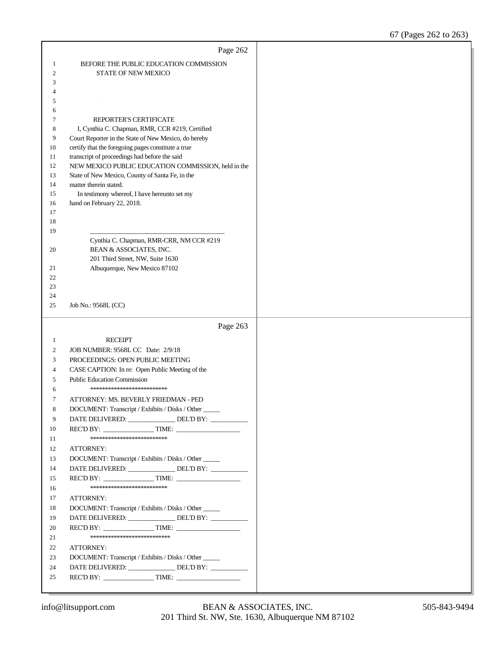|                  | Page 262                                                                                                |  |
|------------------|---------------------------------------------------------------------------------------------------------|--|
| 1                | BEFORE THE PUBLIC EDUCATION COMMISSION                                                                  |  |
| $\boldsymbol{2}$ | <b>STATE OF NEW MEXICO</b>                                                                              |  |
| 3                |                                                                                                         |  |
| 4                |                                                                                                         |  |
| 5                |                                                                                                         |  |
| 6                |                                                                                                         |  |
| 7                | REPORTER'S CERTIFICATE                                                                                  |  |
| 8<br>9           | I, Cynthia C. Chapman, RMR, CCR #219, Certified<br>Court Reporter in the State of New Mexico, do hereby |  |
| 10               | certify that the foregoing pages constitute a true                                                      |  |
| 11               | transcript of proceedings had before the said                                                           |  |
| 12               | NEW MEXICO PUBLIC EDUCATION COMMISSION, held in the                                                     |  |
| 13               | State of New Mexico, County of Santa Fe, in the                                                         |  |
| 14               | matter therein stated.                                                                                  |  |
| 15               | In testimony whereof, I have hereunto set my                                                            |  |
| 16               | hand on February 22, 2018.                                                                              |  |
| 17               |                                                                                                         |  |
| 18<br>19         |                                                                                                         |  |
|                  | Cynthia C. Chapman, RMR-CRR, NM CCR #219                                                                |  |
| 20               | BEAN & ASSOCIATES, INC.                                                                                 |  |
|                  | 201 Third Street, NW, Suite 1630                                                                        |  |
| 21               | Albuquerque, New Mexico 87102                                                                           |  |
| 22               |                                                                                                         |  |
| 23               |                                                                                                         |  |
| 24               |                                                                                                         |  |
| 25               | Job No.: 9568L (CC)                                                                                     |  |
|                  |                                                                                                         |  |
|                  | Page 263                                                                                                |  |
| 1                |                                                                                                         |  |
| 2                | <b>RECEIPT</b>                                                                                          |  |
| 3                | JOB NUMBER: 9568L CC Date: 2/9/18<br>PROCEEDINGS: OPEN PUBLIC MEETING                                   |  |
| 4                | CASE CAPTION: In re: Open Public Meeting of the                                                         |  |
| 5                | <b>Public Education Commission</b>                                                                      |  |
| 6                | *************************                                                                               |  |
| 7                | ATTORNEY: MS. BEVERLY FRIEDMAN - PED                                                                    |  |
| 8                | DOCUMENT: Transcript / Exhibits / Disks / Other                                                         |  |
| 9                | DATE DELIVERED: _______________ DEL'D BY: _________                                                     |  |
| 10               | REC'D BY: $\qquad \qquad$ TIME:                                                                         |  |
| 11               | **************************                                                                              |  |
| 12               | ATTORNEY:                                                                                               |  |
| 13               | DOCUMENT: Transcript / Exhibits / Disks / Other                                                         |  |
| 14               | DATE DELIVERED: ________________ DEL'D BY: __________                                                   |  |
| 15               | REC'D BY: $\qquad \qquad$ TIME:                                                                         |  |
| 16               | **************************                                                                              |  |
| 17               | ATTORNEY:                                                                                               |  |
| 18               | DOCUMENT: Transcript / Exhibits / Disks / Other                                                         |  |
| 19               | DATE DELIVERED: _______________ DEL'D BY: __________                                                    |  |
| 20<br>21         | ***************************                                                                             |  |
| 22               | ATTORNEY:                                                                                               |  |
| 23               | DOCUMENT: Transcript / Exhibits / Disks / Other                                                         |  |
| 24               | DATE DELIVERED: ________________ DEL'D BY: __________                                                   |  |
| 25               |                                                                                                         |  |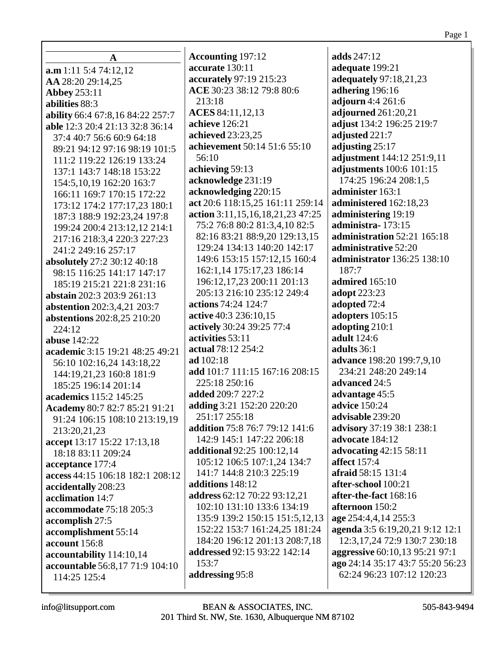| A                                  | <b>Accounting 197:12</b>            | adds 247:12                       |
|------------------------------------|-------------------------------------|-----------------------------------|
| a.m 1:11 5:4 74:12,12              | accurate 130:11                     | adequate 199:21                   |
| AA 28:20 29:14,25                  | accurately 97:19 215:23             | adequately 97:18,21,23            |
| <b>Abbey 253:11</b>                | ACE 30:23 38:12 79:8 80:6           | adhering 196:16                   |
| abilities 88:3                     | 213:18                              | adjourn 4:4 261:6                 |
| ability 66:4 67:8,16 84:22 257:7   | ACES 84:11,12,13                    | adjourned 261:20,21               |
| able 12:3 20:4 21:13 32:8 36:14    | achieve 126:21                      | adjust 134:2 196:25 219:7         |
| 37:4 40:7 56:6 60:9 64:18          | achieved 23:23,25                   | adjusted 221:7                    |
| 89:21 94:12 97:16 98:19 101:5      | achievement 50:14 51:6 55:10        | adjusting 25:17                   |
| 111:2 119:22 126:19 133:24         | 56:10                               | adjustment 144:12 251:9,11        |
| 137:1 143:7 148:18 153:22          | achieving 59:13                     | adjustments 100:6 101:15          |
| 154:5, 10, 19 162: 20 163: 7       | acknowledge 231:19                  | 174:25 196:24 208:1,5             |
| 166:11 169:7 170:15 172:22         | acknowledging 220:15                | administer 163:1                  |
| 173:12 174:2 177:17,23 180:1       | act 20:6 118:15,25 161:11 259:14    | administered 162:18,23            |
| 187:3 188:9 192:23,24 197:8        | action 3:11,15,16,18,21,23 47:25    | administering 19:19               |
| 199:24 200:4 213:12,12 214:1       | 75:2 76:8 80:2 81:3,4,10 82:5       | administra-173:15                 |
| 217:16 218:3,4 220:3 227:23        | 82:16 83:21 88:9,20 129:13,15       | administration 52:21 165:18       |
| 241:2 249:16 257:17                | 129:24 134:13 140:20 142:17         | administrative 52:20              |
| absolutely 27:2 30:12 40:18        | 149:6 153:15 157:12,15 160:4        | administrator 136:25 138:10       |
| 98:15 116:25 141:17 147:17         | 162:1,14 175:17,23 186:14           | 187:7                             |
| 185:19 215:21 221:8 231:16         | 196:12,17,23 200:11 201:13          | admired 165:10                    |
| abstain 202:3 203:9 261:13         | 205:13 216:10 235:12 249:4          | adopt 223:23                      |
| <b>abstention</b> 202:3,4,21 203:7 | actions 74:24 124:7                 | adopted 72:4                      |
| abstentions 202:8,25 210:20        | active 40:3 236:10,15               | adopters 105:15                   |
| 224:12                             | actively 30:24 39:25 77:4           | adopting 210:1                    |
| <b>abuse</b> 142:22                | activities 53:11                    | adult 124:6                       |
| academic 3:15 19:21 48:25 49:21    | actual 78:12 254:2                  | adults 36:1                       |
| 56:10 102:16,24 143:18,22          | ad 102:18                           | advance 198:20 199:7,9,10         |
| 144:19,21,23 160:8 181:9           | add 101:7 111:15 167:16 208:15      | 234:21 248:20 249:14              |
| 185:25 196:14 201:14               | 225:18 250:16                       | advanced 24:5                     |
| academics 115:2 145:25             | added 209:7 227:2                   | advantage 45:5                    |
| Academy 80:7 82:7 85:21 91:21      | adding 3:21 152:20 220:20           | advice 150:24                     |
| 91:24 106:15 108:10 213:19,19      | 251:17 255:18                       | advisable 239:20                  |
| 213:20,21,23                       | addition 75:8 76:7 79:12 141:6      | advisory 37:19 38:1 238:1         |
| accept 13:17 15:22 17:13,18        | 142:9 145:1 147:22 206:18           | advocate 184:12                   |
| 18:18 83:11 209:24                 | <b>additional</b> 92:25 100:12,14   | advocating 42:15 58:11            |
| acceptance 177:4                   | 105:12 106:5 107:1,24 134:7         | <b>affect</b> 157:4               |
| access 44:15 106:18 182:1 208:12   | 141:7 144:8 210:3 225:19            | afraid 58:15 131:4                |
| accidentally 208:23                | additions 148:12                    | after-school 100:21               |
| acclimation 14:7                   | address 62:12 70:22 93:12,21        | after-the-fact 168:16             |
| accommodate 75:18 205:3            | 102:10 131:10 133:6 134:19          | afternoon 150:2                   |
| accomplish 27:5                    | 135:9 139:2 150:15 151:5,12,13      | age 254:4,4,14 255:3              |
| accomplishment 55:14               | 152:22 153:7 161:24,25 181:24       | agenda 3:5 6:19,20,21 9:12 12:1   |
| account 156:8                      | 184:20 196:12 201:13 208:7,18       | 12:3, 17, 24 72: 9 130: 7 230: 18 |
| accountability 114:10,14           | <b>addressed</b> 92:15 93:22 142:14 | aggressive 60:10,13 95:21 97:1    |
| accountable 56:8,17 71:9 104:10    | 153:7                               | ago 24:14 35:17 43:7 55:20 56:23  |
| 114:25 125:4                       | addressing 95:8                     | 62:24 96:23 107:12 120:23         |
|                                    |                                     |                                   |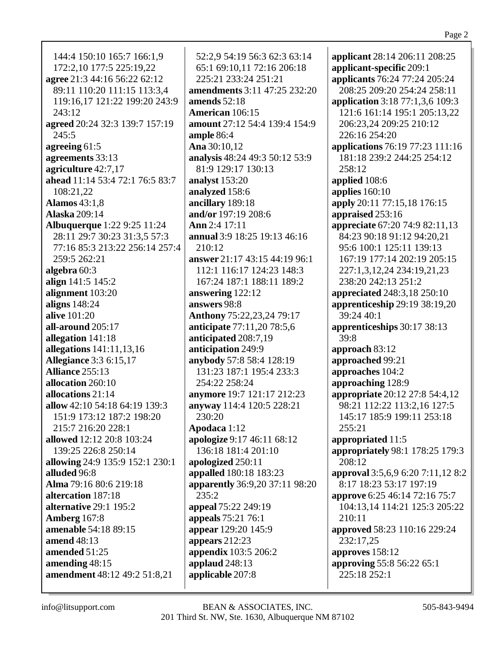144:4 150:10 165:7 166:1,9 172:2,10 177:5 225:19,22 **agree** 21:3 44:16 56:22 62:12 89:11 110:20 111:15 113:3,4 119:16,17 121:22 199:20 243:9 243:12 **agreed** 20:24 32:3 139:7 157:19 245:5 **agreeing** 61:5 **agreements** 33:13 **agriculture** 42:7,17 **ahead** 11:14 53:4 72:1 76:5 83:7 108:21,22 **Alamos** 43:1,8 **Alaska** 209:14 **Albuquerque** 1:22 9:25 11:24 28:11 29:7 30:23 31:3,5 57:3 77:16 85:3 213:22 256:14 257:4 259:5 262:21 **algebra** 60:3 **align** 141:5 145:2 **alignment** 103:20 **aligns** 148:24 **alive** 101:20 **all-around** 205:17 **allegation** 141:18 **allegations** 141:11,13,16 **Allegiance** 3:3 6:15,17 **Alliance** 255:13 **allocation** 260:10 **allocations** 21:14 **allow** 42:10 54:18 64:19 139:3 151:9 173:12 187:2 198:20 215:7 216:20 228:1 **allowed** 12:12 20:8 103:24 139:25 226:8 250:14 **allowing** 24:9 135:9 152:1 230:1 **alluded** 96:8 **Alma** 79:16 80:6 219:18 **altercation** 187:18 **alternative** 29:1 195:2 **Amberg** 167:8 **amenable** 54:18 89:15 **amend** 48:13 **amended** 51:25 **amending** 48:15 **amendment** 48:12 49:2 51:8,21

52:2,9 54:19 56:3 62:3 63:14 65:1 69:10,11 72:16 206:18 225:21 233:24 251:21 **amendments** 3:11 47:25 232:20 **amends** 52:18 **American** 106:15 **amount** 27:12 54:4 139:4 154:9 **ample** 86:4 **Ana** 30:10,12 **analysis** 48:24 49:3 50:12 53:9 81:9 129:17 130:13 **analyst** 153:20 **analyzed** 158:6 **ancillary** 189:18 **and/or** 197:19 208:6 **Ann** 2:4 17:11 **annual** 3:9 18:25 19:13 46:16 210:12 **answer** 21:17 43:15 44:19 96:1 112:1 116:17 124:23 148:3 167:24 187:1 188:11 189:2 **answering** 122:12 **answers** 98:8 **Anthony** 75:22,23,24 79:17 **anticipate** 77:11,20 78:5,6 **anticipated** 208:7,19 **anticipation** 249:9 **anybody** 57:8 58:4 128:19 131:23 187:1 195:4 233:3 254:22 258:24 **anymore** 19:7 121:17 212:23 **anyway** 114:4 120:5 228:21 230:20 **Apodaca** 1:12 **apologize** 9:17 46:11 68:12 136:18 181:4 201:10 **apologized** 250:11 **appalled** 180:18 183:23 **apparently** 36:9,20 37:11 98:20 235:2 **appeal** 75:22 249:19 **appeals** 75:21 76:1 **appear** 129:20 145:9 **appears** 212:23 **appendix** 103:5 206:2 **applaud** 248:13 **applicable** 207:8

**applicant** 28:14 206:11 208:25 **applicant-specific** 209:1 **applicants** 76:24 77:24 205:24 208:25 209:20 254:24 258:11 **application** 3:18 77:1,3,6 109:3 121:6 161:14 195:1 205:13,22 206:23,24 209:25 210:12 226:16 254:20 **applications** 76:19 77:23 111:16 181:18 239:2 244:25 254:12 258:12 **applied** 108:6 **applies** 160:10 **apply** 20:11 77:15,18 176:15 **appraised** 253:16 **appreciate** 67:20 74:9 82:11,13 84:23 90:18 91:12 94:20,21 95:6 100:1 125:11 139:13 167:19 177:14 202:19 205:15 227:1,3,12,24 234:19,21,23 238:20 242:13 251:2 **appreciated** 248:3,18 250:10 **apprenticeship** 29:19 38:19,20 39:24 40:1 **apprenticeships** 30:17 38:13 39:8 **approach** 83:12 **approached** 99:21 **approaches** 104:2 **approaching** 128:9 **appropriate** 20:12 27:8 54:4,12 98:21 112:22 113:2,16 127:5 145:17 185:9 199:11 253:18 255:21 **appropriated** 11:5 **appropriately** 98:1 178:25 179:3 208:12 **approval** 3:5,6,9 6:20 7:11,12 8:2 8:17 18:23 53:17 197:19 **approve** 6:25 46:14 72:16 75:7 104:13,14 114:21 125:3 205:22  $210:11$ **approved** 58:23 110:16 229:24 232:17,25 **approves** 158:12 **approving** 55:8 56:22 65:1 225:18 252:1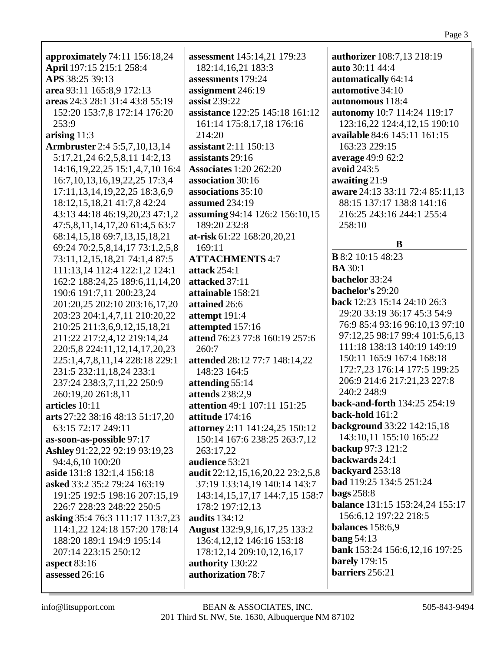| approximately 74:11 156:18,24                                | assessment 145:14,21 179:23          | authorizer 108:7,13 218:19      |
|--------------------------------------------------------------|--------------------------------------|---------------------------------|
| April 197:15 215:1 258:4                                     | 182:14,16,21 183:3                   | auto 30:11 44:4                 |
| APS 38:25 39:13                                              | assessments 179:24                   | automatically 64:14             |
|                                                              |                                      | automotive 34:10                |
| area 93:11 165:8,9 172:13<br>areas 24:3 28:1 31:4 43:8 55:19 | assignment 246:19                    |                                 |
|                                                              | assist 239:22                        | autonomous 118:4                |
| 152:20 153:7,8 172:14 176:20                                 | assistance 122:25 145:18 161:12      | autonomy 10:7 114:24 119:17     |
| 253:9                                                        | 161:14 175:8,17,18 176:16            | 123:16,22 124:4,12,15 190:10    |
| arising $11:3$                                               | 214:20                               | available 84:6 145:11 161:15    |
| <b>Armbruster</b> 2:4 5:5,7,10,13,14                         | assistant 2:11 150:13                | 163:23 229:15                   |
| 5:17,21,24 6:2,5,8,11 14:2,13                                | assistants 29:16                     | average 49:9 62:2               |
| 14:16, 19, 22, 25 15:1, 4, 7, 10 16:4                        | <b>Associates 1:20 262:20</b>        | avoid 243:5                     |
| 16:7, 10, 13, 16, 19, 22, 25 17:3, 4                         | association 30:16                    | awaiting 21:9                   |
| 17:11, 13, 14, 19, 22, 25 18: 3, 6, 9                        | associations 35:10                   | aware 24:13 33:11 72:4 85:11,13 |
| 18:12, 15, 18, 21 41: 7, 8 42: 24                            | assumed 234:19                       | 88:15 137:17 138:8 141:16       |
| 43:13 44:18 46:19,20,23 47:1,2                               | assuming 94:14 126:2 156:10,15       | 216:25 243:16 244:1 255:4       |
| 47:5,8,11,14,17,20 61:4,5 63:7                               | 189:20 232:8                         | 258:10                          |
| 68:14,15,18 69:7,13,15,18,21                                 | at-risk 61:22 168:20, 20, 21         |                                 |
| 69:24 70:2,5,8,14,17 73:1,2,5,8                              | 169:11                               | B                               |
| 73:11,12,15,18,21 74:1,4 87:5                                | <b>ATTACHMENTS 4:7</b>               | <b>B</b> 8:2 10:15 48:23        |
| 111:13,14 112:4 122:1,2 124:1                                | attack 254:1                         | <b>BA</b> 30:1                  |
| 162:2 188:24,25 189:6,11,14,20                               | attacked 37:11                       | bachelor 33:24                  |
| 190:6 191:7,11 200:23,24                                     | attainable 158:21                    | bachelor's 29:20                |
| 201:20,25 202:10 203:16,17,20                                | attained 26:6                        | back 12:23 15:14 24:10 26:3     |
| 203:23 204:1,4,7,11 210:20,22                                | attempt 191:4                        | 29:20 33:19 36:17 45:3 54:9     |
| 210:25 211:3,6,9,12,15,18,21                                 | attempted 157:16                     | 76:9 85:4 93:16 96:10,13 97:10  |
| 211:22 217:2,4,12 219:14,24                                  | attend 76:23 77:8 160:19 257:6       | 97:12,25 98:17 99:4 101:5,6,13  |
| 220:5,8 224:11,12,14,17,20,23                                | 260:7                                | 111:18 138:13 140:19 149:19     |
| 225:1,4,7,8,11,14 228:18 229:1                               | attended 28:12 77:7 148:14,22        | 150:11 165:9 167:4 168:18       |
| 231:5 232:11,18,24 233:1                                     | 148:23 164:5                         | 172:7,23 176:14 177:5 199:25    |
| 237:24 238:3,7,11,22 250:9                                   | attending 55:14                      | 206:9 214:6 217:21,23 227:8     |
| 260:19,20 261:8,11                                           | attends 238:2,9                      | 240:2 248:9                     |
| articles 10:11                                               | attention 49:1 107:11 151:25         | back-and-forth 134:25 254:19    |
| arts 27:22 38:16 48:13 51:17,20                              | attitude 174:16                      | back-hold 161:2                 |
| 63:15 72:17 249:11                                           | attorney 2:11 141:24,25 150:12       | background 33:22 142:15,18      |
| as-soon-as-possible 97:17                                    | 150:14 167:6 238:25 263:7,12         | 143:10,11 155:10 165:22         |
| Ashley 91:22,22 92:19 93:19,23                               | 263:17,22                            | backup 97:3 121:2               |
| 94:4,6,10 100:20                                             | audience 53:21                       | backwards 24:1                  |
| aside 131:8 132:1,4 156:18                                   | audit 22:12,15,16,20,22 23:2,5,8     | backyard 253:18                 |
| asked 33:2 35:2 79:24 163:19                                 | 37:19 133:14,19 140:14 143:7         | <b>bad</b> 119:25 134:5 251:24  |
| 191:25 192:5 198:16 207:15,19                                | 143:14, 15, 17, 17 144: 7, 15 158: 7 | <b>bags</b> 258:8               |
| 226:7 228:23 248:22 250:5                                    | 178:2 197:12,13                      | balance 131:15 153:24,24 155:17 |
| asking 35:4 76:3 111:17 113:7,23                             | <b>audits</b> 134:12                 | 156:6,12 197:22 218:5           |
| 114:1,22 124:18 157:20 178:14                                | August 132:9,9,16,17,25 133:2        | balances 158:6,9                |
| 188:20 189:1 194:9 195:14                                    | 136:4, 12, 12 146: 16 153: 18        | bang $54:13$                    |
| 207:14 223:15 250:12                                         | 178:12,14 209:10,12,16,17            | bank 153:24 156:6,12,16 197:25  |
| aspect $83:16$                                               | authority 130:22                     | <b>barely</b> 179:15            |
| assessed 26:16                                               | authorization 78:7                   | barriers 256:21                 |
|                                                              |                                      |                                 |

 $\overline{\phantom{a}}$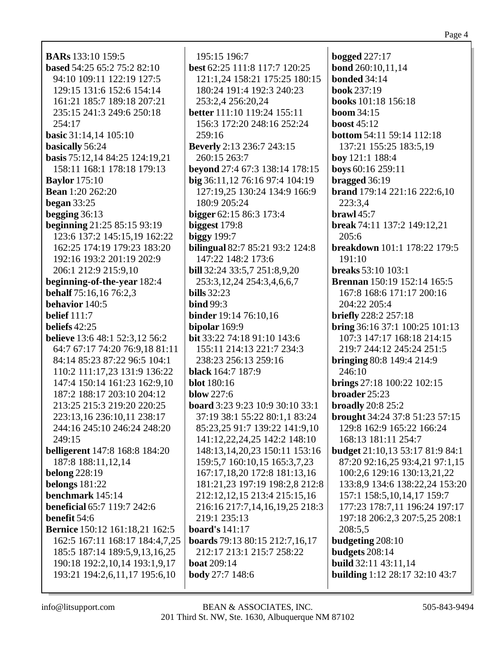**BARs** 133:10 159:5 **based** 54:25 65:2 75:2 82:10 94:10 109:11 122:19 127:5 129:15 131:6 152:6 154:14 161:21 185:7 189:18 207:21 235:15 241:3 249:6 250:18 254:17 **basic** 31:14,14 105:10 **basically** 56:24 **basis** 75:12,14 84:25 124:19,21 158:11 168:1 178:18 179:13 **Baylor** 175:10 **Bean** 1:20 262:20 **began** 33:25 **begging** 36:13 **beginning** 21:25 85:15 93:19 123:6 137:2 145:15,19 162:22 162:25 174:19 179:23 183:20 192:16 193:2 201:19 202:9 206:1 212:9 215:9,10 **beginning-of-the-year** 182:4 **behalf** 75:16,16 76:2,3 **behavior** 140:5 **belief** 111:7 **beliefs** 42:25 **believe** 13:6 48:1 52:3,12 56:2 64:7 67:17 74:20 76:9,18 81:11 84:14 85:23 87:22 96:5 104:1 110:2 111:17,23 131:9 136:22 147:4 150:14 161:23 162:9,10 187:2 188:17 203:10 204:12 213:25 215:3 219:20 220:25 223:13,16 236:10,11 238:17 244:16 245:10 246:24 248:20 249:15 **belligerent** 147:8 168:8 184:20 187:8 188:11,12,14 **belong** 228:19 **belongs** 181:22 **benchmark** 145:14 **beneficial** 65:7 119:7 242:6 **benefit** 54:6 **Bernice** 150:12 161:18,21 162:5 162:5 167:11 168:17 184:4,7,25 185:5 187:14 189:5,9,13,16,25 190:18 192:2,10,14 193:1,9,17 193:21 194:2,6,11,17 195:6,10

195:15 196:7 **best** 62:25 111:8 117:7 120:25 121:1,24 158:21 175:25 180:15 180:24 191:4 192:3 240:23 253:2,4 256:20,24 **better** 111:10 119:24 155:11 156:3 172:20 248:16 252:24 259:16 **Beverly** 2:13 236:7 243:15 260:15 263:7 **beyond** 27:4 67:3 138:14 178:15 **big** 36:11,12 76:16 97:4 104:19 127:19,25 130:24 134:9 166:9 180:9 205:24 **bigger** 62:15 86:3 173:4 **biggest** 179:8 **biggy** 199:7 **bilingual** 82:7 85:21 93:2 124:8 147:22 148:2 173:6 **bill** 32:24 33:5,7 251:8,9,20 253:3,12,24 254:3,4,6,6,7 **bills** 32:23 **bind** 99:3 **binder** 19:14 76:10,16 **bipolar** 169:9 **bit** 33:22 74:18 91:10 143:6 155:11 214:13 221:7 234:3 238:23 256:13 259:16 **black** 164:7 187:9 **blot** 180:16 **blow** 227:6 **board** 3:23 9:23 10:9 30:10 33:1 37:19 38:1 55:22 80:1,1 83:24 85:23,25 91:7 139:22 141:9,10 141:12,22,24,25 142:2 148:10 148:13,14,20,23 150:11 153:16 159:5,7 160:10,15 165:3,7,23 167:17,18,20 172:8 181:13,16 181:21,23 197:19 198:2,8 212:8 212:12,12,15 213:4 215:15,16 216:16 217:7,14,16,19,25 218:3 219:1 235:13 **board's** 141:17 **boards** 79:13 80:15 212:7,16,17 212:17 213:1 215:7 258:22 **boat** 209:14 **body** 27:7 148:6

**bogged** 227:17 **bond** 260:10,11,14 **bonded** 34:14 **book** 237:19 **books** 101:18 156:18 **boom** 34:15 **boost** 45:12 **bottom** 54:11 59:14 112:18 137:21 155:25 183:5,19 **boy** 121:1 188:4 **boys** 60:16 259:11 **bragged** 36:19 **brand** 179:14 221:16 222:6,10 223:3,4 **brawl** 45:7 **break** 74:11 137:2 149:12,21 205:6 **breakdown** 101:1 178:22 179:5 191:10 **breaks** 53:10 103:1 **Brennan** 150:19 152:14 165:5 167:8 168:6 171:17 200:16 204:22 205:4 **briefly** 228:2 257:18 **bring** 36:16 37:1 100:25 101:13 107:3 147:17 168:18 214:15 219:7 244:12 245:24 251:5 **bringing** 80:8 149:4 214:9 246:10 **brings** 27:18 100:22 102:15 **broader** 25:23 **broadly** 20:8 25:2 **brought** 34:24 37:8 51:23 57:15 129:8 162:9 165:22 166:24 168:13 181:11 254:7 **budget** 21:10,13 53:17 81:9 84:1 87:20 92:16,25 93:4,21 97:1,15 100:2,6 129:16 130:13,21,22 133:8,9 134:6 138:22,24 153:20 157:1 158:5,10,14,17 159:7 177:23 178:7,11 196:24 197:17 197:18 206:2,3 207:5,25 208:1 208:5,5 **budgeting** 208:10 **budgets** 208:14 **build** 32:11 43:11,14 **building** 1:12 28:17 32:10 43:7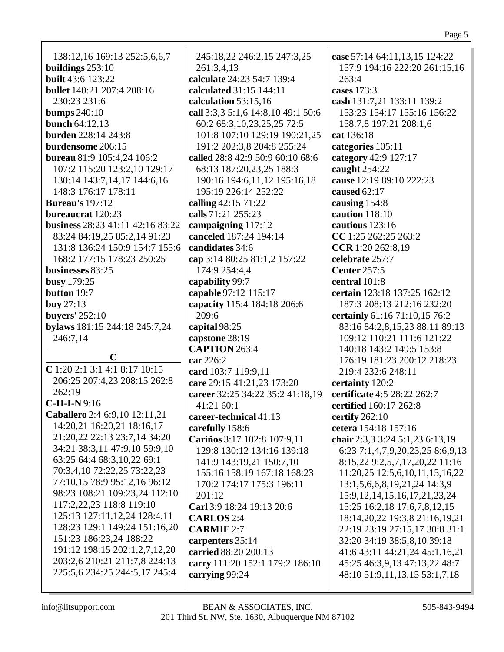138:12,16 169:13 252:5,6,6,7 **buildings** 253:10 **built** 43:6 123:22 **bullet** 140:21 207:4 208:16 230:23 231:6 **bumps** 240:10 **bunch** 64:12,13 **burden** 228:14 243:8 **burdensome** 206:15 **bureau** 81:9 105:4,24 106:2 107:2 115:20 123:2,10 129:17 130:14 143:7,14,17 144:6,16 148:3 176:17 178:11 **Bureau's** 197:12 **bureaucrat** 120:23 **business** 28:23 41:11 42:16 83:22 83:24 84:19,25 85:2,14 91:23 131:8 136:24 150:9 154:7 155:6 168:2 177:15 178:23 250:25 **businesses** 83:25 **busy** 179:25 **button** 19:7 **buy** 27:13 **buyers'** 252:10 **bylaws** 181:15 244:18 245:7,24 246:7,14 **C C** 1:20 2:1 3:1 4:1 8:17 10:15 206:25 207:4,23 208:15 262:8 262:19 **C-H-I-N** 9:16 **Caballero** 2:4 6:9,10 12:11,21 14:20,21 16:20,21 18:16,17 21:20,22 22:13 23:7,14 34:20 34:21 38:3,11 47:9,10 59:9,10 63:25 64:4 68:3,10,22 69:1 70:3,4,10 72:22,25 73:22,23 77:10,15 78:9 95:12,16 96:12 98:23 108:21 109:23,24 112:10 117:2,22,23 118:8 119:10 125:13 127:11,12,24 128:4,11 128:23 129:1 149:24 151:16,20 151:23 186:23,24 188:22 191:12 198:15 202:1,2,7,12,20 203:2,6 210:21 211:7,8 224:13 225:5,6 234:25 244:5,17 245:4

245:18,22 246:2,15 247:3,25 261:3,4,13 **calculate** 24:23 54:7 139:4 **calculated** 31:15 144:11 **calculation** 53:15,16 **call** 3:3,3 5:1,6 14:8,10 49:1 50:6 60:2 68:3,10,23,25,25 72:5 101:8 107:10 129:19 190:21,25 191:2 202:3,8 204:8 255:24 **called** 28:8 42:9 50:9 60:10 68:6 68:13 187:20,23,25 188:3 190:16 194:6,11,12 195:16,18 195:19 226:14 252:22 **calling** 42:15 71:22 **calls** 71:21 255:23 **campaigning** 117:12 **canceled** 187:24 194:14 **candidates** 34:6 **cap** 3:14 80:25 81:1,2 157:22 174:9 254:4,4 **capability** 99:7 **capable** 97:12 115:17 **capacity** 115:4 184:18 206:6 209:6 **capital** 98:25 **capstone** 28:19 **CAPTION** 263:4 **car** 226:2 **card** 103:7 119:9,11 **care** 29:15 41:21,23 173:20 **career** 32:25 34:22 35:2 41:18,19 41:21 60:1 **career-technical** 41:13 **carefully** 158:6 **Cariños** 3:17 102:8 107:9,11 129:8 130:12 134:16 139:18 141:9 143:19,21 150:7,10 155:16 158:19 167:18 168:23 170:2 174:17 175:3 196:11 201:12 **Carl** 3:9 18:24 19:13 20:6 **CARLOS** 2:4 **CARMIE** 2:7 **carpenters** 35:14 **carried** 88:20 200:13 **carry** 111:20 152:1 179:2 186:10 **carrying** 99:24

**case** 57:14 64:11,13,15 124:22 157:9 194:16 222:20 261:15,16 263:4 **cases** 173:3 **cash** 131:7,21 133:11 139:2 153:23 154:17 155:16 156:22 158:7,8 197:21 208:1,6 **cat** 136:18 **categories** 105:11 **category** 42:9 127:17 **caught** 254:22 **cause** 12:19 89:10 222:23 **caused** 62:17 **causing** 154:8 **caution** 118:10 **cautious** 123:16 **CC** 1:25 262:25 263:2 **CCR** 1:20 262:8,19 **celebrate** 257:7 **Center** 257:5 **central** 101:8 **certain** 123:18 137:25 162:12 187:3 208:13 212:16 232:20 **certainly** 61:16 71:10,15 76:2 83:16 84:2,8,15,23 88:11 89:13 109:12 110:21 111:6 121:22 140:18 143:2 149:5 153:8 176:19 181:23 200:12 218:23 219:4 232:6 248:11 **certainty** 120:2 **certificate** 4:5 28:22 262:7 **certified** 160:17 262:8 **certify** 262:10 **cetera** 154:18 157:16 **chair** 2:3,3 3:24 5:1,23 6:13,19 6:23 7:1,4,7,9,20,23,25 8:6,9,13 8:15,22 9:2,5,7,17,20,22 11:16 11:20,25 12:5,6,10,11,15,16,22 13:1,5,6,6,8,19,21,24 14:3,9 15:9,12,14,15,16,17,21,23,24 15:25 16:2,18 17:6,7,8,12,15 18:14,20,22 19:3,8 21:16,19,21 22:19 23:19 27:15,17 30:8 31:1 32:20 34:19 38:5,8,10 39:18 41:6 43:11 44:21,24 45:1,16,21 45:25 46:3,9,13 47:13,22 48:7 48:10 51:9,11,13,15 53:1,7,18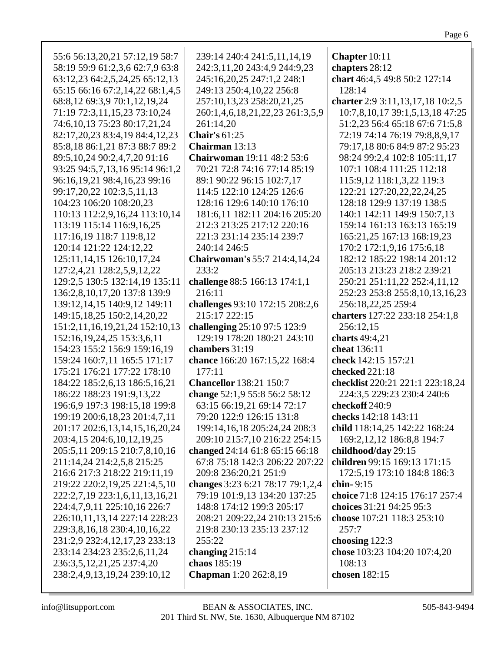| 55:6 56:13,20,21 57:12,19 58:7                                  | 239:14 240:4 241:5,11,14,19                                   | Chapter 10:11                                |
|-----------------------------------------------------------------|---------------------------------------------------------------|----------------------------------------------|
| 58:19 59:9 61:2,3,6 62:7,9 63:8                                 | 242:3,11,20 243:4,9 244:9,23                                  | chapters 28:12                               |
| 63:12,23 64:2,5,24,25 65:12,13                                  | 245:16,20,25 247:1,2 248:1                                    | chart 46:4,5 49:8 50:2 127:14                |
| 65:15 66:16 67:2,14,22 68:1,4,5                                 | 249:13 250:4,10,22 256:8                                      | 128:14                                       |
| 68:8,12 69:3,9 70:1,12,19,24                                    | 257:10,13,23 258:20,21,25                                     | charter 2:9 3:11, 13, 17, 18 10:2, 5         |
|                                                                 |                                                               |                                              |
| 71:19 72:3,11,15,23 73:10,24                                    | 260:1,4,6,18,21,22,23 261:3,5,9                               | 10:7,8,10,17 39:1,5,13,18 47:25              |
| 74:6, 10, 13 75: 23 80: 17, 21, 24                              | 261:14,20                                                     | 51:2,23 56:4 65:18 67:6 71:5,8               |
| 82:17,20,23 83:4,19 84:4,12,23                                  | <b>Chair's 61:25</b>                                          | 72:19 74:14 76:19 79:8,8,9,17                |
| 85:8,18 86:1,21 87:3 88:7 89:2                                  | Chairman 13:13                                                | 79:17,18 80:6 84:9 87:2 95:23                |
| 89:5, 10, 24 90:2, 4, 7, 20 91:16                               | <b>Chairwoman</b> 19:11 48:2 53:6                             | 98:24 99:2,4 102:8 105:11,17                 |
| 93:25 94:5,7,13,16 95:14 96:1,2                                 | 70:21 72:8 74:16 77:14 85:19                                  | 107:1 108:4 111:25 112:18                    |
| 96:16,19,21 98:4,16,23 99:16                                    | 89:1 90:22 96:15 102:7,17                                     | 115:9,12 118:1,3,22 119:3                    |
| 99:17,20,22 102:3,5,11,13                                       | 114:5 122:10 124:25 126:6                                     | 122:21 127:20,22,22,24,25                    |
| 104:23 106:20 108:20,23                                         | 128:16 129:6 140:10 176:10                                    | 128:18 129:9 137:19 138:5                    |
| 110:13 112:2,9,16,24 113:10,14                                  | 181:6,11 182:11 204:16 205:20                                 | 140:1 142:11 149:9 150:7,13                  |
| 113:19 115:14 116:9,16,25                                       | 212:3 213:25 217:12 220:16                                    | 159:14 161:13 163:13 165:19                  |
| 117:16,19 118:7 119:8,12                                        | 221:3 231:14 235:14 239:7                                     | 165:21,25 167:13 168:19,23                   |
| 120:14 121:22 124:12,22                                         | 240:14 246:5                                                  | 170:2 172:1,9,16 175:6,18                    |
| 125:11, 14, 15 126:10, 17, 24                                   | <b>Chairwoman's 55:7 214:4,14,24</b>                          | 182:12 185:22 198:14 201:12                  |
| 127:2,4,21 128:2,5,9,12,22                                      | 233:2                                                         | 205:13 213:23 218:2 239:21                   |
| 129:2,5 130:5 132:14,19 135:11                                  | challenge 88:5 166:13 174:1,1                                 | 250:21 251:11,22 252:4,11,12                 |
| 136:2,8,10,17,20 137:8 139:9                                    | 216:11                                                        | 252:23 253:8 255:8, 10, 13, 16, 23           |
| 139:12,14,15 140:9,12 149:11                                    | challenges 93:10 172:15 208:2,6                               | 256:18,22,25 259:4                           |
| 149:15, 18, 25 150:2, 14, 20, 22                                | 215:17 222:15                                                 | charters 127:22 233:18 254:1,8               |
| 151:2,11,16,19,21,24 152:10,13                                  | challenging 25:10 97:5 123:9                                  | 256:12,15                                    |
| 152:16, 19, 24, 25 153: 3, 6, 11                                | 129:19 178:20 180:21 243:10                                   | charts 49:4,21                               |
| 154:23 155:2 156:9 159:16,19                                    | chambers 31:19                                                | cheat 136:11                                 |
| 159:24 160:7,11 165:5 171:17                                    | chance 166:20 167:15,22 168:4                                 | check 142:15 157:21                          |
| 175:21 176:21 177:22 178:10                                     | 177:11<br><b>Chancellor</b> 138:21 150:7                      | checked 221:18                               |
| 184:22 185:2,6,13 186:5,16,21                                   |                                                               | checklist 220:21 221:1 223:18,24             |
| 186:22 188:23 191:9,13,22                                       | change 52:1,9 55:8 56:2 58:12                                 | 224:3,5 229:23 230:4 240:6<br>checkoff 240:9 |
| 196:6,9 197:3 198:15,18 199:8                                   | 63:15 66:19,21 69:14 72:17<br>79:20 122:9 126:15 131:8        | checks 142:18 143:11                         |
| 199:19 200:6,18,23 201:4,7,11                                   |                                                               | child 118:14,25 142:22 168:24                |
| 201:17 202:6,13,14,15,16,20,24<br>203:4,15 204:6,10,12,19,25    | 199:14,16,18 205:24,24 208:3<br>209:10 215:7,10 216:22 254:15 | 169:2, 12, 12 186:8, 8 194:7                 |
| 205:5,11 209:15 210:7,8,10,16                                   | changed 24:14 61:8 65:15 66:18                                | childhood/day 29:15                          |
| 211:14,24 214:2,5,8 215:25                                      | 67:8 75:18 142:3 206:22 207:22                                | children 99:15 169:13 171:15                 |
| 216:6 217:3 218:22 219:11,19                                    | 209:8 236:20,21 251:9                                         | 172:5,19 173:10 184:8 186:3                  |
|                                                                 | changes 3:23 6:21 78:17 79:1,2,4                              | chin-9:15                                    |
| 219:22 220:2,19,25 221:4,5,10<br>222:2,7,19 223:1,6,11,13,16,21 | 79:19 101:9,13 134:20 137:25                                  | choice 71:8 124:15 176:17 257:4              |
| 224:4,7,9,11 225:10,16 226:7                                    | 148:8 174:12 199:3 205:17                                     | choices 31:21 94:25 95:3                     |
| 226:10,11,13,14 227:14 228:23                                   | 208:21 209:22,24 210:13 215:6                                 | choose 107:21 118:3 253:10                   |
| 229:3,8,16,18 230:4,10,16,22                                    | 219:8 230:13 235:13 237:12                                    | 257:7                                        |
| 231:2,9 232:4,12,17,23 233:13                                   | 255:22                                                        | choosing $122:3$                             |
| 233:14 234:23 235:2,6,11,24                                     | changing $215:14$                                             | chose 103:23 104:20 107:4,20                 |
| 236:3,5,12,21,25 237:4,20                                       | chaos 185:19                                                  | 108:13                                       |
| 238:2,4,9,13,19,24 239:10,12                                    | <b>Chapman</b> 1:20 262:8,19                                  | chosen 182:15                                |
|                                                                 |                                                               |                                              |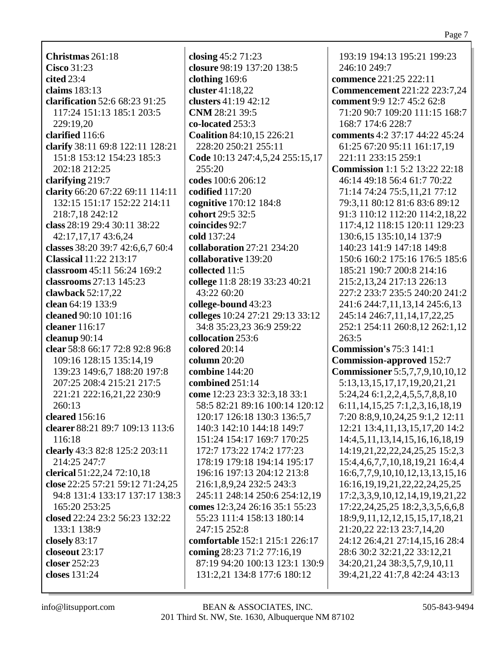**Christmas** 261:18 **Cisco** 31:23 **cited** 23:4 **claims** 183:13 **clarification** 52:6 68:23 91:25 117:24 151:13 185:1 203:5 229:19,20 **clarified** 116:6 **clarify** 38:11 69:8 122:11 128:21 151:8 153:12 154:23 185:3 202:18 212:25 **clarifying** 219:7 **clarity** 66:20 67:22 69:11 114:11 132:15 151:17 152:22 214:11 218:7,18 242:12 **class** 28:19 29:4 30:11 38:22 42:17,17,17 43:6,24 **classes** 38:20 39:7 42:6,6,7 60:4 **Classical** 11:22 213:17 **classroom** 45:11 56:24 169:2 **classrooms** 27:13 145:23 **clawback** 52:17,22 **clean** 64:19 133:9 **cleaned** 90:10 101:16 **cleaner** 116:17 **cleanup** 90:14 **clear** 58:8 66:17 72:8 92:8 96:8 109:16 128:15 135:14,19 139:23 149:6,7 188:20 197:8 207:25 208:4 215:21 217:5 221:21 222:16,21,22 230:9 260:13 **cleared** 156:16 **clearer** 88:21 89:7 109:13 113:6 116:18 **clearly** 43:3 82:8 125:2 203:11 214:25 247:7 **clerical** 51:22,24 72:10,18 **close** 22:25 57:21 59:12 71:24,25 94:8 131:4 133:17 137:17 138:3 165:20 253:25 **closed** 22:24 23:2 56:23 132:22 133:1 138:9 **closely** 83:17 **closeout** 23:17 **closer** 252:23 **closes** 131:24

**closing** 45:2 71:23 **closure** 98:19 137:20 138:5 **clothing** 169:6 **cluster** 41:18,22 **clusters** 41:19 42:12 **CNM** 28:21 39:5 **co-located** 253:3 **Coalition** 84:10,15 226:21 228:20 250:21 255:11 **Code** 10:13 247:4,5,24 255:15,17  $255:20$ **codes** 100:6 206:12 **codified** 117:20 **cognitive** 170:12 184:8 **cohort** 29:5 32:5 **coincides** 92:7 **cold** 137:24 **collaboration** 27:21 234:20 **collaborative** 139:20 **collected** 11:5 **college** 11:8 28:19 33:23 40:21 43:22 60:20 **college-bound** 43:23 **colleges** 10:24 27:21 29:13 33:12 34:8 35:23,23 36:9 259:22 **collocation** 253:6 **colored** 20:14 **column** 20:20 **combine** 144:20 **combined** 251:14 **come** 12:23 23:3 32:3,18 33:1 58:5 82:21 89:16 100:14 120:12 120:17 126:18 130:3 136:5,7 140:3 142:10 144:18 149:7 151:24 154:17 169:7 170:25 172:7 173:22 174:2 177:23 178:19 179:18 194:14 195:17 196:16 197:13 204:12 213:8 216:1,8,9,24 232:5 243:3 245:11 248:14 250:6 254:12,19 **comes** 12:3,24 26:16 35:1 55:23 55:23 111:4 158:13 180:14 247:15 252:8 **comfortable** 152:1 215:1 226:17 **coming** 28:23 71:2 77:16,19 87:19 94:20 100:13 123:1 130:9 131:2,21 134:8 177:6 180:12

193:19 194:13 195:21 199:23 246:10 249:7 **commence** 221:25 222:11 **Commencement** 221:22 223:7,24 **comment** 9:9 12:7 45:2 62:8 71:20 90:7 109:20 111:15 168:7 168:7 174:6 228:7 **comments** 4:2 37:17 44:22 45:24 61:25 67:20 95:11 161:17,19 221:11 233:15 259:1 **Commission** 1:1 5:2 13:22 22:18 46:14 49:18 56:4 61:7 70:22 71:14 74:24 75:5,11,21 77:12 79:3,11 80:12 81:6 83:6 89:12 91:3 110:12 112:20 114:2,18,22 117:4,12 118:15 120:11 129:23 130:6,15 135:10,14 137:9 140:23 141:9 147:18 149:8 150:6 160:2 175:16 176:5 185:6 185:21 190:7 200:8 214:16 215:2,13,24 217:13 226:13 227:2 233:7 235:5 240:20 241:2 241:6 244:7,11,13,14 245:6,13 245:14 246:7,11,14,17,22,25 252:1 254:11 260:8,12 262:1,12 263:5 **Commission's** 75:3 141:1 **Commission-approved** 152:7 **Commissioner** 5:5,7,7,9,10,10,12 5:13,13,15,17,17,19,20,21,21 5:24,24 6:1,2,2,4,5,5,7,8,8,10 6:11,14,15,25 7:1,2,3,16,18,19 7:20 8:8,9,10,24,25 9:1,2 12:11 12:21 13:4,11,13,15,17,20 14:2 14:4,5,11,13,14,15,16,16,18,19 14:19,21,22,22,24,25,25 15:2,3 15:4,4,6,7,7,10,18,19,21 16:4,4 16:6,7,7,9,10,10,12,13,13,15,16 16:16,19,19,21,22,22,24,25,25 17:2,3,3,9,10,12,14,19,19,21,22 17:22,24,25,25 18:2,3,3,5,6,6,8 18:9,9,11,12,12,15,15,17,18,21 21:20,22 22:13 23:7,14,20 24:12 26:4,21 27:14,15,16 28:4 28:6 30:2 32:21,22 33:12,21 34:20,21,24 38:3,5,7,9,10,11 39:4,21,22 41:7,8 42:24 43:13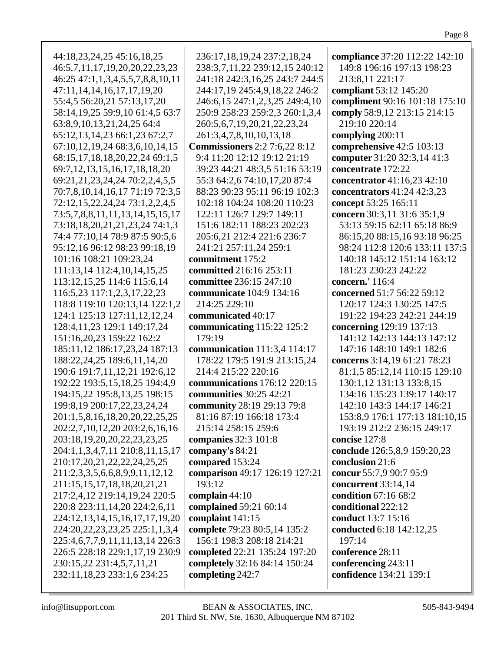| 44:18,23,24,25 45:16,18,25            | 236:17,18,19,24 237:2,18,24          | compliance 37:20 112:22 142:10 |
|---------------------------------------|--------------------------------------|--------------------------------|
| 46:5,7,11,17,19,20,20,22,23,23        | 238:3,7,11,22 239:12,15 240:12       | 149:8 196:16 197:13 198:23     |
| 46:25 47:1,1,3,4,5,5,7,8,8,10,11      | 241:18 242:3,16,25 243:7 244:5       | 213:8,11 221:17                |
| 47:11, 14, 14, 16, 17, 17, 19, 20     | 244:17,19 245:4,9,18,22 246:2        | compliant 53:12 145:20         |
| 55:4,5 56:20,21 57:13,17,20           | 246:6,15 247:1,2,3,25 249:4,10       | compliment 90:16 101:18 175:10 |
| 58:14,19,25 59:9,10 61:4,5 63:7       | 250:9 258:23 259:2,3 260:1,3,4       | comply 58:9,12 213:15 214:15   |
| 63:8,9,10,13,21,24,25 64:4            | 260:5, 6, 7, 19, 20, 21, 22, 23, 24  | 219:10 220:14                  |
| 65:12,13,14,23 66:1,23 67:2,7         | 261:3,4,7,8,10,10,13,18              | complying 200:11               |
| 67:10,12,19,24 68:3,6,10,14,15        | <b>Commissioners</b> 2:2 7:6,22 8:12 | comprehensive 42:5 103:13      |
| 68:15,17,18,18,20,22,24 69:1,5        | 9:4 11:20 12:12 19:12 21:19          | computer 31:20 32:3,14 41:3    |
| 69:7, 12, 13, 15, 16, 17, 18, 18, 20  | 39:23 44:21 48:3,5 51:16 53:19       | concentrate 172:22             |
|                                       |                                      |                                |
| 69:21,21,23,24,24 70:2,2,4,5,5        | 55:3 64:2,6 74:10,17,20 87:4         | concentrator 41:16,23 42:10    |
| 70:7,8,10,14,16,17 71:19 72:3,5       | 88:23 90:23 95:11 96:19 102:3        | concentrators 41:24 42:3,23    |
| 72:12,15,22,24,24 73:1,2,2,4,5        | 102:18 104:24 108:20 110:23          | concept 53:25 165:11           |
| 73:5,7,8,8,11,11,13,14,15,15,17       | 122:11 126:7 129:7 149:11            | concern 30:3,11 31:6 35:1,9    |
| 73:18,18,20,21,21,23,24 74:1,3        | 151:6 182:11 188:23 202:23           | 53:13 59:15 62:11 65:18 86:9   |
| 74:4 77:10,14 78:9 87:5 90:5,6        | 205:6,21 212:4 221:6 236:7           | 86:15,20 88:15,16 93:18 96:25  |
| 95:12,16 96:12 98:23 99:18,19         | 241:21 257:11,24 259:1               | 98:24 112:8 120:6 133:11 137:5 |
| 101:16 108:21 109:23,24               | commitment 175:2                     | 140:18 145:12 151:14 163:12    |
| 111:13,14 112:4,10,14,15,25           | committed 216:16 253:11              | 181:23 230:23 242:22           |
| 113:12,15,25 114:6 115:6,14           | committee 236:15 247:10              | concern.' 116:4                |
| 116:5,23 117:1,2,3,17,22,23           | communicate 104:9 134:16             | concerned 51:7 56:22 59:12     |
| 118:8 119:10 120:13,14 122:1,2        | 214:25 229:10                        | 120:17 124:3 130:25 147:5      |
| 124:1 125:13 127:11,12,12,24          | communicated 40:17                   | 191:22 194:23 242:21 244:19    |
| 128:4, 11, 23 129:1 149: 17, 24       | communicating 115:22 125:2           | concerning 129:19 137:13       |
| 151:16,20,23 159:22 162:2             | 179:19                               | 141:12 142:13 144:13 147:12    |
| 185:11,12 186:17,23,24 187:13         | communication 111:3,4 114:17         | 147:16 148:10 149:1 182:6      |
| 188:22,24,25 189:6,11,14,20           | 178:22 179:5 191:9 213:15,24         | concerns 3:14,19 61:21 78:23   |
| 190:6 191:7,11,12,21 192:6,12         | 214:4 215:22 220:16                  | 81:1,5 85:12,14 110:15 129:10  |
| 192:22 193:5,15,18,25 194:4,9         | communications 176:12 220:15         | 130:1,12 131:13 133:8,15       |
| 194:15,22 195:8,13,25 198:15          | communities 30:25 42:21              | 134:16 135:23 139:17 140:17    |
| 199:8,19 200:17,22,23,24,24           | community 28:19 29:13 79:8           | 142:10 143:3 144:17 146:21     |
| 201:1,5,8,16,18,20,20,22,25,25        | 81:16 87:19 166:18 173:4             | 153:8,9 176:1 177:13 181:10,15 |
| 202:2,7,10,12,20 203:2,6,16,16        | 215:14 258:15 259:6                  | 193:19 212:2 236:15 249:17     |
|                                       |                                      | concise 127:8                  |
| 203:18,19,20,20,22,23,23,25           | companies 32:3 101:8                 |                                |
| 204:1,1,3,4,7,11 210:8,11,15,17       | company's 84:21                      | conclude 126:5,8,9 159:20,23   |
| 210:17,20,21,22,22,24,25,25           | compared 153:24                      | conclusion 21:6                |
| 211:2,3,3,5,6,6,8,9,9,11,12,12        | comparison 49:17 126:19 127:21       | concur 55:7,9 90:7 95:9        |
| 211:15,15,17,18,18,20,21,21           | 193:12                               | concurrent 33:14,14            |
| 217:2,4,12 219:14,19,24 220:5         | complain 44:10                       | condition 67:16 68:2           |
| 220:8 223:11,14,20 224:2,6,11         | complained 59:21 60:14               | conditional 222:12             |
| 224:12,13,14,15,16,17,17,19,20        | complaint 141:15                     | conduct 13:7 15:16             |
| 224:20, 22, 23, 23, 25 225:1, 1, 3, 4 | complete 79:23 80:5,14 135:2         | conducted 6:18 142:12,25       |
| 225:4,6,7,7,9,11,11,13,14 226:3       | 156:1 198:3 208:18 214:21            | 197:14                         |
| 226:5 228:18 229:1,17,19 230:9        | completed 22:21 135:24 197:20        | conference 28:11               |
| 230:15,22 231:4,5,7,11,21             | completely 32:16 84:14 150:24        | conferencing 243:11            |
| 232:11,18,23 233:1,6 234:25           | completing 242:7                     | confidence 134:21 139:1        |
|                                       |                                      |                                |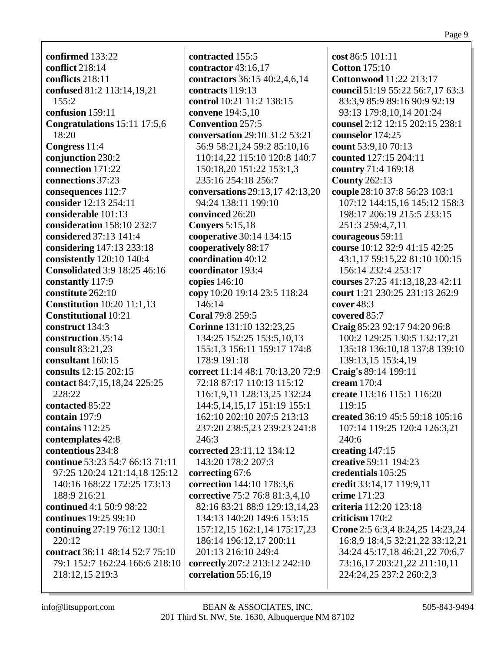**confirmed** 133:22 **conflict** 218:14 **conflicts** 218:11 **confused** 81:2 113:14,19,21 155:2 **confusion** 159:11 **Congratulations** 15:11 17:5,6 18:20 **Congress** 11:4 **conjunction** 230:2 **connection** 171:22 **connections** 37:23 **consequences** 112:7 **consider** 12:13 254:11 **considerable** 101:13 **consideration** 158:10 232:7 **considered** 37:13 141:4 **considering** 147:13 233:18 **consistently** 120:10 140:4 **Consolidated** 3:9 18:25 46:16 **constantly** 117:9 **constitute** 262:10 **Constitution** 10:20 11:1,13 **Constitutional** 10:21 **construct** 134:3 **construction** 35:14 **consult** 83:21,23 **consultant** 160:15 **consults** 12:15 202:15 **contact** 84:7,15,18,24 225:25 228:22 **contacted** 85:22 **contain** 197:9 **contains** 112:25 **contemplates** 42:8 **contentious** 234:8 **continue** 53:23 54:7 66:13 71:11 97:25 120:24 121:14,18 125:12 140:16 168:22 172:25 173:13 188:9 216:21 **continued** 4:1 50:9 98:22 **continues** 19:25 99:10 **continuing** 27:19 76:12 130:1 220:12 **contract** 36:11 48:14 52:7 75:10 79:1 152:7 162:24 166:6 218:10 218:12,15 219:3

**contracted** 155:5 **contractor** 43:16,17 **contractors** 36:15 40:2,4,6,14 **contracts** 119:13 **control** 10:21 11:2 138:15 **convene** 194:5,10 **Convention** 257:5 **conversation** 29:10 31:2 53:21 56:9 58:21,24 59:2 85:10,16 110:14,22 115:10 120:8 140:7 150:18,20 151:22 153:1,3 235:16 254:18 256:7 **conversations** 29:13,17 42:13,20 94:24 138:11 199:10 **convinced** 26:20 **Conyers** 5:15,18 **cooperative** 30:14 134:15 **cooperatively** 88:17 **coordination** 40:12 **coordinator** 193:4 **copies** 146:10 **copy** 10:20 19:14 23:5 118:24 146:14 **Coral** 79:8 259:5 **Corinne** 131:10 132:23,25 134:25 152:25 153:5,10,13 155:1,3 156:11 159:17 174:8 178:9 191:18 **correct** 11:14 48:1 70:13,20 72:9 72:18 87:17 110:13 115:12 116:1,9,11 128:13,25 132:24 144:5,14,15,17 151:19 155:1 162:10 202:10 207:5 213:13 237:20 238:5,23 239:23 241:8 246:3 **corrected** 23:11,12 134:12 143:20 178:2 207:3 **correcting** 67:6 **correction** 144:10 178:3,6 **corrective** 75:2 76:8 81:3,4,10 82:16 83:21 88:9 129:13,14,23 134:13 140:20 149:6 153:15 157:12,15 162:1,14 175:17,23 186:14 196:12,17 200:11 201:13 216:10 249:4 **correctly** 207:2 213:12 242:10 **correlation** 55:16,19

**cost** 86:5 101:11 **Cotton** 175:10 **Cottonwood** 11:22 213:17 **council** 51:19 55:22 56:7,17 63:3 83:3,9 85:9 89:16 90:9 92:19 93:13 179:8,10,14 201:24 **counsel** 2:12 12:15 202:15 238:1 **counselor** 174:25 **count** 53:9,10 70:13 **counted** 127:15 204:11 **country** 71:4 169:18 **County** 262:13 **couple** 28:10 37:8 56:23 103:1 107:12 144:15,16 145:12 158:3 198:17 206:19 215:5 233:15 251:3 259:4,7,11 **courageous** 59:11 **course** 10:12 32:9 41:15 42:25 43:1,17 59:15,22 81:10 100:15 156:14 232:4 253:17 **courses** 27:25 41:13,18,23 42:11 **court** 1:21 230:25 231:13 262:9 **cover** 48:3 **covered** 85:7 **Craig** 85:23 92:17 94:20 96:8 100:2 129:25 130:5 132:17,21 135:18 136:10,18 137:8 139:10 139:13,15 153:4,19 **Craig's** 89:14 199:11 **cream** 170:4 **create** 113:16 115:1 116:20 119:15 **created** 36:19 45:5 59:18 105:16 107:14 119:25 120:4 126:3,21 240:6 **creating** 147:15 **creative** 59:11 194:23 **credentials** 105:25 **credit** 33:14,17 119:9,11 **crime** 171:23 **criteria** 112:20 123:18 **criticism** 170:2 **Crone** 2:5 6:3,4 8:24,25 14:23,24 16:8,9 18:4,5 32:21,22 33:12,21 34:24 45:17,18 46:21,22 70:6,7 73:16,17 203:21,22 211:10,11 224:24,25 237:2 260:2,3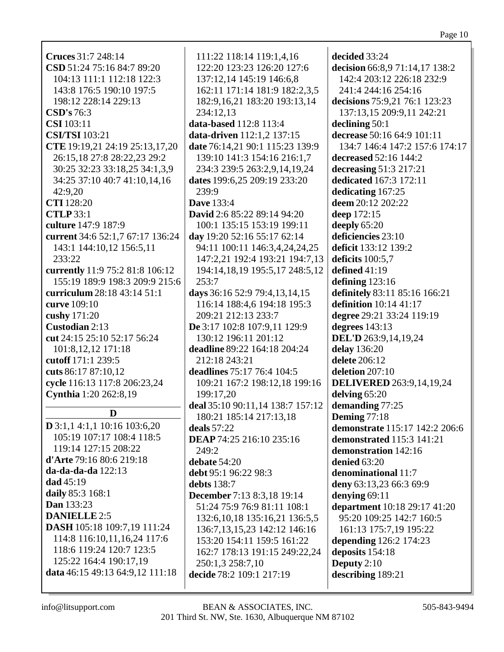| <b>Cruces</b> 31:7 248:14           | 111:22 118:14 119:1,4,16                                                 | decided 33:24                   |
|-------------------------------------|--------------------------------------------------------------------------|---------------------------------|
| CSD 51:24 75:16 84:7 89:20          | 122:20 123:23 126:20 127:6                                               | decision 66:8,9 71:14,17 138:2  |
| 104:13 111:1 112:18 122:3           | 137:12,14 145:19 146:6,8                                                 | 142:4 203:12 226:18 232:9       |
| 143:8 176:5 190:10 197:5            | 162:11 171:14 181:9 182:2,3,5                                            | 241:4 244:16 254:16             |
| 198:12 228:14 229:13                | 182:9, 16, 21 183: 20 193: 13, 14                                        | decisions 75:9,21 76:1 123:23   |
| CSD's 76:3                          | 234:12,13                                                                | 137:13,15 209:9,11 242:21       |
| <b>CSI</b> 103:11                   | data-based 112:8 113:4                                                   | declining $50:1$                |
| <b>CSI/TSI</b> 103:21               | data-driven 112:1,2 137:15                                               | decrease 50:16 64:9 101:11      |
| CTE 19:19,21 24:19 25:13,17,20      | date 76:14,21 90:1 115:23 139:9                                          | 134:7 146:4 147:2 157:6 174:17  |
| 26:15,18 27:8 28:22,23 29:2         | 139:10 141:3 154:16 216:1,7                                              | decreased 52:16 144:2           |
| 30:25 32:23 33:18,25 34:1,3,9       | 234:3 239:5 263:2,9,14,19,24                                             | decreasing 51:3 217:21          |
|                                     |                                                                          | dedicated 167:3 172:11          |
| 34:25 37:10 40:7 41:10,14,16        | dates 199:6,25 209:19 233:20                                             |                                 |
| 42:9,20                             | 239:9                                                                    | dedicating 167:25               |
| <b>CTI</b> 128:20                   | <b>Dave</b> 133:4                                                        | deem 20:12 202:22               |
| <b>CTLP</b> 33:1                    | David 2:6 85:22 89:14 94:20                                              | deep 172:15                     |
| culture 147:9 187:9                 | 100:1 135:15 153:19 199:11                                               | deeply 65:20                    |
| current 34:6 52:1,7 67:17 136:24    | day 19:20 52:16 55:17 62:14                                              | deficiencies 23:10              |
| 143:1 144:10,12 156:5,11            | 94:11 100:11 146:3,4,24,24,25                                            | deficit 133:12 139:2            |
| 233:22                              | 147:2,21 192:4 193:21 194:7,13                                           | deficits $100:5,7$              |
| currently 11:9 75:2 81:8 106:12     | 194:14,18,19 195:5,17 248:5,12                                           | defined $41:19$                 |
| 155:19 189:9 198:3 209:9 215:6      | 253:7                                                                    | defining $123:16$               |
| curriculum 28:18 43:14 51:1         | days 36:16 52:9 79:4,13,14,15                                            | definitely 83:11 85:16 166:21   |
| curve 109:10                        | 116:14 188:4,6 194:18 195:3                                              | definition 10:14 41:17          |
| cushy 171:20                        | 209:21 212:13 233:7                                                      | degree 29:21 33:24 119:19       |
| Custodian 2:13                      | De 3:17 102:8 107:9,11 129:9                                             | degrees $143:13$                |
| cut 24:15 25:10 52:17 56:24         | 130:12 196:11 201:12                                                     | DEL'D 263:9,14,19,24            |
| 101:8,12,12 171:18                  | deadline 89:22 164:18 204:24                                             | delay 136:20                    |
| cutoff 171:1 239:5                  | 212:18 243:21                                                            | delete 206:12                   |
| cuts 86:17 87:10,12                 | deadlines 75:17 76:4 104:5                                               | deletion 207:10                 |
| cycle 116:13 117:8 206:23,24        | 109:21 167:2 198:12,18 199:16                                            | <b>DELIVERED</b> 263:9,14,19,24 |
| Cynthia 1:20 262:8,19               | 199:17,20                                                                | delving 65:20                   |
|                                     | deal 35:10 90:11,14 138:7 157:12                                         | demanding 77:25                 |
| D                                   | 180:21 185:14 217:13,18                                                  | <b>Deming 77:18</b>             |
| <b>D</b> 3:1,1 4:1,1 10:16 103:6,20 | deals $57:22$                                                            | demonstrate 115:17 142:2 206:6  |
| 105:19 107:17 108:4 118:5           | DEAP 74:25 216:10 235:16                                                 | demonstrated 115:3 141:21       |
| 119:14 127:15 208:22                | 249:2                                                                    | demonstration 142:16            |
| d'Arte 79:16 80:6 219:18            | debate 54:20                                                             | denied 63:20                    |
| da-da-da-da 122:13                  | debt 95:1 96:22 98:3                                                     | denominational 11:7             |
| dad $45:19$                         | debts 138:7                                                              | deny 63:13,23 66:3 69:9         |
| daily 85:3 168:1                    | <b>December</b> 7:13 8:3,18 19:14                                        | denying 69:11                   |
| Dan 133:23                          | 51:24 75:9 76:9 81:11 108:1                                              | department 10:18 29:17 41:20    |
| <b>DANIELLE 2:5</b>                 |                                                                          | 95:20 109:25 142:7 160:5        |
| DASH 105:18 109:7,19 111:24         | 132:6, 10, 18 135: 16, 21 136: 5, 5<br>136:7, 13, 15, 23 142: 12 146: 16 | 161:13 175:7,19 195:22          |
| 114:8 116:10,11,16,24 117:6         |                                                                          |                                 |
| 118:6 119:24 120:7 123:5            | 153:20 154:11 159:5 161:22                                               | depending 126:2 174:23          |
| 125:22 164:4 190:17,19              | 162:7 178:13 191:15 249:22,24                                            | deposits 154:18                 |
| data 46:15 49:13 64:9,12 111:18     | 250:1,3 258:7,10                                                         | Deputy $2:10$                   |
|                                     | decide 78:2 109:1 217:19                                                 | describing 189:21               |
|                                     |                                                                          |                                 |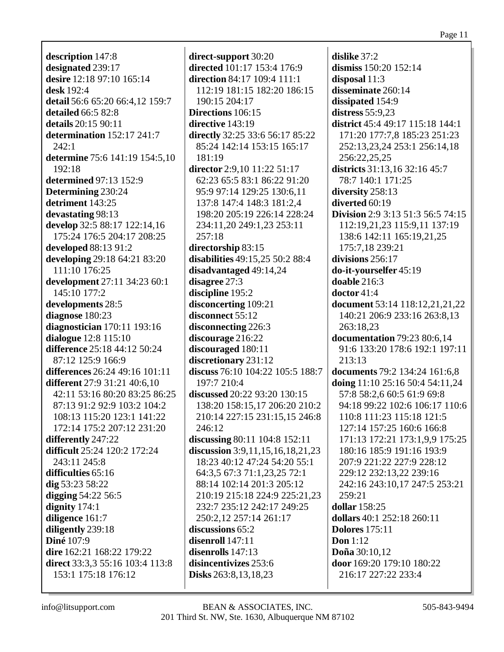description 147:8 designated 239:17 desire 12:18 97:10 165:14 desk 192:4 detail 56:6 65:20 66:4,12 159:7 detailed 66:5 82:8 details  $20:15\,90:11$ determination  $152:17$  241:7  $242:1$ determine 75:6 141:19 154:5,10  $192:18$ determined 97:13 152:9 Determining 230:24 detriment 143:25 devastating 98:13 develop 32:5 88:17 122:14,16 175:24 176:5 204:17 208:25 developed  $88:1391:2$ developing 29:18 64:21 83:20 111:10 176:25 development 27:11 34:23 60:1 145:10 177:2 developments 28:5 diagnose 180:23 diagnostician  $170:11$   $193:16$ dialogue  $12:8$   $115:10$ difference 25:18 44:12 50:24 87:12 125:9 166:9 differences 26:24 49:16 101:11 **different** 27:9 31:21 40:6,10 42:11 53:16 80:20 83:25 86:25 87:13 91:2 92:9 103:2 104:2 108:13 115:20 123:1 141:22 172:14 175:2 207:12 231:20 differently 247:22 **difficult** 25:24 120:2 172:24 243:11 245:8 difficulties 65:16 dig  $53:2358:22$ digging  $54:22\,56:5$ dignity  $174:1$ diligence 161:7 diligently 239:18 **Diné** 107:9 dire 162:21 168:22 179:22 direct 33:3.3 55:16 103:4 113:8 153:1 175:18 176:12

direct-support 30:20 directed 101:17 153:4 176:9 **direction** 84:17 109:4 111:1 112:19 181:15 182:20 186:15 190:15 204:17 **Directions** 106:15 directive  $143:19$ directly 32:25 33:6 56:17 85:22 85:24 142:14 153:15 165:17 181:19 director  $2:9.10$  11:22 51:17 62:23 65:5 83:1 86:22 91:20 95:9 97:14 129:25 130:6,11 137:8 147:4 148:3 181:2,4 198:20 205:19 226:14 228:24 234:11,20 249:1,23 253:11  $257:18$ directorship 83:15 disabilities 49:15.25 50:2 88:4 disadvantaged 49:14,24 disagree 27:3 discipline 195:2 disconcerting 109:21 disconnect  $55:12$ disconnecting 226:3 discourage 216:22 discouraged 180:11 discretionary 231:12 discuss 76:10 104:22 105:5 188:7 197:7 210:4 discussed 20:22 93:20 130:15 138:20 158:15,17 206:20 210:2 210:14 227:15 231:15,15 246:8 246:12 discussing 80:11 104:8 152:11 discussion  $3:9,11,15,16,18,21,23$ 18:23 40:12 47:24 54:20 55:1 64:3.5 67:3 71:1.23.25 72:1 88:14 102:14 201:3 205:12 210:19 215:18 224:9 225:21.23 232:7 235:12 242:17 249:25 250:2.12 257:14 261:17 discussions 65:2 disenroll 147:11 disenrolls  $147:13$ disincentivizes 253:6 **Disks** 263:8, 13, 18, 23

dislike  $37:2$ dismiss 150:20 152:14 disposal  $11:3$ disseminate 260:14 dissipated 154:9 distress  $55:9,23$ district  $45:449:17115:18144:1$ 171:20 177:7,8 185:23 251:23 252:13,23,24 253:1 256:14,18 256:22,25,25 districts 31:13.16 32:16 45:7 78:7 140:1 171:25 diversity 258:13 diverted  $60:19$ **Division** 2:9 3:13 51:3 56:5 74:15 112:19,21,23 115:9,11 137:19 138:6 142:11 165:19.21.25 175:7,18 239:21 divisions  $256:17$ do-it-yourselfer 45:19 doable  $216:3$  $\frac{1}{2}$  doctor 41:4 document 53:14 118:12.21.21.22 140:21 206:9 233:16 263:8,13 263:18,23 **documentation** 79:23 80:6,14 91:6 133:20 178:6 192:1 197:11  $213:13$ documents 79:2 134:24 161:6,8 doing  $11:10$  25:16 50:4 54:11,24 57:8 58:2,6 60:5 61:9 69:8 94:18 99:22 102:6 106:17 110:6 110:8 111:23 115:18 121:5 127:14 157:25 160:6 166:8 171:13 172:21 173:1,9,9 175:25 180:16 185:9 191:16 193:9 207:9 221:22 227:9 228:12 229:12 232:13,22 239:16 242:16 243:10,17 247:5 253:21  $259:21$ dollar 158:25 dollars  $40:1$  252:18 260:11 **Dolores** 175:11 Don  $1:12$ Doña 30:10.12 door 169:20 179:10 180:22 216:17 227:22 233:4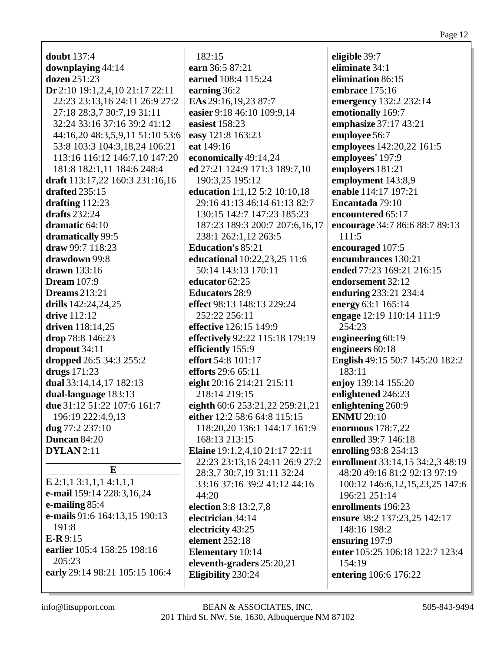| <b>doubt</b> 137:4              |   |
|---------------------------------|---|
| downplaying 44:14               | e |
| dozen 251:23                    | e |
| Dr 2:10 19:1,2,4,10 21:17 22:11 | e |
| 22:23 23:13,16 24:11 26:9 27:2  | E |
| 27:18 28:3,7 30:7,19 31:11      | e |
| 32:24 33:16 37:16 39:2 41:12    | e |
| 44:16,20 48:3,5,9,11 51:10 53:6 | e |
| 53:8 103:3 104:3,18,24 106:21   | e |
| 113:16 116:12 146:7,10 147:20   | e |
| 181:8 182:1,11 184:6 248:4      | e |
| draft 113:17,22 160:3 231:16,16 |   |
| drafted 235:15                  | e |
| drafting 112:23                 |   |
| drafts 232:24                   |   |
| dramatic 64:10                  |   |
|                                 |   |
| dramatically 99:5               |   |
| draw 99:7 118:23                | F |
| drawdown 99:8                   | e |
| drawn 133:16                    |   |
| <b>Dream</b> 107:9              | e |
| <b>Dreams</b> 213:21            | E |
| drills 142:24,24,25             | e |
| drive 112:12                    |   |
| driven 118:14,25                | e |
| drop 78:8 146:23                | e |
| dropout 34:11                   | e |
| <b>dropped</b> 26:5 34:3 255:2  | e |
| drugs 171:23                    | e |
| dual 33:14,14,17 182:13         | e |
| dual-language 183:13            |   |
| due 31:12 51:22 107:6 161:7     | e |
| 196:19 222:4,9,13               |   |
| dug 77:2 237:10                 | e |
| Duncan 84:20                    |   |
|                                 |   |
| <b>DYLAN</b> 2:11               | E |
| E                               |   |
| $E$ 2:1,1 3:1,1,1 4:1,1,1       |   |
| e-mail 159:14 228:3,16,24       |   |
|                                 |   |
| e-mailing 85:4                  | e |
| e-mails 91:6 164:13,15 190:13   | e |
| 191:8                           | e |
| $E-R9:15$                       | e |
| earlier 105:4 158:25 198:16     | E |
| 205:23                          | e |
| early 29:14 98:21 105:15 106:4  | E |
|                                 |   |

182:15 **earn** 36:5 87:21 **earned** 108:4 115:24 **earning** 36:2 **EAs** 29:16,19,23 87:7 **easier** 9:18 46:10 109:9,14 **easiest** 158:23 **easy** 121:8 163:23 **eat** 149:16 **economically** 49:14,24 **ed** 27:21 124:9 171:3 189:7,10 190:3,25 195:12 **education** 1:1,12 5:2 10:10,18 29:16 41:13 46:14 61:13 82:7 130:15 142:7 147:23 185:23 187:23 189:3 200:7 207:6,16,17 238:1 262:1,12 263:5 **Education's** 85:21 **educational** 10:22,23,25 11:6 50:14 143:13 170:11 **educator** 62:25 **Educators** 28:9 **effect** 98:13 148:13 229:24 252:22 256:11 **effective** 126:15 149:9 **effectively** 92:22 115:18 179:19 **efficiently** 155:9 **effort** 54:8 101:17 **efforts** 29:6 65:11 **eight** 20:16 214:21 215:11 218:14 219:15 **eighth** 60:6 253:21,22 259:21,21 **either** 12:2 58:6 64:8 115:15 118:20,20 136:1 144:17 161:9 168:13 213:15 **Elaine** 19:1,2,4,10 21:17 22:11 22:23 23:13,16 24:11 26:9 27:2 28:3,7 30:7,19 31:11 32:24 33:16 37:16 39:2 41:12 44:16 44:20 **election** 3:8 13:2,7,8 **electrician** 34:14 **electricity** 43:25 **element** 252:18 **Elementary** 10:14 **eleventh-graders** 25:20,21 **Eligibility** 230:24

**eligible** 39:7 **eliminate** 34:1 **elimination** 86:15 **embrace** 175:16 **emergency** 132:2 232:14 **emotionally** 169:7 **emphasize** 37:17 43:21 **employee** 56:7 **employees** 142:20,22 161:5 **employees'** 197:9 **employers** 181:21 **employment** 143:8,9 **enable** 114:17 197:21 **Encantada** 79:10 **encountered** 65:17 **encourage** 34:7 86:6 88:7 89:13 111:5 **encouraged** 107:5 **encumbrances** 130:21 **ended** 77:23 169:21 216:15 **endorsement** 32:12 **enduring** 233:21 234:4 **energy** 63:1 165:14 **engage** 12:19 110:14 111:9 254:23 **engineering** 60:19 **engineers** 60:18 **English** 49:15 50:7 145:20 182:2 183:11 **enjoy** 139:14 155:20 **enlightened** 246:23 **enlightening** 260:9 **ENMU** 29:10 **enormous** 178:7,22 **enrolled** 39:7 146:18 **enrolling** 93:8 254:13 **enrollment** 33:14,15 34:2,3 48:19 48:20 49:16 81:2 92:13 97:19 100:12 146:6,12,15,23,25 147:6 196:21 251:14 **enrollments** 196:23 **ensure** 38:2 137:23,25 142:17 148:16 198:2 **ensuring** 197:9 **enter** 105:25 106:18 122:7 123:4 154:19 **entering** 106:6 176:22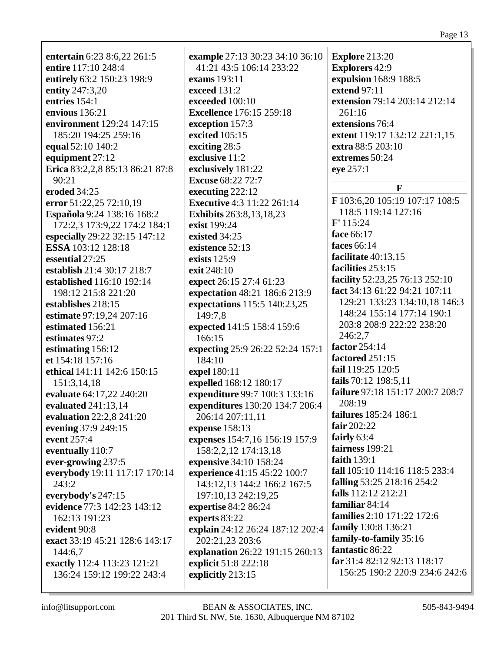|                                 |                                   | 1 age 15                          |
|---------------------------------|-----------------------------------|-----------------------------------|
| entertain 6:23 8:6,22 261:5     | example 27:13 30:23 34:10 36:10   | <b>Explore 213:20</b>             |
| entire 117:10 248:4             | 41:21 43:5 106:14 233:22          | <b>Explorers 42:9</b>             |
| entirely 63:2 150:23 198:9      | exams 193:11                      | expulsion 168:9 188:5             |
| entity 247:3,20                 | exceed 131:2                      | extend 97:11                      |
| entries 154:1                   | exceeded 100:10                   | extension 79:14 203:14 212:14     |
| envious 136:21                  | <b>Excellence</b> 176:15 259:18   | 261:16                            |
| environment 129:24 147:15       | exception 157:3                   | extensions 76:4                   |
| 185:20 194:25 259:16            | excited 105:15                    | extent 119:17 132:12 221:1,15     |
| equal 52:10 140:2               | exciting 28:5                     | extra 88:5 203:10                 |
| equipment 27:12                 | exclusive 11:2                    | extremes 50:24                    |
| Erica 83:2,2,8 85:13 86:21 87:8 | exclusively 181:22                | eye 257:1                         |
| 90:21                           | <b>Excuse</b> 68:22 72:7          |                                   |
| eroded 34:25                    | executing 222:12                  | $\mathbf{F}$                      |
| error 51:22,25 72:10,19         | <b>Executive</b> 4:3 11:22 261:14 | F 103:6,20 105:19 107:17 108:5    |
| Española 9:24 138:16 168:2      | Exhibits 263:8,13,18,23           | 118:5 119:14 127:16               |
| 172:2,3 173:9,22 174:2 184:1    | exist 199:24                      | F' 115:24                         |
| especially 29:22 32:15 147:12   | existed 34:25                     | face 66:17                        |
| ESSA 103:12 128:18              | existence 52:13                   | faces 66:14                       |
| essential 27:25                 | exists 125:9                      | facilitate 40:13,15               |
| establish 21:4 30:17 218:7      | exit 248:10                       | facilities 253:15                 |
| established 116:10 192:14       | expect 26:15 27:4 61:23           | facility 52:23,25 76:13 252:10    |
| 198:12 215:8 221:20             | expectation 48:21 186:6 213:9     | fact 34:13 61:22 94:21 107:11     |
| establishes 218:15              | expectations 115:5 140:23,25      | 129:21 133:23 134:10,18 146:3     |
| estimate 97:19,24 207:16        | 149:7,8                           | 148:24 155:14 177:14 190:1        |
| estimated 156:21                | expected 141:5 158:4 159:6        | 203:8 208:9 222:22 238:20         |
| estimates 97:2                  | 166:15                            | 246:2,7                           |
| estimating 156:12               | expecting 25:9 26:22 52:24 157:1  | factor 254:14                     |
| et 154:18 157:16                | 184:10                            | factored 251:15                   |
| ethical 141:11 142:6 150:15     | expel 180:11                      | fail 119:25 120:5                 |
| 151:3,14,18                     | expelled 168:12 180:17            | fails 70:12 198:5,11              |
| evaluate 64:17,22 240:20        | expenditure 99:7 100:3 133:16     | failure 97:18 151:17 200:7 208:7  |
| evaluated 241:13,14             | expenditures 130:20 134:7 206:4   | 208:19                            |
| evaluation 22:2,8 241:20        | 206:14 207:11,11                  | failures 185:24 186:1             |
| evening 37:9 249:15             | expense 158:13                    | fair $202:22$                     |
| event 257:4                     | expenses 154:7,16 156:19 157:9    | fairly $63:4$                     |
| eventually 110:7                | 158:2,2,12 174:13,18              | fairness 199:21                   |
| ever-growing 237:5              | expensive 34:10 158:24            | faith 139:1                       |
| everybody 19:11 117:17 170:14   | experience 41:15 45:22 100:7      | fall 105:10 114:16 118:5 233:4    |
| 243:2                           | 143:12,13 144:2 166:2 167:5       | falling 53:25 218:16 254:2        |
| everybody's $247:15$            | 197:10,13 242:19,25               | falls 112:12 212:21               |
| evidence 77:3 142:23 143:12     | expertise 84:2 86:24              | familiar 84:14                    |
| 162:13 191:23                   | experts 83:22                     | <b>families</b> 2:10 171:22 172:6 |
| evident 90:8                    | explain 24:12 26:24 187:12 202:4  | family 130:8 136:21               |
| exact 33:19 45:21 128:6 143:17  | 202:21,23 203:6                   | family-to-family 35:16            |
| 144:6,7                         | explanation 26:22 191:15 260:13   | fantastic 86:22                   |
| exactly 112:4 113:23 121:21     | explicit 51:8 222:18              | far 31:4 82:12 92:13 118:17       |
| 136:24 159:12 199:22 243:4      | explicitly 213:15                 | 156:25 190:2 220:9 234:6 242:6    |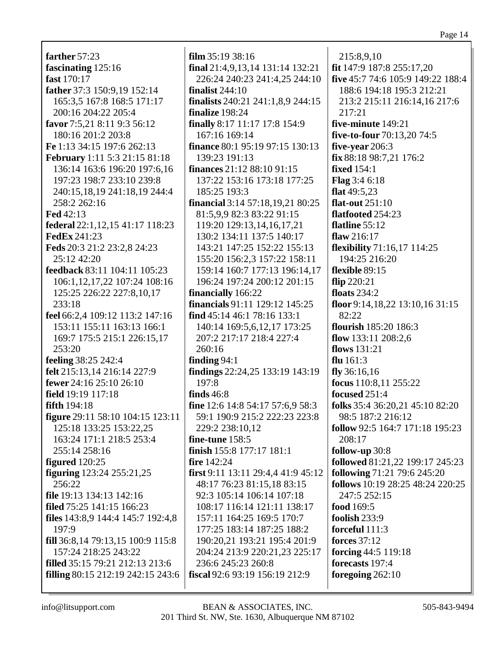farther  $57:23$ fascinating  $125:16$ fast 170:17 father 37:3 150:9,19 152:14 165:3,5 167:8 168:5 171:17 200:16 204:22 205:4 favor 7:5.21 8:11 9:3 56:12 180:16 201:2 203:8 Fe 1:13 34:15 197:6 262:13 **February** 1:11 5:3 21:15 81:18 136:14 163:6 196:20 197:6.16 197:23 198:7 233:10 239:8 240:15,18,19 241:18,19 244:4 258:2 262:16 **Fed 42:13** federal 22:1,12,15 41:17 118:23 **FedEx 241:23** Feds 20:3 21:2 23:2,8 24:23 25:12 42:20 feedback 83:11 104:11 105:23 106:1,12,17,22 107:24 108:16 125:25 226:22 227:8,10,17 233:18 feel 66:2,4 109:12 113:2 147:16 153:11 155:11 163:13 166:1 169:7 175:5 215:1 226:15,17 253:20 feeling 38:25 242:4 felt 215:13,14 216:14 227:9 **fewer** 24:16 25:10 26:10 field 19:19 117:18 fifth  $194:18$ figure 29:11 58:10 104:15 123:11 125:18 133:25 153:22.25 163:24 171:1 218:5 253:4 255:14 258:16 figured  $120:25$ **figuring**  $123:24$   $255:21,25$ 256:22 file 19:13 134:13 142:16 filed 75:25 141:15 166:23 files 143:8,9 144:4 145:7 192:4,8 197:9 fill 36:8.14 79:13.15 100:9 115:8 157:24 218:25 243:22 **filled** 35:15 79:21 212:13 213:6 filling 80:15 212:19 242:15 243:6

 $film 35:19 38:16$ final  $21:4,9,13,14$  131:14 132:21 226:24 240:23 241:4,25 244:10 finalist  $244:10$ finalists 240:21 241:1,8,9 244:15 finalize 198:24 **finally** 8:17 11:17 17:8 154:9 167:16 169:14 **finance** 80:1 95:19 97:15 130:13 139:23 191:13 finances  $21:1288:1091:15$ 137:22 153:16 173:18 177:25 185:25 193:3 financial 3:14 57:18,19,21 80:25 81:5,9,9 82:3 83:22 91:15 119:20 129:13,14,16,17,21 130:2 134:11 137:5 140:17 143:21 147:25 152:22 155:13 155:20 156:2.3 157:22 158:11 159:14 160:7 177:13 196:14,17 196:24 197:24 200:12 201:15 financially 166:22 **financials** 91:11 129:12 145:25 find 45:14 46:1 78:16 133:1 140:14 169:5,6,12,17 173:25 207:2 217:17 218:4 227:4 260:16 finding  $94:1$ findings 22:24,25 133:19 143:19  $197:8$ finds  $46:8$ fine 12:6 14:8 54:17 57:6,9 58:3 59:1 190:9 215:2 222:23 223:8 229:2 238:10.12 fine-tune  $158:5$ finish 155:8 177:17 181:1 fire 142:24 first 9:11 13:11 29:4,4 41:9 45:12 48:17 76:23 81:15,18 83:15 92:3 105:14 106:14 107:18 108:17 116:14 121:11 138:17 157:11 164:25 169:5 170:7 177:25 183:14 187:25 188:2 190:20.21 193:21 195:4 201:9 204:24 213:9 220:21,23 225:17 236:6 245:23 260:8 fiscal 92:6 93:19 156:19 212:9

215:8,9,10 fit 147:9 187:8 255:17,20 five 45:7 74:6 105:9 149:22 188:4 188:6 194:18 195:3 212:21 213:2 215:11 216:14,16 217:6 217:21 five-minute 149:21 five-to-four 70:13,20 74:5 five-vear  $206:3$ fix 88:18 98:7,21 176:2 **fixed** 154:1 **Flag**  $3:46:18$ flat  $49:5.23$ flat-out  $251:10$ flatfooted 254:23 flatline  $55:12$ flaw  $216:17$ **flexibility**  $71:16,17$   $114:25$ 194:25 216:20 flexible 89:15 flip  $220:21$ floats  $234:2$ floor 9:14.18.22 13:10.16 31:15  $82:22$ flourish 185:20 186:3 flow  $133:11\ 208:2.6$ flows  $131:21$ flu  $161:3$  $fly 36:16.16$ focus  $110:8,11255:22$ focused  $251:4$ folks 35:4 36:20,21 45:10 82:20 98:5 187:2 216:12 **follow** 92:5 164:7 171:18 195:23 208:17 follow-up  $30:8$ followed 81:21,22 199:17 245:23 following 71:21 79:6 245:20 follows 10:19 28:25 48:24 220:25 247:5 252:15 food 169:5 foolish  $233:9$ forceful 111:3 forces  $37:12$ forcing  $44:5$  119:18 forecasts 197:4 foregoing  $262:10$ 

info@litsupport.com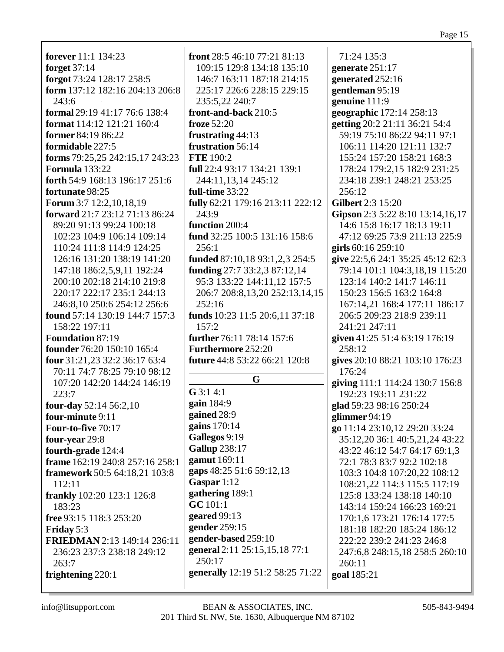**forever**  $11:1$   $134:23$ **forget** 37:14 forgot 73:24 128:17 258:5 form 137:12 182:16 204:13 206:8  $243:6$ **formal** 29:19 41:17 76:6 138:4 format  $114:12$   $121:21$   $160:4$ former 84:19 86:22 formidable 227:5 **forms** 79:25,25 242:15,17 243:23 **Formula** 133:22 forth 54:9 168:13 196:17 251:6 fortunate 98:25 Forum 3:7 12:2,10,18,19 **forward** 21:7 23:12 71:13 86:24 89:20 91:13 99:24 100:18 102:23 104:9 106:14 109:14 110:24 111:8 114:9 124:25 126:16 131:20 138:19 141:20 147:18 186:2,5,9,11 192:24 200:10 202:18 214:10 219:8 220:17 222:17 235:1 244:13 246:8.10 250:6 254:12 256:6 **found** 57:14 130:19 144:7 157:3 158:22 197:11 **Foundation 87:19** founder 76:20 150:10 165:4 four 31:21.23 32:2 36:17 63:4 70:11 74:7 78:25 79:10 98:12 107:20 142:20 144:24 146:19  $223:7$ four-day  $52:14\,56:2,10$ four-minute 9:11 Four-to-five 70:17 four-year 29:8 fourth-grade 124:4 frame 162:19 240:8 257:16 258:1 **framework 50:5 64:18,21 103:8** 112:11 **frankly** 102:20 123:1 126:8 183:23 free 93:15 118:3 253:20 **Friday** 5:3 **FRIEDMAN** 2:13 149:14 236:11 236:23 237:3 238:18 249:12  $263:7$ frightening 220:1

**front**  $28:546:1077:2181:13$ 109:15 129:8 134:18 135:10 146:7 163:11 187:18 214:15 225:17 226:6 228:15 229:15 235:5,22 240:7 front-and-back 210:5 froze  $52:20$ frustrating 44:13 frustration 56:14 **FTE** 190:2 full 22:4 93:17 134:21 139:1 244:11,13,14 245:12 full-time 33:22 fully 62:21 179:16 213:11 222:12 243:9 function 200:4 fund 32:25 100:5 131:16 158:6 256:1 funded 87:10,18 93:1,2,3 254:5 funding  $27:7$  33:2,3 87:12,14 95:3 133:22 144:11,12 157:5 206:7 208:8,13,20 252:13,14,15  $252:16$ funds 10:23 11:5 20:6,11 37:18  $157:2$ further 76:11 78:14 157:6 **Furthermore 252:20 future** 44:8 53:22 66:21 120:8 G  $G$  3:1 4:1 gain  $184:9$ gained 28:9 gains  $170:14$ Gallegos 9:19 **Gallup** 238:17 gamut 169:11 gaps 48:25 51:6 59:12,13 Gaspar  $1:12$ gathering 189:1 GC 101:1 geared  $99:13$ gender 259:15 gender-based 259:10 general 2:11 25:15,15,18 77:1 250:17 generally 12:19 51:2 58:25 71:22

71:24 135:3 generate  $251:17$ generated 252:16 gentleman 95:19 genuine  $111:9$ geographic 172:14 258:13 getting 20:2 21:11 36:21 54:4 59:19 75:10 86:22 94:11 97:1 106:11 114:20 121:11 132:7 155:24 157:20 158:21 168:3 178:24 179:2.15 182:9 231:25 234:18 239:1 248:21 253:25 256:12 **Gilbert** 2:3 15:20 Gipson 2:3 5:22 8:10 13:14,16,17 14:6 15:8 16:17 18:13 19:11 47:12 69:25 73:9 211:13 225:9 girls  $60:16259:10$ give 22:5,6 24:1 35:25 45:12 62:3 79:14 101:1 104:3,18,19 115:20 123:14 140:2 141:7 146:11 150:23 156:5 163:2 164:8 167:14.21 168:4 177:11 186:17 206:5 209:23 218:9 239:11 241:21 247:11 given 41:25 51:4 63:19 176:19 258:12 gives 20:10 88:21 103:10 176:23 176:24 giving 111:1 114:24 130:7 156:8 192:23 193:11 231:22 glad 59:23 98:16 250:24 glimmer  $94:19$ go 11:14 23:10,12 29:20 33:24 35:12,20 36:1 40:5,21,24 43:22 43:22 46:12 54:7 64:17 69:1,3 72:1 78:3 83:7 92:2 102:18 103:3 104:8 107:20,22 108:12 108:21,22 114:3 115:5 117:19 125:8 133:24 138:18 140:10 143:14 159:24 166:23 169:21 170:1.6 173:21 176:14 177:5 181:18 182:20 185:24 186:12 222:22 239:2 241:23 246:8 247:6,8 248:15,18 258:5 260:10  $260:11$ goal 185:21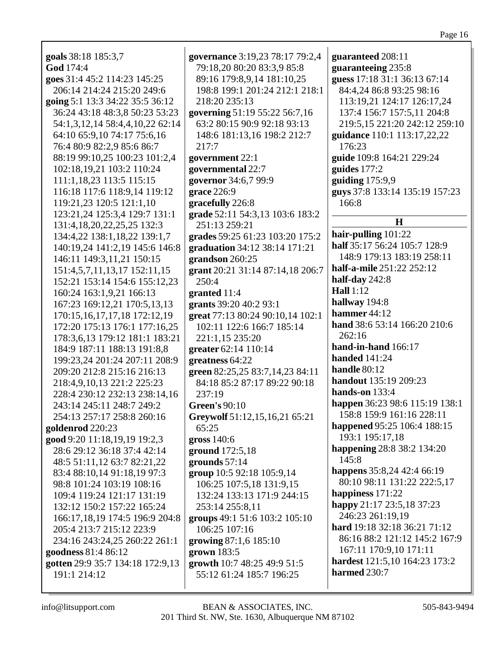| ш<br>'A 91 |  |
|------------|--|
|            |  |

| goals 38:18 185:3,7              | governance 3:19,23 78:17 79:2,4  | guaranteed 208:11                                       |
|----------------------------------|----------------------------------|---------------------------------------------------------|
| God 174:4                        | 79:18,20 80:20 83:3,9 85:8       | guaranteeing 235:8                                      |
| goes 31:4 45:2 114:23 145:25     | 89:16 179:8,9,14 181:10,25       | guess 17:18 31:1 36:13 67:14                            |
| 206:14 214:24 215:20 249:6       | 198:8 199:1 201:24 212:1 218:1   | 84:4,24 86:8 93:25 98:16                                |
| going 5:1 13:3 34:22 35:5 36:12  | 218:20 235:13                    | 113:19,21 124:17 126:17,24                              |
| 36:24 43:18 48:3,8 50:23 53:23   | governing 51:19 55:22 56:7,16    | 137:4 156:7 157:5,11 204:8                              |
| 54:1,3,12,14 58:4,4,10,22 62:14  | 63:2 80:15 90:9 92:18 93:13      | 219:5,15 221:20 242:12 259:10                           |
| 64:10 65:9,10 74:17 75:6,16      | 148:6 181:13,16 198:2 212:7      | guidance 110:1 113:17,22,22                             |
|                                  | 217:7                            | 176:23                                                  |
| 76:4 80:9 82:2,9 85:6 86:7       |                                  |                                                         |
| 88:19 99:10,25 100:23 101:2,4    | government 22:1                  | guide 109:8 164:21 229:24                               |
| 102:18,19,21 103:2 110:24        | governmental 22:7                | guides $177:2$                                          |
| 111:1,18,23 113:5 115:15         | governor 34:6,7 99:9             | guiding $175:9,9$                                       |
| 116:18 117:6 118:9,14 119:12     | grace 226:9                      | guys 37:8 133:14 135:19 157:23                          |
| 119:21,23 120:5 121:1,10         | gracefully 226:8                 | 166:8                                                   |
| 123:21,24 125:3,4 129:7 131:1    | grade 52:11 54:3,13 103:6 183:2  | H                                                       |
| 131:4, 18, 20, 22, 25, 25 132: 3 | 251:13 259:21                    |                                                         |
| 134:4,22 138:1,18,22 139:1,7     | grades 59:25 61:23 103:20 175:2  | hair-pulling 101:22                                     |
| 140:19,24 141:2,19 145:6 146:8   | graduation 34:12 38:14 171:21    | half 35:17 56:24 105:7 128:9                            |
| 146:11 149:3,11,21 150:15        | grandson 260:25                  | 148:9 179:13 183:19 258:11                              |
| 151:4,5,7,11,13,17 152:11,15     | grant 20:21 31:14 87:14,18 206:7 | half-a-mile 251:22 252:12                               |
| 152:21 153:14 154:6 155:12,23    | 250:4                            | half-day 242:8                                          |
| 160:24 163:1,9,21 166:13         | granted 11:4                     | <b>Hall</b> 1:12                                        |
| 167:23 169:12,21 170:5,13,13     | grants 39:20 40:2 93:1           | hallway 194:8                                           |
| 170:15,16,17,17,18 172:12,19     | great 77:13 80:24 90:10,14 102:1 | hammer 44:12                                            |
| 172:20 175:13 176:1 177:16,25    | 102:11 122:6 166:7 185:14        | hand 38:6 53:14 166:20 210:6                            |
| 178:3,6,13 179:12 181:1 183:21   | 221:1,15 235:20                  | 262:16                                                  |
| 184:9 187:11 188:13 191:8,8      | greater 62:14 110:14             | hand-in-hand 166:17                                     |
| 199:23,24 201:24 207:11 208:9    | greatness 64:22                  | <b>handed</b> 141:24                                    |
| 209:20 212:8 215:16 216:13       | green 82:25,25 83:7,14,23 84:11  | handle 80:12                                            |
| 218:4,9,10,13 221:2 225:23       | 84:18 85:2 87:17 89:22 90:18     | handout 135:19 209:23                                   |
| 228:4 230:12 232:13 238:14,16    | 237:19                           | hands-on $133:4$                                        |
| 243:14 245:11 248:7 249:2        | <b>Green's 90:10</b>             | happen 36:23 98:6 115:19 138:1                          |
| 254:13 257:17 258:8 260:16       | Greywolf 51:12,15,16,21 65:21    | 158:8 159:9 161:16 228:11                               |
| goldenrod 220:23                 | 65:25                            | happened 95:25 106:4 188:15                             |
| good 9:20 11:18,19,19 19:2,3     | gross 140:6                      | 193:1 195:17,18                                         |
| 28:6 29:12 36:18 37:4 42:14      | ground 172:5,18                  | happening 28:8 38:2 134:20                              |
| 48:5 51:11,12 63:7 82:21,22      | grounds $57:14$                  | 145:8                                                   |
|                                  |                                  | happens 35:8,24 42:4 66:19                              |
| 83:4 88:10,14 91:18,19 97:3      | group 10:5 92:18 105:9,14        | 80:10 98:11 131:22 222:5,17                             |
| 98:8 101:24 103:19 108:16        | 106:25 107:5,18 131:9,15         | happiness 171:22                                        |
| 109:4 119:24 121:17 131:19       | 132:24 133:13 171:9 244:15       | happy 21:17 23:5,18 37:23                               |
| 132:12 150:2 157:22 165:24       | 253:14 255:8,11                  | 246:23 261:19,19                                        |
| 166:17,18,19 174:5 196:9 204:8   | groups 49:1 51:6 103:2 105:10    | hard 19:18 32:18 36:21 71:12                            |
| 205:4 213:7 215:12 223:9         | 106:25 107:16                    |                                                         |
| 234:16 243:24,25 260:22 261:1    | growing 87:1,6 185:10            | 86:16 88:2 121:12 145:2 167:9<br>167:11 170:9,10 171:11 |
| goodness 81:4 86:12              | grown $183:5$                    |                                                         |
| gotten 29:9 35:7 134:18 172:9,13 | growth 10:7 48:25 49:9 51:5      | hardest 121:5,10 164:23 173:2                           |
| 191:1 214:12                     | 55:12 61:24 185:7 196:25         | harmed 230:7                                            |
|                                  |                                  |                                                         |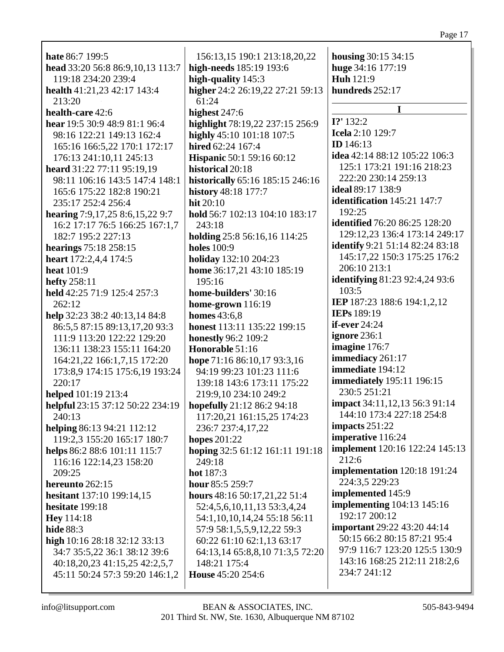| hate 86:7 199:5                  | 156:13,15 190:1 213:18,20,22       | housing 30:15 34:15                    |
|----------------------------------|------------------------------------|----------------------------------------|
| head 33:20 56:8 86:9,10,13 113:7 | high-needs 185:19 193:6            | huge 34:16 177:19                      |
| 119:18 234:20 239:4              | high-quality 145:3                 | Huh 121:9                              |
| health 41:21,23 42:17 143:4      | higher 24:2 26:19,22 27:21 59:13   | hundreds 252:17                        |
| 213:20                           | 61:24                              |                                        |
| health-care 42:6                 | highest $247:6$                    | T                                      |
| hear 19:5 30:9 48:9 81:1 96:4    | highlight 78:19,22 237:15 256:9    | $I$ ?' 132:2                           |
| 98:16 122:21 149:13 162:4        | highly 45:10 101:18 107:5          | <b>Icela</b> 2:10 129:7                |
| 165:16 166:5,22 170:1 172:17     | hired 62:24 167:4                  | <b>ID</b> 146:13                       |
| 176:13 241:10,11 245:13          | <b>Hispanic</b> 50:1 59:16 60:12   | idea 42:14 88:12 105:22 106:3          |
| heard 31:22 77:11 95:19,19       | historical 20:18                   | 125:1 173:21 191:16 218:23             |
| 98:11 106:16 143:5 147:4 148:1   | historically 65:16 185:15 246:16   | 222:20 230:14 259:13                   |
| 165:6 175:22 182:8 190:21        | history 48:18 177:7                | ideal 89:17 138:9                      |
| 235:17 252:4 256:4               | hit $20:10$                        | identification 145:21 147:7            |
| hearing 7:9,17,25 8:6,15,22 9:7  | hold 56:7 102:13 104:10 183:17     | 192:25                                 |
| 16:2 17:17 76:5 166:25 167:1,7   | 243:18                             | <b>identified</b> 76:20 86:25 128:20   |
| 182:7 195:2 227:13               | holding 25:8 56:16,16 114:25       | 129:12,23 136:4 173:14 249:17          |
| hearings 75:18 258:15            | <b>holes</b> 100:9                 | <b>identify</b> 9:21 51:14 82:24 83:18 |
|                                  |                                    | 145:17,22 150:3 175:25 176:2           |
| heart 172:2,4,4 174:5            | holiday 132:10 204:23              | 206:10 213:1                           |
| heat 101:9                       | home 36:17,21 43:10 185:19         | identifying 81:23 92:4,24 93:6         |
| hefty 258:11                     | 195:16                             | 103:5                                  |
| held 42:25 71:9 125:4 257:3      | home-builders' 30:16               | IEP 187:23 188:6 194:1,2,12            |
| 262:12                           | home-grown 116:19                  | IEPs 189:19                            |
| help 32:23 38:2 40:13,14 84:8    | homes $43:6,8$                     |                                        |
| 86:5,5 87:15 89:13,17,20 93:3    | honest 113:11 135:22 199:15        | <b>if-ever</b> 24:24                   |
| 111:9 113:20 122:22 129:20       | <b>honestly 96:2 109:2</b>         | ignore 236:1                           |
| 136:11 138:23 155:11 164:20      | Honorable 51:16                    | imagine 176:7                          |
| 164:21,22 166:1,7,15 172:20      | hope 71:16 86:10,17 93:3,16        | immediacy 261:17                       |
| 173:8,9 174:15 175:6,19 193:24   | 94:19 99:23 101:23 111:6           | immediate 194:12                       |
| 220:17                           | 139:18 143:6 173:11 175:22         | <b>immediately</b> 195:11 196:15       |
| helped 101:19 213:4              | 219:9,10 234:10 249:2              | 230:5 251:21                           |
| helpful 23:15 37:12 50:22 234:19 | hopefully 21:12 86:2 94:18         | impact 34:11,12,13 56:3 91:14          |
| 240:13                           | 117:20,21 161:15,25 174:23         | 144:10 173:4 227:18 254:8              |
| helping 86:13 94:21 112:12       | 236:7 237:4,17,22                  | impacts $251:22$                       |
| 119:2,3 155:20 165:17 180:7      | hopes 201:22                       | imperative 116:24                      |
| helps 86:2 88:6 101:11 115:7     | hoping 32:5 61:12 161:11 191:18    | <b>implement</b> 120:16 122:24 145:13  |
| 116:16 122:14,23 158:20          | 249:18                             | 212:6                                  |
| 209:25                           | hot 187:3                          | <b>implementation</b> 120:18 191:24    |
| hereunto 262:15                  | hour 85:5 259:7                    | 224:3,5 229:23                         |
| <b>hesitant</b> 137:10 199:14,15 | hours 48:16 50:17,21,22 51:4       | implemented 145:9                      |
| hesitate 199:18                  | 52:4,5,6,10,11,13 53:3,4,24        | <b>implementing</b> 104:13 145:16      |
| <b>Hey</b> 114:18                | 54:1, 10, 10, 14, 24 55: 18 56: 11 | 192:17 200:12                          |
| hide 88:3                        | 57:9 58:1,5,5,9,12,22 59:3         | <b>important</b> 29:22 43:20 44:14     |
| high 10:16 28:18 32:12 33:13     | 60:22 61:10 62:1,13 63:17          | 50:15 66:2 80:15 87:21 95:4            |
|                                  | 64:13,14 65:8,8,10 71:3,5 72:20    | 97:9 116:7 123:20 125:5 130:9          |
| 34:7 35:5,22 36:1 38:12 39:6     |                                    | 143:16 168:25 212:11 218:2,6           |
| 40:18,20,23 41:15,25 42:2,5,7    | 148:21 175:4                       | 234:7 241:12                           |
| 45:11 50:24 57:3 59:20 146:1,2   | House 45:20 254:6                  |                                        |
|                                  |                                    |                                        |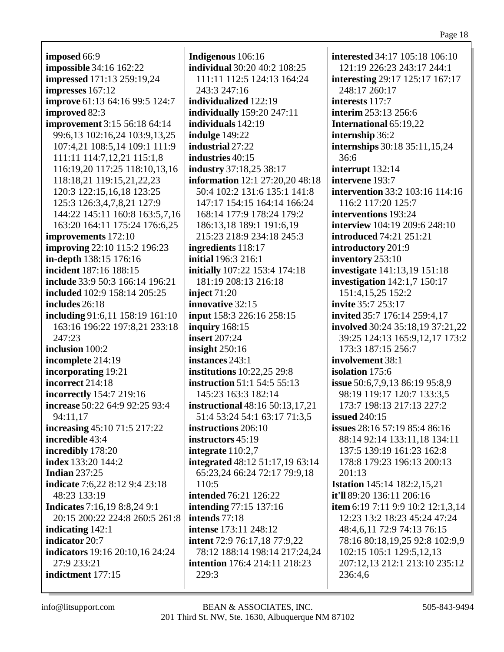**imposed** 66:9 **impossible** 34:16 162:22 **impressed** 171:13 259:19,24 **impresses** 167:12 **improve** 61:13 64:16 99:5 124:7 **improved** 82:3 **improvement** 3:15 56:18 64:14 99:6,13 102:16,24 103:9,13,25 107:4,21 108:5,14 109:1 111:9 111:11 114:7,12,21 115:1,8 116:19,20 117:25 118:10,13,16 118:18,21 119:15,21,22,23 120:3 122:15,16,18 123:25 125:3 126:3,4,7,8,21 127:9 144:22 145:11 160:8 163:5,7,16 163:20 164:11 175:24 176:6,25 **improvements** 172:10 **improving** 22:10 115:2 196:23 **in-depth** 138:15 176:16 **incident** 187:16 188:15 **include** 33:9 50:3 166:14 196:21 **included** 102:9 158:14 205:25 **includes** 26:18 **including** 91:6,11 158:19 161:10 163:16 196:22 197:8,21 233:18 247:23 **inclusion** 100:2 **incomplete** 214:19 **incorporating** 19:21 **incorrect** 214:18 **incorrectly** 154:7 219:16 **increase** 50:22 64:9 92:25 93:4 94:11,17 **increasing** 45:10 71:5 217:22 **incredible** 43:4 **incredibly** 178:20 **index** 133:20 144:2 **Indian** 237:25 **indicate** 7:6,22 8:12 9:4 23:18 48:23 133:19 **Indicates** 7:16,19 8:8,24 9:1 20:15 200:22 224:8 260:5 261:8 **indicating** 142:1 **indicator** 20:7 **indicators** 19:16 20:10,16 24:24 27:9 233:21 **indictment** 177:15

**Indigenous** 106:16 **individual** 30:20 40:2 108:25 111:11 112:5 124:13 164:24 243:3 247:16 **individualized** 122:19 **individually** 159:20 247:11 **individuals** 142:19 **indulge** 149:22 **industrial** 27:22 **industries** 40:15 **industry** 37:18,25 38:17 **information** 12:1 27:20,20 48:18 50:4 102:2 131:6 135:1 141:8 147:17 154:15 164:14 166:24 168:14 177:9 178:24 179:2 186:13,18 189:1 191:6,19 215:23 218:9 234:18 245:3 **ingredients** 118:17 **initial** 196:3 216:1 **initially** 107:22 153:4 174:18 181:19 208:13 216:18 **inject** 71:20 **innovative** 32:15 **input** 158:3 226:16 258:15 **inquiry** 168:15 **insert** 207:24 **insight** 250:16 **instances** 243:1 **institutions** 10:22,25 29:8 **instruction** 51:1 54:5 55:13 145:23 163:3 182:14 **instructional** 48:16 50:13,17,21 51:4 53:24 54:1 63:17 71:3,5 **instructions** 206:10 **instructors** 45:19 **integrate** 110:2,7 **integrated** 48:12 51:17,19 63:14 65:23,24 66:24 72:17 79:9,18 110:5 **intended** 76:21 126:22 **intending** 77:15 137:16 **intends** 77:18 **intense** 173:11 248:12 **intent** 72:9 76:17,18 77:9,22 78:12 188:14 198:14 217:24,24 **intention** 176:4 214:11 218:23 229:3

**interested** 34:17 105:18 106:10 121:19 226:23 243:17 244:1 **interesting** 29:17 125:17 167:17 248:17 260:17 **interests** 117:7 **interim** 253:13 256:6 **International** 65:19,22 **internship** 36:2 **internships** 30:18 35:11,15,24 36:6 **interrupt** 132:14 **intervene** 193:7 **intervention** 33:2 103:16 114:16 116:2 117:20 125:7 **interventions** 193:24 **interview** 104:19 209:6 248:10 **introduced** 74:21 251:21 **introductory** 201:9 **inventory** 253:10 **investigate** 141:13,19 151:18 **investigation** 142:1,7 150:17 151:4,15,25 152:2 **invite** 35:7 253:17 **invited** 35:7 176:14 259:4,17 **involved** 30:24 35:18,19 37:21,22 39:25 124:13 165:9,12,17 173:2 173:3 187:15 256:7 **involvement** 38:1 **isolation** 175:6 **issue** 50:6,7,9,13 86:19 95:8,9 98:19 119:17 120:7 133:3,5 173:7 198:13 217:13 227:2 **issued** 240:15 **issues** 28:16 57:19 85:4 86:16 88:14 92:14 133:11,18 134:11 137:5 139:19 161:23 162:8 178:8 179:23 196:13 200:13 201:13 **Istation** 145:14 182:2,15,21 **it'll** 89:20 136:11 206:16 **item** 6:19 7:11 9:9 10:2 12:1,3,14 12:23 13:2 18:23 45:24 47:24 48:4,6,11 72:9 74:13 76:15 78:16 80:18,19,25 92:8 102:9,9 102:15 105:1 129:5,12,13 207:12,13 212:1 213:10 235:12 236:4,6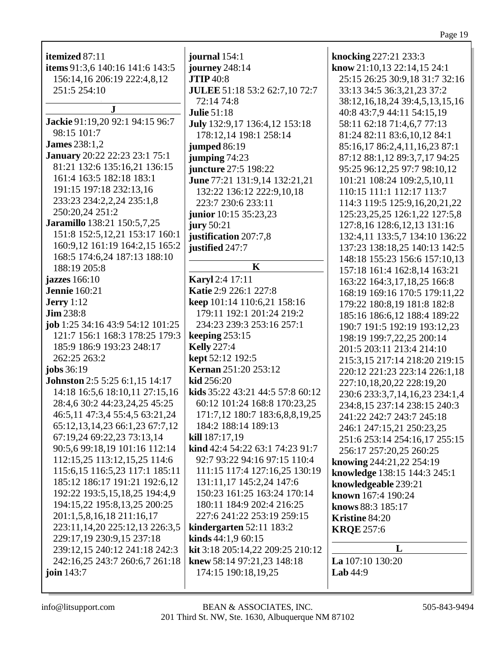| r |  |
|---|--|
|   |  |

| itemized 87:11                       | journal 154:1                    | knocking 227:21 233:3                 |
|--------------------------------------|----------------------------------|---------------------------------------|
| items 91:3,6 140:16 141:6 143:5      | journey 248:14                   | know 21:10,13 22:14,15 24:1           |
| 156:14,16 206:19 222:4,8,12          | <b>JTIP</b> 40:8                 | 25:15 26:25 30:9,18 31:7 32:16        |
| 251:5 254:10                         | JULEE 51:18 53:2 62:7,10 72:7    | 33:13 34:5 36:3,21,23 37:2            |
|                                      | 72:14 74:8                       | 38:12, 16, 18, 24 39:4, 5, 13, 15, 16 |
| $\mathbf{J}$                         | <b>Julie 51:18</b>               | 40:8 43:7,9 44:11 54:15,19            |
| Jackie 91:19,20 92:1 94:15 96:7      | July 132:9,17 136:4,12 153:18    | 58:11 62:18 71:4,6,7 77:13            |
| 98:15 101:7                          | 178:12,14 198:1 258:14           | 81:24 82:11 83:6,10,12 84:1           |
| <b>James</b> 238:1,2                 | <b>jumped</b> 86:19              | 85:16,17 86:2,4,11,16,23 87:1         |
| <b>January</b> 20:22 22:23 23:1 75:1 | jumping $74:23$                  | 87:12 88:1,12 89:3,7,17 94:25         |
| 81:21 132:6 135:16,21 136:15         | juncture 27:5 198:22             | 95:25 96:12,25 97:7 98:10,12          |
| 161:4 163:5 182:18 183:1             | June 77:21 131:9,14 132:21,21    | 101:21 108:24 109:2,5,10,11           |
| 191:15 197:18 232:13,16              | 132:22 136:12 222:9,10,18        | 110:15 111:1 112:17 113:7             |
| 233:23 234:2,2,24 235:1,8            | 223:7 230:6 233:11               | 114:3 119:5 125:9,16,20,21,22         |
| 250:20,24 251:2                      | junior 10:15 35:23,23            | 125:23,25,25 126:1,22 127:5,8         |
| Jaramillo 138:21 150:5,7,25          | jury $50:21$                     | 127:8,16 128:6,12,13 131:16           |
| 151:8 152:5, 12, 21 153: 17 160: 1   | justification 207:7,8            | 132:4,11 133:5,7 134:10 136:22        |
| 160:9,12 161:19 164:2,15 165:2       | justified 247:7                  | 137:23 138:18,25 140:13 142:5         |
| 168:5 174:6,24 187:13 188:10         |                                  | 148:18 155:23 156:6 157:10,13         |
| 188:19 205:8                         | $\mathbf K$                      | 157:18 161:4 162:8,14 163:21          |
| jazzes 166:10                        | <b>Karyl</b> 2:4 17:11           | 163:22 164:3,17,18,25 166:8           |
| <b>Jennie</b> 160:21                 | Katie 2:9 226:1 227:8            | 168:19 169:16 170:5 179:11,22         |
| <b>Jerry</b> 1:12                    | keep 101:14 110:6,21 158:16      | 179:22 180:8,19 181:8 182:8           |
| <b>Jim 238:8</b>                     | 179:11 192:1 201:24 219:2        | 185:16 186:6,12 188:4 189:22          |
| job 1:25 34:16 43:9 54:12 101:25     | 234:23 239:3 253:16 257:1        | 190:7 191:5 192:19 193:12,23          |
| 121:7 156:1 168:3 178:25 179:3       | keeping $253:15$                 | 198:19 199:7,22,25 200:14             |
| 185:9 186:9 193:23 248:17            | <b>Kelly</b> 227:4               | 201:5 203:11 213:4 214:10             |
| 262:25 263:2                         | kept 52:12 192:5                 | 215:3,15 217:14 218:20 219:15         |
| jobs 36:19                           | <b>Kernan 251:20 253:12</b>      | 220:12 221:23 223:14 226:1,18         |
| Johnston 2:5 5:25 6:1,15 14:17       | kid 256:20                       | 227:10,18,20,22 228:19,20             |
| 14:18 16:5,6 18:10,11 27:15,16       | kids 35:22 43:21 44:5 57:8 60:12 | 230:6 233:3,7,14,16,23 234:1,4        |
| 28:4,6 30:2 44:23,24,25 45:25        | 60:12 101:24 168:8 170:23,25     | 234:8,15 237:14 238:15 240:3          |
| 46:5,11 47:3,4 55:4,5 63:21,24       | 171:7,12 180:7 183:6,8,8,19,25   | 241:22 242:7 243:7 245:18             |
| 65:12,13,14,23 66:1,23 67:7,12       | 184:2 188:14 189:13              | 246:1 247:15,21 250:23,25             |
| 67:19,24 69:22,23 73:13,14           | <b>kill</b> $187:17,19$          | 251:6 253:14 254:16,17 255:15         |
| 90:5,6 99:18,19 101:16 112:14        | kind 42:4 54:22 63:1 74:23 91:7  | 256:17 257:20,25 260:25               |
| 112:15,25 113:12,15,25 114:6         | 92:7 93:22 94:16 97:15 110:4     | knowing 244:21,22 254:19              |
| 115:6, 15 116:5, 23 117:1 185:11     | 111:15 117:4 127:16,25 130:19    | knowledge 138:15 144:3 245:1          |
| 185:12 186:17 191:21 192:6,12        | 131:11,17 145:2,24 147:6         | knowledgeable 239:21                  |
| 192:22 193:5, 15, 18, 25 194:4, 9    | 150:23 161:25 163:24 170:14      | known 167:4 190:24                    |
| 194:15,22 195:8,13,25 200:25         | 180:11 184:9 202:4 216:25        | knows 88:3 185:17                     |
| 201:1,5,8,16,18 211:16,17            | 227:6 241:22 253:19 259:15       | Kristine 84:20                        |
| 223:11, 14, 20 225:12, 13 226:3, 5   | kindergarten $52:11$ 183:2       | <b>KRQE</b> 257:6                     |
| 229:17,19 230:9,15 237:18            | <b>kinds</b> $44:1,960:15$       |                                       |
| 239:12,15 240:12 241:18 242:3        | kit 3:18 205:14,22 209:25 210:12 | L                                     |
| 242:16,25 243:7 260:6,7 261:18       | knew 58:14 97:21,23 148:18       | La 107:10 130:20                      |
| join $143:7$                         | 174:15 190:18,19,25              | Lab $44:9$                            |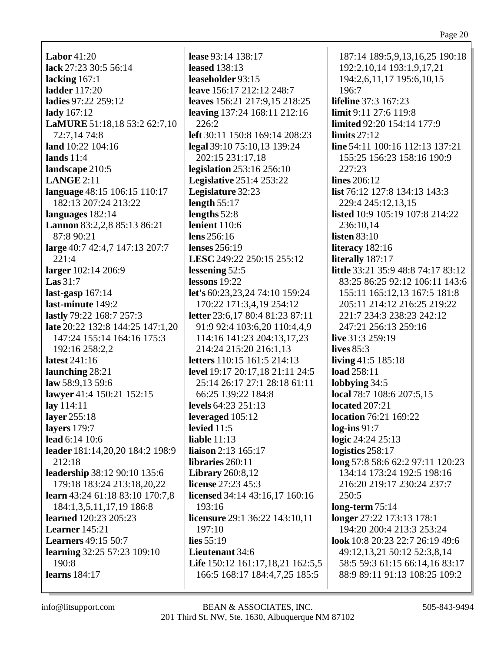Labor  $41:20$ lack 27:23 30:5 56:14 lacking  $167:1$ **ladder** 117:20 ladies 97:22 259:12 lady 167:12 LaMURE 51:18,18 53:2 62:7,10 72:7.14 74:8 land  $10:22$   $104:16$ lands  $11:4$ landscape 210:5  $LANGE 2:11$ language 48:15 106:15 110:17 182:13 207:24 213:22 languages 182:14 Lannon 83:2,2,8 85:13 86:21 87:8 90:21 large 40:7 42:4,7 147:13 207:7  $221:4$ larger 102:14 206:9 Las  $31:7$ last-gasp  $167:14$ last-minute 149:2 **lastly** 79:22 168:7 257:3 late 20:22 132:8 144:25 147:1,20 147:24 155:14 164:16 175:3 192:16 258:2.2 latest 241:16 launching 28:21 law 58:9,13 59:6 lawyer 41:4 150:21 152:15  $\ln y$  114:11 layer 255:18 lavers  $179:7$ lead 6:14 10:6 leader 181:14,20,20 184:2 198:9  $212:18$ **leadership** 38:12 90:10 135:6 179:18 183:24 213:18,20,22 learn 43:24 61:18 83:10 170:7,8 184:1,3,5,11,17,19 186:8 learned 120:23 205:23 **Learner** 145:21 **Learners** 49:15 50:7 learning 32:25 57:23 109:10  $190.8$ learns  $184:17$ 

lease 93:14 138:17 leased  $138:13$ leaseholder 93:15 leave 156:17 212:12 248:7 leaves 156:21 217:9,15 218:25 leaving 137:24 168:11 212:16  $226:2$ left 30:11 150:8 169:14 208:23 legal 39:10 75:10,13 139:24 202:15 231:17,18 **legislation** 253:16 256:10 **Legislative** 251:4 253:22 Legislature 32:23 length  $55:17$ lengths  $52:8$ lenient  $110:6$ lens  $256:16$ lenses  $256:19$ LESC 249:22 250:15 255:12 lessening  $52:5$ lessons  $19:22$ let's 60:23,23,24 74:10 159:24 170:22 171:3.4.19 254:12 **letter** 23:6,17 80:4 81:23 87:11 91:9 92:4 103:6,20 110:4,4,9 114:16 141:23 204:13,17,23 214:24 215:20 216:1,13 **letters** 110:15 161:5 214:13 level 19:17 20:17,18 21:11 24:5 25:14 26:17 27:1 28:18 61:11 66:25 139:22 184:8 levels  $64:23$   $251:13$ leveraged 105:12 levied  $11:5$ liable  $11:13$ liaison  $2:13$  165:17 libraries 260:11 **Library** 260:8,12 **license** 27:23 45:3 licensed 34:14 43:16,17 160:16  $193:16$ licensure 29:1 36:22 143:10,11 197:10 lies  $55:19$ Lieutenant 34:6 Life 150:12 161:17,18,21 162:5,5 166:5 168:17 184:4,7,25 185:5

187:14 189:5,9,13,16,25 190:18 192:2, 10, 14 193:1, 9, 17, 21 194:2,6,11,17 195:6,10,15 196:7 **lifeline** 37:3 167:23 limit 9:11 27:6 119:8 **limited** 92:20 154:14 177:9 limits  $27:12$ line 54:11 100:16 112:13 137:21 155:25 156:23 158:16 190:9  $227:23$ lines  $206:12$ **list** 76:12 127:8 134:13 143:3 229:4 245:12,13,15 **listed** 10:9 105:19 107:8 214:22 236:10.14 listen  $83:10$ literacy  $182:16$ literally 187:17 little 33:21 35:9 48:8 74:17 83:12 83:25 86:25 92:12 106:11 143:6 155:11 165:12,13 167:5 181:8 205:11 214:12 216:25 219:22 221:7 234:3 238:23 242:12 247:21 256:13 259:16 live 31:3 259:19 lives  $85:3$ living  $41:5$  185:18 load 258:11 lobbying  $34:5$ local 78:7 108:6 207:5,15 located  $207:21$ **location** 76:21 169:22  $log-ins 91:7$ logic  $24:24$   $25:13$ logistics  $258:17$ long 57:8 58:6 62:2 97:11 120:23 134:14 173:24 192:5 198:16 216:20 219:17 230:24 237:7  $250:5$ long-term  $75:14$ longer 27:22 173:13 178:1 194:20 200:4 213:3 253:24 look 10:8 20:23 22:7 26:19 49:6 49:12,13,21 50:12 52:3,8,14 58:5 59:3 61:15 66:14,16 83:17 88:9 89:11 91:13 108:25 109:2

info@litsupport.com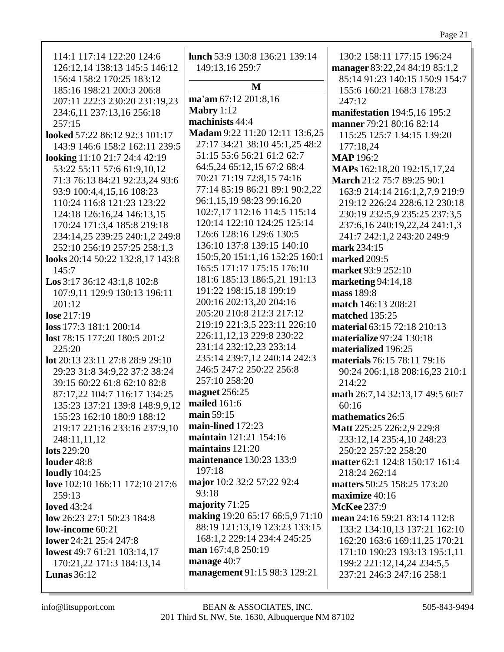| 114:1 117:14 122:20 124:6        | lunch 53:9 130:8 136:21 139:14  | 130:2 158:11 177:15 196:24      |
|----------------------------------|---------------------------------|---------------------------------|
| 126:12,14 138:13 145:5 146:12    | 149:13,16 259:7                 | manager 83:22,24 84:19 85:1,2   |
| 156:4 158:2 170:25 183:12        |                                 | 85:14 91:23 140:15 150:9 154:7  |
| 185:16 198:21 200:3 206:8        | M                               | 155:6 160:21 168:3 178:23       |
| 207:11 222:3 230:20 231:19,23    | ma'am 67:12 201:8,16            | 247:12                          |
| 234:6,11 237:13,16 256:18        | Mabry $1:12$                    | manifestation 194:5,16 195:2    |
| 257:15                           | machinists 44:4                 | manner 79:21 80:16 82:14        |
| looked 57:22 86:12 92:3 101:17   | Madam 9:22 11:20 12:11 13:6,25  | 115:25 125:7 134:15 139:20      |
| 143:9 146:6 158:2 162:11 239:5   | 27:17 34:21 38:10 45:1,25 48:2  | 177:18,24                       |
| looking 11:10 21:7 24:4 42:19    | 51:15 55:6 56:21 61:2 62:7      | <b>MAP</b> 196:2                |
|                                  | 64:5,24 65:12,15 67:2 68:4      |                                 |
| 53:22 55:11 57:6 61:9,10,12      | 70:21 71:19 72:8,15 74:16       | MAPs 162:18,20 192:15,17,24     |
| 71:3 76:13 84:21 92:23,24 93:6   | 77:14 85:19 86:21 89:1 90:2,22  | March 21:2 75:7 89:25 90:1      |
| 93:9 100:4,4,15,16 108:23        |                                 | 163:9 214:14 216:1,2,7,9 219:9  |
| 110:24 116:8 121:23 123:22       | 96:1,15,19 98:23 99:16,20       | 219:12 226:24 228:6,12 230:18   |
| 124:18 126:16,24 146:13,15       | 102:7,17 112:16 114:5 115:14    | 230:19 232:5,9 235:25 237:3,5   |
| 170:24 171:3,4 185:8 219:18      | 120:14 122:10 124:25 125:14     | 237:6,16 240:19,22,24 241:1,3   |
| 234:14,25 239:25 240:1,2 249:8   | 126:6 128:16 129:6 130:5        | 241:7 242:1,2 243:20 249:9      |
| 252:10 256:19 257:25 258:1,3     | 136:10 137:8 139:15 140:10      | mark 234:15                     |
| looks 20:14 50:22 132:8,17 143:8 | 150:5,20 151:1,16 152:25 160:1  | marked 209:5                    |
| 145:7                            | 165:5 171:17 175:15 176:10      | market 93:9 252:10              |
| Los 3:17 36:12 43:1,8 102:8      | 181:6 185:13 186:5,21 191:13    | marketing $94:14,18$            |
| 107:9,11 129:9 130:13 196:11     | 191:22 198:15,18 199:19         | mass 189:8                      |
| 201:12                           | 200:16 202:13,20 204:16         | match 146:13 208:21             |
| lose 217:19                      | 205:20 210:8 212:3 217:12       | <b>matched</b> 135:25           |
| loss 177:3 181:1 200:14          | 219:19 221:3,5 223:11 226:10    | material 63:15 72:18 210:13     |
| lost 78:15 177:20 180:5 201:2    | 226:11,12,13 229:8 230:22       | materialize 97:24 130:18        |
| 225:20                           | 231:14 232:12,23 233:14         | materialized 196:25             |
| lot 20:13 23:11 27:8 28:9 29:10  | 235:14 239:7,12 240:14 242:3    | materials 76:15 78:11 79:16     |
| 29:23 31:8 34:9,22 37:2 38:24    | 246:5 247:2 250:22 256:8        | 90:24 206:1,18 208:16,23 210:1  |
| 39:15 60:22 61:8 62:10 82:8      | 257:10 258:20                   | 214:22                          |
| 87:17,22 104:7 116:17 134:25     | magnet 256:25                   | math 26:7,14 32:13,17 49:5 60:7 |
| 135:23 137:21 139:8 148:9,9,12   | mailed 161:6                    | 60:16                           |
| 155:23 162:10 180:9 188:12       | main 59:15                      | mathematics 26:5                |
| 219:17 221:16 233:16 237:9,10    | main-lined 172:23               | Matt 225:25 226:2,9 229:8       |
| 248:11,11,12                     | maintain 121:21 154:16          | 233:12,14 235:4,10 248:23       |
| <b>lots</b> 229:20               | maintains $121:20$              | 250:22 257:22 258:20            |
| louder 48:8                      | maintenance 130:23 133:9        | matter 62:1 124:8 150:17 161:4  |
| <b>loudly</b> 104:25             | 197:18                          | 218:24 262:14                   |
| love 102:10 166:11 172:10 217:6  | major 10:2 32:2 57:22 92:4      | matters 50:25 158:25 173:20     |
| 259:13                           | 93:18                           | maximize 40:16                  |
| <b>loved</b> 43:24               | majority 71:25                  | <b>McKee</b> 237:9              |
| low 26:23 27:1 50:23 184:8       | making 19:20 65:17 66:5,9 71:10 | mean 24:16 59:21 83:14 112:8    |
| low-income 60:21                 | 88:19 121:13,19 123:23 133:15   | 133:2 134:10,13 137:21 162:10   |
| lower 24:21 25:4 247:8           | 168:1,2 229:14 234:4 245:25     | 162:20 163:6 169:11,25 170:21   |
| lowest 49:7 61:21 103:14,17      | man 167:4,8 250:19              | 171:10 190:23 193:13 195:1,11   |
| 170:21,22 171:3 184:13,14        | manage 40:7                     | 199:2 221:12,14,24 234:5,5      |
| Lunas $36:12$                    | management 91:15 98:3 129:21    | 237:21 246:3 247:16 258:1       |
|                                  |                                 |                                 |
|                                  |                                 |                                 |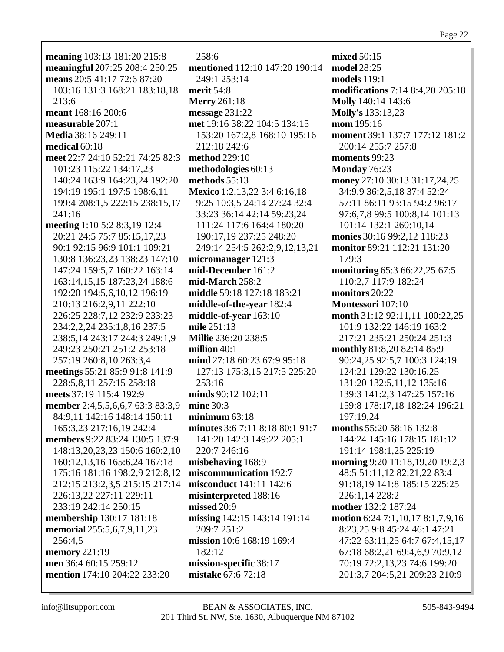| meaning 103:13 181:20 215:8                                      | 258:6                           | mixed 50:15                      |
|------------------------------------------------------------------|---------------------------------|----------------------------------|
| meaningful 207:25 208:4 250:25                                   | mentioned 112:10 147:20 190:14  | model 28:25                      |
| means 20:5 41:17 72:6 87:20                                      | 249:1 253:14                    | models 119:1                     |
| 103:16 131:3 168:21 183:18,18                                    | merit 54:8                      | modifications 7:14 8:4,20 205:18 |
| 213:6                                                            | <b>Merry</b> 261:18             | <b>Molly</b> 140:14 143:6        |
| meant 168:16 200:6                                               | message $231:22$                | Molly's 133:13,23                |
| measurable 207:1                                                 | met 19:16 38:22 104:5 134:15    | mom 195:16                       |
| Media 38:16 249:11                                               | 153:20 167:2,8 168:10 195:16    | moment 39:1 137:7 177:12 181:2   |
| medical $60:18$                                                  | 212:18 242:6                    | 200:14 255:7 257:8               |
| meet 22:7 24:10 52:21 74:25 82:3                                 | method 229:10                   | moments 99:23                    |
| 101:23 115:22 134:17,23                                          | methodologies 60:13             | Monday 76:23                     |
| 140:24 163:9 164:23,24 192:20                                    | methods $55:13$                 | money 27:10 30:13 31:17,24,25    |
| 194:19 195:1 197:5 198:6,11                                      | Mexico 1:2,13,22 3:4 6:16,18    | 34:9,9 36:2,5,18 37:4 52:24      |
| 199:4 208:1,5 222:15 238:15,17                                   | 9:25 10:3,5 24:14 27:24 32:4    | 57:11 86:11 93:15 94:2 96:17     |
| 241:16                                                           | 33:23 36:14 42:14 59:23,24      | 97:6,7,8 99:5 100:8,14 101:13    |
| meeting 1:10 5:2 8:3,19 12:4                                     | 111:24 117:6 164:4 180:20       | 101:14 132:1 260:10,14           |
| 20:21 24:5 75:7 85:15,17,23                                      | 190:17,19 237:25 248:20         | monies 30:16 99:2,12 118:23      |
| 90:1 92:15 96:9 101:1 109:21                                     | 249:14 254:5 262:2,9,12,13,21   | monitor 89:21 112:21 131:20      |
| 130:8 136:23,23 138:23 147:10                                    | micromanager 121:3              | 179:3                            |
| 147:24 159:5,7 160:22 163:14                                     | mid-December 161:2              | monitoring 65:3 66:22,25 67:5    |
| 163:14,15,15 187:23,24 188:6                                     | mid-March 258:2                 | 110:2,7 117:9 182:24             |
| 192:20 194:5,6,10,12 196:19                                      | middle 59:18 127:18 183:21      | monitors 20:22                   |
| 210:13 216:2,9,11 222:10                                         | middle-of-the-year 182:4        | Montessori 107:10                |
| 226:25 228:7,12 232:9 233:23                                     | middle-of-year 163:10           | month 31:12 92:11,11 100:22,25   |
| 234:2,2,24 235:1,8,16 237:5                                      | mile 251:13                     | 101:9 132:22 146:19 163:2        |
| 238:5,14 243:17 244:3 249:1,9                                    | Millie 236:20 238:5             | 217:21 235:21 250:24 251:3       |
| 249:23 250:21 251:2 253:18                                       | million $40:1$                  | monthly 81:8,20 82:14 85:9       |
|                                                                  | mind 27:18 60:23 67:9 95:18     | 90:24,25 92:5,7 100:3 124:19     |
| 257:19 260:8,10 263:3,4                                          |                                 | 124:21 129:22 130:16,25          |
| meetings 55:21 85:9 91:8 141:9                                   | 127:13 175:3,15 217:5 225:20    |                                  |
| 228:5,8,11 257:15 258:18                                         | 253:16                          | 131:20 132:5,11,12 135:16        |
| meets 37:19 115:4 192:9                                          | minds 90:12 102:11              | 139:3 141:2,3 147:25 157:16      |
| member 2:4,5,5,6,6,7 63:3 83:3,9<br>84:9,11 142:16 148:14 150:11 | mine $30:3$<br>minimum $63:18$  | 159:8 178:17,18 182:24 196:21    |
|                                                                  |                                 | 197:19,24                        |
| 165:3,23 217:16,19 242:4                                         | minutes 3:6 7:11 8:18 80:1 91:7 | months 55:20 58:16 132:8         |
| members 9:22 83:24 130:5 137:9                                   | 141:20 142:3 149:22 205:1       | 144:24 145:16 178:15 181:12      |
| 148:13,20,23,23 150:6 160:2,10                                   | 220:7 246:16                    | 191:14 198:1,25 225:19           |
| 160:12,13,16 165:6,24 167:18                                     | misbehaving 168:9               | morning 9:20 11:18,19,20 19:2,3  |
| 175:16 181:16 198:2,9 212:8,12                                   | miscommunication 192:7          | 48:5 51:11,12 82:21,22 83:4      |
| 212:15 213:2,3,5 215:15 217:14                                   | misconduct 141:11 142:6         | 91:18,19 141:8 185:15 225:25     |
| 226:13,22 227:11 229:11                                          | misinterpreted 188:16           | 226:1,14 228:2                   |
| 233:19 242:14 250:15                                             | missed 20:9                     | mother 132:2 187:24              |
| membership 130:17 181:18                                         | missing 142:15 143:14 191:14    | motion 6:24 7:1,10,17 8:1,7,9,16 |
| memorial 255:5,6,7,9,11,23                                       | 209:7 251:2                     | 8:23,25 9:8 45:24 46:1 47:21     |
| 256:4,5                                                          | mission 10:6 168:19 169:4       | 47:22 63:11,25 64:7 67:4,15,17   |
| memory $221:19$                                                  | 182:12                          | 67:18 68:2,21 69:4,6,9 70:9,12   |
| men 36:4 60:15 259:12                                            | mission-specific 38:17          | 70:19 72:2,13,23 74:6 199:20     |
| mention 174:10 204:22 233:20                                     | mistake 67:6 72:18              | 201:3,7 204:5,21 209:23 210:9    |
|                                                                  |                                 |                                  |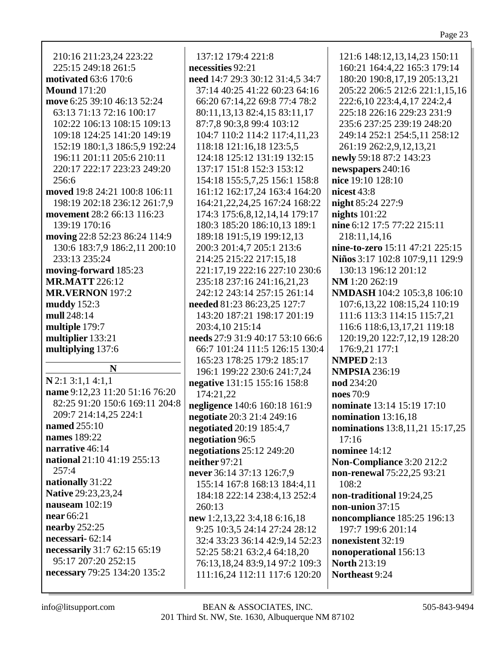| 137:12 179:4 221:8               | 121:6 148:12,13,14,23 150:11    |
|----------------------------------|---------------------------------|
| necessities 92:21                | 160:21 164:4,22 165:3 179:14    |
| need 14:7 29:3 30:12 31:4,5 34:7 | 180:20 190:8,17,19 205:13,21    |
| 37:14 40:25 41:22 60:23 64:16    | 205:22 206:5 212:6 221:1,15,16  |
| 66:20 67:14,22 69:8 77:4 78:2    | 222:6,10 223:4,4,17 224:2,4     |
|                                  |                                 |
| 80:11,13,13 82:4,15 83:11,17     | 225:18 226:16 229:23 231:9      |
| 87:7,8 90:3,8 99:4 103:12        | 235:6 237:25 239:19 248:20      |
| 104:7 110:2 114:2 117:4,11,23    | 249:14 252:1 254:5,11 258:12    |
| 118:18 121:16,18 123:5,5         | 261:19 262:2,9,12,13,21         |
| 124:18 125:12 131:19 132:15      | newly 59:18 87:2 143:23         |
| 137:17 151:8 152:3 153:12        | newspapers 240:16               |
| 154:18 155:5,7,25 156:1 158:8    | nice 19:10 128:10               |
| 161:12 162:17,24 163:4 164:20    | nicest $43:8$                   |
| 164:21,22,24,25 167:24 168:22    | night 85:24 227:9               |
| 174:3 175:6,8,12,14,14 179:17    | nights $101:22$                 |
| 180:3 185:20 186:10,13 189:1     | nine 6:12 17:5 77:22 215:11     |
| 189:18 191:5,19 199:12,13        | 218:11,14,16                    |
| 200:3 201:4,7 205:1 213:6        | nine-to-zero 15:11 47:21 225:15 |
| 214:25 215:22 217:15,18          | Niños 3:17 102:8 107:9,11 129:9 |
| 221:17,19 222:16 227:10 230:6    | 130:13 196:12 201:12            |
| 235:18 237:16 241:16,21,23       | NM 1:20 262:19                  |
| 242:12 243:14 257:15 261:14      | NMDASH 104:2 105:3,8 106:10     |
| needed 81:23 86:23,25 127:7      | 107:6,13,22 108:15,24 110:19    |
| 143:20 187:21 198:17 201:19      | 111:6 113:3 114:15 115:7,21     |
| 203:4,10 215:14                  | 116:6 118:6,13,17,21 119:18     |
| needs 27:9 31:9 40:17 53:10 66:6 | 120:19,20 122:7,12,19 128:20    |
| 66:7 101:24 111:5 126:15 130:4   | 176:9,21 177:1                  |
| 165:23 178:25 179:2 185:17       | <b>NMPED 2:13</b>               |
| 196:1 199:22 230:6 241:7,24      | <b>NMPSIA 236:19</b>            |
| negative 131:15 155:16 158:8     | nod 234:20                      |
| 174:21,22                        | noes 70:9                       |
| negligence 140:6 160:18 161:9    | nominate 13:14 15:19 17:10      |
| negotiate 20:3 21:4 249:16       | nomination 13:16,18             |
| negotiated 20:19 185:4,7         | nominations 13:8,11,21 15:17,25 |
| negotiation 96:5                 | 17:16                           |
| negotiations 25:12 249:20        | nominee 14:12                   |
| neither 97:21                    | Non-Compliance 3:20 212:2       |
|                                  |                                 |

214:25 215:22 217:15,18 221:17,19 222:16 227:10 230:6 235:18 237:16 241:16,21,23 242:12 243:14 257:15 261:14 needed 81:23 86:23.25 127:7 143:20 187:21 198:17 201:19 needs 27:9 31:9 40:17 53:10 66:6 66:7 101:24 111:5 126:15 130:4 165:23 178:25 179:2 185:17 196:1 199:22 230:6 241:7,24 negative 131:15 155:16 158:8 negligence 140:6 160:18 161:9 negotiate 20:3 21:4 249:16 **negotiated** 20:19 185:4,7 negotiations  $25:12$  249:20 never 36:14 37:13 126:7,9 **non-renewal** 75:22,25 93:21 155:14 167:8 168:13 184:4.11 108:2 non-traditional 19:24,25 184:18 222:14 238:4,13 252:4 non-union  $37:15$ noncompliance 185:25 196:13 new 1:2,13,22 3:4,18 6:16,18 197:7 199:6 201:14 9:25 10:3,5 24:14 27:24 28:12 32:4 33:23 36:14 42:9.14 52:23 nonexistent 32:19 52:25 58:21 63:2,4 64:18,20 nonoperational 156:13 **North 213:19** 76:13,18,24 83:9,14 97:2 109:3 111:16,24 112:11 117:6 120:20 Northeast 9:24

210:16 211:23,24 223:22 225:15 249:18 261:5 **motivated** 63:6 170:6 **Mound** 171:20 move 6:25 39:10 46:13 52:24 63:13 71:13 72:16 100:17 102:22 106:13 108:15 109:13 109:18 124:25 141:20 149:19 152:19 180:1,3 186:5,9 192:24 196:11 201:11 205:6 210:11 220:17 222:17 223:23 249:20  $256:6$ moved 19:8 24:21 100:8 106:11 198:19 202:18 236:12 261:7,9 movement 28:2 66:13 116:23 139:19 170:16 moving 22:8 52:23 86:24 114:9 130:6 183:7,9 186:2,11 200:10 233:13 235:24 moving-forward 185:23 **MR.MATT** 226:12 **MR.VERNON** 197:2 muddy  $152:3$ mull 248:14 multiple 179:7 multiplier 133:21 multiplying 137:6 N  $N$  2:1 3:1,1 4:1,1 name 9:12,23 11:20 51:16 76:20 82:25 91:20 150:6 169:11 204:8 209:7 214:14,25 224:1 **named** 255:10 names 189:22 narrative 46:14 national 21:10 41:19 255:13  $257:4$ nationally 31:22 **Native 29:23,23,24** nauseam  $102:19$ near 66:21 nearby  $252:25$ necessari -  $62:14$ necessarily 31:7 62:15 65:19 95:17 207:20 252:15 necessary 79:25 134:20 135:2

info@litsupport.com

BEAN & ASSOCIATES, INC. 201 Third St. NW, Ste. 1630, Albuquerque NM 87102

260:13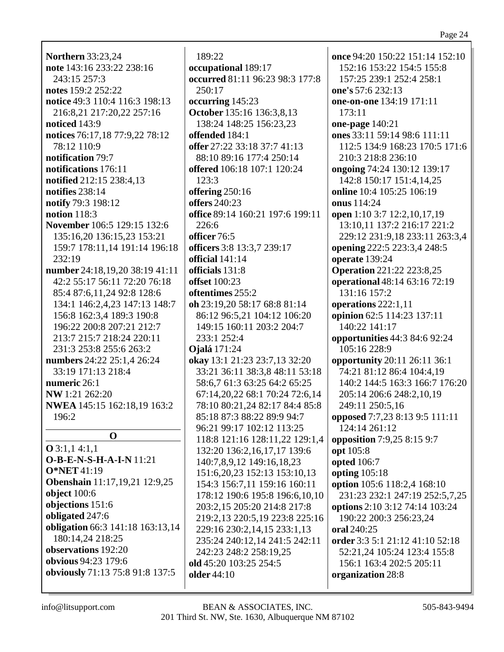**Northern** 33:23,24 **note** 143:16 233:22 238:16 243:15 257:3 **notes** 159:2 252:22 **notice** 49:3 110:4 116:3 198:13 216:8,21 217:20,22 257:16 **noticed** 143:9 **notices** 76:17,18 77:9,22 78:12 78:12 110:9 **notification** 79:7 **notifications** 176:11 **notified** 212:15 238:4,13 **notifies** 238:14 **notify** 79:3 198:12 **notion** 118:3 **November** 106:5 129:15 132:6 135:16,20 136:15,23 153:21 159:7 178:11,14 191:14 196:18 232:19 **number** 24:18,19,20 38:19 41:11 42:2 55:17 56:11 72:20 76:18 85:4 87:6,11,24 92:8 128:6 134:1 146:2,4,23 147:13 148:7 156:8 162:3,4 189:3 190:8 196:22 200:8 207:21 212:7 213:7 215:7 218:24 220:11 231:3 253:8 255:6 263:2 **numbers** 24:22 25:1,4 26:24 33:19 171:13 218:4 **numeric** 26:1 **NW** 1:21 262:20 **NWEA** 145:15 162:18,19 163:2 196:2 **O O** 3:1,1 4:1,1 **O-B-E-N-S-H-A-I-N** 11:21 **O\*NET** 41:19 **Obenshain** 11:17,19,21 12:9,25 **object** 100:6 **objections** 151:6 **obligated** 247:6 **obligation** 66:3 141:18 163:13,14 180:14,24 218:25 **observations** 192:20 **obvious** 94:23 179:6 **obviously** 71:13 75:8 91:8 137:5

189:22 **occupational** 189:17 **occurred** 81:11 96:23 98:3 177:8 250:17 **occurring** 145:23 **October** 135:16 136:3,8,13 138:24 148:25 156:23,23 **offended** 184:1 **offer** 27:22 33:18 37:7 41:13 88:10 89:16 177:4 250:14 **offered** 106:18 107:1 120:24  $123:3$ **offering** 250:16 **offers** 240:23 **office** 89:14 160:21 197:6 199:11 226:6 **officer** 76:5 **officers** 3:8 13:3,7 239:17 **official** 141:14 **officials** 131:8 **offset** 100:23 **oftentimes** 255:2 **oh** 23:19,20 58:17 68:8 81:14 86:12 96:5,21 104:12 106:20 149:15 160:11 203:2 204:7 233:1 252:4 **Ojalá** 171:24 **okay** 13:1 21:23 23:7,13 32:20 33:21 36:11 38:3,8 48:11 53:18 58:6,7 61:3 63:25 64:2 65:25 67:14,20,22 68:1 70:24 72:6,14 78:10 80:21,24 82:17 84:4 85:8 85:18 87:3 88:22 89:9 94:7 96:21 99:17 102:12 113:25 118:8 121:16 128:11,22 129:1,4 132:20 136:2,16,17,17 139:6 140:7,8,9,12 149:16,18,23 151:6,20,23 152:13 153:10,13 154:3 156:7,11 159:16 160:11 178:12 190:6 195:8 196:6,10,10 203:2,15 205:20 214:8 217:8 219:2,13 220:5,19 223:8 225:16 229:16 230:2,14,15 233:1,13 235:24 240:12,14 241:5 242:11 242:23 248:2 258:19,25 **old** 45:20 103:25 254:5 **older** 44:10

**once** 94:20 150:22 151:14 152:10 152:16 153:22 154:5 155:8 157:25 239:1 252:4 258:1 **one's** 57:6 232:13 **one-on-one** 134:19 171:11 173:11 **one-page** 140:21 **ones** 33:11 59:14 98:6 111:11 112:5 134:9 168:23 170:5 171:6 210:3 218:8 236:10 **ongoing** 74:24 130:12 139:17 142:8 150:17 151:4,14,25 **online** 10:4 105:25 106:19 **onus** 114:24 **open** 1:10 3:7 12:2,10,17,19 13:10,11 137:2 216:17 221:2 229:12 231:9,18 233:11 263:3,4 **opening** 222:5 223:3,4 248:5 **operate** 139:24 **Operation** 221:22 223:8,25 **operational** 48:14 63:16 72:19 131:16 157:2 **operations** 222:1,11 **opinion** 62:5 114:23 137:11 140:22 141:17 **opportunities** 44:3 84:6 92:24 105:16 228:9 **opportunity** 20:11 26:11 36:1 74:21 81:12 86:4 104:4,19 140:2 144:5 163:3 166:7 176:20 205:14 206:6 248:2,10,19 249:11 250:5,16 **opposed** 7:7,23 8:13 9:5 111:11 124:14 261:12 **opposition** 7:9,25 8:15 9:7 **opt** 105:8 **opted** 106:7 **opting** 105:18 **option** 105:6 118:2,4 168:10 231:23 232:1 247:19 252:5,7,25 **options** 2:10 3:12 74:14 103:24 190:22 200:3 256:23,24 **oral** 240:25 **order** 3:3 5:1 21:12 41:10 52:18 52:21,24 105:24 123:4 155:8 156:1 163:4 202:5 205:11 **organization** 28:8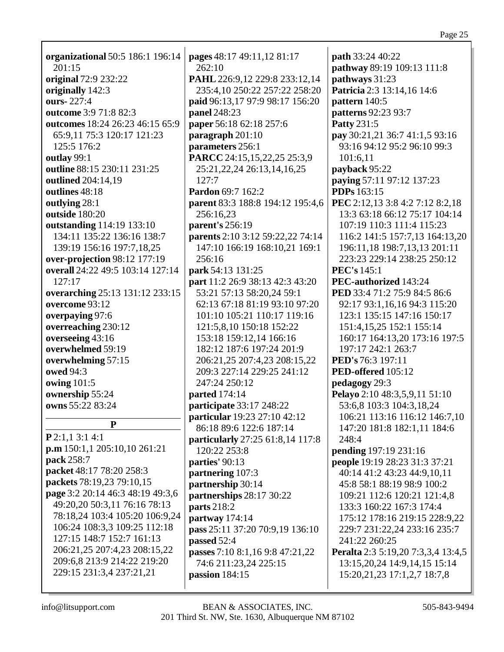| organizational 50:5 186:1 196:14 | pages 48:17 49:11,12 81:17       | <b>path</b> 33:24 40:22            |
|----------------------------------|----------------------------------|------------------------------------|
| 201:15                           | 262:10                           | pathway 89:19 109:13 111:8         |
| original 72:9 232:22             | PAHL 226:9,12 229:8 233:12,14    | pathways 31:23                     |
|                                  | 235:4,10 250:22 257:22 258:20    |                                    |
| originally 142:3<br>ours-227:4   |                                  | Patricia 2:3 13:14,16 14:6         |
|                                  | paid 96:13,17 97:9 98:17 156:20  | pattern 140:5                      |
| outcome 3:9 71:8 82:3            | panel 248:23                     | patterns 92:23 93:7                |
| outcomes 18:24 26:23 46:15 65:9  | paper 56:18 62:18 257:6          | <b>Patty 231:5</b>                 |
| 65:9,11 75:3 120:17 121:23       | paragraph 201:10                 | pay 30:21,21 36:7 41:1,5 93:16     |
| 125:5 176:2                      | parameters 256:1                 | 93:16 94:12 95:2 96:10 99:3        |
| outlay 99:1                      | PARCC 24:15,15,22,25 25:3,9      | 101:6,11                           |
| outline 88:15 230:11 231:25      | 25:21, 22, 24 26:13, 14, 16, 25  | payback 95:22                      |
| outlined 204:14,19               | 127:7                            | paying 57:11 97:12 137:23          |
| outlines 48:18                   | Pardon 69:7 162:2                | <b>PDPs</b> 163:15                 |
| outlying 28:1                    | parent 83:3 188:8 194:12 195:4,6 | PEC 2:12,13 3:8 4:2 7:12 8:2,18    |
| outside 180:20                   | 256:16,23                        | 13:3 63:18 66:12 75:17 104:14      |
| outstanding 114:19 133:10        | parent's 256:19                  | 107:19 110:3 111:4 115:23          |
| 134:11 135:22 136:16 138:7       | parents 2:10 3:12 59:22,22 74:14 | 116:2 141:5 157:7,13 164:13,20     |
| 139:19 156:16 197:7,18,25        | 147:10 166:19 168:10,21 169:1    | 196:11,18 198:7,13,13 201:11       |
| over-projection 98:12 177:19     | 256:16                           | 223:23 229:14 238:25 250:12        |
| overall 24:22 49:5 103:14 127:14 | park 54:13 131:25                | <b>PEC's</b> 145:1                 |
| 127:17                           | part 11:2 26:9 38:13 42:3 43:20  | PEC-authorized 143:24              |
| overarching 25:13 131:12 233:15  | 53:21 57:13 58:20,24 59:1        | PED 33:4 71:2 75:9 84:5 86:6       |
| overcome 93:12                   | 62:13 67:18 81:19 93:10 97:20    | 92:17 93:1,16,16 94:3 115:20       |
| overpaying 97:6                  | 101:10 105:21 110:17 119:16      | 123:1 135:15 147:16 150:17         |
| overreaching 230:12              | 121:5,8,10 150:18 152:22         | 151:4, 15, 25 152:1 155:14         |
| overseeing 43:16                 | 153:18 159:12,14 166:16          | 160:17 164:13,20 173:16 197:5      |
| overwhelmed 59:19                | 182:12 187:6 197:24 201:9        | 197:17 242:1 263:7                 |
| overwhelming 57:15               | 206:21,25 207:4,23 208:15,22     | PED's 76:3 197:11                  |
| owed 94:3                        | 209:3 227:14 229:25 241:12       | PED-offered 105:12                 |
| owing 101:5                      | 247:24 250:12                    | pedagogy 29:3                      |
| ownership 55:24                  | <b>parted</b> 174:14             | Pelayo 2:10 48:3,5,9,11 51:10      |
| owns 55:22 83:24                 | participate 33:17 248:22         | 53:6,8 103:3 104:3,18,24           |
|                                  | particular 19:23 27:10 42:12     | 106:21 113:16 116:12 146:7,10      |
| P                                | 86:18 89:6 122:6 187:14          | 147:20 181:8 182:1,11 184:6        |
| P2:1,13:14:1                     | particularly 27:25 61:8,14 117:8 | 248:4                              |
| p.m 150:1, 1 205:10, 10 261:21   |                                  |                                    |
| pack 258:7                       | 120:22 253:8                     | pending 197:19 231:16              |
| packet 48:17 78:20 258:3         | parties' 90:13                   | people 19:19 28:23 31:3 37:21      |
| packets 78:19,23 79:10,15        | partnering 107:3                 | 40:14 41:2 43:23 44:9,10,11        |
| page 3:2 20:14 46:3 48:19 49:3,6 | partnership 30:14                | 45:8 58:1 88:19 98:9 100:2         |
| 49:20,20 50:3,11 76:16 78:13     | partnerships 28:17 30:22         | 109:21 112:6 120:21 121:4,8        |
| 78:18,24 103:4 105:20 106:9,24   | <b>parts</b> 218:2               | 133:3 160:22 167:3 174:4           |
|                                  | partway 174:14                   | 175:12 178:16 219:15 228:9,22      |
| 106:24 108:3,3 109:25 112:18     | pass 25:11 37:20 70:9,19 136:10  | 229:7 231:22,24 233:16 235:7       |
| 127:15 148:7 152:7 161:13        | passed 52:4                      | 241:22 260:25                      |
| 206:21,25 207:4,23 208:15,22     | passes 7:10 8:1,16 9:8 47:21,22  | Peralta 2:3 5:19,20 7:3,3,4 13:4,5 |
| 209:6,8 213:9 214:22 219:20      | 74:6 211:23,24 225:15            | 13:15,20,24 14:9,14,15 15:14       |
| 229:15 231:3,4 237:21,21         | passion $184:15$                 | 15:20, 21, 23 17:1, 2, 7 18:7, 8   |
|                                  |                                  |                                    |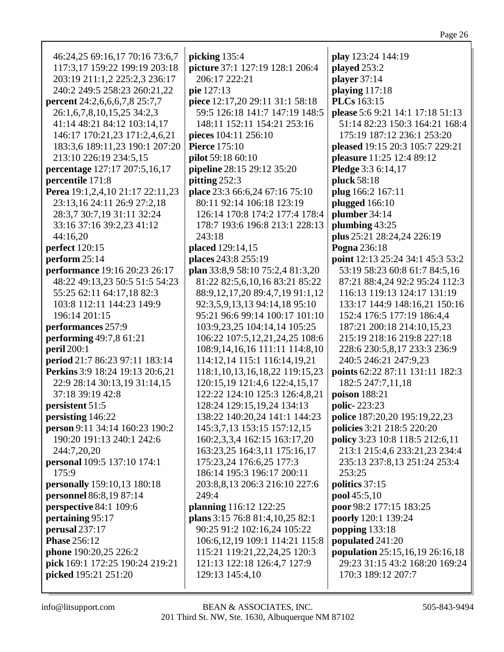| r.<br>u<br>1<br>u. |  |
|--------------------|--|
|                    |  |

| 46:24,25 69:16,17 70:16 73:6,7     | picking 135:4                         | play 123:24 144:19                     |
|------------------------------------|---------------------------------------|----------------------------------------|
| 117:3,17 159:22 199:19 203:18      | picture 37:1 127:19 128:1 206:4       | played 253:2                           |
| 203:19 211:1,2 225:2,3 236:17      | 206:17 222:21                         | player $37:14$                         |
| 240:2 249:5 258:23 260:21,22       | pie 127:13                            | playing 117:18                         |
| percent 24:2,6,6,6,7,8 25:7,7      | piece 12:17,20 29:11 31:1 58:18       | <b>PLCs</b> 163:15                     |
| 26:1,6,7,8,10,15,25 34:2,3         | 59:5 126:18 141:7 147:19 148:5        | please 5:6 9:21 14:1 17:18 51:13       |
| 41:14 48:21 84:12 103:14,17        | 148:11 152:11 154:21 253:16           | 51:14 82:23 150:3 164:21 168:4         |
| 146:17 170:21,23 171:2,4,6,21      | pieces 104:11 256:10                  | 175:19 187:12 236:1 253:20             |
| 183:3,6 189:11,23 190:1 207:20     | <b>Pierce</b> 175:10                  | pleased 19:15 20:3 105:7 229:21        |
| 213:10 226:19 234:5,15             | pilot 59:18 60:10                     | pleasure 11:25 12:4 89:12              |
| percentage 127:17 207:5,16,17      | pipeline 28:15 29:12 35:20            | Pledge 3:3 6:14,17                     |
| percentile 171:8                   | pitting 252:3                         | pluck 58:18                            |
| Perea 19:1,2,4,10 21:17 22:11,23   | place 23:3 66:6,24 67:16 75:10        | plug 166:2 167:11                      |
| 23:13,16 24:11 26:9 27:2,18        | 80:11 92:14 106:18 123:19             | plugged 166:10                         |
| 28:3,7 30:7,19 31:11 32:24         | 126:14 170:8 174:2 177:4 178:4        | plumber 34:14                          |
| 33:16 37:16 39:2,23 41:12          | 178:7 193:6 196:8 213:1 228:13        | plumbing 43:25                         |
| 44:16,20                           | 243:18                                | plus 25:21 28:24,24 226:19             |
| perfect 120:15                     | placed 129:14,15                      | Pogna 236:18                           |
| perform $25:14$                    | places 243:8 255:19                   | point 12:13 25:24 34:1 45:3 53:2       |
| performance 19:16 20:23 26:17      | plan 33:8,9 58:10 75:2,4 81:3,20      | 53:19 58:23 60:8 61:7 84:5,16          |
| 48:22 49:13,23 50:5 51:5 54:23     | 81:22 82:5,6,10,16 83:21 85:22        | 87:21 88:4,24 92:2 95:24 112:3         |
| 55:25 62:11 64:17,18 82:3          | 88:9,12,17,20 89:4,7,19 91:1,12       | 116:13 119:13 124:17 131:19            |
| 103:8 112:11 144:23 149:9          | 92:3,5,9,13,13 94:14,18 95:10         | 133:17 144:9 148:16,21 150:16          |
| 196:14 201:15                      | 95:21 96:6 99:14 100:17 101:10        | 152:4 176:5 177:19 186:4,4             |
| performances 257:9                 | 103:9,23,25 104:14,14 105:25          | 187:21 200:18 214:10,15,23             |
| performing 49:7,8 61:21            | 106:22 107:5,12,21,24,25 108:6        | 215:19 218:16 219:8 227:18             |
| <b>peril</b> 200:1                 | 108:9,14,16,16 111:11 114:8,10        | 228:6 230:5,8,17 233:3 236:9           |
| period 21:7 86:23 97:11 183:14     | 114:12,14 115:1 116:14,19,21          | 240:5 246:21 247:9,23                  |
| Perkins 3:9 18:24 19:13 20:6,21    | 118:1, 10, 13, 16, 18, 22 119: 15, 23 | points 62:22 87:11 131:11 182:3        |
| 22:9 28:14 30:13,19 31:14,15       | 120:15,19 121:4,6 122:4,15,17         | 182:5 247:7,11,18                      |
|                                    |                                       |                                        |
| 37:18 39:19 42:8                   | 122:22 124:10 125:3 126:4,8,21        | poison 188:21                          |
| persistent 51:5                    | 128:24 129:15,19,24 134:13            | polic-223:23                           |
| persisting 146:22                  | 138:22 140:20,24 141:1 144:23         | police 187:20,20 195:19,22,23          |
| person 9:11 34:14 160:23 190:2     | 145:3,7,13 153:15 157:12,15           | policies 3:21 218:5 220:20             |
| 190:20 191:13 240:1 242:6          | 160:2,3,3,4 162:15 163:17,20          | policy 3:23 10:8 118:5 212:6,11        |
| 244:7,20,20                        | 163:23,25 164:3,11 175:16,17          | 213:1 215:4,6 233:21,23 234:4          |
| <b>personal</b> 109:5 137:10 174:1 | 175:23,24 176:6,25 177:3              | 235:13 237:8,13 251:24 253:4           |
| 175:9                              | 186:14 195:3 196:17 200:11            | 253:25                                 |
| personally 159:10,13 180:18        | 203:8,8,13 206:3 216:10 227:6         | politics 37:15                         |
| personnel 86:8,19 87:14            | 249:4                                 | pool 45:5,10                           |
| perspective 84:1 109:6             | planning 116:12 122:25                | poor 98:2 177:15 183:25                |
| pertaining 95:17                   | plans 3:15 76:8 81:4, 10, 25 82:1     | poorly 120:1 139:24                    |
| perusal 237:17                     | 90:25 91:2 102:16,24 105:22           | popping 133:18                         |
| <b>Phase 256:12</b>                | 106:6, 12, 19 109:1 114: 21 115: 8    | populated 241:20                       |
| phone 190:20,25 226:2              | 115:21 119:21, 22, 24, 25 120:3       | <b>population</b> 25:15,16,19 26:16,18 |
| pick 169:1 172:25 190:24 219:21    | 121:13 122:18 126:4,7 127:9           | 29:23 31:15 43:2 168:20 169:24         |
| picked 195:21 251:20               | 129:13 145:4,10                       | 170:3 189:12 207:7                     |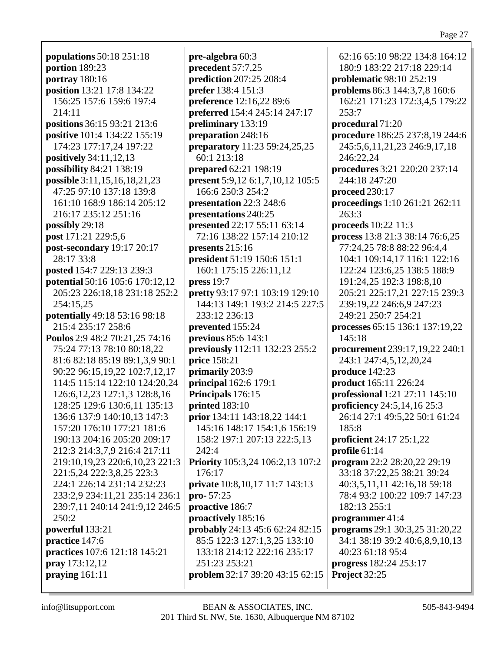**populations** 50:18 251:18 **portion** 189:23 **portray** 180:16 **position** 13:21 17:8 134:22 156:25 157:6 159:6 197:4 214:11 **positions** 36:15 93:21 213:6 **positive** 101:4 134:22 155:19 174:23 177:17,24 197:22 **positively** 34:11,12,13 **possibility** 84:21 138:19 **possible** 3:11,15,16,18,21,23 47:25 97:10 137:18 139:8 161:10 168:9 186:14 205:12 216:17 235:12 251:16 **possibly** 29:18 **post** 171:21 229:5,6 **post-secondary** 19:17 20:17 28:17 33:8 **posted** 154:7 229:13 239:3 **potential** 50:16 105:6 170:12,12 205:23 226:18,18 231:18 252:2 254:15,25 **potentially** 49:18 53:16 98:18 215:4 235:17 258:6 **Poulos** 2:9 48:2 70:21,25 74:16 75:24 77:13 78:10 80:18,22 81:6 82:18 85:19 89:1,3,9 90:1 90:22 96:15,19,22 102:7,12,17 114:5 115:14 122:10 124:20,24 126:6,12,23 127:1,3 128:8,16 128:25 129:6 130:6,11 135:13 136:6 137:9 140:10,13 147:3 157:20 176:10 177:21 181:6 190:13 204:16 205:20 209:17 212:3 214:3,7,9 216:4 217:11 219:10,19,23 220:6,10,23 221:3 221:5,24 222:3,8,25 223:3 224:1 226:14 231:14 232:23 233:2,9 234:11,21 235:14 236:1 239:7,11 240:14 241:9,12 246:5  $250:2$ **powerful** 133:21 **practice** 147:6 **practices** 107:6 121:18 145:21 **pray** 173:12,12 **praying** 161:11

**pre-algebra** 60:3 **precedent** 57:7,25 **prediction** 207:25 208:4 **prefer** 138:4 151:3 **preference** 12:16,22 89:6 **preferred** 154:4 245:14 247:17 **preliminary** 133:19 **preparation** 248:16 **preparatory** 11:23 59:24,25,25 60:1 213:18 **prepared** 62:21 198:19 **present** 5:9,12 6:1,7,10,12 105:5 166:6 250:3 254:2 **presentation** 22:3 248:6 **presentations** 240:25 **presented** 22:17 55:11 63:14 72:16 138:22 157:14 210:12 **presents** 215:16 **president** 51:19 150:6 151:1 160:1 175:15 226:11,12 **press** 19:7 **pretty** 93:17 97:1 103:19 129:10 144:13 149:1 193:2 214:5 227:5 233:12 236:13 **prevented** 155:24 **previous** 85:6 143:1 **previously** 112:11 132:23 255:2 **price** 158:21 **primarily** 203:9 **principal** 162:6 179:1 **Principals** 176:15 **printed** 183:10 **prior** 134:11 143:18,22 144:1 145:16 148:17 154:1,6 156:19 158:2 197:1 207:13 222:5,13 242:4 **Priority** 105:3,24 106:2,13 107:2 176:17 **private** 10:8,10,17 11:7 143:13 **pro-** 57:25 **proactive** 186:7 **proactively** 185:16 **probably** 24:13 45:6 62:24 82:15 85:5 122:3 127:1,3,25 133:10 133:18 214:12 222:16 235:17 251:23 253:21 **problem** 32:17 39:20 43:15 62:15

62:16 65:10 98:22 134:8 164:12 180:9 183:22 217:18 229:14 **problematic** 98:10 252:19 **problems** 86:3 144:3,7,8 160:6 162:21 171:23 172:3,4,5 179:22 253:7 **procedural** 71:20 **procedure** 186:25 237:8,19 244:6 245:5,6,11,21,23 246:9,17,18 246:22,24 **procedures** 3:21 220:20 237:14 244:18 247:20 **proceed** 230:17 **proceedings** 1:10 261:21 262:11 263:3 **proceeds** 10:22 11:3 **process** 13:8 21:3 38:14 76:6,25 77:24,25 78:8 88:22 96:4,4 104:1 109:14,17 116:1 122:16 122:24 123:6,25 138:5 188:9 191:24,25 192:3 198:8,10 205:21 225:17,21 227:15 239:3 239:19,22 246:6,9 247:23 249:21 250:7 254:21 **processes** 65:15 136:1 137:19,22 145:18 **procurement** 239:17,19,22 240:1 243:1 247:4,5,12,20,24 **produce** 142:23 **product** 165:11 226:24 **professional** 1:21 27:11 145:10 **proficiency** 24:5,14,16 25:3 26:14 27:1 49:5,22 50:1 61:24 185:8 **proficient** 24:17 25:1,22 **profile** 61:14 **program** 22:2 28:20,22 29:19 33:18 37:22,25 38:21 39:24 40:3,5,11,11 42:16,18 59:18 78:4 93:2 100:22 109:7 147:23 182:13 255:1 **programmer** 41:4 **programs** 29:1 30:3,25 31:20,22 34:1 38:19 39:2 40:6,8,9,10,13 40:23 61:18 95:4 **progress** 182:24 253:17 **Project** 32:25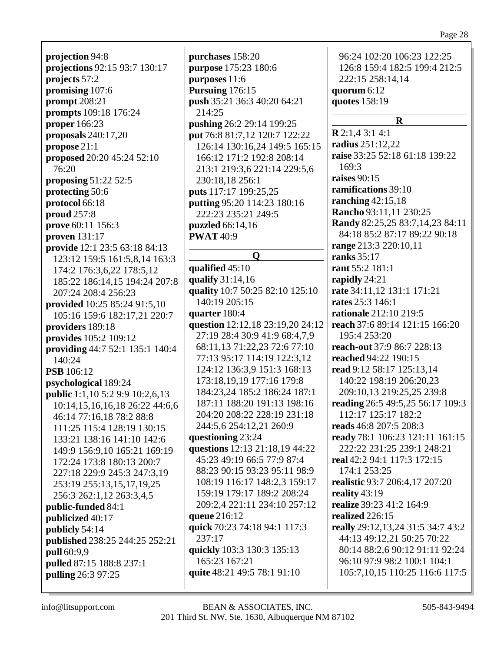**projection** 94:8 **projections** 92:15 93:7 130:17 **projects** 57:2 **promising** 107:6 **prompt** 208:21 **prompts** 109:18 176:24 **proper** 166:23 **proposals** 240:17,20 **propose** 21:1 **proposed** 20:20 45:24 52:10 76:20 **proposing** 51:22 52:5 **protecting** 50:6 **protocol** 66:18 **proud** 257:8 **prove** 60:11 156:3 **proven** 131:17 **provide** 12:1 23:5 63:18 84:13 123:12 159:5 161:5,8,14 163:3 174:2 176:3,6,22 178:5,12 185:22 186:14,15 194:24 207:8 207:24 208:4 256:23 **provided** 10:25 85:24 91:5,10 105:16 159:6 182:17,21 220:7 **providers** 189:18 **provides** 105:2 109:12 **providing** 44:7 52:1 135:1 140:4 140:24 **PSB** 106:12 **psychological** 189:24 **public** 1:1,10 5:2 9:9 10:2,6,13 10:14,15,16,16,18 26:22 44:6,6 46:14 77:16,18 78:2 88:8 111:25 115:4 128:19 130:15 133:21 138:16 141:10 142:6 149:9 156:9,10 165:21 169:19 172:24 173:8 180:13 200:7 227:18 229:9 245:3 247:3,19 253:19 255:13,15,17,19,25 256:3 262:1,12 263:3,4,5 **public-funded** 84:1 **publicized** 40:17 **publicly** 54:14 **published** 238:25 244:25 252:21 **pull** 60:9,9 **pulled** 87:15 188:8 237:1 **pulling** 26:3 97:25

**purchases** 158:20 **purpose** 175:23 180:6 **purposes** 11:6 **Pursuing** 176:15 **push** 35:21 36:3 40:20 64:21 214:25 **pushing** 26:2 29:14 199:25 **put** 76:8 81:7,12 120:7 122:22 126:14 130:16,24 149:5 165:15 166:12 171:2 192:8 208:14 213:1 219:3,6 221:14 229:5,6 230:18,18 256:1 **puts** 117:17 199:25,25 **putting** 95:20 114:23 180:16 222:23 235:21 249:5 **puzzled** 66:14,16 **PWAT** 40:9 **Q qualified** 45:10 **qualify** 31:14,16 **quality** 10:7 50:25 82:10 125:10 140:19 205:15 **quarter** 180:4 **question** 12:12,18 23:19,20 24:12 27:19 28:4 30:9 41:9 68:4,7,9 68:11,13 71:22,23 72:6 77:10 77:13 95:17 114:19 122:3,12 124:12 136:3,9 151:3 168:13 173:18,19,19 177:16 179:8 184:23,24 185:2 186:24 187:1 187:11 188:20 191:13 198:16 204:20 208:22 228:19 231:18 244:5,6 254:12,21 260:9 **questioning** 23:24 **questions** 12:13 21:18,19 44:22 45:23 49:19 66:5 77:9 87:4 88:23 90:15 93:23 95:11 98:9 108:19 116:17 148:2,3 159:17 159:19 179:17 189:2 208:24 209:2,4 221:11 234:10 257:12 **queue** 216:12 **quick** 70:23 74:18 94:1 117:3 237:17 **quickly** 103:3 130:3 135:13 165:23 167:21 **quite** 48:21 49:5 78:1 91:10

96:24 102:20 106:23 122:25 126:8 159:4 182:5 199:4 212:5 222:15 258:14,14 **quorum** 6:12 **quotes** 158:19 **R R** 2:1,4 3:1 4:1 **radius** 251:12,22 **raise** 33:25 52:18 61:18 139:22 169:3 **raises** 90:15 **ramifications** 39:10 **ranching** 42:15,18 **Rancho** 93:11,11 230:25 **Randy** 82:25,25 83:7,14,23 84:11 84:18 85:2 87:17 89:22 90:18 **range** 213:3 220:10,11 **ranks** 35:17 **rant** 55:2 181:1 **rapidly** 24:21 **rate** 34:11,12 131:1 171:21 **rates** 25:3 146:1 **rationale** 212:10 219:5 **reach** 37:6 89:14 121:15 166:20 195:4 253:20 **reach-out** 37:9 86:7 228:13 **reached** 94:22 190:15 **read** 9:12 58:17 125:13,14 140:22 198:19 206:20,23 209:10,13 219:25,25 239:8 **reading** 26:5 49:5,25 56:17 109:3 112:17 125:17 182:2 **reads** 46:8 207:5 208:3 **ready** 78:1 106:23 121:11 161:15 222:22 231:25 239:1 248:21 **real** 42:2 94:1 117:3 172:15 174:1 253:25 **realistic** 93:7 206:4,17 207:20 **reality** 43:19 **realize** 39:23 41:2 164:9 **realized** 226:15 **really** 29:12,13,24 31:5 34:7 43:2 44:13 49:12,21 50:25 70:22 80:14 88:2,6 90:12 91:11 92:24 96:10 97:9 98:2 100:1 104:1 105:7,10,15 110:25 116:6 117:5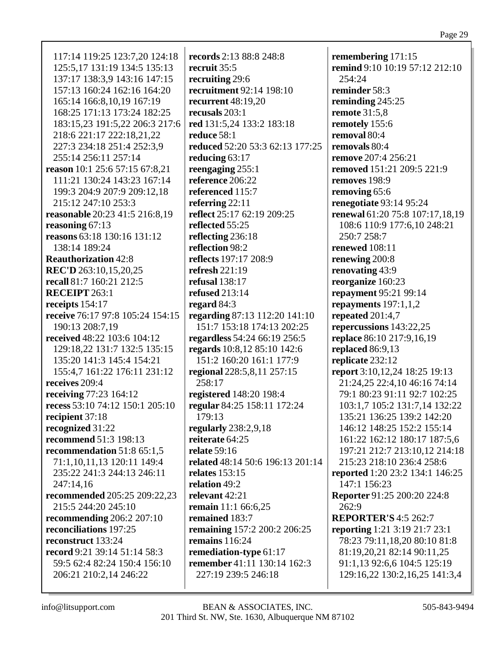| 117:14 119:25 123:7,20 124:18    | records 2:13 88:8 248:8                            | remembering 171:15                   |
|----------------------------------|----------------------------------------------------|--------------------------------------|
| 125:5, 17 131:19 134:5 135:13    | recruit 35:5                                       | remind 9:10 10:19 57:12 212:10       |
| 137:17 138:3,9 143:16 147:15     | recruiting 29:6                                    | 254:24                               |
| 157:13 160:24 162:16 164:20      | recruitment 92:14 198:10                           | reminder 58:3                        |
| 165:14 166:8,10,19 167:19        | recurrent $48:19,20$                               | reminding 245:25                     |
| 168:25 171:13 173:24 182:25      | recusals $203:1$                                   | <b>remote</b> 31:5,8                 |
| 183:15,23 191:5,22 206:3 217:6   | red 131:5,24 133:2 183:18                          | remotely 155:6                       |
| 218:6 221:17 222:18,21,22        | reduce 58:1                                        | removal 80:4                         |
| 227:3 234:18 251:4 252:3,9       | reduced 52:20 53:3 62:13 177:25                    | removals 80:4                        |
| 255:14 256:11 257:14             | reducing $63:17$                                   | remove 207:4 256:21                  |
| reason 10:1 25:6 57:15 67:8,21   | reengaging 255:1                                   | removed 151:21 209:5 221:9           |
| 111:21 130:24 143:23 167:14      | reference 206:22                                   | removes 198:9                        |
| 199:3 204:9 207:9 209:12,18      | referenced 115:7                                   | removing 65:6                        |
| 215:12 247:10 253:3              | referring 22:11                                    | renegotiate 93:14 95:24              |
| reasonable 20:23 41:5 216:8,19   | reflect 25:17 62:19 209:25                         | renewal 61:20 75:8 107:17,18,19      |
| reasoning 67:13                  | reflected 55:25                                    | 108:6 110:9 177:6,10 248:21          |
| reasons 63:18 130:16 131:12      |                                                    | 250:7 258:7                          |
| 138:14 189:24                    | reflecting 236:18<br>reflection 98:2               | renewed 108:11                       |
|                                  |                                                    |                                      |
| <b>Reauthorization 42:8</b>      | reflects 197:17 208:9                              | renewing 200:8                       |
| REC'D 263:10,15,20,25            | refresh $221:19$                                   | renovating 43:9                      |
| recall 81:7 160:21 212:5         | <b>refusal</b> 138:17                              | reorganize 160:23                    |
| <b>RECEIPT</b> 263:1             | <b>refused</b> 213:14                              | repayment 95:21 99:14                |
| receipts $154:17$                | regard $84:3$                                      | repayments $197:1,1,2$               |
| receive 76:17 97:8 105:24 154:15 | regarding 87:13 112:20 141:10                      | repeated 201:4,7                     |
| 190:13 208:7,19                  | 151:7 153:18 174:13 202:25                         | repercussions 143:22,25              |
| received 48:22 103:6 104:12      | regardless 54:24 66:19 256:5                       | replace 86:10 217:9,16,19            |
| 129:18,22 131:7 132:5 135:15     | regards 10:8,12 85:10 142:6                        | replaced 86:9,13                     |
| 135:20 141:3 145:4 154:21        | 151:2 160:20 161:1 177:9                           | replicate 232:12                     |
| 155:4,7 161:22 176:11 231:12     | regional 228:5,8,11 257:15                         | report 3:10,12,24 18:25 19:13        |
| receives 209:4                   | 258:17                                             | 21:24,25 22:4,10 46:16 74:14         |
| receiving 77:23 164:12           | registered 148:20 198:4                            | 79:1 80:23 91:11 92:7 102:25         |
| recess 53:10 74:12 150:1 205:10  | regular 84:25 158:11 172:24                        | 103:1,7 105:2 131:7,14 132:22        |
| recipient 37:18                  | 179:13                                             | 135:21 136:25 139:2 142:20           |
| recognized 31:22                 | regularly $238:2,9,18$                             | 146:12 148:25 152:2 155:14           |
| <b>recommend</b> 51:3 198:13     | reiterate 64:25                                    | 161:22 162:12 180:17 187:5,6         |
| recommendation $51:865:1,5$      | <b>relate</b> 59:16                                | 197:21 212:7 213:10,12 214:18        |
| 71:1,10,11,13 120:11 149:4       | related 48:14 50:6 196:13 201:14                   | 215:23 218:10 236:4 258:6            |
| 235:22 241:3 244:13 246:11       | relates $153:15$                                   | reported 1:20 23:2 134:1 146:25      |
| 247:14,16                        | relation 49:2                                      | 147:1 156:23                         |
| recommended 205:25 209:22,23     | relevant 42:21                                     | Reporter 91:25 200:20 224:8          |
| 215:5 244:20 245:10              | <b>remain</b> 11:1 66:6,25                         | 262:9                                |
| recommending $206:2 207:10$      | remained 183:7                                     | <b>REPORTER'S 4:5 262:7</b>          |
| reconciliations 197:25           | remaining 157:2 200:2 206:25                       | <b>reporting</b> 1:21 3:19 21:7 23:1 |
| reconstruct 133:24               | remains $116:24$                                   | 78:23 79:11,18,20 80:10 81:8         |
| record 9:21 39:14 51:14 58:3     |                                                    | 81:19,20,21 82:14 90:11,25           |
|                                  | remediation-type 61:17                             |                                      |
| 59:5 62:4 82:24 150:4 156:10     | remember 41:11 130:14 162:3<br>227:19 239:5 246:18 | 91:1,13 92:6,6 104:5 125:19          |
| 206:21 210:2,14 246:22           |                                                    | 129:16,22 130:2,16,25 141:3,4        |
|                                  |                                                    |                                      |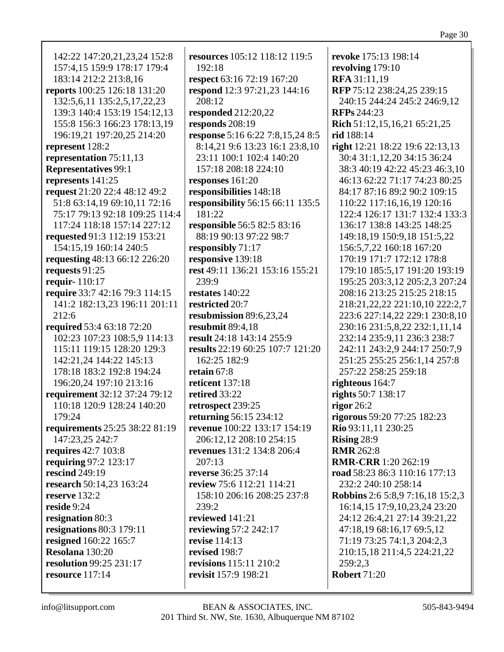142:22 147:20,21,23,24 152:8 157:4,15 159:9 178:17 179:4 183:14 212:2 213:8,16 **reports** 100:25 126:18 131:20 132:5,6,11 135:2,5,17,22,23 139:3 140:4 153:19 154:12,13 155:8 156:3 166:23 178:13,19 196:19,21 197:20,25 214:20 **represent** 128:2 **representation** 75:11,13 **Representatives** 99:1 **represents** 141:25 **request** 21:20 22:4 48:12 49:2 51:8 63:14,19 69:10,11 72:16 75:17 79:13 92:18 109:25 114:4 117:24 118:18 157:14 227:12 **requested** 91:3 112:19 153:21 154:15,19 160:14 240:5 **requesting** 48:13 66:12 226:20 **requests** 91:25 **requir-** 110:17 **require** 33:7 42:16 79:3 114:15 141:2 182:13,23 196:11 201:11 212:6 **required** 53:4 63:18 72:20 102:23 107:23 108:5,9 114:13 115:11 119:15 128:20 129:3 142:21,24 144:22 145:13 178:18 183:2 192:8 194:24 196:20,24 197:10 213:16 **requirement** 32:12 37:24 79:12 110:18 120:9 128:24 140:20 179:24 **requirements** 25:25 38:22 81:19 147:23,25 242:7 **requires** 42:7 103:8 **requiring** 97:2 123:17 **rescind** 249:19 **research** 50:14,23 163:24 **reserve** 132:2 **reside** 9:24 **resignation** 80:3 **resignations** 80:3 179:11 **resigned** 160:22 165:7 **Resolana** 130:20 **resolution** 99:25 231:17 **resource** 117:14

**resources** 105:12 118:12 119:5 192:18 **respect** 63:16 72:19 167:20 **respond** 12:3 97:21,23 144:16 208:12 **responded** 212:20,22 **responds** 208:19 **response** 5:16 6:22 7:8,15,24 8:5 8:14,21 9:6 13:23 16:1 23:8,10 23:11 100:1 102:4 140:20 157:18 208:18 224:10 **responses** 161:20 **responsibilities** 148:18 **responsibility** 56:15 66:11 135:5 181:22 **responsible** 56:5 82:5 83:16 88:19 90:13 97:22 98:7 **responsibly** 71:17 **responsive** 139:18 **rest** 49:11 136:21 153:16 155:21 239:9 **restates** 140:22 **restricted** 20:7 **resubmission** 89:6,23,24 **resubmit** 89:4,18 **result** 24:18 143:14 255:9 **results** 22:19 60:25 107:7 121:20 162:25 182:9 **retain** 67:8 **reticent** 137:18 **retired** 33:22 **retrospect** 239:25 **returning** 56:15 234:12 **revenue** 100:22 133:17 154:19 206:12,12 208:10 254:15 **revenues** 131:2 134:8 206:4  $207:13$ **reverse** 36:25 37:14 **review** 75:6 112:21 114:21 158:10 206:16 208:25 237:8 239:2 **reviewed** 141:21 **reviewing** 57:2 242:17 **revise** 114:13 **revised** 198:7 **revisions** 115:11 210:2 **revisit** 157:9 198:21

**revoke** 175:13 198:14 **revolving** 179:10 **RFA** 31:11,19 **RFP** 75:12 238:24,25 239:15 240:15 244:24 245:2 246:9,12 **RFPs** 244:23 **Rich** 51:12,15,16,21 65:21,25 **rid** 188:14 **right** 12:21 18:22 19:6 22:13,13 30:4 31:1,12,20 34:15 36:24 38:3 40:19 42:22 45:23 46:3,10 46:13 62:22 71:17 74:23 80:25 84:17 87:16 89:2 90:2 109:15 110:22 117:16,16,19 120:16 122:4 126:17 131:7 132:4 133:3 136:17 138:8 143:25 148:25 149:18,19 150:9,18 151:5,22 156:5,7,22 160:18 167:20 170:19 171:7 172:12 178:8 179:10 185:5,17 191:20 193:19 195:25 203:3,12 205:2,3 207:24 208:16 213:25 215:25 218:15 218:21,22,22 221:10,10 222:2,7 223:6 227:14,22 229:1 230:8,10 230:16 231:5,8,22 232:1,11,14 232:14 235:9,11 236:3 238:7 242:11 243:2,9 244:17 250:7,9 251:25 255:25 256:1,14 257:8 257:22 258:25 259:18 **righteous** 164:7 **rights** 50:7 138:17 **rigor** 26:2 **rigorous** 59:20 77:25 182:23 **Rio** 93:11,11 230:25 **Rising** 28:9 **RMR** 262:8 **RMR-CRR** 1:20 262:19 **road** 58:23 86:3 110:16 177:13 232:2 240:10 258:14 **Robbins** 2:6 5:8,9 7:16,18 15:2,3 16:14,15 17:9,10,23,24 23:20 24:12 26:4,21 27:14 39:21,22 47:18,19 68:16,17 69:5,12 71:19 73:25 74:1,3 204:2,3 210:15,18 211:4,5 224:21,22  $259:2.3$ **Robert** 71:20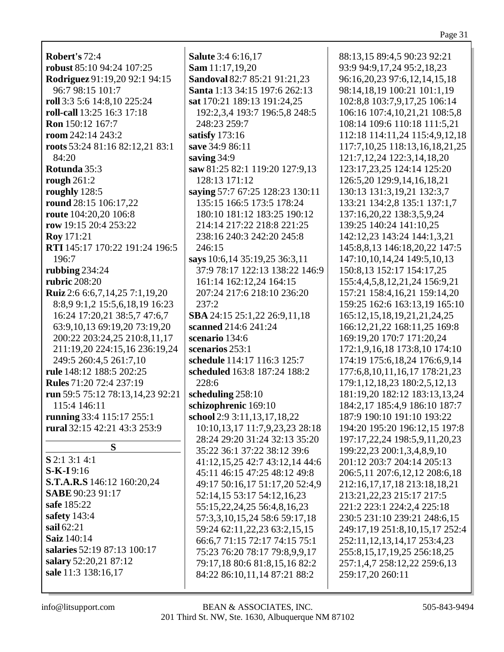**Robert's** 72:4 **robust** 85:10 94:24 107:25 **Rodriguez** 91:19,20 92:1 94:15 96:7 98:15 101:7 **roll** 3:3 5:6 14:8,10 225:24 **roll-call** 13:25 16:3 17:18 **Ron** 150:12 167:7 **room** 242:14 243:2 **roots** 53:24 81:16 82:12,21 83:1 84:20 **Rotunda** 35:3 **rough** 261:2 **roughly** 128:5 **round** 28:15 106:17,22 **route** 104:20,20 106:8 **row** 19:15 20:4 253:22 **Roy** 171:21 **RTI** 145:17 170:22 191:24 196:5 196:7 **rubbing** 234:24 **rubric** 208:20 **Ruiz** 2:6 6:6,7,14,25 7:1,19,20 8:8,9 9:1,2 15:5,6,18,19 16:23 16:24 17:20,21 38:5,7 47:6,7 63:9,10,13 69:19,20 73:19,20 200:22 203:24,25 210:8,11,17 211:19,20 224:15,16 236:19,24 249:5 260:4,5 261:7,10 **rule** 148:12 188:5 202:25 **Rules** 71:20 72:4 237:19 **run** 59:5 75:12 78:13,14,23 92:21 115:4 146:11 **running** 33:4 115:17 255:1 **rural** 32:15 42:21 43:3 253:9 **S S** 2:1 3:1 4:1 **S-K-I** 9:16 **S.T.A.R.S** 146:12 160:20,24 **SABE** 90:23 91:17 **safe** 185:22 **safety** 143:4

**Salute** 3:4 6:16,17 **Sam** 11:17,19,20 **Sandoval** 82:7 85:21 91:21,23 **Santa** 1:13 34:15 197:6 262:13 **sat** 170:21 189:13 191:24,25 192:2,3,4 193:7 196:5,8 248:5 248:23 259:7 **satisfy** 173:16 **save** 34:9 86:11 **saving** 34:9 **saw** 81:25 82:1 119:20 127:9,13 128:13 171:12 **saying** 57:7 67:25 128:23 130:11 135:15 166:5 173:5 178:24 180:10 181:12 183:25 190:12 214:14 217:22 218:8 221:25 238:16 240:3 242:20 245:8 246:15 **says** 10:6,14 35:19,25 36:3,11 37:9 78:17 122:13 138:22 146:9 161:14 162:12,24 164:15 207:24 217:6 218:10 236:20 237:2 **SBA** 24:15 25:1,22 26:9,11,18 **scanned** 214:6 241:24 **scenario** 134:6 **scenarios** 253:1 **schedule** 114:17 116:3 125:7 **scheduled** 163:8 187:24 188:2 228:6 **scheduling** 258:10 **schizophrenic** 169:10 **school** 2:9 3:11,13,17,18,22 10:10,13,17 11:7,9,23,23 28:18 28:24 29:20 31:24 32:13 35:20 35:22 36:1 37:22 38:12 39:6 41:12,15,25 42:7 43:12,14 44:6 45:11 46:15 47:25 48:12 49:8 49:17 50:16,17 51:17,20 52:4,9 52:14,15 53:17 54:12,16,23 55:15,22,24,25 56:4,8,16,23 57:3,3,10,15,24 58:6 59:17,18 59:24 62:11,22,23 63:2,15,15 66:6,7 71:15 72:17 74:15 75:1 75:23 76:20 78:17 79:8,9,9,17 79:17,18 80:6 81:8,15,16 82:2 84:22 86:10,11,14 87:21 88:2

88:13,15 89:4,5 90:23 92:21 93:9 94:9,17,24 95:2,18,23 96:16,20,23 97:6,12,14,15,18 98:14,18,19 100:21 101:1,19 102:8,8 103:7,9,17,25 106:14 106:16 107:4,10,21,21 108:5,8 108:14 109:6 110:18 111:5,21 112:18 114:11,24 115:4,9,12,18 117:7,10,25 118:13,16,18,21,25 121:7,12,24 122:3,14,18,20 123:17,23,25 124:14 125:20 126:5,20 129:9,14,16,18,21 130:13 131:3,19,21 132:3,7 133:21 134:2,8 135:1 137:1,7 137:16,20,22 138:3,5,9,24 139:25 140:24 141:10,25 142:12,23 143:24 144:1,3,21 145:8,8,13 146:18,20,22 147:5 147:10,10,14,24 149:5,10,13 150:8,13 152:17 154:17,25 155:4,4,5,8,12,21,24 156:9,21 157:21 158:4,16,21 159:14,20 159:25 162:6 163:13,19 165:10 165:12,15,18,19,21,21,24,25 166:12,21,22 168:11,25 169:8 169:19,20 170:7 171:20,24 172:1,9,16,18 173:8,10 174:10 174:19 175:6,18,24 176:6,9,14 177:6,8,10,11,16,17 178:21,23 179:1,12,18,23 180:2,5,12,13 181:19,20 182:12 183:13,13,24 184:2,17 185:4,9 186:10 187:7 187:9 190:10 191:10 193:22 194:20 195:20 196:12,15 197:8 197:17,22,24 198:5,9,11,20,23 199:22,23 200:1,3,4,8,9,10 201:12 203:7 204:14 205:13 206:5,11 207:6,12,12 208:6,18 212:16,17,17,18 213:18,18,21 213:21,22,23 215:17 217:5 221:2 223:1 224:2,4 225:18 230:5 231:10 239:21 248:6,15 249:17,19 251:8,10,15,17 252:4 252:11,12,13,14,17 253:4,23 255:8,15,17,19,25 256:18,25 257:1,4,7 258:12,22 259:6,13 259:17,20 260:11

**salaries** 52:19 87:13 100:17 **salary** 52:20,21 87:12 **sale** 11:3 138:16,17

**sail** 62:21 **Saiz** 140:14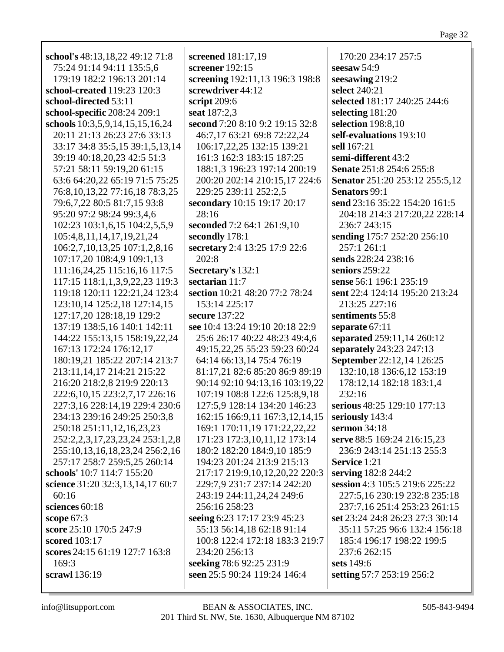| school's 48:13,18,22 49:12 71:8   | screened 181:17,19              | 170:20 234:17 257:5             |
|-----------------------------------|---------------------------------|---------------------------------|
| 75:24 91:14 94:11 135:5.6         | screener 192:15                 | seesaw $54:9$                   |
| 179:19 182:2 196:13 201:14        | screening 192:11,13 196:3 198:8 | seesawing 219:2                 |
| school-created 119:23 120:3       | screwdriver 44:12               | select 240:21                   |
| school-directed 53:11             | script 209:6                    | selected 181:17 240:25 244:6    |
| school-specific 208:24 209:1      | seat 187:2,3                    | selecting 181:20                |
| schools 10:3,5,9,14,15,15,16,24   | second 7:20 8:10 9:2 19:15 32:8 | selection 198:8,10              |
| 20:11 21:13 26:23 27:6 33:13      | 46:7,17 63:21 69:8 72:22,24     | self-evaluations 193:10         |
| 33:17 34:8 35:5,15 39:1,5,13,14   | 106:17,22,25 132:15 139:21      | sell 167:21                     |
| 39:19 40:18,20,23 42:5 51:3       | 161:3 162:3 183:15 187:25       | semi-different 43:2             |
| 57:21 58:11 59:19,20 61:15        | 188:1,3 196:23 197:14 200:19    | Senate 251:8 254:6 255:8        |
| 63:6 64:20,22 65:19 71:5 75:25    | 200:20 202:14 210:15,17 224:6   | Senator 251:20 253:12 255:5,12  |
| 76:8,10,13,22 77:16,18 78:3,25    | 229:25 239:11 252:2,5           | Senators 99:1                   |
| 79:6,7,22 80:5 81:7,15 93:8       | secondary 10:15 19:17 20:17     | send 23:16 35:22 154:20 161:5   |
| 95:20 97:2 98:24 99:3,4,6         | 28:16                           | 204:18 214:3 217:20,22 228:14   |
| 102:23 103:1,6,15 104:2,5,5,9     | seconded 7:2 64:1 261:9,10      | 236:7 243:15                    |
| 105:4,8,11,14,17,19,21,24         | secondly 178:1                  | sending 175:7 252:20 256:10     |
| 106:2,7,10,13,25 107:1,2,8,16     | secretary 2:4 13:25 17:9 22:6   | 257:1 261:1                     |
| 107:17,20 108:4,9 109:1,13        | 202:8                           | sends 228:24 238:16             |
| 111:16,24,25 115:16,16 117:5      | Secretary's 132:1               | seniors 259:22                  |
| 117:15 118:1,1,3,9,22,23 119:3    | sectarian 11:7                  | sense 56:1 196:1 235:19         |
| 119:18 120:11 122:21,24 123:4     | section 10:21 48:20 77:2 78:24  | sent 22:4 124:14 195:20 213:24  |
| 123:10,14 125:2,18 127:14,15      | 153:14 225:17                   | 213:25 227:16                   |
| 127:17,20 128:18,19 129:2         | secure 137:22                   | sentiments 55:8                 |
| 137:19 138:5,16 140:1 142:11      | see 10:4 13:24 19:10 20:18 22:9 | separate 67:11                  |
| 144:22 155:13,15 158:19,22,24     | 25:6 26:17 40:22 48:23 49:4,6   | separated 259:11,14 260:12      |
| 167:13 172:24 176:12,17           | 49:15,22,25 55:23 59:23 60:24   | separately 243:23 247:13        |
| 180:19,21 185:22 207:14 213:7     | 64:14 66:13,14 75:4 76:19       | September 22:12,14 126:25       |
| 213:11, 14, 17 214:21 215:22      | 81:17,21 82:6 85:20 86:9 89:19  | 132:10,18 136:6,12 153:19       |
| 216:20 218:2,8 219:9 220:13       | 90:14 92:10 94:13,16 103:19,22  | 178:12,14 182:18 183:1,4        |
| 222:6, 10, 15 223:2, 7, 17 226:16 | 107:19 108:8 122:6 125:8,9,18   | 232:16                          |
| 227:3,16 228:14,19 229:4 230:6    | 127:5,9 128:14 134:20 146:23    | serious 48:25 129:10 177:13     |
| 234:13 239:16 249:25 250:3,8      | 162:15 166:9,11 167:3,12,14,15  | seriously 143:4                 |
| 250:18 251:11,12,16,23,23         | 169:1 170:11,19 171:22,22,22    | sermon 34:18                    |
| 252:2,2,3,17,23,23,24 253:1,2,8   | 171:23 172:3,10,11,12 173:14    | serve 88:5 169:24 216:15,23     |
| 255:10,13,16,18,23,24 256:2,16    | 180:2 182:20 184:9,10 185:9     | 236:9 243:14 251:13 255:3       |
| 257:17 258:7 259:5,25 260:14      | 194:23 201:24 213:9 215:13      | <b>Service</b> 1:21             |
| schools' 10:7 114:7 155:20        | 217:17 219:9,10,12,20,22 220:3  | serving 182:8 244:2             |
| science 31:20 32:3,13,14,17 60:7  | 229:7,9 231:7 237:14 242:20     | session 4:3 105:5 219:6 225:22  |
| 60:16                             | 243:19 244:11,24,24 249:6       | 227:5,16 230:19 232:8 235:18    |
| sciences 60:18                    | 256:16 258:23                   | 237:7,16 251:4 253:23 261:15    |
| <b>scope</b> 67:3                 | seeing 6:23 17:17 23:9 45:23    | set 23:24 24:8 26:23 27:3 30:14 |
| score 25:10 170:5 247:9           | 55:13 56:14,18 62:18 91:14      | 35:11 57:25 96:6 132:4 156:18   |
| scored 103:17                     | 100:8 122:4 172:18 183:3 219:7  | 185:4 196:17 198:22 199:5       |
| scores 24:15 61:19 127:7 163:8    | 234:20 256:13                   | 237:6 262:15                    |
| 169:3                             | seeking 78:6 92:25 231:9        | sets 149:6                      |
| <b>scrawl</b> 136:19              | seen 25:5 90:24 119:24 146:4    | setting 57:7 253:19 256:2       |
|                                   |                                 |                                 |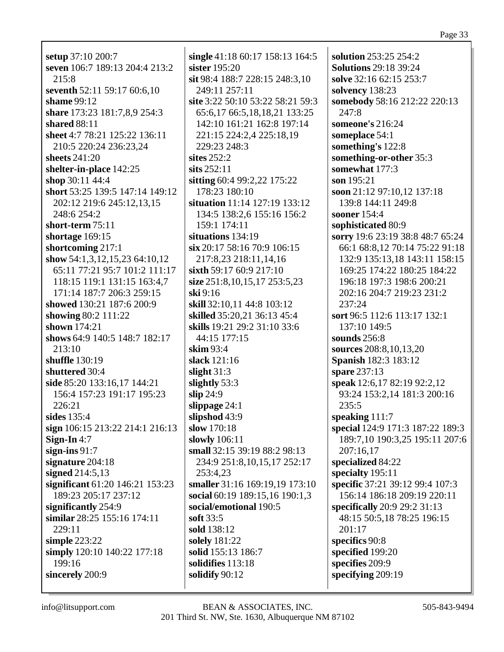setup 37:10 200:7 seven 106:7 189:13 204:4 213:2  $215:8$ seventh 52:11 59:17 60:6,10 shame  $99:12$ share 173:23 181:7,8,9 254:3 shared  $88:11$ sheet 4:7 78:21 125:22 136:11 210:5 220:24 236:23,24 sheets  $241:20$ shelter-in-place 142:25 shop  $30:11\,44:4$ short 53:25 139:5 147:14 149:12 202:12 219:6 245:12,13,15 248:6 254:2 short-term  $75:11$ shortage  $169:15$ shortcoming  $217:1$ show  $54:1,3,12,15,23$  64:10,12 65:11 77:21 95:7 101:2 111:17 118:15 119:1 131:15 163:4,7 171:14 187:7 206:3 259:15 showed 130:21 187:6 200:9 showing  $80:2$  111:22 shown  $174:21$ shows 64:9 140:5 148:7 182:17 213:10 shuffle  $130:19$ shuttered 30:4 side 85:20 133:16,17 144:21 156:4 157:23 191:17 195:23 226:21 sides  $135:4$ sign 106:15 213:22 214:1 216:13 Sign-In  $4:7$ sign-ins $91:7$ signature  $204:18$ signed  $214:5.13$ significant 61:20 146:21 153:23 189:23 205:17 237:12 significantly 254:9 similar  $28:25$  155:16 174:11 229:11 simple  $223:22$ simply 120:10 140:22 177:18 199:16 sincerely 200:9

single 41:18 60:17 158:13 164:5 sister  $195:20$ sit 98:4 188:7 228:15 248:3.10 249:11 257:11 site 3:22 50:10 53:22 58:21 59:3 65:6.17 66:5.18.18.21 133:25 142:10 161:21 162:8 197:14 221:15 224:2,4 225:18,19 229:23 248:3 sites  $252:2$ sits  $252:11$ sitting 60:4 99:2,22 175:22 178:23 180:10 situation 11:14 127:19 133:12 134:5 138:2.6 155:16 156:2 159:1 174:11 situations 134:19  $\sin 20:17$  58:16 70:9 106:15 217:8.23 218:11.14.16 sixth 59:17 60:9 217:10 size 251:8,10,15,17 253:5,23  $\sin 9:16$ skill 32:10.11 44:8 103:12 **skilled** 35:20,21 36:13 45:4 skills 19:21 29:2 31:10 33:6 44:15 177:15 skim  $93:4$ slack  $121:16$ slight  $31:3$ slightly  $53:3$  $slip 24:9$ slippage  $24:1$ slipshod 43:9 slow 170:18 slowly 106:11 small 32:15 39:19 88:2 98:13 234:9 251:8,10,15,17 252:17 253:4,23 smaller 31:16 169:19,19 173:10 social 60:19 189:15,16 190:1,3 social/emotional 190:5 soft  $33:5$ sold 138:12 solely 181:22 solid 155:13 186:7 solidifies  $113:18$ solidify  $90:12$ 

solution 253:25 254:2 **Solutions 29:18 39:24** solve 32:16 62:15 253:7 solvency 138:23 somebody 58:16 212:22 220:13 247:8 someone's  $216:24$ someplace 54:1 something's 122:8 something-or-other 35:3 somewhat 177:3 son  $195:21$ soon 21:12 97:10,12 137:18 139:8 144:11 249:8 sooner 154:4 sophisticated 80:9 sorry 19:6 23:19 38:8 48:7 65:24 66:1 68:8,12 70:14 75:22 91:18 132:9 135:13.18 143:11 158:15 169:25 174:22 180:25 184:22 196:18 197:3 198:6 200:21 202:16 204:7 219:23 231:2 237:24 sort 96:5 112:6 113:17 132:1 137:10 149:5 sounds  $256:8$ sources 208:8, 10, 13, 20 **Spanish 182:3 183:12** spare  $237:13$ speak 12:6,17 82:19 92:2,12 93:24 153:2,14 181:3 200:16  $235:5$ speaking 111:7 special 124:9 171:3 187:22 189:3 189:7,10 190:3,25 195:11 207:6 207:16.17 specialized 84:22 specialty  $195:11$ specific 37:21 39:12 99:4 107:3 156:14 186:18 209:19 220:11 specifically 20:9 29:2 31:13 48:15 50:5.18 78:25 196:15 201:17 specifics 90:8 specified 199:20 specifies 209:9 specifying  $209:19$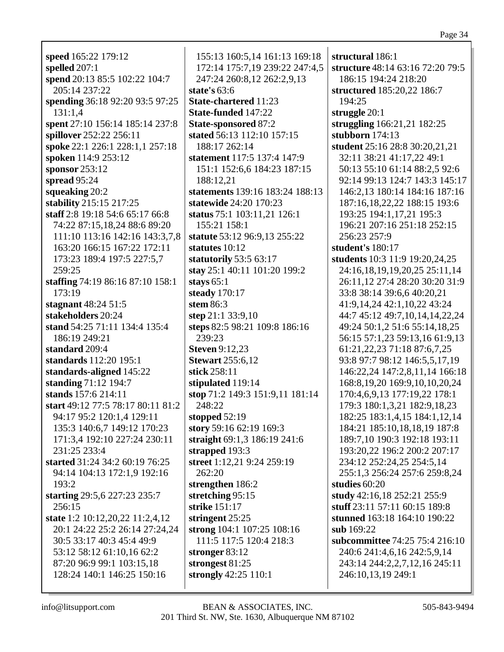| speed 165:22 179:12               |   |
|-----------------------------------|---|
|                                   |   |
| spelled $207:1$                   |   |
| spend 20:13 85:5 102:22 104:7     |   |
| 205:14 237:22                     | S |
| spending 36:18 92:20 93:5 97:25   | Ś |
|                                   |   |
| 131:1,4                           | Ś |
| spent 27:10 156:14 185:14 237:8   | Ś |
| spillover 252:22 256:11           | S |
| spoke 22:1 226:1 228:1,1 257:18   |   |
|                                   |   |
| spoken 114:9 253:12               | S |
| sponsor $253:12$                  |   |
| spread $95:24$                    |   |
| squeaking 20:2                    | S |
|                                   |   |
| stability 215:15 217:25           | S |
| staff 2:8 19:18 54:6 65:17 66:8   | S |
| 74:22 87:15,18,24 88:6 89:20      |   |
| 111:10 113:16 142:16 143:3,7,8    | S |
| 163:20 166:15 167:22 172:11       |   |
|                                   | S |
| 173:23 189:4 197:5 227:5,7        | S |
| 259:25                            | S |
| staffing 74:19 86:16 87:10 158:1  | S |
| 173:19                            | S |
|                                   |   |
| stagnant 48:24 51:5               | S |
| stakeholders 20:24                | S |
| stand 54:25 71:11 134:4 135:4     | S |
| 186:19 249:21                     |   |
| standard 209:4                    | S |
| standards 112:20 195:1            | Ś |
|                                   |   |
| standards-aligned 145:22          | S |
| standing 71:12 194:7              | S |
| stands 157:6 214:11               | S |
| start 49:12 77:5 78:17 80:11 81:2 |   |
|                                   |   |
| 94:17 95:2 120:1,4 129:11         | S |
| 135:3 140:6,7 149:12 170:23       | S |
| 171:3,4 192:10 227:24 230:11      | S |
| 231:25 233:4                      | S |
| started 31:24 34:2 60:19 76:25    | S |
|                                   |   |
| 94:14 104:13 172:1,9 192:16       |   |
| 193:2                             | S |
| starting 29:5,6 227:23 235:7      | S |
| 256:15                            | S |
| state 1:2 10:12,20,22 11:2,4,12   | S |
| 20:1 24:22 25:2 26:14 27:24,24    |   |
|                                   | S |
| 30:5 33:17 40:3 45:4 49:9         |   |
| 53:12 58:12 61:10,16 62:2         | S |
| 87:20 96:9 99:1 103:15,18         | S |
| 128:24 140:1 146:25 150:16        | S |
|                                   |   |
|                                   |   |

155:13 160:5,14 161:13 169:18 172:14 175:7,19 239:22 247:4,5 247:24 260:8,12 262:2,9,13 **state's** 63:6 **State-chartered** 11:23 **State-funded** 147:22 **State-sponsored** 87:2 **stated** 56:13 112:10 157:15 188:17 262:14 **statement** 117:5 137:4 147:9 151:1 152:6,6 184:23 187:15 188:12,21 **statements** 139:16 183:24 188:13 **statewide** 24:20 170:23 **status** 75:1 103:11,21 126:1 155:21 158:1 **statute** 53:12 96:9,13 255:22 **statutes** 10:12 **statutorily** 53:5 63:17 **stay** 25:1 40:11 101:20 199:2 **stays** 65:1 **steady** 170:17 **stem** 86:3 **step** 21:1 33:9,10 **steps** 82:5 98:21 109:8 186:16 239:23 **Steven** 9:12,23 **Stewart** 255:6,12 **stick** 258:11 **stipulated** 119:14 **stop** 71:2 149:3 151:9,11 181:14 248:22 **stopped** 52:19 **story** 59:16 62:19 169:3 **straight** 69:1,3 186:19 241:6 **strapped** 193:3 **street** 1:12,21 9:24 259:19 262:20 **strengthen** 186:2 **stretching** 95:15 **strike** 151:17 **stringent** 25:25 **strong** 104:1 107:25 108:16 111:5 117:5 120:4 218:3 **stronger** 83:12 **strongest** 81:25 **strongly** 42:25 110:1

**structural** 186:1 **structure** 48:14 63:16 72:20 79:5 186:15 194:24 218:20 **structured** 185:20,22 186:7 194:25 **struggle** 20:1 **struggling** 166:21,21 182:25 **stubborn** 174:13 **student** 25:16 28:8 30:20,21,21 32:11 38:21 41:17,22 49:1 50:13 55:10 61:14 88:2,5 92:6 92:14 99:13 124:7 143:3 145:17 146:2,13 180:14 184:16 187:16 187:16,18,22,22 188:15 193:6 193:25 194:1,17,21 195:3 196:21 207:16 251:18 252:15 256:23 257:9 **student's** 180:17 **students** 10:3 11:9 19:20,24,25 24:16,18,19,19,20,25 25:11,14 26:11,12 27:4 28:20 30:20 31:9 33:8 38:14 39:6,6 40:20,21 41:9,14,24 42:1,10,22 43:24 44:7 45:12 49:7,10,14,14,22,24 49:24 50:1,2 51:6 55:14,18,25 56:15 57:1,23 59:13,16 61:9,13 61:21,22,23 71:18 87:6,7,25 93:8 97:7 98:12 146:5,5,17,19 146:22,24 147:2,8,11,14 166:18 168:8,19,20 169:9,10,10,20,24 170:4,6,9,13 177:19,22 178:1 179:3 180:1,3,21 182:9,18,23 182:25 183:1,4,15 184:1,12,14 184:21 185:10,18,18,19 187:8 189:7,10 190:3 192:18 193:11 193:20,22 196:2 200:2 207:17 234:12 252:24,25 254:5,14 255:1,3 256:24 257:6 259:8,24 **studies** 60:20 **study** 42:16,18 252:21 255:9 **stuff** 23:11 57:11 60:15 189:8 **stunned** 163:18 164:10 190:22 **sub** 169:22 **subcommittee** 74:25 75:4 216:10 240:6 241:4,6,16 242:5,9,14 243:14 244:2,2,7,12,16 245:11 246:10,13,19 249:1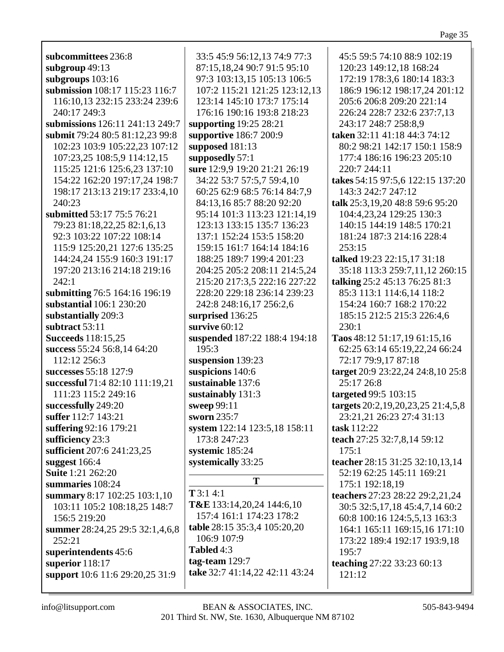| r |
|---|
|---|

| subcommittees 236:8             | 33:5 45:9 56:12,13 74:9 77:3   | 45:5 59:5 74:10 88:9 102:19       |
|---------------------------------|--------------------------------|-----------------------------------|
| subgroup 49:13                  | 87:15,18,24 90:7 91:5 95:10    | 120:23 149:12,18 168:24           |
|                                 | 97:3 103:13,15 105:13 106:5    | 172:19 178:3,6 180:14 183:3       |
| subgroups 103:16                |                                |                                   |
| submission 108:17 115:23 116:7  | 107:2 115:21 121:25 123:12,13  | 186:9 196:12 198:17,24 201:12     |
| 116:10,13 232:15 233:24 239:6   | 123:14 145:10 173:7 175:14     | 205:6 206:8 209:20 221:14         |
| 240:17 249:3                    | 176:16 190:16 193:8 218:23     | 226:24 228:7 232:6 237:7,13       |
| submissions 126:11 241:13 249:7 | supporting 19:25 28:21         | 243:17 248:7 258:8,9              |
| submit 79:24 80:5 81:12,23 99:8 | supportive 186:7 200:9         | taken 32:11 41:18 44:3 74:12      |
| 102:23 103:9 105:22,23 107:12   | supposed 181:13                | 80:2 98:21 142:17 150:1 158:9     |
|                                 |                                |                                   |
| 107:23,25 108:5,9 114:12,15     | supposedly 57:1                | 177:4 186:16 196:23 205:10        |
| 115:25 121:6 125:6,23 137:10    | sure 12:9,9 19:20 21:21 26:19  | 220:7 244:11                      |
| 154:22 162:20 197:17,24 198:7   | 34:22 53:7 57:5,7 59:4,10      | takes 54:15 97:5,6 122:15 137:20  |
| 198:17 213:13 219:17 233:4,10   | 60:25 62:9 68:5 76:14 84:7,9   | 143:3 242:7 247:12                |
| 240:23                          | 84:13,16 85:7 88:20 92:20      | talk 25:3,19,20 48:8 59:6 95:20   |
| submitted 53:17 75:5 76:21      | 95:14 101:3 113:23 121:14,19   | 104:4,23,24 129:25 130:3          |
| 79:23 81:18,22,25 82:1,6,13     | 123:13 133:15 135:7 136:23     | 140:15 144:19 148:5 170:21        |
|                                 |                                |                                   |
| 92:3 103:22 107:22 108:14       | 137:1 152:24 153:5 158:20      | 181:24 187:3 214:16 228:4         |
| 115:9 125:20,21 127:6 135:25    | 159:15 161:7 164:14 184:16     | 253:15                            |
| 144:24,24 155:9 160:3 191:17    | 188:25 189:7 199:4 201:23      | talked 19:23 22:15,17 31:18       |
| 197:20 213:16 214:18 219:16     | 204:25 205:2 208:11 214:5,24   | 35:18 113:3 259:7,11,12 260:15    |
| 242:1                           | 215:20 217:3,5 222:16 227:22   | talking 25:2 45:13 76:25 81:3     |
| submitting 76:5 164:16 196:19   | 228:20 229:18 236:14 239:23    | 85:3 113:1 114:6,14 118:2         |
| substantial 106:1 230:20        | 242:8 248:16,17 256:2,6        | 154:24 160:7 168:2 170:22         |
|                                 |                                |                                   |
| substantially 209:3             | surprised 136:25               | 185:15 212:5 215:3 226:4,6        |
| subtract 53:11                  | survive 60:12                  | 230:1                             |
| <b>Succeeds</b> 118:15,25       | suspended 187:22 188:4 194:18  | Taos 48:12 51:17,19 61:15,16      |
| success 55:24 56:8,14 64:20     | 195:3                          | 62:25 63:14 65:19,22,24 66:24     |
| 112:12 256:3                    | suspension 139:23              | 72:17 79:9,17 87:18               |
| successes 55:18 127:9           | suspicions 140:6               | target 20:9 23:22,24 24:8,10 25:8 |
| successful 71:4 82:10 111:19,21 | sustainable 137:6              | 25:17 26:8                        |
| 111:23 115:2 249:16             | sustainably 131:3              | targeted 99:5 103:15              |
| successfully 249:20             | sweep 99:11                    |                                   |
|                                 |                                | targets 20:2,19,20,23,25 21:4,5,8 |
| suffer 112:7 143:21             | sworn 235:7                    | 23:21,21 26:23 27:4 31:13         |
| suffering 92:16 179:21          | system 122:14 123:5,18 158:11  | task 112:22                       |
| sufficiency 23:3                | 173:8 247:23                   | teach 27:25 32:7,8,14 59:12       |
| sufficient 207:6 241:23,25      | systemic 185:24                | 175:1                             |
| suggest $166:4$                 | systemically 33:25             | teacher 28:15 31:25 32:10,13,14   |
| <b>Suite</b> 1:21 262:20        |                                | 52:19 62:25 145:11 169:21         |
| summaries 108:24                | T                              | 175:1 192:18,19                   |
| summary 8:17 102:25 103:1,10    | $T$ 3:1 4:1                    | teachers 27:23 28:22 29:2,21,24   |
|                                 | T&E 133:14,20,24 144:6,10      |                                   |
| 103:11 105:2 108:18,25 148:7    | 157:4 161:1 174:23 178:2       | 30:5 32:5,17,18 45:4,7,14 60:2    |
| 156:5 219:20                    |                                | 60:8 100:16 124:5,5,13 163:3      |
| summer 28:24,25 29:5 32:1,4,6,8 | table 28:15 35:3,4 105:20,20   | 164:1 165:11 169:15,16 171:10     |
| 252:21                          | 106:9 107:9                    | 173:22 189:4 192:17 193:9,18      |
| superintendents 45:6            | Tabled 4:3                     | 195:7                             |
| superior 118:17                 | tag-team $129:7$               | teaching 27:22 33:23 60:13        |
| support 10:6 11:6 29:20,25 31:9 | take 32:7 41:14,22 42:11 43:24 | 121:12                            |
|                                 |                                |                                   |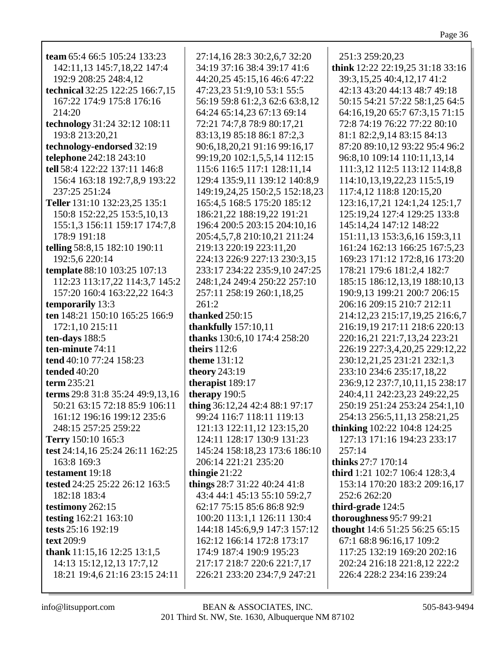| team 65:4 66:5 105:24 133:23      | 27:14,16 28:3 30:2,6,7 32:20                                | 251:3 259:20,23                                           |
|-----------------------------------|-------------------------------------------------------------|-----------------------------------------------------------|
| 142:11,13 145:7,18,22 147:4       | 34:19 37:16 38:4 39:17 41:6                                 | think 12:22 22:19,25 31:18 33:16                          |
| 192:9 208:25 248:4,12             | 44:20,25 45:15,16 46:6 47:22                                | 39:3,15,25 40:4,12,17 41:2                                |
| technical 32:25 122:25 166:7,15   | 47:23,23 51:9,10 53:1 55:5                                  | 42:13 43:20 44:13 48:7 49:18                              |
| 167:22 174:9 175:8 176:16         | 56:19 59:8 61:2,3 62:6 63:8,12                              | 50:15 54:21 57:22 58:1,25 64:5                            |
| 214:20                            | 64:24 65:14,23 67:13 69:14                                  | 64:16,19,20 65:7 67:3,15 71:15                            |
| technology 31:24 32:12 108:11     | 72:21 74:7,8 78:9 80:17,21                                  | 72:8 74:19 76:22 77:22 80:10                              |
| 193:8 213:20,21                   | 83:13,19 85:18 86:1 87:2,3                                  | 81:1 82:2,9,14 83:15 84:13                                |
| technology-endorsed 32:19         | 90:6,18,20,21 91:16 99:16,17                                | 87:20 89:10,12 93:22 95:4 96:2                            |
| telephone 242:18 243:10           | 99:19,20 102:1,5,5,14 112:15                                | 96:8,10 109:14 110:11,13,14                               |
| tell 58:4 122:22 137:11 146:8     | 115:6 116:5 117:1 128:11,14                                 | 111:3,12 112:5 113:12 114:8,8                             |
| 156:4 163:18 192:7,8,9 193:22     | 129:4 135:9,11 139:12 140:8,9                               | 114:10,13,19,22,23 115:5,19                               |
| 237:25 251:24                     | 149:19,24,25 150:2,5 152:18,23                              | 117:4,12 118:8 120:15,20                                  |
| Teller 131:10 132:23,25 135:1     | 165:4,5 168:5 175:20 185:12                                 | 123:16, 17, 21 124:1, 24 125:1, 7                         |
| 150:8 152:22,25 153:5,10,13       | 186:21,22 188:19,22 191:21                                  | 125:19,24 127:4 129:25 133:8                              |
| 155:1,3 156:11 159:17 174:7,8     | 196:4 200:5 203:15 204:10,16                                | 145:14,24 147:12 148:22                                   |
| 178:9 191:18                      | 205:4,5,7,8 210:10,21 211:24                                | 151:11,13 153:3,6,16 159:3,11                             |
| telling 58:8,15 182:10 190:11     | 219:13 220:19 223:11,20                                     | 161:24 162:13 166:25 167:5,23                             |
| 192:5,6 220:14                    | 224:13 226:9 227:13 230:3,15                                | 169:23 171:12 172:8,16 173:20                             |
| template 88:10 103:25 107:13      | 233:17 234:22 235:9,10 247:25                               | 178:21 179:6 181:2,4 182:7                                |
| 112:23 113:17,22 114:3,7 145:2    | 248:1,24 249:4 250:22 257:10                                | 185:15 186:12,13,19 188:10,13                             |
| 157:20 160:4 163:22,22 164:3      | 257:11 258:19 260:1,18,25                                   | 190:9,13 199:21 200:7 206:15                              |
| temporarily 13:3                  | 261:2                                                       | 206:16 209:15 210:7 212:11                                |
| ten 148:21 150:10 165:25 166:9    | <b>thanked</b> 250:15                                       | 214:12,23 215:17,19,25 216:6,7                            |
| 172:1,10 215:11                   | thankfully $157:10,11$                                      | 216:19,19 217:11 218:6 220:13                             |
| ten-days 188:5                    | thanks 130:6,10 174:4 258:20                                | 220:16,21 221:7,13,24 223:21                              |
| ten-minute 74:11                  | theirs $112:6$                                              | 226:19 227:3,4,20,25 229:12,22                            |
| tend 40:10 77:24 158:23           | <b>theme</b> 131:12                                         | 230:12,21,25 231:21 232:1,3                               |
| tended 40:20                      | theory 243:19                                               | 233:10 234:6 235:17,18,22                                 |
| term 235:21                       | therapist 189:17                                            | 236:9,12 237:7,10,11,15 238:17                            |
| terms 29:8 31:8 35:24 49:9,13,16  | therapy 190:5                                               | 240:4,11 242:23,23 249:22,25                              |
| 50:21 63:15 72:18 85:9 106:11     | thing 36:12,24 42:4 88:1 97:17                              | 250:19 251:24 253:24 254:1,10                             |
| 161:12 196:16 199:12 235:6        | 99:24 116:7 118:11 119:13                                   | 254:13 256:5,11,13 258:21,25                              |
| 248:15 257:25 259:22              | 121:13 122:11,12 123:15,20                                  | <b>thinking</b> 102:22 104:8 124:25                       |
| Terry 150:10 165:3                | 124:11 128:17 130:9 131:23                                  | 127:13 171:16 194:23 233:17                               |
| test 24:14,16 25:24 26:11 162:25  | 145:24 158:18,23 173:6 186:10                               | 257:14                                                    |
| 163:8 169:3                       | 206:14 221:21 235:20                                        | thinks 27:7 170:14                                        |
| testament 19:18                   | thingie $21:22$                                             | third 1:21 102:7 106:4 128:3,4                            |
| tested 24:25 25:22 26:12 163:5    | things 28:7 31:22 40:24 41:8                                | 153:14 170:20 183:2 209:16,17                             |
| 182:18 183:4                      | 43:4 44:1 45:13 55:10 59:2,7                                | 252:6 262:20                                              |
| testimony 262:15                  | 62:17 75:15 85:6 86:8 92:9                                  | third-grade 124:5                                         |
| testing 162:21 163:10             | 100:20 113:1,1 126:11 130:4                                 | thoroughness 95:7 99:21                                   |
| tests 25:16 192:19                | 144:18 145:6,9,9 147:3 157:12                               | thought 14:6 51:25 56:25 65:15                            |
| text 209:9                        | 162:12 166:14 172:8 173:17                                  | 67:1 68:8 96:16,17 109:2                                  |
| thank $11:15,16$ $12:25$ $13:1,5$ | 174:9 187:4 190:9 195:23                                    | 117:25 132:19 169:20 202:16                               |
| 14:13 15:12,12,13 17:7,12         | 217:17 218:7 220:6 221:7,17<br>226:21 233:20 234:7,9 247:21 | 202:24 216:18 221:8,12 222:2<br>226:4 228:2 234:16 239:24 |
| 18:21 19:4,6 21:16 23:15 24:11    |                                                             |                                                           |
|                                   |                                                             |                                                           |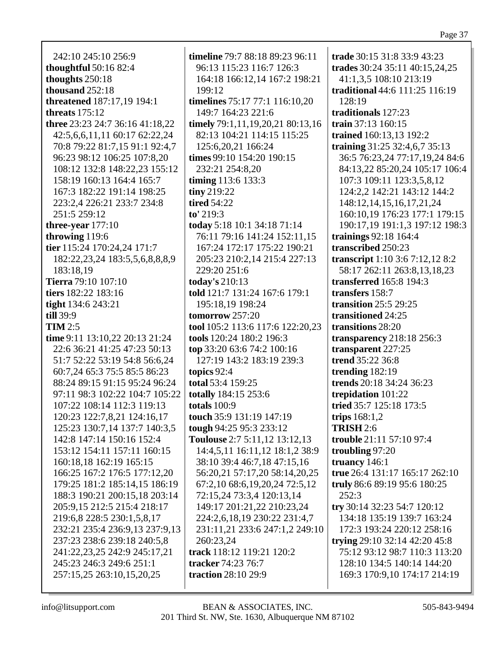242:10 245:10 256:9 **thoughtful** 50:16 82:4 thoughts 250:18 thousand 252:18 **threatened** 187:17,19 194:1 threats  $175:12$ three 23:23 24:7 36:16 41:18.22 42:5,6,6,11,11 60:17 62:22,24 70:8 79:22 81:7,15 91:1 92:4,7 96:23 98:12 106:25 107:8,20 108:12 132:8 148:22.23 155:12 158:19 160:13 164:4 165:7 167:3 182:22 191:14 198:25 223:2,4 226:21 233:7 234:8 251:5 259:12 three-year  $177:10$ throwing 119:6 tier 115:24 170:24,24 171:7 182:22,23,24 183:5,5,6,8,8,8,9 183:18.19 Tierra 79:10 107:10 tiers 182:22 183:16 tight 134:6 243:21  $till 39:9$  $$ time 9:11 13:10,22 20:13 21:24 22:6 36:21 41:25 47:23 50:13 51:7 52:22 53:19 54:8 56:6.24 60:7,24 65:3 75:5 85:5 86:23 88:24 89:15 91:15 95:24 96:24 97:11 98:3 102:22 104:7 105:22 107:22 108:14 112:3 119:13 120:23 122:7,8,21 124:16,17 125:23 130:7,14 137:7 140:3,5 142:8 147:14 150:16 152:4 153:12 154:11 157:11 160:15 160:18,18 162:19 165:15 166:25 167:2 176:5 177:12.20 179:25 181:2 185:14,15 186:19 188:3 190:21 200:15.18 203:14 205:9,15 212:5 215:4 218:17 219:6.8 228:5 230:1.5.8.17 232:21 235:4 236:9,13 237:9,13 237:23 238:6 239:18 240:5.8 241:22,23,25 242:9 245:17,21 245:23 246:3 249:6 251:1 257:15,25 263:10,15,20,25

timeline 79:7 88:18 89:23 96:11 96:13 115:23 116:7 126:3 164:18 166:12,14 167:2 198:21 199:12 **timelines** 75:17 77:1 116:10,20 149:7 164:23 221:6 timely 79:1,11,19,20,21 80:13,16 82:13 104:21 114:15 115:25 125:6, 20, 21 166: 24 times 99:10 154:20 190:15 232:21 254:8.20 timing  $113:6 133:3$  $\lim$  219:22 **tired 54:22**  $to' 219:3$ today 5:18 10:1 34:18 71:14 76:11 79:16 141:24 152:11.15 167:24 172:17 175:22 190:21 205:23 210:2.14 215:4 227:13 229:20 251:6 **today's** 210:13 told 121:7 131:24 167:6 179:1 195:18.19 198:24 tomorrow  $257:20$ tool 105:2 113:6 117:6 122:20,23 tools 120:24 180:2 196:3 top 33:20 63:6 74:2 100:16 127:19 143:2 183:19 239:3 topics  $92:4$ total 53:4 159:25 totally 184:15 253:6 totals  $100:9$ touch 35:9 131:19 147:19 tough 94:25 95:3 233:12 Toulouse 2:7 5:11,12 13:12,13 14:4,5,11 16:11,12 18:1,2 38:9 38:10 39:4 46:7,18 47:15,16 56:20,21 57:17,20 58:14,20,25 67:2,10 68:6,19,20,24 72:5,12 72:15,24 73:3,4 120:13,14 149:17 201:21,22 210:23,24 224:2,6,18,19 230:22 231:4,7 231:11,21 233:6 247:1,2 249:10 260:23.24 track 118:12 119:21 120:2 tracker 74:23 76:7 traction 28:10 29:9

trade 30:15 31:8 33:9 43:23 trades 30:24 35:11 40:15,24,25 41:1,3,5 108:10 213:19 traditional 44:6 111:25 116:19 128:19 traditionals 127:23 train  $37:13,160:15$ trained 160:13,13 192:2 training  $31:25$  32:4,6,7 35:13 36:5 76:23,24 77:17,19,24 84:6 84:13,22 85:20,24 105:17 106:4 107:3 109:11 123:3,5,8,12 124:2,2 142:21 143:12 144:2 148:12,14,15,16,17,21,24 160:10.19 176:23 177:1 179:15 190:17,19 191:1,3 197:12 198:3 trainings  $92:18$  164:4 transcribed 250:23 transcript 1:10 3:6 7:12,12 8:2 58:17 262:11 263:8,13,18,23 **transferred** 165:8 194:3 transfers 158:7 transition  $25:5$  29:25 transitioned 24:25 transitions 28:20 transparency  $218:18$  256:3 transparent 227:25 **trend** 35:22 36:8 trending  $182:19$ trends 20:18 34:24 36:23 trepidation 101:22 tried 35:7 125:18 173:5 trips  $168:1,2$ **TRISH 2:6** trouble 21:11 57:10 97:4 troubling  $97:20$ truancy  $146:1$ true 26:4 131:17 165:17 262:10 truly 86:6 89:19 95:6 180:25  $252:3$ try 30:14 32:23 54:7 120:12 134:18 135:19 139:7 163:24 172:3 193:24 220:12 258:16 trying 29:10 32:14 42:20 45:8 75:12 93:12 98:7 110:3 113:20 128:10 134:5 140:14 144:20 169:3 170:9,10 174:17 214:19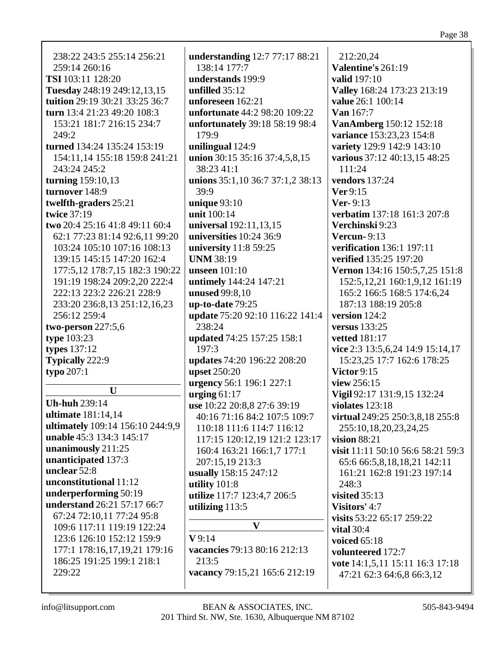238:22 243:5 255:14 256:21  $259:14260:16$ **TSI** 103:11 128:20 Tuesday 248:19 249:12,13,15 tuition 29:19 30:21 33:25 36:7 turn 13:4 21:23 49:20 108:3 153:21 181:7 216:15 234:7  $249:2$ turned 134:24 135:24 153:19 154:11,14 155:18 159:8 241:21 243:24 245:2 turning  $159:10.13$ turnover 148:9 twelfth-graders 25:21 **twice 37:19** two 20:4 25:16 41:8 49:11 60:4 62:1 77:23 81:14 92:6.11 99:20 103:24 105:10 107:16 108:13 139:15 145:15 147:20 162:4 177:5,12 178:7,15 182:3 190:22 191:19 198:24 209:2,20 222:4 222:13 223:2 226:21 228:9 233:20 236:8.13 251:12.16.23 256:12 259:4 two-person  $227:5.6$ type  $103:23$ types  $137:12$ **Typically** 222:9 typo  $207:1$  $\mathbf{U}$ **Uh-huh 239:14** ultimate 181:14.14 ultimately 109:14 156:10 244:9,9 unable  $45:3$  134:3 145:17 unanimously 211:25 unanticipated 137:3 unclear  $52:8$ unconstitutional 11:12 underperforming 50:19 **understand** 26:21 57:17 66:7 67:24 72:10,11 77:24 95:8 109:6 117:11 119:19 122:24 123:6 126:10 152:12 159:9 177:1 178:16,17,19,21 179:16 186:25 191:25 199:1 218:1 229:22

**understanding** 12:7 77:17 88:21 138:14 177:7 understands 199:9 unfilled  $35:12$ unforeseen  $162:21$ unfortunate 44:2 98:20 109:22 unfortunately 39:18 58:19 98:4 179:9 unilingual  $124:9$ union 30:15 35:16 37:4,5,8,15  $38:2341:1$ unions 35:1,10 36:7 37:1,2 38:13  $39:9$ unique  $93:10$ unit 100:14 universal 192:11,13,15 universities  $10:24$  36:9 university 11:8 59:25 **UNM 38:19** unseen  $101:10$ untimely 144:24 147:21 **unused** 99:8,10 up-to-date  $79:25$ update 75:20 92:10 116:22 141:4 238:24 **updated** 74:25 157:25 158:1  $197:3$ updates 74:20 196:22 208:20 **upset** 250:20 urgency 56:1 196:1 227:1 urging  $61:17$ use 10:22 20:8,8 27:6 39:19 40:16 71:16 84:2 107:5 109:7 110:18 111:6 114:7 116:12 117:15 120:12,19 121:2 123:17 160:4 163:21 166:1,7 177:1 207:15,19 213:3 usually 158:15 247:12 utility 101:8 utilize 117:7 123:4,7 206:5 utilizing 113:5  $\overline{\mathbf{V}}$  $V9:14$ vacancies 79:13 80:16 212:13  $213:5$ 

212:20,24 Valentine's  $261:19$ **valid** 197:10 Valley 168:24 173:23 213:19 value 26:1 100:14 Van 167:7 VanAmberg 150:12 152:18 variance 153:23,23 154:8 variety 129:9 142:9 143:10 various 37:12 40:13,15 48:25  $111:24$ vendors  $137:24$  $\mathbf{Ver} 9:15$  $Ver-9:13$ verbatim 137:18 161:3 207:8 Verchinski 9:23 Vercun- $9:13$ **verification** 136:1 197:11 verified 135:25 197:20 Vernon 134:16 150:5,7,25 151:8 152:5, 12, 21 160: 1, 9, 12 161: 19 165:2 166:5 168:5 174:6,24 187:13 188:19 205:8 version  $124:2$ versus  $133:25$ **vetted** 181:17 vice 2:3 13:5,6,24 14:9 15:14,17 15:23,25 17:7 162:6 178:25 Victor  $9:15$ view  $256:15$ Vigil 92:17 131:9,15 132:24 violates  $123:18$ virtual 249:25 250:3,8,18 255:8 255:10,18,20,23,24,25 vision  $88:21$ visit 11:11 50:10 56:6 58:21 59:3 65:6 66:5,8,18,18,21 142:11 161:21 162:8 191:23 197:14  $248:3$ visited  $35:13$ Visitors' 4:7 visits 53:22 65:17 259:22 vital  $30:4$ voiced  $65:18$ volunteered 172:7 vote 14:1,5,11 15:11 16:3 17:18 47:21 62:3 64:6,8 66:3,12

vacancy 79:15,21 165:6 212:19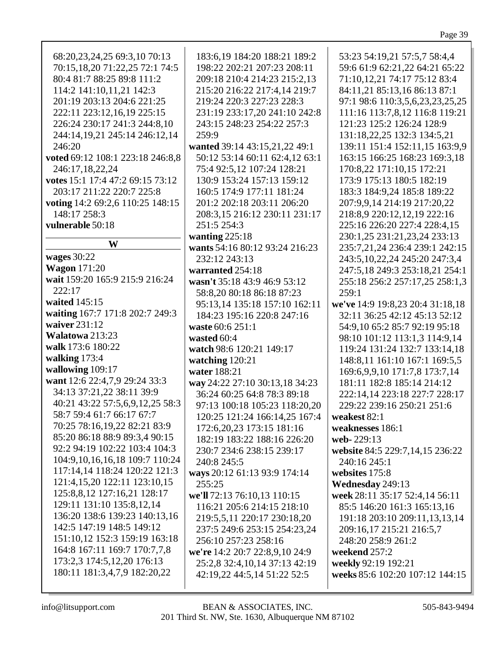| 68:20,23,24,25 69:3,10 70:13<br>70:15,18,20 71:22,25 72:1 74:5<br>80:4 81:7 88:25 89:8 111:2<br>114:2 141:10,11,21 142:3<br>201:19 203:13 204:6 221:25<br>222:11 223:12,16,19 225:15<br>226:24 230:17 241:3 244:8,10<br>244:14,19,21 245:14 246:12,14<br>246:20<br>voted 69:12 108:1 223:18 246:8,8<br>246:17,18,22,24<br>votes 15:1 17:4 47:2 69:15 73:12<br>203:17 211:22 220:7 225:8<br>voting 14:2 69:2,6 110:25 148:15<br>148:17 258:3<br>vulnerable 50:18<br>W | 183:6,19 184:20 188:21 189:2<br>198:22 202:21 207:23 208:11<br>209:18 210:4 214:23 215:2,13<br>215:20 216:22 217:4,14 219:7<br>219:24 220:3 227:23 228:3<br>231:19 233:17,20 241:10 242:8<br>243:15 248:23 254:22 257:3<br>259:9<br>wanted 39:14 43:15,21,22 49:1<br>50:12 53:14 60:11 62:4,12 63:1<br>75:4 92:5,12 107:24 128:21<br>130:9 153:24 157:13 159:12<br>160:5 174:9 177:11 181:24<br>201:2 202:18 203:11 206:20<br>208:3,15 216:12 230:11 231:17<br>251:5 254:3<br>wanting $225:18$<br>wants 54:16 80:12 93:24 216:23 | 53:23 54:19,21 57:5,7 58:4,4<br>59:6 61:9 62:21,22 64:21 65:22<br>71:10,12,21 74:17 75:12 83:4<br>84:11,21 85:13,16 86:13 87:1<br>97:1 98:6 110:3,5,6,23,23,25,25<br>111:16 113:7,8,12 116:8 119:21<br>121:23 125:2 126:24 128:9<br>131:18,22,25 132:3 134:5,21<br>139:11 151:4 152:11,15 163:9,9<br>163:15 166:25 168:23 169:3,18<br>170:8,22 171:10,15 172:21<br>173:9 175:13 180:5 182:19<br>183:3 184:9,24 185:8 189:22<br>207:9,9,14 214:19 217:20,22<br>218:8,9 220:12,12,19 222:16<br>225:16 226:20 227:4 228:4,15<br>230:1,25 231:21,23,24 233:13<br>235:7,21,24 236:4 239:1 242:15 |
|----------------------------------------------------------------------------------------------------------------------------------------------------------------------------------------------------------------------------------------------------------------------------------------------------------------------------------------------------------------------------------------------------------------------------------------------------------------------|----------------------------------------------------------------------------------------------------------------------------------------------------------------------------------------------------------------------------------------------------------------------------------------------------------------------------------------------------------------------------------------------------------------------------------------------------------------------------------------------------------------------------------|---------------------------------------------------------------------------------------------------------------------------------------------------------------------------------------------------------------------------------------------------------------------------------------------------------------------------------------------------------------------------------------------------------------------------------------------------------------------------------------------------------------------------------------------------------------------------------------------|
| wages $30:22$                                                                                                                                                                                                                                                                                                                                                                                                                                                        | 232:12 243:13                                                                                                                                                                                                                                                                                                                                                                                                                                                                                                                    | 243:5, 10, 22, 24 245: 20 247: 3, 4                                                                                                                                                                                                                                                                                                                                                                                                                                                                                                                                                         |
| <b>Wagon</b> 171:20                                                                                                                                                                                                                                                                                                                                                                                                                                                  | warranted 254:18                                                                                                                                                                                                                                                                                                                                                                                                                                                                                                                 | 247:5,18 249:3 253:18,21 254:1                                                                                                                                                                                                                                                                                                                                                                                                                                                                                                                                                              |
| wait 159:20 165:9 215:9 216:24                                                                                                                                                                                                                                                                                                                                                                                                                                       | wasn't 35:18 43:9 46:9 53:12                                                                                                                                                                                                                                                                                                                                                                                                                                                                                                     | 255:18 256:2 257:17,25 258:1,3                                                                                                                                                                                                                                                                                                                                                                                                                                                                                                                                                              |
| 222:17                                                                                                                                                                                                                                                                                                                                                                                                                                                               | 58:8,20 80:18 86:18 87:23                                                                                                                                                                                                                                                                                                                                                                                                                                                                                                        | 259:1                                                                                                                                                                                                                                                                                                                                                                                                                                                                                                                                                                                       |
| waited 145:15                                                                                                                                                                                                                                                                                                                                                                                                                                                        | 95:13,14 135:18 157:10 162:11                                                                                                                                                                                                                                                                                                                                                                                                                                                                                                    | we've 14:9 19:8,23 20:4 31:18,18                                                                                                                                                                                                                                                                                                                                                                                                                                                                                                                                                            |
| waiting 167:7 171:8 202:7 249:3                                                                                                                                                                                                                                                                                                                                                                                                                                      | 184:23 195:16 220:8 247:16                                                                                                                                                                                                                                                                                                                                                                                                                                                                                                       | 32:11 36:25 42:12 45:13 52:12                                                                                                                                                                                                                                                                                                                                                                                                                                                                                                                                                               |
| waiver 231:12                                                                                                                                                                                                                                                                                                                                                                                                                                                        | waste 60:6 251:1                                                                                                                                                                                                                                                                                                                                                                                                                                                                                                                 | 54:9,10 65:2 85:7 92:19 95:18                                                                                                                                                                                                                                                                                                                                                                                                                                                                                                                                                               |
| Walatowa 213:23                                                                                                                                                                                                                                                                                                                                                                                                                                                      | wasted 60:4                                                                                                                                                                                                                                                                                                                                                                                                                                                                                                                      | 98:10 101:12 113:1,3 114:9,14                                                                                                                                                                                                                                                                                                                                                                                                                                                                                                                                                               |
| walk 173:6 180:22                                                                                                                                                                                                                                                                                                                                                                                                                                                    | watch 98:6 120:21 149:17                                                                                                                                                                                                                                                                                                                                                                                                                                                                                                         | 119:24 131:24 132:7 133:14,18                                                                                                                                                                                                                                                                                                                                                                                                                                                                                                                                                               |
| walking 173:4                                                                                                                                                                                                                                                                                                                                                                                                                                                        | watching 120:21                                                                                                                                                                                                                                                                                                                                                                                                                                                                                                                  | 148:8,11 161:10 167:1 169:5,5                                                                                                                                                                                                                                                                                                                                                                                                                                                                                                                                                               |
| wallowing 109:17                                                                                                                                                                                                                                                                                                                                                                                                                                                     | water 188:21                                                                                                                                                                                                                                                                                                                                                                                                                                                                                                                     | 169:6, 9, 9, 10 171: 7, 8 173: 7, 14                                                                                                                                                                                                                                                                                                                                                                                                                                                                                                                                                        |
| want 12:6 22:4,7,9 29:24 33:3                                                                                                                                                                                                                                                                                                                                                                                                                                        | way 24:22 27:10 30:13,18 34:23                                                                                                                                                                                                                                                                                                                                                                                                                                                                                                   | 181:11 182:8 185:14 214:12                                                                                                                                                                                                                                                                                                                                                                                                                                                                                                                                                                  |
| 34:13 37:21,22 38:11 39:9                                                                                                                                                                                                                                                                                                                                                                                                                                            | 36:24 60:25 64:8 78:3 89:18                                                                                                                                                                                                                                                                                                                                                                                                                                                                                                      | 222:14,14 223:18 227:7 228:17                                                                                                                                                                                                                                                                                                                                                                                                                                                                                                                                                               |
| 40:21 43:22 57:5,6,9,12,25 58:3                                                                                                                                                                                                                                                                                                                                                                                                                                      | 97:13 100:18 105:23 118:20,20                                                                                                                                                                                                                                                                                                                                                                                                                                                                                                    | 229:22 239:16 250:21 251:6                                                                                                                                                                                                                                                                                                                                                                                                                                                                                                                                                                  |
| 58:7 59:4 61:7 66:17 67:7                                                                                                                                                                                                                                                                                                                                                                                                                                            | 120:25 121:24 166:14,25 167:4                                                                                                                                                                                                                                                                                                                                                                                                                                                                                                    | weakest 82:1                                                                                                                                                                                                                                                                                                                                                                                                                                                                                                                                                                                |
| 70:25 78:16,19,22 82:21 83:9                                                                                                                                                                                                                                                                                                                                                                                                                                         | 172:6, 20, 23 173: 15 181: 16                                                                                                                                                                                                                                                                                                                                                                                                                                                                                                    | weaknesses 186:1                                                                                                                                                                                                                                                                                                                                                                                                                                                                                                                                                                            |
| 85:20 86:18 88:9 89:3,4 90:15                                                                                                                                                                                                                                                                                                                                                                                                                                        | 182:19 183:22 188:16 226:20                                                                                                                                                                                                                                                                                                                                                                                                                                                                                                      | web-229:13                                                                                                                                                                                                                                                                                                                                                                                                                                                                                                                                                                                  |
| 92:2 94:19 102:22 103:4 104:3                                                                                                                                                                                                                                                                                                                                                                                                                                        | 230:7 234:6 238:15 239:17                                                                                                                                                                                                                                                                                                                                                                                                                                                                                                        | website 84:5 229:7,14,15 236:22                                                                                                                                                                                                                                                                                                                                                                                                                                                                                                                                                             |
| 104:9, 10, 16, 16, 18 109:7 110:24                                                                                                                                                                                                                                                                                                                                                                                                                                   | 240:8 245:5                                                                                                                                                                                                                                                                                                                                                                                                                                                                                                                      | 240:16 245:1                                                                                                                                                                                                                                                                                                                                                                                                                                                                                                                                                                                |
| 117:14,14 118:24 120:22 121:3                                                                                                                                                                                                                                                                                                                                                                                                                                        | ways 20:12 61:13 93:9 174:14                                                                                                                                                                                                                                                                                                                                                                                                                                                                                                     | websites 175:8                                                                                                                                                                                                                                                                                                                                                                                                                                                                                                                                                                              |
| 121:4,15,20 122:11 123:10,15                                                                                                                                                                                                                                                                                                                                                                                                                                         | 255:25                                                                                                                                                                                                                                                                                                                                                                                                                                                                                                                           | Wednesday 249:13                                                                                                                                                                                                                                                                                                                                                                                                                                                                                                                                                                            |
| 125:8,8,12 127:16,21 128:17                                                                                                                                                                                                                                                                                                                                                                                                                                          | we'll 72:13 76:10,13 110:15                                                                                                                                                                                                                                                                                                                                                                                                                                                                                                      | week 28:11 35:17 52:4,14 56:11                                                                                                                                                                                                                                                                                                                                                                                                                                                                                                                                                              |
| 129:11 131:10 135:8,12,14                                                                                                                                                                                                                                                                                                                                                                                                                                            | 116:21 205:6 214:15 218:10                                                                                                                                                                                                                                                                                                                                                                                                                                                                                                       | 85:5 146:20 161:3 165:13,16                                                                                                                                                                                                                                                                                                                                                                                                                                                                                                                                                                 |
| 136:20 138:6 139:23 140:13,16                                                                                                                                                                                                                                                                                                                                                                                                                                        | 219:5,5,11 220:17 230:18,20                                                                                                                                                                                                                                                                                                                                                                                                                                                                                                      | 191:18 203:10 209:11,13,13,14                                                                                                                                                                                                                                                                                                                                                                                                                                                                                                                                                               |
| 142:5 147:19 148:5 149:12                                                                                                                                                                                                                                                                                                                                                                                                                                            | 237:5 249:6 253:15 254:23,24                                                                                                                                                                                                                                                                                                                                                                                                                                                                                                     | 209:16,17 215:21 216:5,7                                                                                                                                                                                                                                                                                                                                                                                                                                                                                                                                                                    |
| 151:10,12 152:3 159:19 163:18                                                                                                                                                                                                                                                                                                                                                                                                                                        | 256:10 257:23 258:16                                                                                                                                                                                                                                                                                                                                                                                                                                                                                                             | 248:20 258:9 261:2                                                                                                                                                                                                                                                                                                                                                                                                                                                                                                                                                                          |
| 164:8 167:11 169:7 170:7,7,8                                                                                                                                                                                                                                                                                                                                                                                                                                         | we're 14:2 20:7 22:8,9,10 24:9                                                                                                                                                                                                                                                                                                                                                                                                                                                                                                   | weekend 257:2                                                                                                                                                                                                                                                                                                                                                                                                                                                                                                                                                                               |
| 173:2,3 174:5,12,20 176:13                                                                                                                                                                                                                                                                                                                                                                                                                                           | 25:2,8 32:4,10,14 37:13 42:19                                                                                                                                                                                                                                                                                                                                                                                                                                                                                                    | weekly 92:19 192:21                                                                                                                                                                                                                                                                                                                                                                                                                                                                                                                                                                         |
| 180:11 181:3,4,7,9 182:20,22                                                                                                                                                                                                                                                                                                                                                                                                                                         | 42:19,22 44:5,14 51:22 52:5                                                                                                                                                                                                                                                                                                                                                                                                                                                                                                      | weeks 85:6 102:20 107:12 144:15                                                                                                                                                                                                                                                                                                                                                                                                                                                                                                                                                             |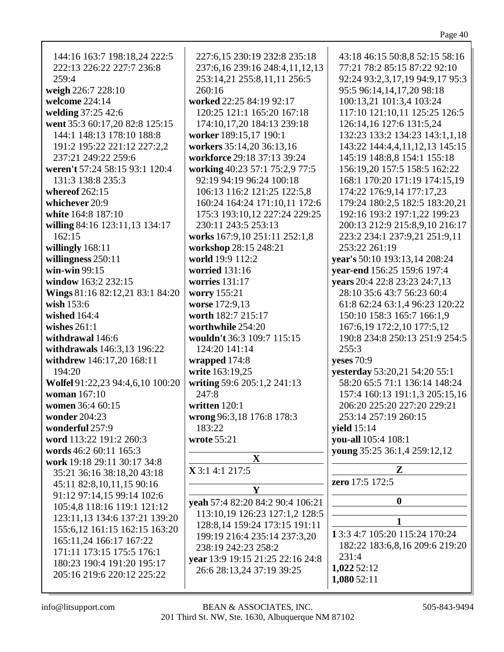| г |  |
|---|--|
|   |  |

| 144:16 163:7 198:18,24 222:5     | 227:6,15 230:19 232:8 235:18     | 43:18 46:15 50:8,8 52:15 58:16  |
|----------------------------------|----------------------------------|---------------------------------|
| 222:13 226:22 227:7 236:8        | 237:6,16 239:16 248:4,11,12,13   | 77:21 78:2 85:15 87:22 92:10    |
| 259:4                            | 253:14,21 255:8,11,11 256:5      | 92:24 93:2,3,17,19 94:9,17 95:3 |
|                                  |                                  |                                 |
| weigh 226:7 228:10               | 260:16                           | 95:5 96:14,14,17,20 98:18       |
| welcome 224:14                   | worked 22:25 84:19 92:17         | 100:13,21 101:3,4 103:24        |
| welding 37:25 42:6               | 120:25 121:1 165:20 167:18       | 117:10 121:10,11 125:25 126:5   |
| went 35:3 60:17,20 82:8 125:15   | 174:10,17,20 184:13 239:18       | 126:14,16 127:6 131:5,24        |
|                                  |                                  |                                 |
| 144:1 148:13 178:10 188:8        | worker 189:15,17 190:1           | 132:23 133:2 134:23 143:1,1,18  |
| 191:2 195:22 221:12 227:2,2      | workers 35:14,20 36:13,16        | 143:22 144:4,4,11,12,13 145:15  |
| 237:21 249:22 259:6              | workforce 29:18 37:13 39:24      | 145:19 148:8,8 154:1 155:18     |
|                                  |                                  |                                 |
| weren't 57:24 58:15 93:1 120:4   | working 40:23 57:1 75:2,9 77:5   | 156:19,20 157:5 158:5 162:22    |
| 131:3 138:8 235:3                | 92:19 94:19 96:24 100:18         | 168:1 170:20 171:19 174:15,19   |
| whereof $262:15$                 | 106:13 116:2 121:25 122:5,8      | 174:22 176:9,14 177:17,23       |
| whichever 20:9                   | 160:24 164:24 171:10,11 172:6    | 179:24 180:2,5 182:5 183:20,21  |
|                                  |                                  |                                 |
| white 164:8 187:10               | 175:3 193:10,12 227:24 229:25    | 192:16 193:2 197:1,22 199:23    |
| willing 84:16 123:11,13 134:17   | 230:11 243:5 253:13              | 200:13 212:9 215:8,9,10 216:17  |
| 162:15                           | works 167:9,10 251:11 252:1,8    | 223:2 234:1 237:9,21 251:9,11   |
|                                  |                                  | 253:22 261:19                   |
| willingly 168:11                 | workshop 28:15 248:21            |                                 |
| willingness 250:11               | world 19:9 112:2                 | year's 50:10 193:13,14 208:24   |
| win-win $99:15$                  | worried 131:16                   | year-end 156:25 159:6 197:4     |
| window 163:2 232:15              | worries $131:17$                 | years 20:4 22:8 23:23 24:7,13   |
|                                  |                                  |                                 |
| Wings 81:16 82:12,21 83:1 84:20  | worry 155:21                     | 28:10 35:6 43:7 56:23 60:4      |
| wish $153:6$                     | worse 172:9,13                   | 61:8 62:24 63:1,4 96:23 120:22  |
| wished 164:4                     | worth 182:7 215:17               | 150:10 158:3 165:7 166:1,9      |
| wishes $261:1$                   | worthwhile 254:20                |                                 |
|                                  |                                  | 167:6,19 172:2,10 177:5,12      |
| withdrawal 146:6                 | wouldn't 36:3 109:7 115:15       | 190:8 234:8 250:13 251:9 254:5  |
| withdrawals 146:3,13 196:22      | 124:20 141:14                    | 255:3                           |
| withdrew 146:17,20 168:11        | wrapped 174:8                    | <b>yeses</b> 70:9               |
|                                  |                                  |                                 |
| 194:20                           | write 163:19,25                  | yesterday 53:20,21 54:20 55:1   |
| Wolfel 91:22,23 94:4,6,10 100:20 | writing 59:6 205:1,2 241:13      | 58:20 65:5 71:1 136:14 148:24   |
| woman 167:10                     | 247:8                            | 157:4 160:13 191:1,3 205:15,16  |
| women 36:4 60:15                 | written 120:1                    | 206:20 225:20 227:20 229:21     |
|                                  |                                  |                                 |
| wonder 204:23                    | wrong 96:3,18 176:8 178:3        | 253:14 257:19 260:15            |
| wonderful 257:9                  | 183:22                           | <b>yield</b> 15:14              |
| word 113:22 191:2 260:3          | wrote 55:21                      | you-all 105:4 108:1             |
| words 46:2 60:11 165:3           |                                  | young 35:25 36:1,4 259:12,12    |
|                                  | $\mathbf{X}$                     |                                 |
| work 19:18 29:11 30:17 34:8      |                                  | $\mathbf{Z}$                    |
| 35:21 36:16 38:18,20 43:18       | <b>X</b> 3:1 4:1 217:5           |                                 |
| 45:11 82:8,10,11,15 90:16        |                                  | zero 17:5 172:5                 |
| 91:12 97:14,15 99:14 102:6       | Y                                |                                 |
|                                  | yeah 57:4 82:20 84:2 90:4 106:21 | $\bf{0}$                        |
| 105:4,8 118:16 119:1 121:12      | 113:10,19 126:23 127:1,2 128:5   |                                 |
| 123:11,13 134:6 137:21 139:20    |                                  | 1                               |
| 155:6,12 161:15 162:15 163:20    | 128:8,14 159:24 173:15 191:11    |                                 |
|                                  | 199:19 216:4 235:14 237:3,20     | 1 3:3 4:7 105:20 115:24 170:24  |
| 165:11,24 166:17 167:22          | 238:19 242:23 258:2              | 182:22 183:6,8,16 209:6 219:20  |
| 171:11 173:15 175:5 176:1        |                                  | 231:4                           |
| 180:23 190:4 191:20 195:17       | year 13:9 19:15 21:25 22:16 24:8 |                                 |
| 205:16 219:6 220:12 225:22       | 26:6 28:13,24 37:19 39:25        | 1,022 52:12                     |
|                                  |                                  | 1,080 52:11                     |
|                                  |                                  |                                 |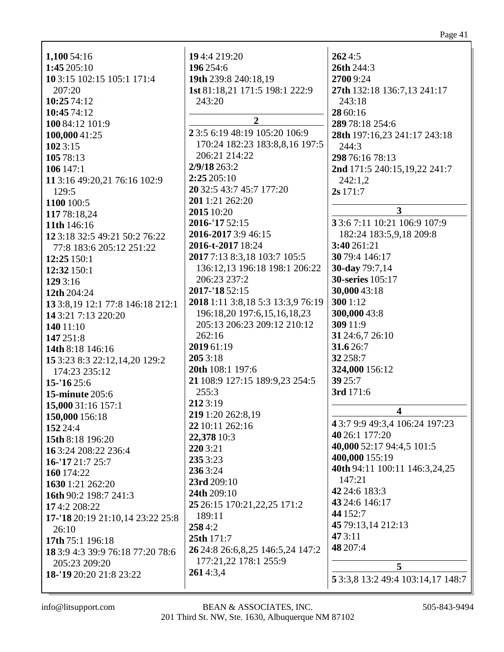| 1,100 54:16                         | 194:4 219:20                          | 2624:5                            |
|-------------------------------------|---------------------------------------|-----------------------------------|
| 1:45 205:10                         | 196 254:6                             | 26th 244:3                        |
| 10 3:15 102:15 105:1 171:4          | 19th 239:8 240:18,19                  | 27009:24                          |
| 207:20                              | 1st 81:18,21 171:5 198:1 222:9        | 27th 132:18 136:7,13 241:17       |
| 10:25 74:12                         | 243:20                                | 243:18                            |
| 10:45 74:12                         |                                       | 28 60:16                          |
| 100 84:12 101:9                     | $\overline{2}$                        | 289 78:18 254:6                   |
| 100,000 41:25                       | 2 3:5 6:19 48:19 105:20 106:9         | 28th 197:16,23 241:17 243:18      |
| 102 3:15                            | 170:24 182:23 183:8,8,16 197:5        | 244:3                             |
| 105 78:13                           | 206:21 214:22                         | 298 76:16 78:13                   |
| 106 147:1                           | 2/9/18 263:2                          | 2nd 171:5 240:15,19,22 241:7      |
| 11 3:16 49:20,21 76:16 102:9        | 2:25 205:10                           | 242:1,2                           |
| 129:5                               | 20 32:5 43:7 45:7 177:20              | 2s 171:7                          |
| 1100 100:5                          | 201 1:21 262:20                       |                                   |
| 117 78:18,24                        | 2015 10:20                            | $\overline{3}$                    |
| 11th 146:16                         | 2016-'17 52:15                        | 3 3:6 7:11 10:21 106:9 107:9      |
|                                     | 2016-2017 3:9 46:15                   | 182:24 183:5,9,18 209:8           |
| 12 3:18 32:5 49:21 50:2 76:22       | 2016-t-2017 18:24                     | 3:40 261:21                       |
| 77:8 183:6 205:12 251:22            | 2017 7:13 8:3,18 103:7 105:5          | 30 79:4 146:17                    |
| 12:25 150:1                         |                                       |                                   |
| 12:32 150:1                         | 136:12,13 196:18 198:1 206:22         | <b>30-day</b> 79:7,14             |
| 129 3:16                            | 206:23 237:2                          | <b>30-series</b> 105:17           |
| 12th 204:24                         | 2017-'18 52:15                        | 30,000 43:18                      |
| 13 3:8, 19 12:1 77:8 146: 18 212: 1 | 2018 1:11 3:8,18 5:3 13:3,9 76:19     | 300 1:12                          |
| 14 3:21 7:13 220:20                 | 196:18,20 197:6,15,16,18,23           | 300,000 43:8                      |
| 140 11:10                           | 205:13 206:23 209:12 210:12           | 309 11:9                          |
| 147 251:8                           | 262:16                                | 31 24:6,7 26:10                   |
| 14th 8:18 146:16                    | 2019 61:19                            | 31.6 26:7                         |
| 15 3:23 8:3 22:12,14,20 129:2       | 2053:18                               | 32 258:7                          |
| 174:23 235:12                       | 20th 108:1 197:6                      | 324,000 156:12                    |
| 15-'16 25:6                         | 21 108:9 127:15 189:9,23 254:5        | 39 25:7                           |
| <b>15-minute 205:6</b>              | 255:3                                 | 3rd 171:6                         |
| 15,000 31:16 157:1                  | 2123:19                               |                                   |
| 150,000 156:18                      | 219 1:20 262:8,19                     | $\boldsymbol{4}$                  |
| 152 24:4                            | 22 10:11 262:16                       | 4 3:7 9:9 49:3,4 106:24 197:23    |
| 15th 8:18 196:20                    | 22,378 10:3                           | 40 26:1 177:20                    |
| 163:24 208:22 236:4                 | 220 3:21                              | 40,000 52:17 94:4,5 101:5         |
|                                     | 235 3:23                              | 400,000 155:19                    |
| 16-'17 21:7 25:7                    | 236 3:24                              | 40th 94:11 100:11 146:3,24,25     |
| 160 174:22                          | 23rd 209:10                           | 147:21                            |
| 1630 1:21 262:20                    |                                       | 42 24:6 183:3                     |
| 16th 90:2 198:7 241:3               | 24th 209:10                           | 43 24:6 146:17                    |
| 174:2 208:22                        | 25 26:15 170:21, 22, 25 171:2         | 44 152:7                          |
| 17-'18 20:19 21:10,14 23:22 25:8    | 189:11                                | 45 79:13,14 212:13                |
| 26:10                               | 2584:2                                | 473:11                            |
| 17th 75:1 196:18                    | 25th 171:7                            | 48 207:4                          |
| 18 3:9 4:3 39:9 76:18 77:20 78:6    | 26 24:8 26:6, 8, 25 146: 5, 24 147: 2 |                                   |
| 205:23 209:20                       | 177:21,22 178:1 255:9                 | 5                                 |
| 18-'19 20:20 21:8 23:22             | 2614:3,4                              | 5 3:3,8 13:2 49:4 103:14,17 148:7 |
|                                     |                                       |                                   |